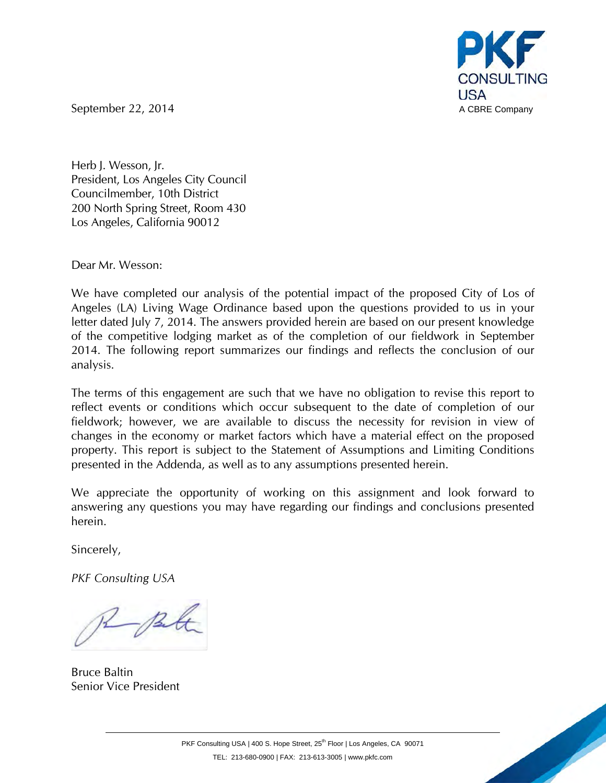

September 22, 2014 **A CBRE Company** 

Herb J. Wesson, Jr. President, Los Angeles City Council Councilmember, 10th District 200 North Spring Street, Room 430 Los Angeles, California 90012

Dear Mr. Wesson:

We have completed our analysis of the potential impact of the proposed City of Los of Angeles (LA) Living Wage Ordinance based upon the questions provided to us in your letter dated July 7, 2014. The answers provided herein are based on our present knowledge of the competitive lodging market as of the completion of our fieldwork in September 2014. The following report summarizes our findings and reflects the conclusion of our analysis.

The terms of this engagement are such that we have no obligation to revise this report to reflect events or conditions which occur subsequent to the date of completion of our fieldwork; however, we are available to discuss the necessity for revision in view of changes in the economy or market factors which have a material effect on the proposed property. This report is subject to the Statement of Assumptions and Limiting Conditions presented in the Addenda, as well as to any assumptions presented herein.

We appreciate the opportunity of working on this assignment and look forward to answering any questions you may have regarding our findings and conclusions presented herein.

Sincerely,

*PKF Consulting USA*

R Bl

Bruce Baltin Senior Vice President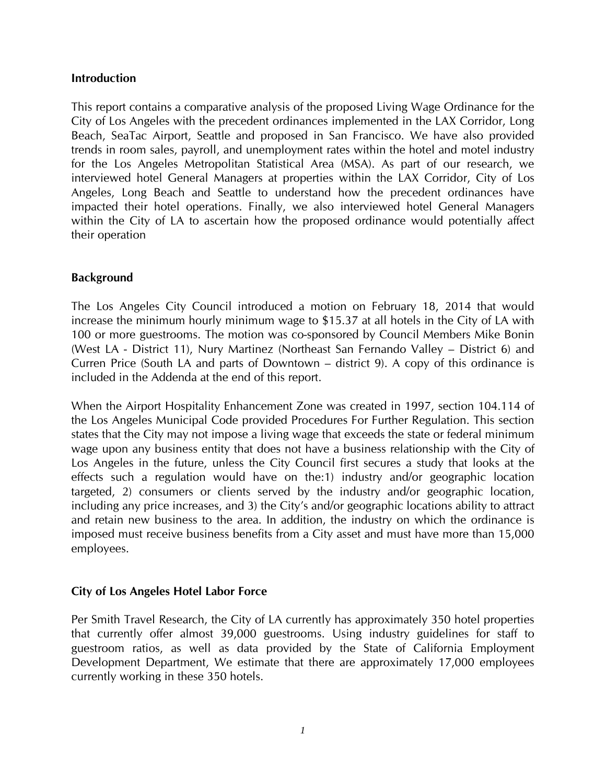# **Introduction**

This report contains a comparative analysis of the proposed Living Wage Ordinance for the City of Los Angeles with the precedent ordinances implemented in the LAX Corridor, Long Beach, SeaTac Airport, Seattle and proposed in San Francisco. We have also provided trends in room sales, payroll, and unemployment rates within the hotel and motel industry for the Los Angeles Metropolitan Statistical Area (MSA). As part of our research, we interviewed hotel General Managers at properties within the LAX Corridor, City of Los Angeles, Long Beach and Seattle to understand how the precedent ordinances have impacted their hotel operations. Finally, we also interviewed hotel General Managers within the City of LA to ascertain how the proposed ordinance would potentially affect their operation

# **Background**

The Los Angeles City Council introduced a motion on February 18, 2014 that would increase the minimum hourly minimum wage to \$15.37 at all hotels in the City of LA with 100 or more guestrooms. The motion was co-sponsored by Council Members Mike Bonin (West LA - District 11), Nury Martinez (Northeast San Fernando Valley – District 6) and Curren Price (South LA and parts of Downtown – district 9). A copy of this ordinance is included in the Addenda at the end of this report.

When the Airport Hospitality Enhancement Zone was created in 1997, section 104.114 of the Los Angeles Municipal Code provided Procedures For Further Regulation. This section states that the City may not impose a living wage that exceeds the state or federal minimum wage upon any business entity that does not have a business relationship with the City of Los Angeles in the future, unless the City Council first secures a study that looks at the effects such a regulation would have on the:1) industry and/or geographic location targeted, 2) consumers or clients served by the industry and/or geographic location, including any price increases, and 3) the City's and/or geographic locations ability to attract and retain new business to the area. In addition, the industry on which the ordinance is imposed must receive business benefits from a City asset and must have more than 15,000 employees.

# **City of Los Angeles Hotel Labor Force**

Per Smith Travel Research, the City of LA currently has approximately 350 hotel properties that currently offer almost 39,000 guestrooms. Using industry guidelines for staff to guestroom ratios, as well as data provided by the State of California Employment Development Department, We estimate that there are approximately 17,000 employees currently working in these 350 hotels.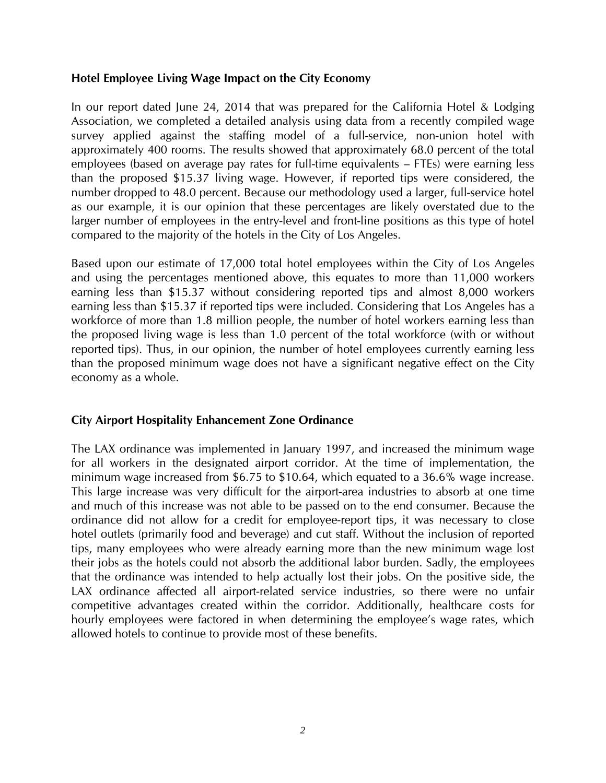# **Hotel Employee Living Wage Impact on the City Economy**

In our report dated June 24, 2014 that was prepared for the California Hotel & Lodging Association, we completed a detailed analysis using data from a recently compiled wage survey applied against the staffing model of a full-service, non-union hotel with approximately 400 rooms. The results showed that approximately 68.0 percent of the total employees (based on average pay rates for full-time equivalents – FTEs) were earning less than the proposed \$15.37 living wage. However, if reported tips were considered, the number dropped to 48.0 percent. Because our methodology used a larger, full-service hotel as our example, it is our opinion that these percentages are likely overstated due to the larger number of employees in the entry-level and front-line positions as this type of hotel compared to the majority of the hotels in the City of Los Angeles.

Based upon our estimate of 17,000 total hotel employees within the City of Los Angeles and using the percentages mentioned above, this equates to more than 11,000 workers earning less than \$15.37 without considering reported tips and almost 8,000 workers earning less than \$15.37 if reported tips were included. Considering that Los Angeles has a workforce of more than 1.8 million people, the number of hotel workers earning less than the proposed living wage is less than 1.0 percent of the total workforce (with or without reported tips). Thus, in our opinion, the number of hotel employees currently earning less than the proposed minimum wage does not have a significant negative effect on the City economy as a whole.

# **City Airport Hospitality Enhancement Zone Ordinance**

The LAX ordinance was implemented in January 1997, and increased the minimum wage for all workers in the designated airport corridor. At the time of implementation, the minimum wage increased from \$6.75 to \$10.64, which equated to a 36.6% wage increase. This large increase was very difficult for the airport-area industries to absorb at one time and much of this increase was not able to be passed on to the end consumer. Because the ordinance did not allow for a credit for employee-report tips, it was necessary to close hotel outlets (primarily food and beverage) and cut staff. Without the inclusion of reported tips, many employees who were already earning more than the new minimum wage lost their jobs as the hotels could not absorb the additional labor burden. Sadly, the employees that the ordinance was intended to help actually lost their jobs. On the positive side, the LAX ordinance affected all airport-related service industries, so there were no unfair competitive advantages created within the corridor. Additionally, healthcare costs for hourly employees were factored in when determining the employee's wage rates, which allowed hotels to continue to provide most of these benefits.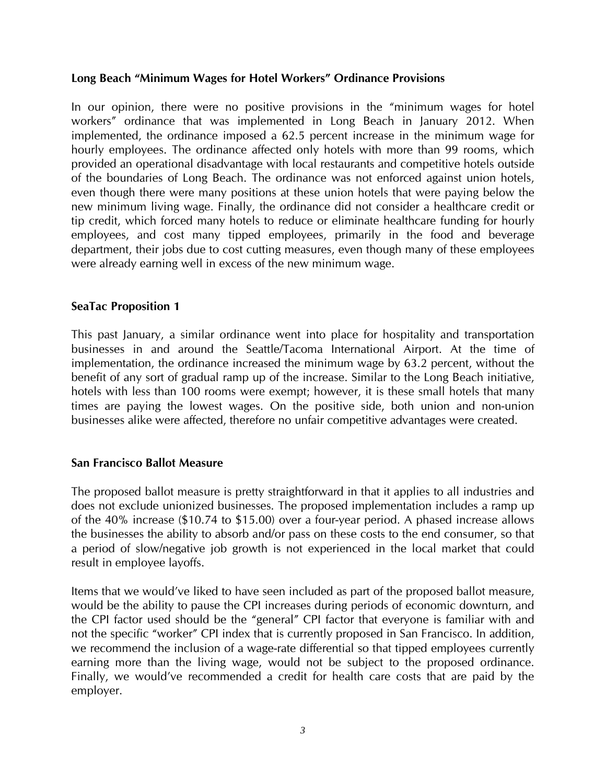# **Long Beach "Minimum Wages for Hotel Workers" Ordinance Provisions**

In our opinion, there were no positive provisions in the "minimum wages for hotel workers" ordinance that was implemented in Long Beach in January 2012. When implemented, the ordinance imposed a 62.5 percent increase in the minimum wage for hourly employees. The ordinance affected only hotels with more than 99 rooms, which provided an operational disadvantage with local restaurants and competitive hotels outside of the boundaries of Long Beach. The ordinance was not enforced against union hotels, even though there were many positions at these union hotels that were paying below the new minimum living wage. Finally, the ordinance did not consider a healthcare credit or tip credit, which forced many hotels to reduce or eliminate healthcare funding for hourly employees, and cost many tipped employees, primarily in the food and beverage department, their jobs due to cost cutting measures, even though many of these employees were already earning well in excess of the new minimum wage.

# **SeaTac Proposition 1**

This past January, a similar ordinance went into place for hospitality and transportation businesses in and around the Seattle/Tacoma International Airport. At the time of implementation, the ordinance increased the minimum wage by 63.2 percent, without the benefit of any sort of gradual ramp up of the increase. Similar to the Long Beach initiative, hotels with less than 100 rooms were exempt; however, it is these small hotels that many times are paying the lowest wages. On the positive side, both union and non-union businesses alike were affected, therefore no unfair competitive advantages were created.

# **San Francisco Ballot Measure**

The proposed ballot measure is pretty straightforward in that it applies to all industries and does not exclude unionized businesses. The proposed implementation includes a ramp up of the 40% increase (\$10.74 to \$15.00) over a four-year period. A phased increase allows the businesses the ability to absorb and/or pass on these costs to the end consumer, so that a period of slow/negative job growth is not experienced in the local market that could result in employee layoffs.

Items that we would've liked to have seen included as part of the proposed ballot measure, would be the ability to pause the CPI increases during periods of economic downturn, and the CPI factor used should be the "general" CPI factor that everyone is familiar with and not the specific "worker" CPI index that is currently proposed in San Francisco. In addition, we recommend the inclusion of a wage-rate differential so that tipped employees currently earning more than the living wage, would not be subject to the proposed ordinance. Finally, we would've recommended a credit for health care costs that are paid by the employer.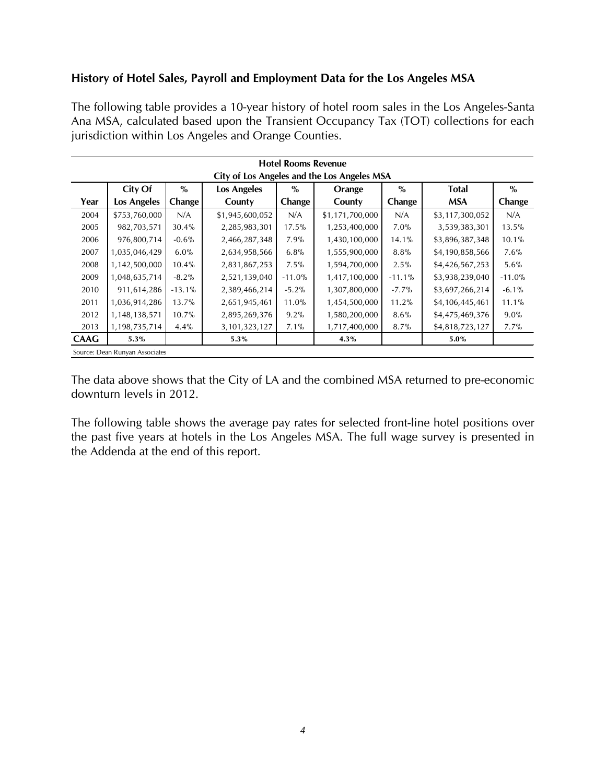# **History of Hotel Sales, Payroll and Employment Data for the Los Angeles MSA**

The following table provides a 10-year history of hotel room sales in the Los Angeles-Santa Ana MSA, calculated based upon the Transient Occupancy Tax (TOT) collections for each jurisdiction within Los Angeles and Orange Counties.

|             |                                                                                                    |          |                  | <b>Hotel Rooms Revenue</b> |                                             |          |                 |          |  |  |  |  |  |
|-------------|----------------------------------------------------------------------------------------------------|----------|------------------|----------------------------|---------------------------------------------|----------|-----------------|----------|--|--|--|--|--|
|             |                                                                                                    |          |                  |                            | City of Los Angeles and the Los Angeles MSA |          |                 |          |  |  |  |  |  |
|             | City Of                                                                                            | $\%$     | Los Angeles      | $\%$                       | Orange                                      | $\%$     | <b>Total</b>    | $\%$     |  |  |  |  |  |
| Year        | Los Angeles                                                                                        | Change   | County           | Change                     | County                                      | Change   | <b>MSA</b>      | Change   |  |  |  |  |  |
| 2004        | \$753,760,000                                                                                      | N/A      | \$1,945,600,052  | N/A                        | \$1,171,700,000                             | N/A      | \$3,117,300,052 | N/A      |  |  |  |  |  |
| 2005        | 982,703,571                                                                                        | 30.4%    | 2,285,983,301    | 17.5%                      | 1,253,400,000                               | 7.0%     | 3,539,383,301   | 13.5%    |  |  |  |  |  |
| 2006        | 976,800,714                                                                                        | $-0.6%$  | 2,466,287,348    | 7.9%                       | 1,430,100,000                               | 14.1%    | \$3,896,387,348 | 10.1%    |  |  |  |  |  |
| 2007        | 6.0%<br>6.8%<br>1,035,046,429<br>1,555,900,000<br>8.8%<br>\$4,190,858,566<br>7.6%<br>2,634,958,566 |          |                  |                            |                                             |          |                 |          |  |  |  |  |  |
| 2008        | 1,142,500,000                                                                                      | 10.4%    | 2,831,867,253    | 7.5%                       | 1,594,700,000                               | 2.5%     | \$4,426,567,253 | 5.6%     |  |  |  |  |  |
| 2009        | 1,048,635,714                                                                                      | $-8.2%$  | 2,521,139,040    | $-11.0%$                   | 1,417,100,000                               | $-11.1%$ | \$3,938,239,040 | $-11.0%$ |  |  |  |  |  |
| 2010        | 911,614,286                                                                                        | $-13.1%$ | 2,389,466,214    | $-5.2%$                    | 1,307,800,000                               | $-7.7%$  | \$3,697,266,214 | $-6.1\%$ |  |  |  |  |  |
| 2011        | 1,036,914,286                                                                                      | 13.7%    | 2,651,945,461    | 11.0%                      | 1,454,500,000                               | 11.2%    | \$4,106,445,461 | 11.1%    |  |  |  |  |  |
| 2012        | 1,148,138,571                                                                                      | 10.7%    | 2,895,269,376    | 9.2%                       | 1,580,200,000                               | 8.6%     | \$4,475,469,376 | 9.0%     |  |  |  |  |  |
| 2013        | 1,198,735,714                                                                                      | 4.4%     | 3, 101, 323, 127 | 7.1%                       | 1,717,400,000                               | 8.7%     | \$4,818,723,127 | $7.7\%$  |  |  |  |  |  |
| <b>CAAG</b> | $5.3\%$                                                                                            |          | 5.3%             |                            | 4.3%                                        |          | 5.0%            |          |  |  |  |  |  |
|             | Source: Dean Runyan Associates                                                                     |          |                  |                            |                                             |          |                 |          |  |  |  |  |  |

The data above shows that the City of LA and the combined MSA returned to pre-economic downturn levels in 2012.

The following table shows the average pay rates for selected front-line hotel positions over the past five years at hotels in the Los Angeles MSA. The full wage survey is presented in the Addenda at the end of this report.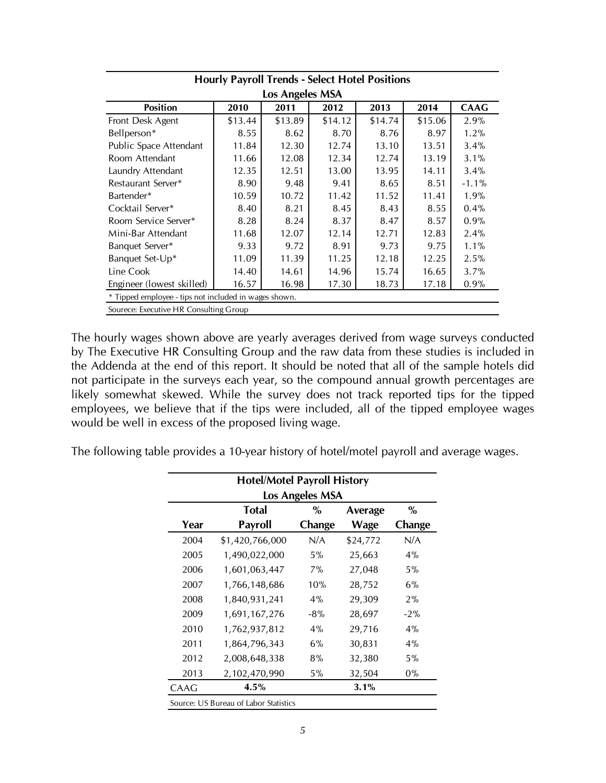|                                                                        | <b>Hourly Payroll Trends - Select Hotel Positions</b> |                 |         |         |         |             |  |  |  |  |  |  |
|------------------------------------------------------------------------|-------------------------------------------------------|-----------------|---------|---------|---------|-------------|--|--|--|--|--|--|
|                                                                        |                                                       | Los Angeles MSA |         |         |         |             |  |  |  |  |  |  |
| <b>Position</b>                                                        | 2010                                                  | 2011            | 2012    | 2013    | 2014    | <b>CAAG</b> |  |  |  |  |  |  |
| Front Desk Agent                                                       | \$13.44                                               | \$13.89         | \$14.12 | \$14.74 | \$15.06 | 2.9%        |  |  |  |  |  |  |
| Bellperson*                                                            | 8.55                                                  | 8.62            | 8.70    | 8.76    | 8.97    | 1.2%        |  |  |  |  |  |  |
| Public Space Attendant                                                 | 11.84                                                 | 12.30           | 12.74   | 13.10   | 13.51   | 3.4%        |  |  |  |  |  |  |
| 13.19<br>Room Attendant<br>11.66<br>12.08<br>12.34<br>12.74<br>3.1%    |                                                       |                 |         |         |         |             |  |  |  |  |  |  |
| Laundry Attendant<br>12.35<br>12.51<br>13.00<br>13.95<br>14.11<br>3.4% |                                                       |                 |         |         |         |             |  |  |  |  |  |  |
| $-1.1%$<br>Restaurant Server*<br>8.90<br>9.48<br>8.65<br>9.41<br>8.51  |                                                       |                 |         |         |         |             |  |  |  |  |  |  |
| Bartender*                                                             | 10.59                                                 | 10.72           | 11.42   | 11.52   | 11.41   | 1.9%        |  |  |  |  |  |  |
| Cocktail Server*                                                       | 8.40                                                  | 8.21            | 8.45    | 8.43    | 8.55    | 0.4%        |  |  |  |  |  |  |
| Room Service Server*                                                   | 8.28                                                  | 8.24            | 8.37    | 8.47    | 8.57    | 0.9%        |  |  |  |  |  |  |
| Mini-Bar Attendant                                                     | 11.68                                                 | 12.07           | 12.14   | 12.71   | 12.83   | 2.4%        |  |  |  |  |  |  |
| Banquet Server*                                                        | 9.33                                                  | 9.72            | 8.91    | 9.73    | 9.75    | $1.1\%$     |  |  |  |  |  |  |
| Banquet Set-Up*                                                        | 11.09                                                 | 11.39           | 11.25   | 12.18   | 12.25   | 2.5%        |  |  |  |  |  |  |
| Line Cook                                                              | 14.40                                                 | 14.61           | 14.96   | 15.74   | 16.65   | 3.7%        |  |  |  |  |  |  |
| Engineer (lowest skilled)                                              | 16.57                                                 | 16.98           | 17.30   | 18.73   | 17.18   | 0.9%        |  |  |  |  |  |  |
| * Tipped employee - tips not included in wages shown.                  |                                                       |                 |         |         |         |             |  |  |  |  |  |  |
| Sourece: Executive HR Consulting Group                                 |                                                       |                 |         |         |         |             |  |  |  |  |  |  |

The hourly wages shown above are yearly averages derived from wage surveys conducted by The Executive HR Consulting Group and the raw data from these studies is included in the Addenda at the end of this report. It should be noted that all of the sample hotels did not participate in the surveys each year, so the compound annual growth percentages are likely somewhat skewed. While the survey does not track reported tips for the tipped employees, we believe that if the tips were included, all of the tipped employee wages would be well in excess of the proposed living wage.

The following table provides a 10-year history of hotel/motel payroll and average wages.

|                                                   | <b>Hotel/Motel Payroll History</b>    |                 |          |        |  |  |  |  |  |  |  |
|---------------------------------------------------|---------------------------------------|-----------------|----------|--------|--|--|--|--|--|--|--|
|                                                   |                                       | Los Angeles MSA |          |        |  |  |  |  |  |  |  |
|                                                   | <b>Total</b>                          | $\%$            | Average  | $\%$   |  |  |  |  |  |  |  |
| Year                                              | <b>Payroll</b>                        | Change          | Wage     | Change |  |  |  |  |  |  |  |
| 2004                                              | \$1,420,766,000                       | N/A             | \$24,772 | N/A    |  |  |  |  |  |  |  |
| 2005                                              | 1,490,022,000                         | 5%              | 25,663   | $4\%$  |  |  |  |  |  |  |  |
| 2006<br>27,048<br>1,601,063,447<br>7%<br>5%       |                                       |                 |          |        |  |  |  |  |  |  |  |
| 6%<br>2007<br>10%<br>28,752<br>1,766,148,686      |                                       |                 |          |        |  |  |  |  |  |  |  |
| 1,840,931,241<br>29,309<br>2008<br>$4\%$<br>$2\%$ |                                       |                 |          |        |  |  |  |  |  |  |  |
| 2009                                              | 1,691,167,276                         | $-8%$           | 28,697   | $-2\%$ |  |  |  |  |  |  |  |
| 2010                                              | 1,762,937,812                         | $4\%$           | 29,716   | $4\%$  |  |  |  |  |  |  |  |
| 2011                                              | 1,864,796,343                         | 6%              | 30,831   | $4\%$  |  |  |  |  |  |  |  |
| 2012                                              | 2,008,648,338                         | 8%              | 32,380   | 5%     |  |  |  |  |  |  |  |
| 2013                                              | 2,102,470,990                         | 5%              | 32,504   | $0\%$  |  |  |  |  |  |  |  |
| CAAG                                              | 4.5%                                  |                 | 3.1%     |        |  |  |  |  |  |  |  |
|                                                   | Source: US Bureau of Labor Statistics |                 |          |        |  |  |  |  |  |  |  |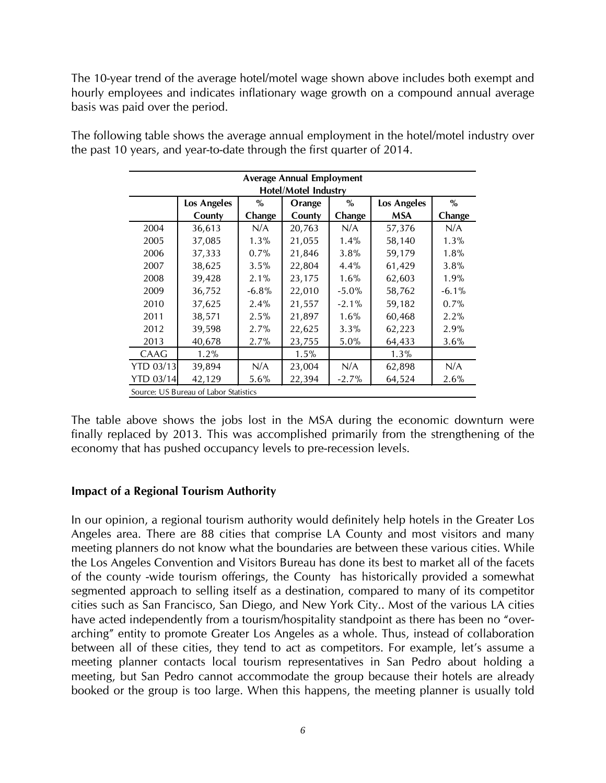The 10-year trend of the average hotel/motel wage shown above includes both exempt and hourly employees and indicates inflationary wage growth on a compound annual average basis was paid over the period.

|                  |                                       |          | <b>Average Annual Employment</b> |          |             |          |
|------------------|---------------------------------------|----------|----------------------------------|----------|-------------|----------|
|                  |                                       |          | <b>Hotel/Motel Industry</b>      |          |             |          |
|                  | Los Angeles                           | $\%$     | Orange                           | $\%$     | Los Angeles | $\%$     |
|                  | County                                | Change   | County                           | Change   | <b>MSA</b>  | Change   |
| 2004             | 36,613                                | N/A      | 20,763                           | N/A      | 57,376      | N/A      |
| 2005             | 37,085                                | $1.3\%$  | 21,055                           | 1.4%     | 58,140      | 1.3%     |
| 2006             | 37,333                                | 0.7%     | 21,846                           | 3.8%     | 59,179      | 1.8%     |
| 2007             | 38,625                                | 3.5%     | 22,804                           | 4.4%     | 61,429      | 3.8%     |
| 2008             | 39,428                                | 2.1%     | 23,175                           | $1.6\%$  | 62,603      | 1.9%     |
| 2009             | 36,752                                | $-6.8\%$ | 22,010                           | $-5.0\%$ | 58,762      | $-6.1\%$ |
| 2010             | 37,625                                | 2.4%     | 21,557                           | $-2.1\%$ | 59,182      | 0.7%     |
| 2011             | 38,571                                | 2.5%     | 21,897                           | 1.6%     | 60,468      | 2.2%     |
| 2012             | 39,598                                | $2.7\%$  | 22,625                           | 3.3%     | 62,223      | 2.9%     |
| 2013             | 40,678                                | $2.7\%$  | 23,755                           | $5.0\%$  | 64,433      | 3.6%     |
| CAAG             | 1.2%                                  |          | 1.5%                             |          | 1.3%        |          |
| <b>YTD 03/13</b> | 39,894                                | N/A      | 23,004                           | N/A      | 62,898      | N/A      |
| <b>YTD 03/14</b> | 42,129                                | $5.6\%$  | 22,394                           | $-2.7%$  | 64,524      | 2.6%     |
|                  | Source: US Bureau of Labor Statistics |          |                                  |          |             |          |

The following table shows the average annual employment in the hotel/motel industry over the past 10 years, and year-to-date through the first quarter of 2014.

The table above shows the jobs lost in the MSA during the economic downturn were finally replaced by 2013. This was accomplished primarily from the strengthening of the economy that has pushed occupancy levels to pre-recession levels.

# **Impact of a Regional Tourism Authority**

In our opinion, a regional tourism authority would definitely help hotels in the Greater Los Angeles area. There are 88 cities that comprise LA County and most visitors and many meeting planners do not know what the boundaries are between these various cities. While the Los Angeles Convention and Visitors Bureau has done its best to market all of the facets of the county -wide tourism offerings, the County has historically provided a somewhat segmented approach to selling itself as a destination, compared to many of its competitor cities such as San Francisco, San Diego, and New York City.. Most of the various LA cities have acted independently from a tourism/hospitality standpoint as there has been no "overarching" entity to promote Greater Los Angeles as a whole. Thus, instead of collaboration between all of these cities, they tend to act as competitors. For example, let's assume a meeting planner contacts local tourism representatives in San Pedro about holding a meeting, but San Pedro cannot accommodate the group because their hotels are already booked or the group is too large. When this happens, the meeting planner is usually told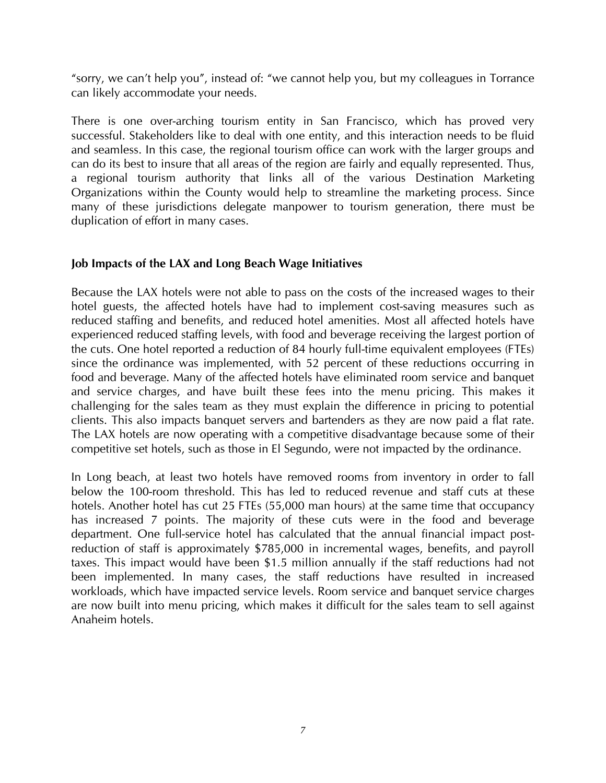"sorry, we can't help you", instead of: "we cannot help you, but my colleagues in Torrance can likely accommodate your needs.

There is one over-arching tourism entity in San Francisco, which has proved very successful. Stakeholders like to deal with one entity, and this interaction needs to be fluid and seamless. In this case, the regional tourism office can work with the larger groups and can do its best to insure that all areas of the region are fairly and equally represented. Thus, a regional tourism authority that links all of the various Destination Marketing Organizations within the County would help to streamline the marketing process. Since many of these jurisdictions delegate manpower to tourism generation, there must be duplication of effort in many cases.

# **Job Impacts of the LAX and Long Beach Wage Initiatives**

Because the LAX hotels were not able to pass on the costs of the increased wages to their hotel guests, the affected hotels have had to implement cost-saving measures such as reduced staffing and benefits, and reduced hotel amenities. Most all affected hotels have experienced reduced staffing levels, with food and beverage receiving the largest portion of the cuts. One hotel reported a reduction of 84 hourly full-time equivalent employees (FTEs) since the ordinance was implemented, with 52 percent of these reductions occurring in food and beverage. Many of the affected hotels have eliminated room service and banquet and service charges, and have built these fees into the menu pricing. This makes it challenging for the sales team as they must explain the difference in pricing to potential clients. This also impacts banquet servers and bartenders as they are now paid a flat rate. The LAX hotels are now operating with a competitive disadvantage because some of their competitive set hotels, such as those in El Segundo, were not impacted by the ordinance.

In Long beach, at least two hotels have removed rooms from inventory in order to fall below the 100-room threshold. This has led to reduced revenue and staff cuts at these hotels. Another hotel has cut 25 FTEs (55,000 man hours) at the same time that occupancy has increased 7 points. The majority of these cuts were in the food and beverage department. One full-service hotel has calculated that the annual financial impact postreduction of staff is approximately \$785,000 in incremental wages, benefits, and payroll taxes. This impact would have been \$1.5 million annually if the staff reductions had not been implemented. In many cases, the staff reductions have resulted in increased workloads, which have impacted service levels. Room service and banquet service charges are now built into menu pricing, which makes it difficult for the sales team to sell against Anaheim hotels.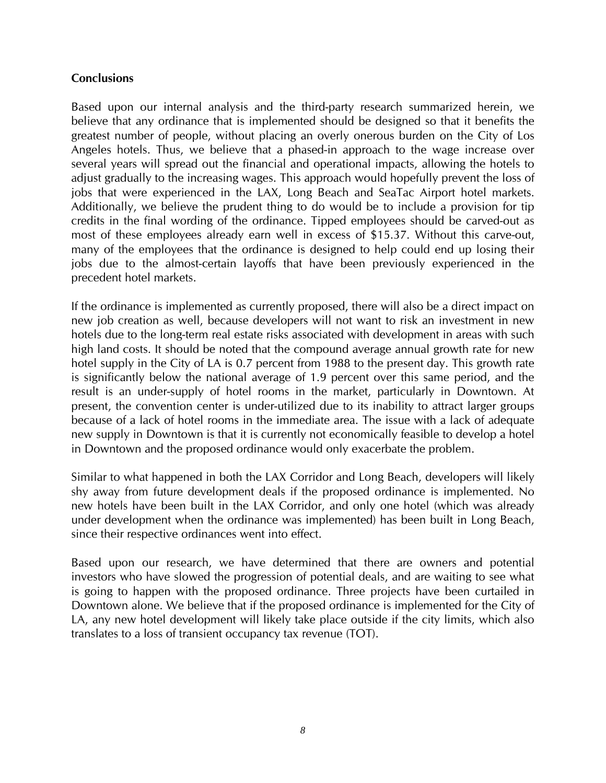# **Conclusions**

Based upon our internal analysis and the third-party research summarized herein, we believe that any ordinance that is implemented should be designed so that it benefits the greatest number of people, without placing an overly onerous burden on the City of Los Angeles hotels. Thus, we believe that a phased-in approach to the wage increase over several years will spread out the financial and operational impacts, allowing the hotels to adjust gradually to the increasing wages. This approach would hopefully prevent the loss of jobs that were experienced in the LAX, Long Beach and SeaTac Airport hotel markets. Additionally, we believe the prudent thing to do would be to include a provision for tip credits in the final wording of the ordinance. Tipped employees should be carved-out as most of these employees already earn well in excess of \$15.37. Without this carve-out, many of the employees that the ordinance is designed to help could end up losing their jobs due to the almost-certain layoffs that have been previously experienced in the precedent hotel markets.

If the ordinance is implemented as currently proposed, there will also be a direct impact on new job creation as well, because developers will not want to risk an investment in new hotels due to the long-term real estate risks associated with development in areas with such high land costs. It should be noted that the compound average annual growth rate for new hotel supply in the City of LA is 0.7 percent from 1988 to the present day. This growth rate is significantly below the national average of 1.9 percent over this same period, and the result is an under-supply of hotel rooms in the market, particularly in Downtown. At present, the convention center is under-utilized due to its inability to attract larger groups because of a lack of hotel rooms in the immediate area. The issue with a lack of adequate new supply in Downtown is that it is currently not economically feasible to develop a hotel in Downtown and the proposed ordinance would only exacerbate the problem.

Similar to what happened in both the LAX Corridor and Long Beach, developers will likely shy away from future development deals if the proposed ordinance is implemented. No new hotels have been built in the LAX Corridor, and only one hotel (which was already under development when the ordinance was implemented) has been built in Long Beach, since their respective ordinances went into effect.

Based upon our research, we have determined that there are owners and potential investors who have slowed the progression of potential deals, and are waiting to see what is going to happen with the proposed ordinance. Three projects have been curtailed in Downtown alone. We believe that if the proposed ordinance is implemented for the City of LA, any new hotel development will likely take place outside if the city limits, which also translates to a loss of transient occupancy tax revenue (TOT).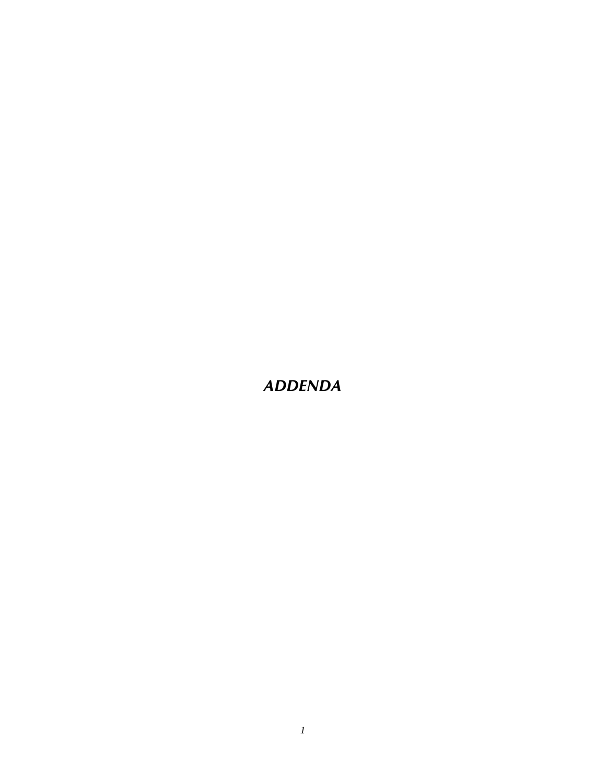*ADDENDA*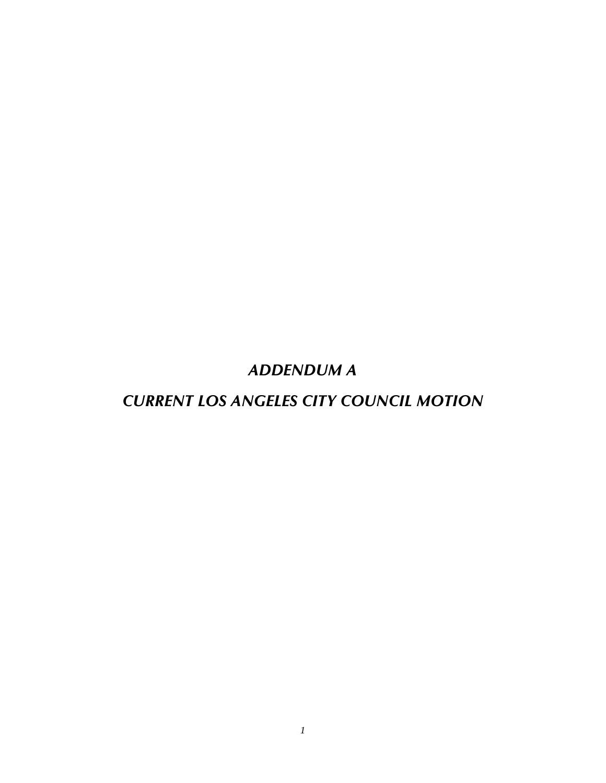*ADDENDUM A*

*CURRENT LOS ANGELES CITY COUNCIL MOTION*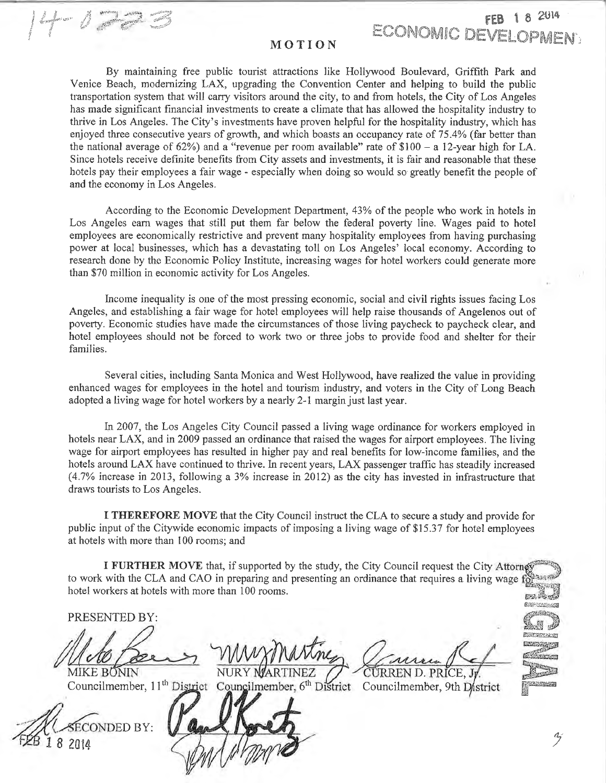## MOTION

**ECONOMIC DEVEL(** 

By maintaining free public tourist attractions like Hollywood Boulevard, Griffith Park and Venice Beach, modernizing LAX, upgrading the Convention Center and helping to build the public transportation system that will carry visitors around the city, to and from hotels, the City of Los Angeles has made significant financial investments to create a climate that has allowed the hospitality industry to thrive in Los Angeles. The City's investments have proven helpful for the hospitality industry, which has enjoyed three consecutive years of growth, and which boasts an occupancy rate of 75.4% (far better than the national average of  $62\%$ ) and a "revenue per room available" rate of \$100 - a 12-year high for LA. Since hotels receive definite benefits from City assets and investments, it is fair and reasonable that these hotels pay their employees a fair wage - especially when doing so would so greatly benefit the people of and the economy in Los Angeles.

According to the Economic Development Department, 43% of the people who work in hotels in Los Angeles earn wages that still put them far below the federal poverty line. Wages paid to hotel employees are economically restrictive and prevent many hospitality employees from having purchasing power at local businesses, which has a devastating toll on Los Angeles' local economy. According to research done by the Economic Policy Institute, increasing wages for hotel workers could generate more than \$70 million in economic activity for Los Angeles.

Income inequality is one of the most pressing economic, social and civil rights issues facing Los Angeles, and establishing a fair wage for hotel employees will help raise thousands of Angelenos out of poverty. Economic studies have made the circumstances of those living paycheck to paycheck clear, and hotel employees should not be forced to work two or three jobs to provide food and shelter for their families.

Several cities, including Santa Monica and West Hollywood, have realized the value in providing enhanced wages for employees in the hotel and tourism industry, and voters in the City of Long Beach adopted a living wage for hotel workers by a nearly 2-1 margin just last year.

In 2007, the Los Angeles City Council passed a living wage ordinance for workers employed in hotels near LAX, and in 2009 passed an ordinance that raised the wages for airport employees. The living wage for airport employees has resulted in higher pay and real benefits for low-income families, and the hotels around LAX have continued to thrive. In recent years, LAX passenger traffic has steadily increased (4.7% increase in 2013, following a 3% increase in 2012) as the city has invested in infrastructure that draws tourists to Los Angeles.

I THEREFORE MOVE that the City Council instruct the CLA to secure a study and provide for public input of the Citywide economic impacts of imposing a living wage of \$15.37 for hotel employees at hotels with more than 100 rooms; and

I FURTHER MOVE that, if supported by the study, the City Council request the City Attorney to work with the CLA and CAO in preparing and presenting an ordinance that requires a living wage for answer hotel workers at hotels with more than 100 rooms. EW. Sent

PRESENTED BY:

Laders 1 1990

**MIKE BONIN** 



NURY MARTINEZ

CURREN D. PRICE.

**EXPORTANCE SCIENTIS** <u> BERTH TAN</u>

**RAPALLACA** 

Councilmember, 11<sup>th</sup> District Councilmember, 6<sup>th</sup> District Councilmember, 9th District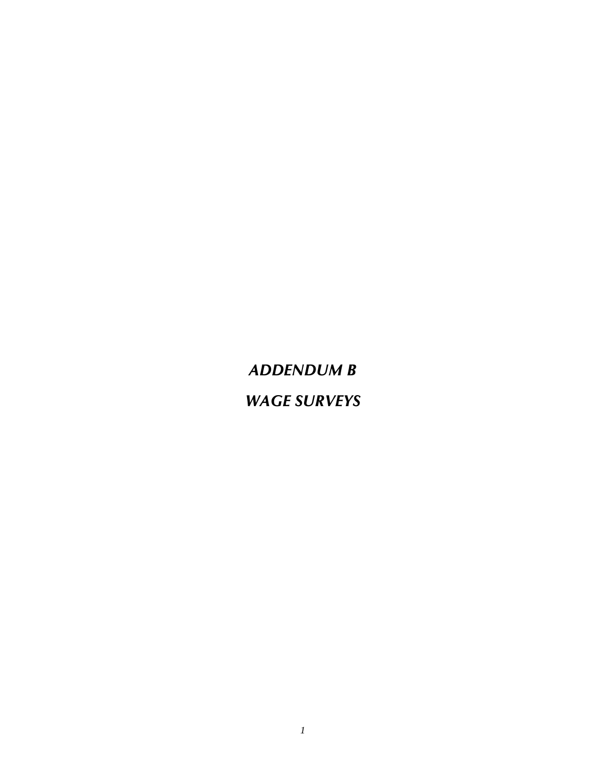*ADDENDUM B WAGE SURVEYS*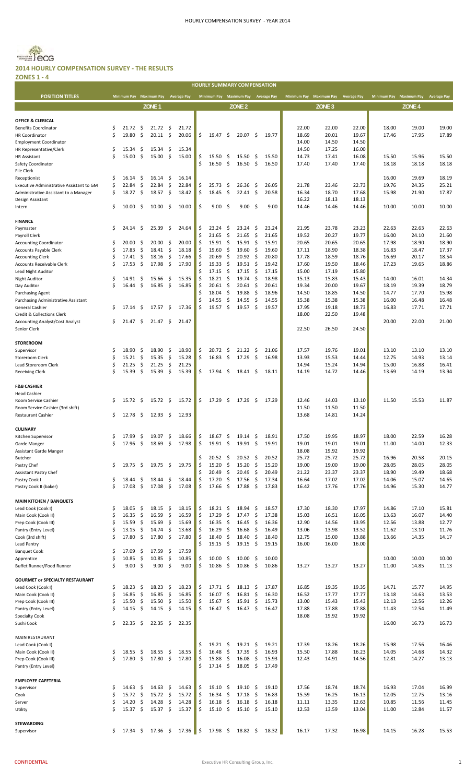**HOURLY SUMMARY COMPENSATION**



#### **2014 HOURLY COMPENSATION SURVEY ‐ THE RESULTS ZONES 1 ‐ 4**

| <b>POSITION TITLES</b>                   |          | <b>Minimum Pay</b>  |                     | Maximum Pay         | <b>Average Pay</b>  |       |          | Minimum Pay Maximum Pay Average Pay |                     |                   |         |       |       | Minimum Pay Maximum Pay Average Pay |       | <b>Minimum Pay</b> | <b>Maximum Pay</b> | <b>Average Pay</b> |
|------------------------------------------|----------|---------------------|---------------------|---------------------|---------------------|-------|----------|-------------------------------------|---------------------|-------------------|---------|-------|-------|-------------------------------------|-------|--------------------|--------------------|--------------------|
|                                          |          |                     |                     | ZONE <sub>1</sub>   |                     |       |          |                                     |                     | ZONE <sub>2</sub> |         |       |       | ZONE 3                              |       |                    | ZONE <sub>4</sub>  |                    |
|                                          |          |                     |                     |                     |                     |       |          |                                     |                     |                   |         |       |       |                                     |       |                    |                    |                    |
| <b>OFFICE &amp; CLERICAL</b>             |          |                     |                     |                     |                     |       |          |                                     |                     |                   |         |       |       |                                     |       |                    |                    |                    |
| <b>Benefits Coordinator</b>              | \$       | 21.72               | \$                  | 21.72               | \$                  | 21.72 |          |                                     |                     |                   |         |       | 22.00 | 22.00                               | 22.00 | 18.00              | 19.00              | 19.00              |
| <b>HR Coordinator</b>                    | Ś        | 19.80               | \$                  | 20.11               | \$                  | 20.06 | \$       | 19.47                               | \$                  | 20.07             | \$      | 19.77 | 18.69 | 20.01                               | 19.67 | 17.46              | 17.95              | 17.89              |
| <b>Employment Coordinator</b>            |          |                     |                     |                     |                     |       |          |                                     |                     |                   |         |       | 14.00 | 14.50                               | 14.50 |                    |                    |                    |
| HR Representative/Clerk                  | \$       | 15.34               | \$                  | 15.34               | -\$                 | 15.34 |          |                                     |                     |                   |         |       | 14.50 | 17.25                               | 16.00 |                    |                    |                    |
| <b>HR Assistant</b>                      | \$       | 15.00               | \$                  | 15.00               | $\zeta$             | 15.00 | \$       | 15.50                               | \$.                 | 15.50             | \$      | 15.50 | 14.73 | 17.41                               | 16.08 | 15.50              | 15.96              | 15.50              |
| Safety Coordinator                       |          |                     |                     |                     |                     |       | \$       | 16.50                               | \$                  | 16.50             | -\$     | 16.50 | 17.40 | 17.40                               | 17.40 | 18.18              | 18.18              | 18.18              |
| <b>File Clerk</b>                        |          |                     |                     |                     |                     |       |          |                                     |                     |                   |         |       |       |                                     |       |                    |                    |                    |
| Receptionist                             | \$       | 16.14               | \$                  | 16.14               | \$                  | 16.14 |          |                                     |                     |                   |         |       |       |                                     |       | 16.00              | 19.69              | 18.19              |
| Executive Administrative Assistant to GM | \$       | 22.84               | \$                  | 22.84               | \$                  | 22.84 | \$       | 25.73                               | \$                  | 26.36             | - \$    | 26.05 | 21.78 | 23.46                               | 22.73 | 19.76              | 24.35              | 25.21              |
| Administrative Assistant to a Manager    | \$       | 18.27               | \$                  | 18.57               | \$                  | 18.42 | \$       | 18.45                               | \$                  | $22.41$ \$        |         | 20.58 | 16.34 | 18.70                               | 17.68 | 15.98              | 21.90              | 17.87              |
| Design Assistant                         |          |                     |                     |                     |                     |       |          |                                     |                     |                   |         |       | 16.22 | 18.13                               | 18.13 |                    |                    |                    |
| Intern                                   | \$       | 10.00               | \$                  | 10.00               | \$                  | 10.00 | Ś        | 9.00                                | \$                  | 9.00              | \$      | 9.00  | 14.46 | 14.46                               | 14.46 | 10.00              | 10.00              | 10.00              |
|                                          |          |                     |                     |                     |                     |       |          |                                     |                     |                   |         |       |       |                                     |       |                    |                    |                    |
| <b>FINANCE</b>                           |          |                     |                     |                     |                     |       |          |                                     |                     |                   |         |       |       |                                     |       |                    |                    |                    |
| Paymaster                                | \$       | 24.14               | \$                  | 25.39               | \$                  | 24.64 | Ś        | 23.24                               | \$                  | 23.24             | \$      | 23.24 | 21.95 | 23.78                               | 23.23 | 22.63              | 22.63              | 22.63              |
| Payroll Clerk                            |          |                     |                     |                     |                     |       | Ś        | 21.65                               | \$                  | 21.65             | \$      | 21.65 | 19.52 | 20.27                               | 19.77 | 16.00              | 24.10              | 21.60              |
| <b>Accounting Coordinator</b>            | \$       | 20.00               | \$                  | 20.00               | \$                  | 20.00 | \$       | $15.91 \quad $$                     |                     | 15.91             | - \$    | 15.91 | 20.65 | 20.65                               | 20.65 | 17.98              | 18.90              | 18.90              |
| Accounts Payable Clerk                   | \$       | 17.83               | \$                  | 18.41               | -\$                 | 18.18 | \$       | 19.60                               | \$                  | 19.60             | \$      | 19.60 | 17.11 | 18.90                               | 18.38 | 16.83              | 18.47              | 17.37              |
| <b>Accounting Clerk</b>                  | \$       | 17.41               | \$                  | 18.16               | \$                  | 17.66 | \$       | 20.69                               | \$                  | 20.92             | \$      | 20.80 | 17.78 | 18.59                               | 18.76 | 16.69              | 20.17              | 18.54              |
| Accounts Receivable Clerk                | \$       | 17.53               | \$                  | 17.98               | \$                  | 17.90 | Ś        | 19.33                               | \$                  | 19.51             | \$      | 19.42 | 17.60 | 19.50                               | 18.46 | 17.23              | 19.65              | 18.86              |
| Lead Night Auditor                       |          |                     |                     |                     |                     |       | \$       | 17.15                               | \$                  | 17.15             | \$      | 17.15 | 15.00 | 17.19                               | 15.80 |                    |                    |                    |
| <b>Night Auditor</b>                     | \$       | 14.91               | \$                  | 15.66               | \$                  | 15.35 | Ś        | 18.21                               | \$                  | 19.74             | \$      | 18.98 | 15.13 | 15.83                               | 15.43 | 14.00              | 16.01              | 14.34              |
| Day Auditor                              | Ś        | 16.44               | $\mathsf{S}$        | 16.85               | $\zeta$             | 16.85 | \$       | 20.61                               | \$                  | 20.61             | -\$     | 20.61 | 19.34 | 20.00                               | 19.67 | 18.19              | 19.39              | 18.79              |
| <b>Purchasing Agent</b>                  |          |                     |                     |                     |                     |       | ς        | 18.04                               | \$                  | 19.88             | \$      | 18.96 | 14.50 | 18.85                               | 14.50 | 14.77              | 17.70              | 15.98              |
| Purchasing Administrative Assistant      |          |                     |                     |                     |                     |       | Ś        | 14.55                               | \$                  | 14.55             | \$      | 14.55 | 15.38 | 15.38                               | 15.38 | 16.00              | 16.48              | 16.48              |
| General Cashier                          | \$       | 17.14               | \$                  | 17.57               | \$                  | 17.36 | Ś        | 19.57                               | \$                  | 19.57             | \$      | 19.57 | 17.95 | 19.18                               | 18.73 | 16.83              | 17.71              | 17.71              |
| Credit & Collections Clerk               |          |                     |                     |                     |                     |       |          |                                     |                     |                   |         |       | 18.00 | 22.50                               | 19.48 |                    |                    |                    |
| <b>Accounting Analyst/Cost Analyst</b>   | \$       | 21.47               | -\$                 | 21.47               | \$                  | 21.47 |          |                                     |                     |                   |         |       |       |                                     |       | 20.00              | 22.00              | 21.00              |
| Senior Clerk                             |          |                     |                     |                     |                     |       |          |                                     |                     |                   |         |       | 22.50 | 26.50                               | 24.50 |                    |                    |                    |
|                                          |          |                     |                     |                     |                     |       |          |                                     |                     |                   |         |       |       |                                     |       |                    |                    |                    |
| <b>STOREROOM</b>                         |          |                     |                     |                     |                     |       |          |                                     |                     |                   |         |       |       |                                     |       |                    |                    |                    |
| Supervisor                               | \$       | 18.90               | \$                  | 18.90               | \$                  | 18.90 | \$       | 20.72                               | \$                  | 21.22             | - \$    | 21.06 | 17.57 | 19.76                               | 19.01 | 13.10              | 13.10              | 13.10              |
| Storeroom Clerk                          | \$       | 15.21               | \$                  | 15.35               | \$                  | 15.28 | \$       | 16.83                               | \$                  | 17.29             | -\$     | 16.98 | 13.93 | 15.53                               | 14.44 | 12.75              | 14.93              | 13.14              |
| Lead Storeroom Clerk                     | \$       | 21.25               | \$                  | 21.25               | \$                  | 21.25 |          |                                     |                     |                   |         |       | 14.94 | 15.24                               | 14.94 | 15.00              | 16.88              | 16.41              |
| <b>Receiving Clerk</b>                   | Ś        | 15.39               | \$                  | 15.39               | \$                  | 15.39 | \$       | 17.94                               | \$                  | 18.41             | - \$    | 18.11 | 14.19 | 14.72                               | 14.46 | 13.69              | 14.19              | 13.94              |
|                                          |          |                     |                     |                     |                     |       |          |                                     |                     |                   |         |       |       |                                     |       |                    |                    |                    |
| <b>F&amp;B CASHIER</b>                   |          |                     |                     |                     |                     |       |          |                                     |                     |                   |         |       |       |                                     |       |                    |                    |                    |
| <b>Head Cashier</b>                      |          |                     |                     |                     |                     |       |          |                                     |                     |                   |         |       |       |                                     |       |                    |                    |                    |
| Room Service Cashier                     | \$       | 15.72               | -\$                 | 15.72               | \$                  | 15.72 | \$       | 17.29                               | \$                  | 17.29             | -\$     | 17.29 | 12.46 | 14.03                               | 13.10 | 11.50              | 15.53              | 11.87              |
| Room Service Cashier (3rd shift)         |          |                     |                     |                     |                     |       |          |                                     |                     |                   |         |       | 11.50 | 11.50                               | 11.50 |                    |                    |                    |
| <b>Restaurant Cashier</b>                | \$       | $12.78 \; \text{S}$ |                     | 12.93               | \$                  | 12.93 |          |                                     |                     |                   |         |       | 13.68 | 14.81                               | 14.24 |                    |                    |                    |
|                                          |          |                     |                     |                     |                     |       |          |                                     |                     |                   |         |       |       |                                     |       |                    |                    |                    |
| <b>CULINARY</b>                          |          |                     |                     |                     |                     |       |          |                                     |                     |                   |         |       |       |                                     |       |                    |                    |                    |
| Kitchen Supervisor                       | \$       | 17.99               | \$                  | 19.07               | \$                  | 18.66 | \$       | 18.67                               | \$                  | $19.14 \quad$ \$  |         | 18.91 | 17.50 | 19.95                               | 18.97 | 18.00              | 22.59              | 16.28              |
| Garde Manger                             | Ş        | 17.96               | Ş                   | 18.69               | $\ddot{ }$          | 17.98 | Ş        | 19.91                               | Ş                   | 19.91             | \$      | 19.91 | 19.01 | 19.01                               | 19.01 | 11.00              | 14.00              | 12.33              |
| <b>Assistant Garde Manger</b>            |          |                     |                     |                     |                     |       |          |                                     |                     |                   |         |       | 18.08 | 19.92                               | 19.92 |                    |                    |                    |
| Butcher                                  |          |                     |                     |                     |                     |       | \$       | $20.52 \div$                        |                     | $20.52 \quad$ \$  |         | 20.52 | 25.72 | 25.72                               | 25.72 | 16.96              | 20.58              | 20.15              |
| Pastry Chef                              | \$       | 19.75               | \$                  | 19.75               | \$                  | 19.75 | \$       | 15.20                               | $\zeta$             | 15.20             | \$      | 15.20 | 19.00 | 19.00                               | 19.00 | 28.05              | 28.05              | 28.05              |
| Assistant Pastry Chef                    |          |                     |                     |                     |                     |       | Ś        | 20.49                               | \$                  | 20.49             | \$      | 20.49 | 21.22 | 23.37                               | 23.37 | 18.90              | 19.49              | 18.68              |
| Pastry Cook I                            | \$       | 18.44               | \$                  | 18.44               | \$                  | 18.44 | Ś        | 17.20                               | \$                  | 17.56             | \$      | 17.34 | 16.64 | 17.02                               | 17.02 | 14.06              | 15.07              | 14.65              |
| Pastry Cook II (baker)                   | \$       | 17.08               | $\ddot{\mathsf{S}}$ | 17.08               | \$                  | 17.08 | \$       | 17.66                               | $\ddot{\mathsf{S}}$ | 17.88             | - \$    | 17.83 | 16.42 | 17.76                               | 17.76 | 14.96              | 15.30              | 14.77              |
|                                          |          |                     |                     |                     |                     |       |          |                                     |                     |                   |         |       |       |                                     |       |                    |                    |                    |
| <b>MAIN KITCHEN / BANQUETS</b>           |          |                     |                     |                     |                     |       |          |                                     |                     |                   |         |       |       |                                     |       |                    |                    |                    |
| Lead Cook (Cook I)                       | \$       | 18.05               | -\$                 | 18.15               | \$                  | 18.15 | \$       | $18.21 \quad$ \$                    |                     | $18.94 \div$      |         | 18.57 | 17.30 | 18.30                               | 17.97 | 14.86              | 17.10              | 15.81              |
| Main Cook (Cook II)                      | \$       | 16.35               | $\ddot{\mathsf{S}}$ | 16.59               | $\ddot{\mathsf{S}}$ | 16.59 | \$       | 17.29                               | \$                  | 17.47             | $\zeta$ | 17.38 | 15.03 | 16.51                               | 16.05 | 13.63              | 16.07              | 14.40              |
| Prep Cook (Cook III)                     | \$       | 15.59               | -\$                 | 15.69               | -\$                 | 15.69 | \$       | 16.35                               | -\$                 | 16.45             | \$      | 16.36 | 12.90 | 14.56                               | 13.95 | 12.56              | 13.88              | 12.77              |
| Pantry (Entry Level)                     | \$       | 13.15               | \$                  | 14.74               | $\ddot{\varsigma}$  | 13.68 | \$       | 16.29                               | \$                  | 16.68             | \$      | 16.49 | 13.06 | 13.98                               | 13.52 | 11.62              | 13.10              | 11.76              |
| Cook (3rd shift)                         | \$       | 17.80               | $\zeta$             | 17.80               | -\$                 | 17.80 | \$       | 18.40                               | \$                  | 18.40             | \$      | 18.40 | 12.75 | 15.00                               | 13.88 | 13.66              | 14.35              | 14.17              |
| Lead Pantry                              |          |                     |                     |                     |                     |       | Ś        | 19.15                               | \$                  | $19.15 \quad $$   |         | 19.15 | 16.00 | 16.00                               | 16.00 |                    |                    |                    |
| <b>Banquet Cook</b>                      | \$       | 17.09               | \$                  | 17.59               | -\$                 | 17.59 |          |                                     |                     |                   |         |       |       |                                     |       |                    |                    |                    |
| Apprentice                               | \$       | 10.85               | \$                  | 10.85               | $\ddot{\mathsf{S}}$ | 10.85 | \$       | 10.00                               | \$                  | 10.00             | \$      | 10.00 |       |                                     |       | 10.00              | 10.00              | 10.00              |
| Buffet Runner/Food Runner                | \$       | $9.00\frac{2}{3}$   |                     | $9.00\frac{2}{3}$   |                     | 9.00  | \$       | 10.86                               | \$                  | 10.86             | - \$    | 10.86 | 13.27 | 13.27                               | 13.27 | 11.00              | 14.85              | 11.13              |
|                                          |          |                     |                     |                     |                     |       |          |                                     |                     |                   |         |       |       |                                     |       |                    |                    |                    |
| <b>GOURMET or SPECIALTY RESTAURANT</b>   |          |                     |                     |                     |                     |       |          |                                     |                     |                   |         |       |       |                                     |       |                    |                    |                    |
| Lead Cook (Cook I)                       | \$       | 18.23               | \$                  | 18.23               | \$                  | 18.23 | \$       | 17.71                               | \$                  | 18.13             | \$      | 17.87 | 16.85 | 19.35                               | 19.35 | 14.71              | 15.77              | 14.95              |
| Main Cook (Cook II)                      | \$       | 16.85               | $\zeta$             | 16.85               | $\zeta$             | 16.85 | \$       | 16.07                               | \$                  | 16.81             | - \$    | 16.30 | 16.52 | 17.77                               | 17.77 | 13.18              | 14.63              | 13.53              |
| Prep Cook (Cook III)                     | \$       | 15.50               | \$                  | 15.50               | \$                  | 15.50 | \$       | 15.67                               | \$                  | 15.91             | - \$    | 15.73 | 13.00 | 15.43                               | 15.43 | 12.13              | 12.56              | 12.26              |
| Pantry (Entry Level)                     | \$       | 14.15               | $\ddot{\mathsf{S}}$ | $14.15 \pm 5$       |                     | 14.15 | \$       | 16.47                               | \$                  | $16.47 \pm$       |         | 16.47 | 17.88 | 17.88                               | 17.88 | 11.43              | 12.54              | 11.49              |
| <b>Specialty Cook</b>                    |          |                     |                     |                     |                     |       |          |                                     |                     |                   |         |       | 18.08 | 19.92                               | 19.92 |                    |                    |                    |
| Sushi Cook                               | \$       | 22.35               | $\zeta$             | 22.35               | \$                  | 22.35 |          |                                     |                     |                   |         |       |       |                                     |       | 16.00              | 16.73              | 16.73              |
|                                          |          |                     |                     |                     |                     |       |          |                                     |                     |                   |         |       |       |                                     |       |                    |                    |                    |
| MAIN RESTAURANT                          |          |                     |                     |                     |                     |       |          |                                     |                     |                   |         |       |       |                                     |       |                    |                    |                    |
| Lead Cook (Cook I)                       |          |                     |                     |                     |                     |       | \$       | 19.21                               | \$                  | 19.21             | - \$    | 19.21 | 17.39 | 18.26                               | 18.26 | 15.98              | 17.56              | 16.46              |
| Main Cook (Cook II)                      | \$       | 18.55               | \$                  | 18.55               | \$                  | 18.55 | \$       | 16.48                               | \$                  | 17.39             | \$      | 16.93 | 15.50 | 17.88                               | 16.23 | 14.05              | 14.68              | 14.32              |
| Prep Cook (Cook III)                     | \$       | 17.80               | -\$                 | 17.80               | -\$                 | 17.80 | \$       | 15.88                               | \$                  | 16.08             | \$      | 15.93 | 12.43 | 14.91                               | 14.56 | 12.81              | 14.27              | 13.13              |
| Pantry (Entry Level)                     |          |                     |                     |                     |                     |       | Ś        | 17.14                               | \$                  | 18.05             | - \$    | 17.49 |       |                                     |       |                    |                    |                    |
|                                          |          |                     |                     |                     |                     |       |          |                                     |                     |                   |         |       |       |                                     |       |                    |                    |                    |
|                                          |          |                     |                     |                     |                     |       |          |                                     |                     |                   |         |       |       |                                     |       |                    |                    |                    |
| <b>EMPLOYEE CAFETERIA</b>                |          | 14.63               | \$                  |                     |                     |       | \$       | 19.10                               |                     |                   |         | 19.10 |       | 18.74                               | 18.74 | 16.93              | 17.04              |                    |
| Supervisor                               | \$       |                     |                     | 14.63               | \$                  | 14.63 |          | 16.34                               | \$                  | 19.10             | - \$    |       | 17.56 |                                     |       |                    |                    | 16.99              |
| Cook                                     | \$       | 15.72               | $\ddot{\varsigma}$  | $15.72 \div$        |                     | 15.72 | \$       |                                     | \$                  | 17.18             | \$      | 16.83 | 15.59 | 16.25                               | 16.13 | 12.05              | 12.75              | 13.16              |
| Server                                   | \$<br>\$ | 14.20               | \$                  | 14.28               | \$                  | 14.28 | \$<br>\$ | 16.18                               | \$                  | 16.18             | \$      | 16.18 | 11.11 | 13.35                               | 12.63 | 10.85              | 11.56              | 11.45              |
| Utility                                  |          | $15.37 \pm 5$       |                     | 15.37               | -\$                 | 15.37 |          | $15.10 \pm 5$                       |                     | $15.10 \pm 5$     |         | 15.10 | 12.53 | 13.59                               | 13.04 | 11.00              | 12.84              | 11.57              |
| <b>STEWARDING</b>                        |          |                     |                     |                     |                     |       |          |                                     |                     |                   |         |       |       |                                     |       |                    |                    |                    |
| Supervisor                               | \$       | $17.34 \; \text{S}$ |                     | $17.36 \; \text{S}$ |                     | 17.36 | \$       | 17.98 \$                            |                     | $18.82 \div$      |         | 18.32 | 16.17 | 17.32                               | 16.98 | 14.15              | 16.28              | 15.53              |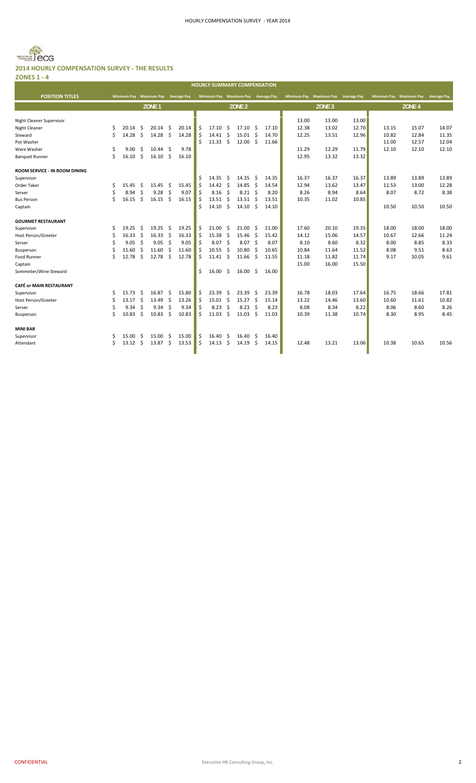

**ZONES 1 ‐ 4** г

|                                |    |       |     |                         |                    |                    |    |       |                    | <b>HOURLY SUMMARY COMPENSATION</b>  |     |       |                         |                   |                    |                    |                    |                    |
|--------------------------------|----|-------|-----|-------------------------|--------------------|--------------------|----|-------|--------------------|-------------------------------------|-----|-------|-------------------------|-------------------|--------------------|--------------------|--------------------|--------------------|
| <b>POSITION TITLES</b>         |    |       |     | Minimum Pay Maximum Pay |                    | <b>Average Pay</b> |    |       |                    | Minimum Pay Maximum Pay Average Pay |     |       | Minimum Pay Maximum Pay |                   | <b>Average Pay</b> | <b>Minimum Pay</b> | <b>Maximum Pay</b> | <b>Average Pay</b> |
|                                |    |       |     | ZONE <sub>1</sub>       |                    |                    |    |       |                    | ZONE <sub>2</sub>                   |     |       |                         | ZONE <sub>3</sub> |                    |                    | ZONE <sub>4</sub>  |                    |
| Night Cleaner Supervisor       |    |       |     |                         |                    |                    |    |       |                    |                                     |     |       | 13.00                   | 13.00             | 13.00              |                    |                    |                    |
| Night Cleaner                  | \$ | 20.14 | \$  | 20.14                   | \$                 | 20.14              | \$ | 17.10 | \$                 | 17.10                               | \$  | 17.10 | 12.38                   | 13.02             | 12.70              | 13.15              | 15.07              | 14.07              |
| Steward                        | Ś  | 14.28 | \$  | 14.28                   | $\mathsf{\hat{S}}$ | 14.28              | \$ | 14.41 | Ŝ.                 | 15.01                               | \$  | 14.70 | 12.25                   | 13.51             | 12.96              | 10.82              | 12.84              | 11.35              |
| Pot Washer                     |    |       |     |                         |                    |                    | \$ | 11.33 | Ŝ.                 | 12.00                               | -\$ | 11.66 |                         |                   |                    | 11.00              | 12.57              | 12.04              |
| Ware Washer                    | \$ | 9.00  | \$. | 10.44                   | -\$                | 9.78               |    |       |                    |                                     |     |       | 11.29                   | 12.29             | 11.79              | 12.10              | 12.10              | 12.10              |
| <b>Banquet Runner</b>          | Ś  | 16.10 | \$  | 16.10                   | \$                 | 16.10              |    |       |                    |                                     |     |       | 12.95                   | 13.32             | 13.32              |                    |                    |                    |
| ROOM SERVICE - IN ROOM DINING  |    |       |     |                         |                    |                    |    |       |                    |                                     |     |       |                         |                   |                    |                    |                    |                    |
| Supervisor                     |    |       |     |                         |                    |                    | \$ | 14.35 | \$.                | 14.35                               | \$  | 14.35 | 16.37                   | 16.37             | 16.37              | 13.89              | 13.89              | 13.89              |
| Order Taker                    | Ŝ  | 15.45 | \$. | 15.45                   | \$.                | 15.45              | \$ | 14.42 | Ŝ.                 | 14.85                               | Ŝ.  | 14.54 | 12.94                   | 13.62             | 13.47              | 11.53              | 13.00              | 12.28              |
| Server                         | \$ | 8.94  | \$  | 9.28                    | \$                 | 9.07               | \$ | 8.16  | \$                 | 8.21                                | -\$ | 8.20  | 8.26                    | 8.94              | 8.64               | 8.07               | 8.72               | 8.38               |
| <b>Bus Person</b>              | Ś  | 16.15 | Ś.  | 16.15                   | Ŝ.                 | 16.15              | Ś. | 13.51 | Ŝ.                 | 13.51                               | Ŝ.  | 13.51 | 10.35                   | 11.02             | 10.85              |                    |                    |                    |
| Captain                        |    |       |     |                         |                    |                    | Ś  | 14.10 | Ŝ.                 | 14.10                               | -\$ | 14.10 |                         |                   |                    | 10.50              | 10.50              | 10.50              |
| <b>GOURMET RESTAURANT</b>      |    |       |     |                         |                    |                    |    |       |                    |                                     |     |       |                         |                   |                    |                    |                    |                    |
| Supervisor                     | Ŝ  | 19.25 | Ś   | 19.25                   | \$                 | 19.25              | \$ | 21.00 | Ŝ.                 | 21.00                               | Ŝ.  | 21.00 | 17.60                   | 20.10             | 19.35              | 18.00              | 18.00              | 18.00              |
| <b>Host Person/Greeter</b>     | Ś  | 16.33 | Ś   | 16.33                   | \$                 | 16.33              | \$ | 15.38 | Ŝ.                 | 15.46                               | \$  | 15.42 | 14.12                   | 15.06             | 14.57              | 10.67              | 12.66              | 11.24              |
| Server                         | Ŝ  | 9.05  | \$  | 9.05                    | $\mathsf{\hat{S}}$ | 9.05               | \$ | 8.07  | \$                 | 8.07                                | Ŝ.  | 8.07  | 8.10                    | 8.60              | 8.32               | 8.00               | 8.85               | 8.33               |
| Busperson                      | \$ | 11.60 | \$  | 11.60                   | \$                 | 11.60              | \$ | 10.55 | $\mathsf{\hat{S}}$ | 10.80                               | \$  | 10.65 | 10.84                   | 11.64             | 11.52              | 8.08               | 9.51               | 8.63               |
| Food Runner                    | Ŝ  | 12.78 | Ś   | 12.78                   | Ŝ.                 | 12.78              | Ś. | 11.41 | Ŝ.                 | 11.66                               | Ŝ.  | 11.55 | 11.18                   | 11.82             | 11.74              | 9.17               | 10.05              | 9.61               |
| Captain                        |    |       |     |                         |                    |                    |    |       |                    |                                     |     |       | 15.00                   | 16.00             | 15.50              |                    |                    |                    |
| Sommelier/Wine Steward         |    |       |     |                         |                    |                    | \$ | 16.00 | Ŝ                  | 16.00                               | -\$ | 16.00 |                         |                   |                    |                    |                    |                    |
| <b>CAFÉ or MAIN RESTAURANT</b> |    |       |     |                         |                    |                    |    |       |                    |                                     |     |       |                         |                   |                    |                    |                    |                    |
| Supervisor                     | Ś  | 15.73 | \$. | 16.87                   | \$.                | 15.80              | \$ | 23.39 | \$.                | 23.39                               | \$. | 23.39 | 16.78                   | 18.03             | 17.64              | 16.75              | 18.66              | 17.81              |
| <b>Host Person/Greeter</b>     | \$ | 13.17 | \$  | 13.49                   | \$                 | 13.26              | \$ | 15.01 | S.                 | 15.27                               | -\$ | 15.14 | 13.22                   | 14.46             | 13.60              | 10.60              | 11.61              | 10.82              |
| Server                         | \$ | 9.34  | \$  | 9.34                    | Ŝ.                 | 9.34               | \$ | 8.23  | Ŝ.                 | 8.23                                | Ŝ.  | 8.23  | 8.08                    | 8.34              | 8.22               | 8.06               | 8.60               | 8.26               |
| Busperson                      | Ś  | 10.83 | \$  | 10.83                   | \$                 | 10.83              | \$ | 11.03 | \$                 | 11.03                               | \$  | 11.03 | 10.39                   | 11.38             | 10.74              | 8.30               | 8.95               | 8.45               |
| <b>MINI BAR</b>                |    |       |     |                         |                    |                    |    |       |                    |                                     |     |       |                         |                   |                    |                    |                    |                    |
| Supervisor                     | S  | 15.00 | Ŝ   | 15.00                   | \$.                | 15.00              | \$ | 16.40 | Ŝ.                 | 16.40                               | -\$ | 16.40 |                         |                   |                    |                    |                    |                    |
| Attendant                      | Ś  | 13.12 | Ś   | 13.87                   | Ś                  | 13.53              | \$ | 14.13 | Ś                  | 14.19                               | Ŝ.  | 14.15 | 12.48                   | 13.21             | 13.06              | 10.38              | 10.65              | 10.56              |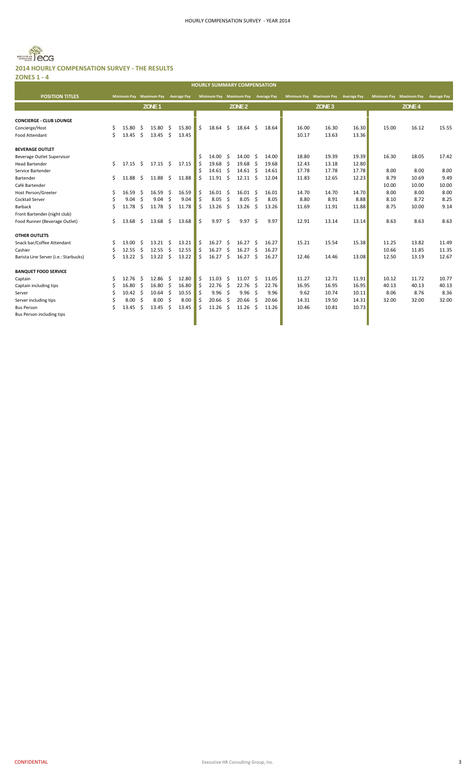

| <b>ZONES 1 - 4</b>                    |    |                         |              |                   |      |                    |    |                                     |     |                   |     |       |       |                         |                    |             |                    |                    |
|---------------------------------------|----|-------------------------|--------------|-------------------|------|--------------------|----|-------------------------------------|-----|-------------------|-----|-------|-------|-------------------------|--------------------|-------------|--------------------|--------------------|
|                                       |    |                         |              |                   |      |                    |    | <b>HOURLY SUMMARY COMPENSATION</b>  |     |                   |     |       |       |                         |                    |             |                    |                    |
| <b>POSITION TITLES</b>                |    | Minimum Pay Maximum Pay |              |                   |      | <b>Average Pay</b> |    | Minimum Pay Maximum Pay Average Pay |     |                   |     |       |       | Minimum Pay Maximum Pay | <b>Average Pay</b> | Minimum Pay | <b>Maximum Pay</b> | <b>Average Pay</b> |
|                                       |    |                         |              | ZONE <sub>1</sub> |      |                    |    |                                     |     | ZONE <sub>2</sub> |     |       |       | ZONE <sub>3</sub>       |                    |             | ZONE <sub>4</sub>  |                    |
|                                       |    |                         |              |                   |      |                    |    |                                     |     |                   |     |       |       |                         |                    |             |                    |                    |
| <b>CONCIERGE - CLUB LOUNGE</b>        |    |                         |              |                   |      |                    |    |                                     |     |                   |     |       |       |                         |                    |             |                    |                    |
| Concierge/Host                        | Ś. | 15.80                   | -Ś           | 15.80             | - \$ | 15.80              | Ŝ. | 18.64                               | Ŝ.  | 18.64             | Ŝ.  | 18.64 | 16.00 | 16.30                   | 16.30              | 15.00       | 16.12              | 15.55              |
| Food Attendant                        | Ś  | 13.45                   | $\mathsf{S}$ | $13.45 \quad$ \$  |      | 13.45              |    |                                     |     |                   |     |       | 10.17 | 13.63                   | 13.36              |             |                    |                    |
| <b>BEVERAGE OUTLET</b>                |    |                         |              |                   |      |                    |    |                                     |     |                   |     |       |       |                         |                    |             |                    |                    |
| <b>Beverage Outlet Supervisor</b>     |    |                         |              |                   |      |                    |    | 14.00                               | -Ś  | 14.00             | Ŝ   | 14.00 | 18.80 | 19.39                   | 19.39              | 16.30       | 18.05              | 17.42              |
| <b>Head Bartender</b>                 | Ś. | 17.15                   | -\$          | $17.15 \quad $$   |      | 17.15              | Ŝ. | 19.68                               | S.  | 19.68             | Ŝ.  | 19.68 | 12.43 | 13.18                   | 12.80              |             |                    |                    |
| Service Bartender                     |    |                         |              |                   |      |                    |    | $14.61 \quad$ \$                    |     | 14.61             | Ŝ.  | 14.61 | 17.78 | 17.78                   | 17.78              | 8.00        | 8.00               | 8.00               |
| Bartender                             | Ś. | 11.88                   | - \$         | 11.88             | \$   | 11.88              | Ś  | 11.91                               | Ŝ.  | $12.11 \quad$ \$  |     | 12.04 | 11.83 | 12.65                   | 12.23              | 8.79        | 10.69              | 9.49               |
| Café Bartender                        |    |                         |              |                   |      |                    |    |                                     |     |                   |     |       |       |                         |                    | 10.00       | 10.00              | 10.00              |
| <b>Host Person/Greeter</b>            | Ś  | 16.59                   | -Ś           | 16.59             | -Ś   | 16.59              | Ŝ  | 16.01                               | Ŝ   | $16.01 \quad$ \$  |     | 16.01 | 14.70 | 14.70                   | 14.70              | 8.00        | 8.00               | 8.00               |
| Cocktail Server                       |    | 9.04                    | -Ś           | 9.04              | -Ś   | 9.04               | Ś. | 8.05                                | Ŝ.  | 8.05              | Ŝ.  | 8.05  | 8.80  | 8.91                    | 8.88               | 8.10        | 8.72               | 8.25               |
| Barback                               |    | 11.78                   | -\$          | 11.78             | -\$  | 11.78              | Ś. | 13.26                               | \$. | 13.26             | \$. | 13.26 | 11.69 | 11.91                   | 11.88              | 8.75        | 10.00              | 9.14               |
| Front Bartender (night club)          |    |                         |              |                   |      |                    |    |                                     |     |                   |     |       |       |                         |                    |             |                    |                    |
| Food Runner (Beverage Outlet)         | Ś. | 13.68                   | - Ś          | 13.68             | Ŝ.   | 13.68              | Ś. | 9.97                                | Ŝ.  | 9.97              | Ŝ.  | 9.97  | 12.91 | 13.14                   | 13.14              | 8.63        | 8.63               | 8.63               |
|                                       |    |                         |              |                   |      |                    |    |                                     |     |                   |     |       |       |                         |                    |             |                    |                    |
| <b>OTHER OUTLETS</b>                  |    |                         |              |                   |      |                    |    |                                     |     |                   |     |       |       |                         |                    |             |                    |                    |
| Snack bar/Coffee Attendant            | \$ | 13.00                   | -Ś           | $13.21 \quad$ \$  |      | 13.21              | Ś  | 16.27                               | Ŝ   | 16.27             | Ŝ.  | 16.27 | 15.21 | 15.54                   | 15.38              | 11.25       | 13.82              | 11.49              |
| Cashier                               | Ŝ  | 12.55                   | -\$          | 12.55             | -\$  | 12.55              | Ŝ. | 16.27                               | Ŝ.  | 16.27             | -\$ | 16.27 |       |                         |                    | 10.66       | 11.85              | 11.35              |
| Barista Line Server (i.e.: Starbucks) | Ś. | $13.22 \quad$ \$        |              | 13.22             | -\$  | 13.22              | Ŝ  | 16.27                               | Ŝ.  | 16.27             | Ŝ   | 16.27 | 12.46 | 14.46                   | 13.08              | 12.50       | 13.19              | 12.67              |
| <b>BANQUET FOOD SERVICE</b>           |    |                         |              |                   |      |                    |    |                                     |     |                   |     |       |       |                         |                    |             |                    |                    |
| Captain                               | Ś. | 12.76                   | - Ś          | 12.86             | -\$  | 12.80              | Ś. | 11.03                               | Ŝ.  | 11.07             | Ŝ.  | 11.05 | 11.27 | 12.71                   | 11.91              | 10.12       | 11.72              | 10.77              |
| Captain including tips                |    | $16.80 \quad $$         |              | $16.80 \quad $$   |      | 16.80              | Ŝ. | 22.76                               | - Ś | 22.76             | Ŝ.  | 22.76 | 16.95 | 16.95                   | 16.95              | 40.13       | 40.13              | 40.13              |
| Server                                |    | $10.42 \quad$ \$        |              | 10.64             | - Ś  | 10.55              |    | 9.96                                | Ŝ.  | 9.96              | Ŝ   | 9.96  | 9.62  | 10.74                   | 10.11              | 8.06        | 8.76               | 8.36               |
| Server including tips                 |    | 8.00                    | -Ś           | 8.00              | Ŝ    | 8.00               | S  | 20.66                               | Ŝ.  | 20.66             | Ŝ.  | 20.66 | 14.31 | 19.50                   | 14.31              | 32.00       | 32.00              | 32.00              |
| <b>Bus Person</b>                     |    | 13.45                   | Ŝ.           | 13.45             | Ŝ.   | 13.45              | Ŝ. | 11.26                               | Ŝ   | 11.26             | Ŝ.  | 11.26 | 10.46 | 10.81                   | 10.73              |             |                    |                    |

Bus Person including tips and the control of the control of the control of the control of the control of the control of the control of the control of the control of the control of the control of the control of the control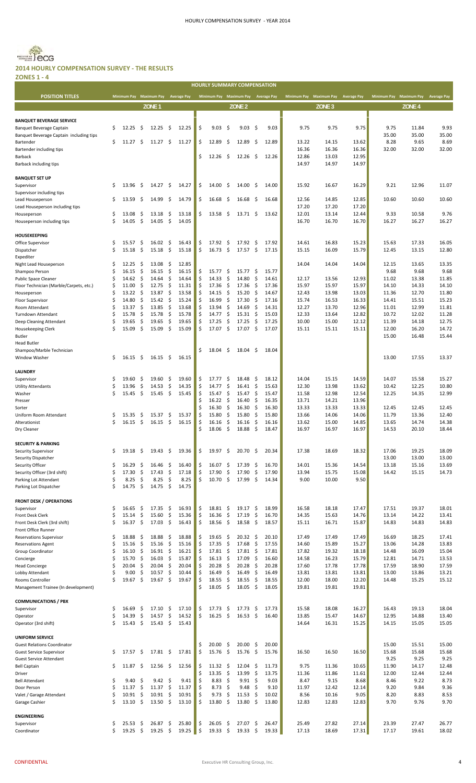

**ZONES 1 ‐ 4**

|                                                              |         |                                     |          |                     |           |                |          |                 |            | <b>HOURLY SUMMARY COMPENSATION</b>  |          |                |                |                                     |                |                |                                     |                |
|--------------------------------------------------------------|---------|-------------------------------------|----------|---------------------|-----------|----------------|----------|-----------------|------------|-------------------------------------|----------|----------------|----------------|-------------------------------------|----------------|----------------|-------------------------------------|----------------|
| <b>POSITION TITLES</b>                                       |         | Minimum Pay Maximum Pay Average Pay |          |                     |           |                |          |                 |            | Minimum Pay Maximum Pay Average Pay |          |                |                | Minimum Pay Maximum Pay Average Pay |                |                | Minimum Pay Maximum Pay Average Pay |                |
|                                                              |         |                                     |          |                     |           |                |          |                 |            |                                     |          |                |                |                                     |                |                |                                     |                |
|                                                              |         |                                     |          | ZONE <sub>1</sub>   |           |                |          |                 |            | ZONE <sub>2</sub>                   |          |                |                | ZONE <sub>3</sub>                   |                |                | ZONE <sub>4</sub>                   |                |
| <b>BANQUET BEVERAGE SERVICE</b>                              |         |                                     |          |                     |           |                |          |                 |            |                                     |          |                |                |                                     |                |                |                                     |                |
| <b>Banquet Beverage Captain</b>                              | \$      | 12.25                               | \$.      | 12.25               | \$        | 12.25          | \$       | 9.03            | -\$        | 9.03                                | - \$     | 9.03           | 9.75           | 9.75                                | 9.75           | 9.75           | 11.84                               | 9.93           |
| Banquet Beverage Captain including tips                      |         |                                     |          |                     |           |                |          |                 |            |                                     |          |                |                |                                     |                | 35.00          | 35.00                               | 35.00          |
| Bartender                                                    | \$      | 11.27                               | Ŝ        | 11.27               | \$        | 11.27          | \$       | 12.89           | S          | 12.89                               | - S      | 12.89          | 13.22          | 14.15                               | 13.62          | 8.28           | 9.65                                | 8.69           |
| Bartender including tips                                     |         |                                     |          |                     |           |                |          |                 |            |                                     |          |                | 16.36          | 16.36                               | 16.36          | 32.00          | 32.00                               | 32.00          |
| Barback                                                      |         |                                     |          |                     |           |                | Ś        | 12.26           | \$.        | 12.26                               | -\$      | 12.26          | 12.86          | 13.03                               | 12.95          |                |                                     |                |
| Barback including tips                                       |         |                                     |          |                     |           |                |          |                 |            |                                     |          |                | 14.97          | 14.97                               | 14.97          |                |                                     |                |
| <b>BANQUET SET UP</b>                                        |         |                                     |          |                     |           |                |          |                 |            |                                     |          |                |                |                                     |                |                |                                     |                |
| Supervisor                                                   | \$      | 13.96                               | \$       | 14.27               | \$        | 14.27          | \$       | 14.00           | \$,        | 14.00                               | \$       | 14.00          | 15.92          | 16.67                               | 16.29          | 9.21           | 12.96                               | 11.07          |
| Supervisor including tips                                    |         |                                     |          |                     |           |                |          |                 |            |                                     |          |                |                |                                     |                |                |                                     |                |
| Lead Houseperson                                             | \$      | 13.59                               | \$       | 14.99               | \$        | 14.79          | \$       | 16.68           | -\$        | 16.68                               | -\$      | 16.68          | 12.56          | 14.85                               | 12.85          | 10.60          | 10.60                               | 10.60          |
| Lead Houseperson including tips                              |         |                                     |          |                     |           |                |          |                 |            |                                     |          |                | 17.20          | 17.20                               | 17.20          |                |                                     |                |
| Houseperson                                                  | \$      | 13.08                               | \$       | 13.18               | \$        | 13.18          | \$       | 13.58           | - \$       | 13.71                               | - \$     | 13.62          | 12.01          | 13.14                               | 12.44          | 9.33           | 10.58                               | 9.76           |
| Houseperson including tips                                   | Ś       | 14.05                               | \$       | 14.05               | \$        | 14.05          |          |                 |            |                                     |          |                | 16.70          | 16.70                               | 16.70          | 16.27          | 16.27                               | 16.27          |
| <b>HOUSEKEEPING</b>                                          |         |                                     |          |                     |           |                |          |                 |            |                                     |          |                |                |                                     |                |                |                                     |                |
| Office Supervisor                                            | \$      | 15.57                               | \$       | 16.02               | \$        | 16.43          | \$       | 17.92           | \$         | 17.92                               | - \$     | 17.92          | 14.61          | 16.83                               | 15.23          | 15.63          | 17.33                               | 16.05          |
| Dispatcher                                                   | \$      | 15.18                               | \$       | 15.18               | \$        | 15.18          | \$       | 16.73           | \$         | 17.57                               | - \$     | 17.15          | 15.15          | 16.09                               | 15.79          | 12.45          | 13.15                               | 12.80          |
| Expediter                                                    |         |                                     |          |                     |           |                |          |                 |            |                                     |          |                |                |                                     |                |                |                                     |                |
| Night Lead Houseperson                                       | \$      | 12.25                               | \$       | 13.08               | \$        | 12.85          |          |                 |            |                                     |          |                | 14.04          | 14.04                               | 14.04          | 12.15          | 13.65                               | 13.35          |
| Shampoo Person                                               | \$      | 16.15                               | \$       | 16.15               | \$        | 16.15          | \$       | 15.77           | \$         | 15.77                               | -\$      | 15.77          |                |                                     |                | 9.68           | 9.68                                | 9.68           |
| <b>Public Space Cleaner</b>                                  | Ś       | 14.62                               | \$       | 14.64               | \$        | 14.64          | Ś        | 14.33           | \$         | 14.80                               | \$       | 14.61          | 12.17          | 13.56                               | 12.93          | 11.02          | 13.38                               | 11.85          |
| Floor Technician (Marble/Carpets, etc.)                      | \$      | 11.00                               | \$       | 12.75               | \$        | 11.31          | Ś        | 17.36           | -\$        | 17.36                               | \$       | 17.36          | 15.97          | 15.97                               | 15.97          | 14.10          | 14.33                               | 14.10          |
| Houseperson                                                  | Ś       | 13.22                               | \$       | 13.87               | \$        | 13.58          | Ś        | 14.15           | Ŝ.         | 15.20                               | \$       | 14.67          | 12.43          | 13.98                               | 13.03          | 11.36          | 12.70                               | 11.80          |
| <b>Floor Supervisor</b><br>Room Attendant                    | Ś<br>Ś  | 14.80<br>13.37                      | \$<br>\$ | 15.42<br>13.85      | \$<br>-\$ | 15.24<br>13.68 | Ś<br>\$  | 16.99<br>13.94  | -\$<br>\$  | 17.30<br>14.69                      | \$<br>\$ | 17.16<br>14.31 | 15.74<br>12.27 | 16.53<br>13.70                      | 16.33<br>12.96 | 14.41<br>11.01 | 15.51<br>12.99                      | 15.23<br>11.81 |
| Turndown Attendant                                           | \$      | 15.78                               | \$       | 15.78               | \$        | 15.78          | \$       | 14.77           | \$         | 15.31                               | \$       | 15.03          | 12.33          | 13.64                               | 12.82          | 10.72          | 12.02                               | 11.28          |
| Deep Cleaning Attendant                                      | \$      | 19.65                               | \$       | 19.65               | \$        | 19.65          | \$       | 17.25           | \$         | 17.25                               | \$.      | 17.25          | 10.00          | 15.00                               | 12.12          | 11.39          | 14.18                               | 12.75          |
| Housekeeping Clerk                                           | Ś       | 15.09                               | \$       | 15.09               | -\$       | 15.09          | \$       | 17.07           | \$         | $17.07 \pm$                         |          | 17.07          | 15.11          | 15.11                               | 15.11          | 12.00          | 16.20                               | 14.72          |
| Butler                                                       |         |                                     |          |                     |           |                |          |                 |            |                                     |          |                |                |                                     |                | 15.00          | 16.48                               | 15.44          |
| <b>Head Butler</b>                                           |         |                                     |          |                     |           |                |          |                 |            |                                     |          |                |                |                                     |                |                |                                     |                |
| Shampoo/Marble Technician                                    |         |                                     |          |                     |           |                | Ś        | 18.04           | \$         | 18.04                               | - \$     | 18.04          |                |                                     |                |                |                                     |                |
| Window Washer                                                | \$      | 16.15                               | -\$      | $16.15 \quad $$     |           | 16.15          |          |                 |            |                                     |          |                |                |                                     |                | 13.00          | 17.55                               | 13.37          |
|                                                              |         |                                     |          |                     |           |                |          |                 |            |                                     |          |                |                |                                     |                |                |                                     |                |
| <b>LAUNDRY</b><br>Supervisor                                 | S       | 19.60                               | \$       | 19.60               | \$        | 19.60          | \$       | 17.77           | \$         | 18.48                               | \$       | 18.12          | 14.04          | 15.15                               | 14.59          | 14.07          | 15.58                               | 15.27          |
| <b>Utility Attendants</b>                                    | \$      | 13.96                               | \$       | 14.53               | \$        | 14.35          | Ś        | 14.77           | \$         | 16.41                               | \$       | 15.63          | 12.30          | 13.98                               | 13.62          | 10.42          | 12.25                               | 10.80          |
| Washer                                                       | Ś       | 15.45                               | \$       | $15.45 \pm 5$       |           | 15.45          | Ś        | $15.47 \pm$     |            | 15.47                               | \$       | 15.47          | 11.58          | 12.98                               | 12.54          | 12.25          | 14.35                               | 12.99          |
| Presser                                                      |         |                                     |          |                     |           |                | Ś        | $16.22 \div$    |            | 16.40                               | \$.      | 16.35          | 13.71          | 14.21                               | 13.96          |                |                                     |                |
| Sorter                                                       |         |                                     |          |                     |           |                | Ś        | 16.30           | \$         | 16.30                               | \$       | 16.30          | 13.33          | 13.33                               | 13.33          | 12.45          | 12.45                               | 12.45          |
| Uniform Room Attendant                                       | \$      | 15.35                               | \$.      | 15.37               | \$        | 15.37          | \$       | 15.80           | Ŝ.         | 15.80                               | \$       | 15.80          | 13.66          | 14.06                               | 14.06          | 11.79          | 13.36                               | 12.40          |
| Alterationist                                                | \$      | 16.15                               | \$       | 16.15               | \$        | 16.15          | \$       | 16.16           | - \$       | 16.16                               | - \$     | 16.16          | 13.62          | 15.00                               | 14.85          | 13.65          | 14.74                               | 14.38          |
| Dry Cleaner                                                  |         |                                     |          |                     |           |                |          | 18.06           |            | 18.88                               | \$       | 18.47          | 16.97          | 16.97                               | 16.97          | 14.53          | 20.10                               | 18.44          |
| <b>SECURITY &amp; PARKING</b>                                |         |                                     |          |                     |           |                |          |                 |            |                                     |          |                |                |                                     |                |                |                                     |                |
| Security Supervisor                                          | \$      | 19.18                               | \$       | 19.43               | \$        | 19.36          | \$       | 19.97           | \$         | 20.70                               | \$       | 20.34          | 17.38          | 18.69                               | 18.32          | 17.06          | 19.25                               | 18.09          |
| Security Dispatcher                                          |         |                                     |          |                     |           |                |          |                 |            |                                     |          |                |                |                                     |                | 13.00          | 13.00                               | 13.00          |
| Security Officer                                             | \$      | 16.29                               | \$       | 16.46               | \$        | 16.40          | Ś        | 16.07           | \$,        | 17.39                               | \$       | 16.70          | 14.01          | 15.36                               | 14.54          | 13.18          | 15.16                               | 13.69          |
| Security Officer (3rd shift)                                 | Ś       | 17.30                               | \$       | 17.43               | \$        | 17.18          | \$       | 17.90           | \$         | 17.90                               | \$       | 17.90          | 13.94          | 15.75                               | 15.08          | 14.42          | 15.15                               | 14.73          |
| Parking Lot Attendant                                        | \$      | 8.25                                | \$       | 8.25                | \$        | 8.25           | \$       | 10.70           | \$         | 17.99                               | \$       | 14.34          | 9.00           | 10.00                               | 9.50           |                |                                     |                |
| Parking Lot Dispatcher                                       | Ś       | 14.75                               | -\$      | 14.75               | -\$       | 14.75          |          |                 |            |                                     |          |                |                |                                     |                |                |                                     |                |
|                                                              |         |                                     |          |                     |           |                |          |                 |            |                                     |          |                |                |                                     |                |                |                                     |                |
| <b>FRONT DESK / OPERATIONS</b><br>Supervisor                 | \$      | 16.65                               | \$       | 17.35               | \$        | 16.93          | \$       | 18.81           | \$         | 19.17                               | \$       | 18.99          | 16.58          | 18.18                               | 17.47          | 17.51          | 19.37                               | 18.01          |
| Front Desk Clerk                                             | \$      | 15.14                               | \$       | 15.60               | \$        | 15.36          | \$       | 16.36           | \$         | 17.19                               | \$       | 16.70          | 14.35          | 15.63                               | 14.76          | 13.14          | 14.22                               | 13.41          |
| Front Desk Clerk (3rd shift)                                 | \$      | 16.37                               | \$       | 17.03               | \$        | 16.43          | \$       | 18.56           | \$         | 18.58                               | -\$      | 18.57          | 15.11          | 16.71                               | 15.87          | 14.83          | 14.83                               | 14.83          |
| Front Office Runner                                          |         |                                     |          |                     |           |                |          |                 |            |                                     |          |                |                |                                     |                |                |                                     |                |
| <b>Reservations Supervisor</b>                               | \$      | 18.88                               | \$       | 18.88               | \$        | 18.88          | \$       | 19.65           | -\$        | $20.32 \div$                        |          | 20.10          | 17.49          | 17.49                               | 17.49          | 16.69          | 18.25                               | 17.41          |
| <b>Reservations Agent</b>                                    | \$      | 15.16                               | \$       | 15.16               | \$        | 15.16          | \$       | 17.35           | \$         | 17.68                               | \$       | 17.55          | 14.60          | 15.89                               | 15.27          | 13.06          | 14.28                               | 13.83          |
| Group Coordinator                                            | Ś       | 16.10                               | \$       | $16.91 \quad $$     |           | 16.21          | Ś        | 17.81           | -\$        | 17.81                               | -\$      | 17.81          | 17.82          | 19.32                               | 18.18          | 14.48          | 16.09                               | 15.04          |
| Concierge                                                    | Ś<br>Ś  | 15.70                               | \$       | 16.03               | \$        | 15.87          | Ś        | 16.13           | \$         | 17.09                               | \$       | 16.60          | 14.58          | 16.23                               | 15.79          | 12.81          | 14.71                               | 13.53          |
| <b>Head Concierge</b><br>Lobby Attendant                     | \$      | 20.04<br>9.00                       | \$<br>\$ | 20.04<br>10.57      | \$<br>\$  | 20.04<br>10.44 | \$<br>\$ | 20.28<br>16.49  | -\$<br>-\$ | 20.28<br>16.49                      | \$<br>S. | 20.28<br>16.49 | 17.60<br>13.81 | 17.78<br>13.81                      | 17.78<br>13.81 | 17.59<br>13.00 | 18.90<br>13.86                      | 17.59<br>13.21 |
| Rooms Controller                                             | Ś       | 19.67                               | \$       | 19.67               | \$        | 19.67          | Ś        | 18.55           | -\$        | 18.55                               | -\$      | 18.55          | 12.00          | 18.00                               | 12.20          | 14.48          | 15.25                               | 15.12          |
| Management Trainee (In development)                          |         |                                     |          |                     |           |                | Ś        | 18.05           | \$         | 18.05                               | - \$     | 18.05          | 19.81          | 19.81                               | 19.81          |                |                                     |                |
|                                                              |         |                                     |          |                     |           |                |          |                 |            |                                     |          |                |                |                                     |                |                |                                     |                |
| <b>COMMUNICATIONS / PBX</b>                                  |         |                                     |          |                     |           |                |          |                 |            |                                     |          |                |                |                                     |                |                |                                     |                |
| Supervisor                                                   | \$      | 16.69                               | \$       | 17.10               | \$        | 17.10          | \$       | 17.73           | \$         | 17.73                               | -\$      | 17.73          | 15.58          | 18.08                               | 16.27          | 16.43          | 19.13                               | 18.04          |
| Operator                                                     | \$      | 14.39                               | \$       | 14.57               | \$        | 14.52          | \$       | 16.25           | \$         | 16.53                               | - \$     | 16.40          | 13.85          | 15.47                               | 14.67          | 12.95          | 14.88                               | 13.40          |
| Operator (3rd shift)                                         | \$      | 15.43                               | \$       | 15.43               | \$        | 15.43          |          |                 |            |                                     |          |                | 14.64          | 16.31                               | 15.25          | 14.15          | 15.05                               | 15.05          |
|                                                              |         |                                     |          |                     |           |                |          |                 |            |                                     |          |                |                |                                     |                |                |                                     |                |
| <b>UNIFORM SERVICE</b><br><b>Guest Relations Coordinator</b> |         |                                     |          |                     |           |                | \$       | 20.00           | \$         | 20.00                               | \$       | 20.00          |                |                                     |                | 15.00          | 15.51                               | 15.00          |
| <b>Guest Service Supervisor</b>                              | \$.     | 17.57                               | \$       | $17.81 \; \text{S}$ |           | 17.81          | \$       | 15.76           | \$         | 15.76                               | -\$      | 15.76          | 16.50          | 16.50                               | 16.50          | 15.68          | 15.68                               | 15.68          |
| Guest Service Attendant                                      |         |                                     |          |                     |           |                |          |                 |            |                                     |          |                |                |                                     |                | 9.25           | 9.25                                | 9.25           |
| <b>Bell Captain</b>                                          | \$      | 11.87                               | \$       | 12.56               | \$        | 12.56          | \$       | $11.32 \div$    |            | 12.04                               | -\$      | 11.73          | 9.75           | 11.36                               | 10.65          | 11.90          | 14.17                               | 12.48          |
| Driver                                                       |         |                                     |          |                     |           |                | \$       | 13.35           | -\$        | 13.99                               | \$       | 13.75          | 11.36          | 11.86                               | 11.61          | 12.00          | 12.44                               | 12.44          |
| <b>Bell Attendant</b>                                        | \$      | 9.40                                | \$       | 9.42                | \$        | 9.41           | \$       | 8.83            | - \$       | 9.91                                | -\$      | 9.03           | 8.47           | 9.15                                | 8.68           | 8.46           | 9.22                                | 8.73           |
| Door Person                                                  | \$      | 11.37                               | \$       | $11.37 \pm 5$       |           | 11.37          | \$       | 8.73            | -\$        | 9.48                                | -\$      | 9.10           | 11.97          | 12.42                               | 12.14          | 9.20           | 9.84                                | 9.36           |
| Valet / Garage Attendant                                     | \$<br>Ś | 10.91                               | \$       | 10.91               | \$        | 10.91          | \$       | 9.73            | \$         | 11.53                               | -\$      | 10.02          | 8.56           | 10.16                               | 9.05           | 8.20           | 8.83                                | 8.53           |
| Garage Cashier                                               |         | 13.10                               | \$       | 13.50               | \$        | 13.10          | \$       | 13.80           | \$         | 13.80                               | \$       | 13.80          | 12.83          | 12.83                               | 12.83          | 9.70           | 9.76                                | 9.70           |
| <b>ENGINEERING</b>                                           |         |                                     |          |                     |           |                |          |                 |            |                                     |          |                |                |                                     |                |                |                                     |                |
| Supervisor                                                   | \$      | 25.53                               | \$       | 26.87               | \$        | 25.80          | \$       | 26.05           | \$         | 27.07                               | \$       | 26.47          | 25.49          | 27.82                               | 27.14          | 23.39          | 27.47                               | 26.77          |
| Coordinator                                                  | \$      | 19.25                               | - \$     | 19.25               | \$        | 19.25          | \$       | $19.33 \quad $$ |            | 19.33                               | - \$     | 19.33          | 17.13          | 18.69                               | 17.31          | 17.17          | 19.61                               | 18.02          |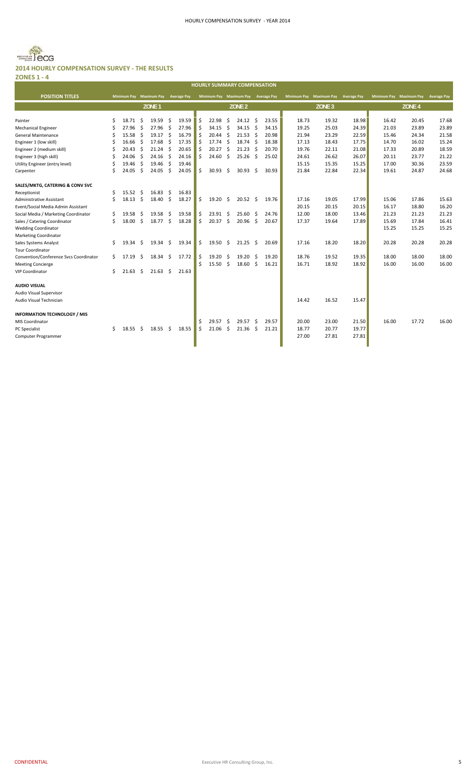

#### **2014 HOURLY COMPENSATION SURVEY ‐ THE RESULTS ZONES 1 ‐ 4**

|                                        |    |                         |     |                   |     |                    |    |                 |     | <b>HOURLY SUMMARY COMPENSATION</b>  |     |       |       |                                     |       |       |                                     |       |
|----------------------------------------|----|-------------------------|-----|-------------------|-----|--------------------|----|-----------------|-----|-------------------------------------|-----|-------|-------|-------------------------------------|-------|-------|-------------------------------------|-------|
| <b>POSITION TITLES</b>                 |    | Minimum Pay Maximum Pay |     |                   |     | <b>Average Pay</b> |    |                 |     | Minimum Pay Maximum Pay Average Pay |     |       |       | Minimum Pay Maximum Pay Average Pay |       |       | Minimum Pay Maximum Pay Average Pay |       |
|                                        |    |                         |     | ZONE <sub>1</sub> |     |                    |    |                 |     | ZONE <sub>2</sub>                   |     |       |       | ZONE <sub>3</sub>                   |       |       | ZONE <sub>4</sub>                   |       |
|                                        |    |                         |     |                   |     |                    |    |                 |     |                                     |     |       |       |                                     |       |       |                                     |       |
| Painter                                | Ś. | 18.71                   | Ŝ.  | 19.59             | -\$ | 19.59              | Ś  | 22.98           | Ŝ.  | 24.12                               | -Ś  | 23.55 | 18.73 | 19.32                               | 18.98 | 16.42 | 20.45                               | 17.68 |
| <b>Mechanical Engineer</b>             | Ś  | 27.96                   | -\$ | 27.96             | \$  | 27.96              | Ś  | 34.15           | Ś.  | 34.15                               | \$  | 34.15 | 19.25 | 25.03                               | 24.39 | 21.03 | 23.89                               | 23.89 |
| <b>General Maintenance</b>             | Ś  | 15.58                   | -Ś  | 19.17             | \$  | 16.79              | Ŝ. | 20.44           | Ŝ.  | 21.53                               | Ŝ.  | 20.98 | 21.94 | 23.29                               | 22.59 | 15.46 | 24.34                               | 21.58 |
| Engineer 1 (low skill)                 | \$ | 16.66                   | -\$ | 17.68             | -\$ | 17.35              | Ś  | 17.74           | \$  | 18.74                               | \$  | 18.38 | 17.13 | 18.43                               | 17.75 | 14.70 | 16.02                               | 15.24 |
| Engineer 2 (medium skill)              | \$ | 20.43                   | -\$ | 21.24             | -\$ | 20.65              | Ŝ. | 20.27           | \$. | 21.23                               | \$  | 20.70 | 19.76 | 22.11                               | 21.08 | 17.33 | 20.89                               | 18.59 |
| Engineer 3 (high skill)                | \$ | 24.06                   | Ŝ.  | 24.16             | \$  | 24.16              | Ś. | 24.60           | \$  | 25.26                               | \$  | 25.02 | 24.61 | 26.62                               | 26.07 | 20.11 | 23.77                               | 21.22 |
| Utility Engineer (entry level)         | \$ | 19.46                   | -\$ | 19.46             | \$  | 19.46              |    |                 |     |                                     |     |       | 15.15 | 15.35                               | 15.25 | 17.00 | 30.36                               | 23.59 |
| Carpenter                              | Ś  | 24.05                   | -\$ | 24.05             | Ŝ.  | 24.05              | Ś. | 30.93           | \$  | 30.93                               | \$  | 30.93 | 21.84 | 22.84                               | 22.34 | 19.61 | 24.87                               | 24.68 |
| SALES/MKTG, CATERING & CONV SVC        |    |                         |     |                   |     |                    |    |                 |     |                                     |     |       |       |                                     |       |       |                                     |       |
| Receptionist                           | \$ | 15.52                   | -\$ | 16.83             | -\$ | 16.83              |    |                 |     |                                     |     |       |       |                                     |       |       |                                     |       |
| Administrative Assistant               | Ś. | 18.13                   | -\$ | 18.40             | \$  | 18.27              | Ś. | 19.20           | \$. | 20.52                               | -\$ | 19.76 | 17.16 | 19.05                               | 17.99 | 15.06 | 17.86                               | 15.63 |
| Event/Social Media Admin Assistant     |    |                         |     |                   |     |                    |    |                 |     |                                     |     |       | 20.15 | 20.15                               | 20.15 | 16.17 | 18.80                               | 16.20 |
| Social Media / Marketing Coordinator   | \$ | 19.58                   | \$, | 19.58             | \$  | 19.58              | Ŝ. | 23.91           | \$  | 25.60                               | \$  | 24.76 | 12.00 | 18.00                               | 13.46 | 21.23 | 21.23                               | 21.23 |
| Sales / Catering Coordinator           | \$ | 18.00                   | \$  | 18.77             | \$  | 18.28              | \$ | 20.37           | \$  | 20.96                               | \$  | 20.67 | 17.37 | 19.64                               | 17.89 | 15.69 | 17.84                               | 16.41 |
| <b>Wedding Coordinator</b>             |    |                         |     |                   |     |                    |    |                 |     |                                     |     |       |       |                                     |       | 15.25 | 15.25                               | 15.25 |
| <b>Marketing Coordinator</b>           |    |                         |     |                   |     |                    |    |                 |     |                                     |     |       |       |                                     |       |       |                                     |       |
| Sales Systems Analyst                  | Ś. | 19.34                   | -\$ | 19.34             | \$  | 19.34              | \$ | 19.50           | -\$ | $21.25$ \$                          |     | 20.69 | 17.16 | 18.20                               | 18.20 | 20.28 | 20.28                               | 20.28 |
| <b>Tour Coordinator</b>                |    |                         |     |                   |     |                    |    |                 |     |                                     |     |       |       |                                     |       |       |                                     |       |
| Convention/Conference Svcs Coordinator | \$ | 17.19                   | \$  | $18.34 \quad $$   |     | 17.72              | \$ | $19.20 \quad $$ |     | 19.20                               | -\$ | 19.20 | 18.76 | 19.52                               | 19.35 | 18.00 | 18.00                               | 18.00 |
| <b>Meeting Concierge</b>               |    |                         |     |                   |     |                    |    | 15.50           | Ŝ.  | $18.60\frac{1}{5}$                  |     | 16.21 | 16.71 | 18.92                               | 18.92 | 16.00 | 16.00                               | 16.00 |
| <b>VIP Coordinator</b>                 | \$ | 21.63                   | \$  | $21.63 \quad $$   |     | 21.63              |    |                 |     |                                     |     |       |       |                                     |       |       |                                     |       |
| <b>AUDIO VISUAL</b>                    |    |                         |     |                   |     |                    |    |                 |     |                                     |     |       |       |                                     |       |       |                                     |       |
| Audio Visual Supervisor                |    |                         |     |                   |     |                    |    |                 |     |                                     |     |       |       |                                     |       |       |                                     |       |
| Audio Visual Technician                |    |                         |     |                   |     |                    |    |                 |     |                                     |     |       | 14.42 | 16.52                               | 15.47 |       |                                     |       |
| <b>INFORMATION TECHNOLOGY / MIS</b>    |    |                         |     |                   |     |                    |    |                 |     |                                     |     |       |       |                                     |       |       |                                     |       |
| <b>MIS Coordinator</b>                 |    |                         |     |                   |     |                    | Ś  | 29.57           | \$. | 29.57                               | \$  | 29.57 | 20.00 | 23.00                               | 21.50 | 16.00 | 17.72                               | 16.00 |
| <b>PC Specialist</b>                   | Ś. | 18.55                   | - S | 18.55             | -\$ | 18.55              | Ś  | 21.06           | Ŝ.  | 21.36                               | Ŝ.  | 21.21 | 18.77 | 20.77                               | 19.77 |       |                                     |       |
| Computer Programmer                    |    |                         |     |                   |     |                    |    |                 |     |                                     |     |       | 27.00 | 27.81                               | 27.81 |       |                                     |       |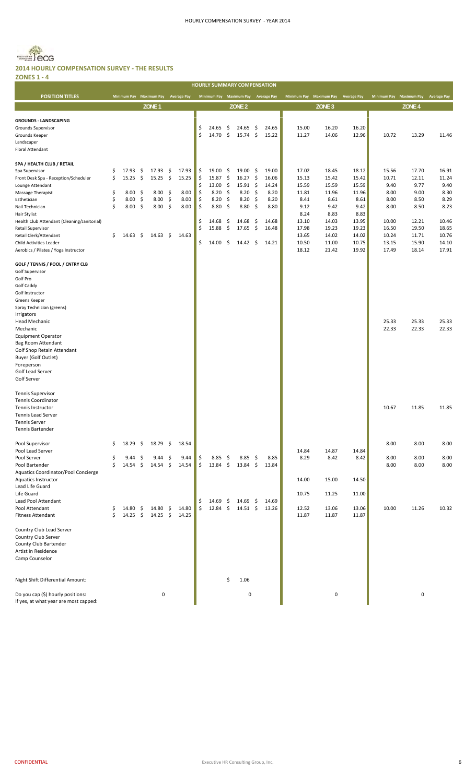

**ZONES 1 ‐ 4** ٠

| $\sim$<br>-                                                                                                                                                                                                                                                                                                                                               |                                  |                                                              |                                                                 |                                                                                                   |                                                 |                                                    |                                                                             |                                                    | <b>HOURLY SUMMARY COMPENSATION</b>                                                |                                                       |                                                                            |                                                                                                       |                                                                                                       |                                                                                                       |                                                                                             |                                                                                             |                                                                                             |
|-----------------------------------------------------------------------------------------------------------------------------------------------------------------------------------------------------------------------------------------------------------------------------------------------------------------------------------------------------------|----------------------------------|--------------------------------------------------------------|-----------------------------------------------------------------|---------------------------------------------------------------------------------------------------|-------------------------------------------------|----------------------------------------------------|-----------------------------------------------------------------------------|----------------------------------------------------|-----------------------------------------------------------------------------------|-------------------------------------------------------|----------------------------------------------------------------------------|-------------------------------------------------------------------------------------------------------|-------------------------------------------------------------------------------------------------------|-------------------------------------------------------------------------------------------------------|---------------------------------------------------------------------------------------------|---------------------------------------------------------------------------------------------|---------------------------------------------------------------------------------------------|
| <b>POSITION TITLES</b>                                                                                                                                                                                                                                                                                                                                    |                                  |                                                              |                                                                 | Minimum Pay Maximum Pay                                                                           | <b>Average Pay</b>                              |                                                    |                                                                             |                                                    | Minimum Pay Maximum Pay Average Pay                                               |                                                       |                                                                            |                                                                                                       | Minimum Pay Maximum Pay Average Pay                                                                   |                                                                                                       |                                                                                             | Minimum Pay Maximum Pay Average Pay                                                         |                                                                                             |
|                                                                                                                                                                                                                                                                                                                                                           |                                  |                                                              |                                                                 | ZONE <sub>1</sub>                                                                                 |                                                 |                                                    |                                                                             |                                                    | ZONE <sub>2</sub>                                                                 |                                                       |                                                                            |                                                                                                       | ZONE <sub>3</sub>                                                                                     |                                                                                                       |                                                                                             | ZONE <sub>4</sub>                                                                           |                                                                                             |
|                                                                                                                                                                                                                                                                                                                                                           |                                  |                                                              |                                                                 |                                                                                                   |                                                 |                                                    |                                                                             |                                                    |                                                                                   |                                                       |                                                                            |                                                                                                       |                                                                                                       |                                                                                                       |                                                                                             |                                                                                             |                                                                                             |
| <b>GROUNDS - LANDSCAPING</b><br>Grounds Supervisor<br>Grounds Keeper<br>Landscaper<br>Floral Attendant                                                                                                                                                                                                                                                    |                                  |                                                              |                                                                 |                                                                                                   |                                                 | \$<br>\$                                           | 24.65<br>14.70                                                              | \$<br>-\$                                          | 24.65<br>$15.74$ \$                                                               | - \$                                                  | 24.65<br>15.22                                                             | 15.00<br>11.27                                                                                        | 16.20<br>14.06                                                                                        | 16.20<br>12.96                                                                                        | 10.72                                                                                       | 13.29                                                                                       | 11.46                                                                                       |
| SPA / HEALTH CLUB / RETAIL<br>Spa Supervisor<br>Front Desk Spa - Reception/Scheduler<br>Lounge Attendant<br>Massage Therapist<br>Esthetician<br>Nail Technician<br>Hair Stylist<br>Health Club Attendant (Cleaning/Janitorial)<br>Retail Supervisor<br>Retail Clerk/Attendant<br>Child Activities Leader<br>Aerobics / Pilates / Yoga Instructor          | \$<br>\$<br>\$<br>\$<br>\$<br>\$ | 17.93<br>15.25<br>8.00<br>8.00<br>$8.00\frac{2}{3}$<br>14.63 | \$<br>$\ddot{\mathsf{S}}$<br>- \$<br>$\ddot{\mathsf{s}}$<br>-\$ | $17.93 \quad $$<br>15.25 \$<br>8.00%<br>$8.00\frac{2}{3}$<br>$8.00\frac{2}{3}$<br>$14.63 \quad $$ | 17.93<br>15.25<br>8.00<br>8.00<br>8.00<br>14.63 | \$<br>\$<br>\$<br>\$<br>\$<br>\$<br>\$<br>\$<br>\$ | 19.00<br>15.87<br>13.00%<br>8.20<br>8.20<br>8.80<br>14.68<br>15.88<br>14.00 | -\$<br>-\$<br>-\$<br>-\$<br>\$<br>-\$<br>\$<br>-\$ | 19.00<br>16.27<br>15.91<br>8.20<br>8.20<br>8.80<br>14.68<br>17.65<br>$14.42 \div$ | - \$<br>- \$<br>- \$<br>\$<br>\$<br>\$<br>-\$<br>- \$ | 19.00<br>16.06<br>14.24<br>8.20<br>8.20<br>8.80<br>14.68<br>16.48<br>14.21 | 17.02<br>15.13<br>15.59<br>11.81<br>8.41<br>9.12<br>8.24<br>13.10<br>17.98<br>13.65<br>10.50<br>18.12 | 18.45<br>15.42<br>15.59<br>11.96<br>8.61<br>9.42<br>8.83<br>14.03<br>19.23<br>14.02<br>11.00<br>21.42 | 18.12<br>15.42<br>15.59<br>11.96<br>8.61<br>9.42<br>8.83<br>13.95<br>19.23<br>14.02<br>10.75<br>19.92 | 15.56<br>10.71<br>9.40<br>8.00<br>8.00<br>8.00<br>10.00<br>16.50<br>10.24<br>13.15<br>17.49 | 17.70<br>12.11<br>9.77<br>9.00<br>8.50<br>8.50<br>12.21<br>19.50<br>11.71<br>15.90<br>18.14 | 16.91<br>11.24<br>9.40<br>8.30<br>8.29<br>8.23<br>10.46<br>18.65<br>10.76<br>14.10<br>17.91 |
| GOLF / TENNIS / POOL / CNTRY CLB<br>Golf Supervisor<br>Golf Pro<br>Golf Caddy<br>Golf Instructor<br>Greens Keeper<br>Spray Technician (greens)<br>Irrigators<br>Head Mechanic<br>Mechanic<br><b>Equipment Operator</b><br>Bag Room Attendant<br>Golf Shop Retain Attendant<br><b>Buyer (Golf Outlet)</b><br>Foreperson<br>Golf Lead Server<br>Golf Server |                                  |                                                              |                                                                 |                                                                                                   |                                                 |                                                    |                                                                             |                                                    |                                                                                   |                                                       |                                                                            |                                                                                                       |                                                                                                       |                                                                                                       | 25.33<br>22.33                                                                              | 25.33<br>22.33                                                                              | 25.33<br>22.33                                                                              |
| <b>Tennis Supervisor</b><br><b>Tennis Coordinator</b><br>Tennis Instructor<br>Tennis Lead Server<br><b>Tennis Server</b><br><b>Tennis Bartender</b>                                                                                                                                                                                                       |                                  |                                                              |                                                                 |                                                                                                   |                                                 |                                                    |                                                                             |                                                    |                                                                                   |                                                       |                                                                            |                                                                                                       |                                                                                                       |                                                                                                       | 10.67                                                                                       | 11.85                                                                                       | 11.85                                                                                       |
| Pool Supervisor                                                                                                                                                                                                                                                                                                                                           | \$                               | 18.29                                                        | $\ddot{\mathsf{s}}$                                             | 18.79 \$                                                                                          | 18.54                                           |                                                    |                                                                             |                                                    |                                                                                   |                                                       |                                                                            |                                                                                                       |                                                                                                       |                                                                                                       | 8.00                                                                                        | 8.00                                                                                        | 8.00                                                                                        |
| Pool Lead Server<br>Pool Server<br>Pool Bartender<br>Aquatics Coordinator/Pool Concierge                                                                                                                                                                                                                                                                  | \$<br>\$                         | 9.44<br>$14.54 \pm 5$                                        | - \$                                                            | 9.44<br>$14.54 \pm 5$                                                                             | \$<br>9.44<br>14.54                             | \$<br>\$                                           | $8.85\quad$<br>13.84 \$                                                     |                                                    | $8.85\frac{2}{3}$<br>13.84 \$                                                     |                                                       | 8.85<br>13.84                                                              | 14.84<br>8.29                                                                                         | 14.87<br>8.42                                                                                         | 14.84<br>8.42                                                                                         | 8.00<br>8.00                                                                                | 8.00<br>8.00                                                                                | 8.00<br>8.00                                                                                |
| <b>Aquatics Instructor</b><br>Lead Life Guard<br>Life Guard<br>Lead Pool Attendant<br>Pool Attendant                                                                                                                                                                                                                                                      | \$                               | 14.80                                                        | \$.                                                             | $14.80 \pm$                                                                                       | 14.80                                           | \$<br>\$                                           | $14.69 \div$<br>$12.84 \quad $$                                             |                                                    | 14.69<br>$14.51 \div$                                                             | - \$                                                  | 14.69<br>13.26                                                             | 14.00<br>10.75<br>12.52                                                                               | 15.00<br>11.25<br>13.06                                                                               | 14.50<br>11.00<br>13.06                                                                               | 10.00                                                                                       | 11.26                                                                                       | 10.32                                                                                       |
| <b>Fitness Attendant</b><br>Country Club Lead Server<br>Country Club Server<br>County Club Bartender<br>Artist in Residence<br>Camp Counselor                                                                                                                                                                                                             | \$                               | 14.25                                                        | $\ddot{\mathsf{s}}$                                             | $14.25 \quad$ \$                                                                                  | 14.25                                           |                                                    |                                                                             |                                                    |                                                                                   |                                                       |                                                                            | 11.87                                                                                                 | 11.87                                                                                                 | 11.87                                                                                                 |                                                                                             |                                                                                             |                                                                                             |
| Night Shift Differential Amount:                                                                                                                                                                                                                                                                                                                          |                                  |                                                              |                                                                 |                                                                                                   |                                                 |                                                    |                                                                             | \$                                                 | 1.06                                                                              |                                                       |                                                                            |                                                                                                       |                                                                                                       |                                                                                                       |                                                                                             |                                                                                             |                                                                                             |
| Do you cap (\$) hourly positions:<br>If yes, at what year are most capped:                                                                                                                                                                                                                                                                                |                                  |                                                              |                                                                 | 0                                                                                                 |                                                 |                                                    |                                                                             |                                                    | 0                                                                                 |                                                       |                                                                            |                                                                                                       | 0                                                                                                     |                                                                                                       |                                                                                             | $\pmb{0}$                                                                                   |                                                                                             |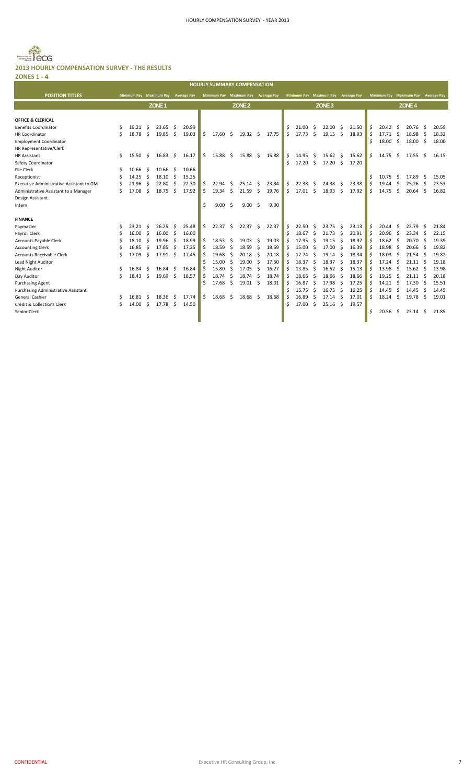# Becg **2013 HOURLY COMPENSATION SURVEY ‐ THE RESULTS ZONES 1 ‐ 4**

|                                                          |    |       |                     |                         |     |                    |    | <b>HOURLY SUMMARY COMPENSATION</b>  |     |                   |              |       |    |                         |      |                    |     |                    |    |                         |                     |                   |     |                    |
|----------------------------------------------------------|----|-------|---------------------|-------------------------|-----|--------------------|----|-------------------------------------|-----|-------------------|--------------|-------|----|-------------------------|------|--------------------|-----|--------------------|----|-------------------------|---------------------|-------------------|-----|--------------------|
| <b>POSITION TITLES</b>                                   |    |       |                     | Minimum Pay Maximum Pay |     | <b>Average Pay</b> |    | Minimum Pay Maximum Pay Average Pay |     |                   |              |       |    | Minimum Pay Maximum Pay |      |                    |     | <b>Average Pay</b> |    | Minimum Pay Maximum Pay |                     |                   |     | <b>Average Pay</b> |
|                                                          |    |       |                     | ZONE <sub>1</sub>       |     |                    |    |                                     |     | ZONE <sub>2</sub> |              |       |    |                         |      | ZONE <sub>3</sub>  |     |                    |    |                         |                     | ZONE <sub>4</sub> |     |                    |
|                                                          |    |       |                     |                         |     |                    |    |                                     |     |                   |              |       |    |                         |      |                    |     |                    |    |                         |                     |                   |     |                    |
| <b>OFFICE &amp; CLERICAL</b>                             |    |       |                     |                         |     |                    |    |                                     |     |                   |              |       |    |                         |      |                    |     |                    |    |                         |                     |                   |     |                    |
| <b>Benefits Coordinator</b>                              | \$ | 19.21 | -S                  | 23.65                   | -S  | 20.99              |    |                                     |     |                   |              |       | \$ | 21.00                   | S    | 22.00              | -\$ | 21.50              | Ŝ. | 20.42                   | -\$                 | 20.76             | \$. | 20.59              |
| <b>HR Coordinator</b>                                    | Ś  | 18.78 | Ŝ.                  | 19.85                   | Ŝ.  | 19.03              | Ś. | 17.60                               | -\$ | $19.32 \quad$ \$  |              | 17.75 | Ś. | 17.73                   | Ŝ.   | 19.15              | -\$ | 18.93              | Ŝ. | 17.71                   | $\ddot{\mathsf{s}}$ | 18.98             | -\$ | 18.32              |
| <b>Employment Coordinator</b><br>HR Representative/Clerk |    |       |                     |                         |     |                    |    |                                     |     |                   |              |       |    |                         |      |                    |     |                    | Ś. | 18.00                   | - Ś                 | 18.00             | Ŝ.  | 18.00              |
| <b>HR Assistant</b>                                      | \$ | 15.50 | $\ddot{\mathsf{s}}$ | 16.83                   | Ŝ.  | 16.17              | Ś. | 15.88                               | Ŝ.  | 15.88             | $\mathsf{S}$ | 15.88 | \$ | 14.95                   | S    | 15.62              | -\$ | 15.62              | Ś. | 14.75                   | Ŝ.                  | 17.55             | Ŝ.  | 16.15              |
| Safety Coordinator                                       |    |       |                     |                         |     |                    |    |                                     |     |                   |              |       | Ś. | 17.20                   | \$   | $17.20\frac{1}{2}$ |     | 17.20              |    |                         |                     |                   |     |                    |
| <b>File Clerk</b>                                        |    | 10.66 | -S                  | 10.66                   | Ŝ.  | 10.66              |    |                                     |     |                   |              |       |    |                         |      |                    |     |                    |    |                         |                     |                   |     |                    |
| Receptionist                                             |    | 14.25 | Ŝ                   | 18.10                   | -\$ | 15.25              |    |                                     |     |                   |              |       |    |                         |      |                    |     |                    | Ś. | 10.75                   | - \$                | 17.89             | -Ŝ  | 15.05              |
| Executive Administrative Assistant to GM                 | Ś  | 21.96 | Ś                   | 22.80                   | Ŝ.  | 22.30              | Ś. | 22.94                               | Ŝ.  | 25.14             | -\$          | 23.34 | \$ | 22.38                   | - \$ | 24.38              | -Ś  | 23.38              | Ś. | 19.44                   | Ŝ.                  | 25.26             | -\$ | 23.53              |
| Administrative Assistant to a Manager                    | Ś  | 17.08 | Ś                   | 18.75                   | Ŝ.  | 17.92              | Ŝ  | 19.34                               | S.  | $21.59$ \$        |              | 19.76 | Ś. | $17.01 \quad $$         |      | 18.93              | \$. | 17.92              | Ŝ. | 14.75                   | Ŝ.                  | 20.64             | Ŝ.  | 16.82              |
| Design Assistant                                         |    |       |                     |                         |     |                    |    |                                     |     |                   |              |       |    |                         |      |                    |     |                    |    |                         |                     |                   |     |                    |
| Intern                                                   |    |       |                     |                         |     |                    | Ś. | 9.00                                | Ŝ.  | 9.00 <sub>5</sub> |              | 9.00  |    |                         |      |                    |     |                    |    |                         |                     |                   |     |                    |
| <b>FINANCE</b>                                           |    |       |                     |                         |     |                    |    |                                     |     |                   |              |       |    |                         |      |                    |     |                    |    |                         |                     |                   |     |                    |
| Paymaster                                                | Ś  | 23.21 | -Ŝ                  | 26.25                   | -\$ | 25.48              | Ś. | 22.37                               | -\$ | $22.37$ \$        |              | 22.37 | \$ | 22.50                   | Ŝ    | 23.75              | \$. | 23.13              | \$ | 20.44                   | -\$                 | 22.79             | \$. | 21.84              |
| Payroll Clerk                                            |    | 16.00 | Ŝ.                  | 16.00                   | \$  | 16.00              |    |                                     |     |                   |              |       | \$ | 18.67                   | -\$  | 21.73              | -\$ | 20.91              | Ŝ. | 20.96                   | - \$                | 23.34             | \$  | 22.15              |
| Accounts Payable Clerk                                   |    | 18.10 | Ś                   | 19.96                   | Ŝ.  | 18.99              | Ś  | 18.53                               | Ŝ.  | 19.03             | Ŝ.           | 19.03 | Ŝ. | 17.95                   | Ŝ.   | 19.15              | -Ś  | 18.97              | Ś. | $18.62 \quad$ \$        |                     | 20.70             | Ŝ.  | 19.39              |
| <b>Accounting Clerk</b>                                  |    | 16.85 | Ś                   | 17.85                   | Ŝ.  | 17.25              | ς  | 18.59                               | Ŝ.  | 18.59             | Ŝ.           | 18.59 | Ś. | 15.00                   | Ŝ.   | 17.00              | -Ś  | 16.39              | ς  | 18.98                   | -Ś                  | 20.66             | Ŝ.  | 19.82              |
| <b>Accounts Receivable Clerk</b>                         | Ś  | 17.09 | Ŝ                   | 17.91                   | Ŝ.  | 17.45              | ς  | 19.68                               | Ŝ.  | 20.18             | Ŝ            | 20.18 | \$ | 17.74                   | Ŝ.   | 19.14              | Ŝ   | 18.34              |    | 18.03                   | Ŝ.                  | 21.54             | Ŝ.  | 19.82              |
| Lead Night Auditor                                       |    |       |                     |                         |     |                    |    | 15.00                               | Ŝ.  | 19.00             | Ŝ.           | 17.50 | Ś  | 18.37                   | Ŝ.   | 18.37              | -S  | 18.37              | Ś  | 17.24                   | Ŝ.                  | 21.11             | Ŝ.  | 19.18              |
| <b>Night Auditor</b>                                     | Ś  | 16.84 | -S                  | 16.84                   | -Ŝ  | 16.84              | Ŝ  | 15.80                               | Ŝ.  | 17.05             | Ŝ            | 16.27 | \$ | 13.85                   | \$   | 16.52              | Ŝ.  | 15.13              | Ŝ  | 13.98                   | Ŝ.                  | 15.62             | -\$ | 13.98              |
| Day Auditor                                              | Ś  | 18.43 | \$                  | 19.69                   | \$  | 18.57              | Ś  | 18.74                               | Ŝ.  | 18.74             | Ŝ.           | 18.74 | \$ | 18.66                   | \$   | 18.66              | Ŝ.  | 18.66              | Ŝ. | 19.25                   | Ŝ.                  | 21.11             | -\$ | 20.18              |
| <b>Purchasing Agent</b>                                  |    |       |                     |                         |     |                    | Ŝ  | 17.68                               | -\$ | 19.01             | -\$          | 18.01 | \$ | 16.87                   | \$   | 17.98              | Ŝ.  | 17.25              | Ś. | 14.21                   | -\$                 | 17.30             | Ŝ.  | 15.51              |
| <b>Purchasing Administrative Assistant</b>               |    |       |                     |                         |     |                    |    |                                     |     |                   |              |       | Ś  | 15.75                   | Ŝ.   | 16.75              | Ŝ.  | 16.25              | ς  | 14.45                   | -Ś                  | 14.45             | Ŝ.  | 14.45              |
| <b>General Cashier</b>                                   | \$ | 16.81 | -\$                 | 18.36                   | -\$ | 17.74              | Ś. | 18.68                               | \$  | 18.68             | \$           | 18.68 | Ś. | 16.89                   | \$   | 17.14              | Ŝ   | 17.01              | Ś. | 18.24                   | Ŝ.                  | 19.78             | \$. | 19.01              |
| <b>Credit &amp; Collections Clerk</b>                    | Ś  | 14.00 | \$.                 | 17.78                   | -\$ | 14.50              |    |                                     |     |                   |              |       | Ś. | 17.00                   | \$   | 25.16              | -\$ | 19.57              |    |                         |                     |                   |     |                    |
| Senior Clerk                                             |    |       |                     |                         |     |                    |    |                                     |     |                   |              |       |    |                         |      |                    |     |                    | Ś. | 20.56                   | Ŝ.                  | 23.14             | Ŝ.  | 21.85              |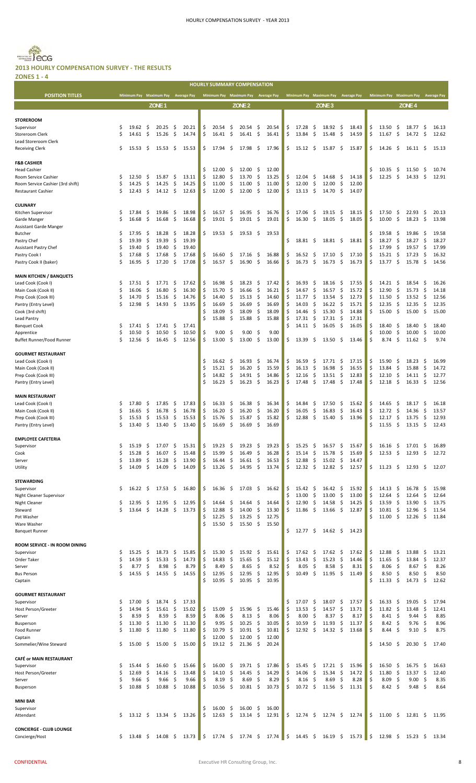# $=$   $secG$ **2013 HOURLY COMPENSATION SURVEY ‐ THE RESULTS**

| and the control of the<br>×<br>۰.<br>۰. | ۰.<br>×<br>۹ |  |
|-----------------------------------------|--------------|--|
| ٠<br>M.                                 | ۰.           |  |

|                                                          |         |                  |                     |                                     |          |                |          |                |          | <b>HOURLY SUMMARY COMPENSATION</b>  |                     |                |          |                                     |           |                             |           |                |          |                                     |                     |                       |                           |                |
|----------------------------------------------------------|---------|------------------|---------------------|-------------------------------------|----------|----------------|----------|----------------|----------|-------------------------------------|---------------------|----------------|----------|-------------------------------------|-----------|-----------------------------|-----------|----------------|----------|-------------------------------------|---------------------|-----------------------|---------------------------|----------------|
| <b>POSITION TITLES</b>                                   |         |                  |                     | Minimum Pay Maximum Pay Average Pay |          |                |          |                |          | Minimum Pay Maximum Pay Average Pay |                     |                |          | Minimum Pay Maximum Pay Average Pay |           |                             |           |                |          | Minimum Pay Maximum Pay Average Pay |                     |                       |                           |                |
|                                                          |         |                  |                     | ZONE <sub>1</sub>                   |          |                |          |                |          | ZONE <sub>2</sub>                   |                     |                |          |                                     |           | ZONE <sub>3</sub>           |           |                |          |                                     |                     | ZONE <sub>4</sub>     |                           |                |
|                                                          |         |                  |                     |                                     |          |                |          |                |          |                                     |                     |                |          |                                     |           |                             |           |                |          |                                     |                     |                       |                           |                |
| <b>STOREROOM</b><br>Supervisor                           | Ś       | 19.62            | -\$                 | 20.25                               | \$.      | 20.21          | \$       | 20.54          | \$       | 20.54                               | -\$                 | 20.54          | \$       | 17.28                               | \$        | 18.92                       | \$.       | 18.43          | \$       | 13.50                               | -\$                 | 18.77S                |                           | 16.13          |
| Storeroom Clerk                                          | Ś       | 14.61            | \$                  | 15.26                               | \$       | 14.74          | \$       | 16.41          | \$       | 16.41                               | -\$                 | 16.41          | \$       | 13.84                               | \$        | 15.48                       | \$        | 14.59          | \$       | 11.67                               | -\$                 | $14.72 \quad$ \$      |                           | 12.62          |
| Lead Storeroom Clerk                                     |         |                  |                     |                                     |          |                |          |                |          |                                     |                     |                |          |                                     |           |                             |           |                |          |                                     |                     |                       |                           |                |
| <b>Receiving Clerk</b>                                   | \$      | 15.53            | \$                  | 15.53                               | \$.      | 15.53          | Ś        | 17.94          | \$       | 17.98                               | \$                  | 17.96          | \$       | 15.12                               | \$        | 15.87                       | \$        | 15.87          | \$       | 14.26                               | -\$                 | 16.11                 | -\$                       | 15.13          |
| <b>F&amp;B CASHIER</b>                                   |         |                  |                     |                                     |          |                |          |                |          |                                     |                     |                |          |                                     |           |                             |           |                |          |                                     |                     |                       |                           |                |
| <b>Head Cashier</b>                                      |         |                  |                     |                                     |          |                | \$       | 12.00          | \$       | 12.00                               | \$                  | 12.00          |          |                                     |           |                             |           |                | \$       | 10.35                               | -\$                 | 11.50                 | \$                        | 10.74          |
| Room Service Cashier<br>Room Service Cashier (3rd shift) | Ś<br>\$ | 12.50<br>14.25   | \$<br>\$            | 15.87<br>14.25                      | \$<br>\$ | 13.11<br>14.25 | \$<br>\$ | 12.80<br>11.00 | \$<br>\$ | 13.70<br>11.00                      | \$<br>\$            | 13.25<br>11.00 | \$<br>\$ | 12.04<br>12.00                      | \$<br>\$  | 14.68<br>12.00              | S.<br>\$. | 14.18<br>12.00 | \$       | 12.25                               | \$                  | 14.33                 | \$                        | 12.91          |
| <b>Restaurant Cashier</b>                                | Ś       | 12.43            | \$                  | 14.12                               | \$       | 12.63          | \$       | 12.00          | \$       | 12.00                               | -\$                 | 12.00          | \$       | 13.13                               | \$        | 14.70                       | -\$       | 14.07          |          |                                     |                     |                       |                           |                |
|                                                          |         |                  |                     |                                     |          |                |          |                |          |                                     |                     |                |          |                                     |           |                             |           |                |          |                                     |                     |                       |                           |                |
| <b>CULINARY</b><br>Kitchen Supervisor                    | \$      | 17.84            | \$                  | 19.86                               | \$       | 18.98          | \$       | 16.57          | \$       | 16.95                               | \$                  | 16.76          | \$       | 17.06                               | \$        | 19.15                       | \$.       | 18.15          | \$       | 17.50                               | -\$                 | 22.93                 | -\$                       | 20.13          |
| Garde Manger                                             | Ś       | 16.68            | \$                  | 16.68                               | \$       | 16.68          | \$       | 19.01          | \$       | 19.01                               | $\ddot{\mathsf{S}}$ | 19.01          | \$       | 16.30                               | \$        | 18.05                       | - \$      | 18.05          | \$       | 10.00                               | $\ddot{\mathsf{S}}$ | 18.23                 | \$                        | 13.98          |
| Assistant Garde Manger                                   |         |                  |                     |                                     |          |                |          |                |          |                                     |                     |                |          |                                     |           |                             |           |                |          |                                     |                     |                       |                           |                |
| Butcher<br>Pastry Chef                                   | Ś<br>Ś  | 17.95<br>19.39   | \$<br>\$            | 18.28<br>19.39                      | \$<br>\$ | 18.28<br>19.39 | \$       | 19.53          | - \$     | 19.53                               | -\$                 | 19.53          | \$       | $18.81 \quad $$                     |           | $18.81 \quad $$             |           | 18.81          | \$<br>\$ | 19.58<br>18.27                      | -\$<br>\$           | 19.86<br>18.27        | -\$<br>-\$                | 19.58<br>18.27 |
| <b>Assistant Pastry Chef</b>                             | Ś       | 19.40            | \$                  | 19.40                               | \$       | 19.40          |          |                |          |                                     |                     |                |          |                                     |           |                             |           |                | Ś        | 17.99                               | -\$                 | 19.57                 | \$                        | 17.99          |
| Pastry Cook I                                            | S       | 17.68            | \$                  | 17.68                               | \$       | 17.68          | \$       | 16.60          | \$       | 17.16                               | -\$                 | 16.88          | \$       | 16.52                               | \$        | 17.10                       | -\$       | 17.10          | \$       | 15.21                               | \$                  | 17.23                 | \$                        | 16.32          |
| Pastry Cook II (baker)                                   | Ś       | 16.95            | \$                  | 17.20                               | \$       | 17.08          | \$       | 16.57          | \$       | 16.90                               | -\$                 | 16.66          | \$       | 16.73                               | \$        | 16.73                       | -\$       | 16.73          | \$       | 13.77                               | \$                  | 15.78                 | -\$                       | 14.56          |
| <b>MAIN KITCHEN / BANQUETS</b>                           |         |                  |                     |                                     |          |                |          |                |          |                                     |                     |                |          |                                     |           |                             |           |                |          |                                     |                     |                       |                           |                |
| Lead Cook (Cook I)                                       | \$      | 17.51            | \$.                 | 17.71                               | -\$      | 17.62          | \$,      | 16.98          | -\$      | 18.23                               | -\$                 | 17.42          | \$       | 16.93                               | \$        | 18.16                       | - \$      | 17.55          | \$       | 14.21                               | - \$                | 18.54                 | -\$                       | 16.26          |
| Main Cook (Cook II)                                      | Ś       | 16.06            | \$                  | 16.80                               | \$       | 16.30          | \$       | 15.70          | \$       | 16.66                               | -\$                 | 16.21          | \$       | 14.67                               | \$        | 16.57                       | \$        | 15.72          | \$       | 12.90                               | -\$                 | 15.73                 | -\$                       | 14.18          |
| Prep Cook (Cook III)<br>Pantry (Entry Level)             | Ś<br>Ś  | 14.70<br>12.98   | \$<br>\$            | 15.16<br>14.93                      | \$<br>\$ | 14.76<br>13.95 | \$<br>\$ | 14.40<br>16.69 | \$<br>\$ | 15.13<br>16.69                      | -\$<br>-\$          | 14.60<br>16.69 | \$<br>\$ | 11.77<br>14.03                      | \$<br>\$  | 13.54<br>16.22              | \$<br>-\$ | 12.73<br>15.71 | Ś<br>\$  | 11.50<br>12.35                      | -\$<br>-\$          | 13.52<br>12.35        | -\$<br>\$                 | 12.56<br>12.35 |
| Cook (3rd shift)                                         |         |                  |                     |                                     |          |                | Ś        | 18.09          | \$       | 18.09                               | -\$                 | 18.09          | \$       | 14.46                               | \$        | 15.30                       | \$        | 14.88          | \$       | 15.00                               | -\$                 | 15.00                 | -\$                       | 15.00          |
| Lead Pantry                                              |         |                  |                     |                                     |          |                | \$       | 15.88          | \$       | 15.88                               | -\$                 | 15.88          | \$       | 17.31                               | \$        | 17.31                       | \$        | 17.31          |          |                                     |                     |                       |                           |                |
| <b>Banquet Cook</b><br>Apprentice                        | Ś<br>Ś  | 17.41<br>10.50   | \$<br>\$            | 17.41<br>10.50                      | \$<br>\$ | 17.41<br>10.50 | \$       | 9.00           | \$       | 9.00                                | \$                  | 9.00           | \$       | 14.11                               | \$        | 16.05                       | \$.       | 16.05          | \$<br>\$ | 18.40<br>10.00                      | \$<br>-\$           | 18.40<br>$10.00 \div$ | -\$                       | 18.40<br>10.00 |
| Buffet Runner/Food Runner                                | Ś       | 12.56            | \$                  | 16.45                               | \$.      | 12.56          | Ś        | 13.00          | \$       | 13.00                               | \$                  | 13.00          | \$       | 13.39                               | \$        | 13.50                       | \$.       | 13.46          | \$       | 8.74                                | -\$                 | $11.62 \quad$ \$      |                           | 9.74           |
|                                                          |         |                  |                     |                                     |          |                |          |                |          |                                     |                     |                |          |                                     |           |                             |           |                |          |                                     |                     |                       |                           |                |
| <b>GOURMET RESTAURANT</b>                                |         |                  |                     |                                     |          |                | \$       | 16.62          | \$       | 16.93                               | \$                  | 16.74          | \$       | 16.59                               | \$        | 17.71                       | \$        | 17.15          | \$       | 15.90                               | -\$                 | 18.23                 |                           | 16.99          |
| Lead Cook (Cook I)<br>Main Cook (Cook II)                |         |                  |                     |                                     |          |                | \$       | 15.21          | \$       | 16.20                               | \$                  | 15.59          | \$       | 16.13                               | \$        | 16.98                       | \$        | 16.55          | \$       | 13.84                               | \$                  | 15.88                 | -\$<br>\$                 | 14.72          |
| Prep Cook (Cook III)                                     |         |                  |                     |                                     |          |                | \$       | 14.82          | \$       | 14.91                               | \$                  | 14.86          | \$       | 12.16                               | \$        | 13.51                       | \$        | 12.83          | \$       | 12.10                               | \$                  | 14.11                 | -\$                       | 12.77          |
| Pantry (Entry Level)                                     |         |                  |                     |                                     |          |                | Ś        | 16.23          | \$       | 16.23                               | -\$                 | 16.23          | \$       | 17.48                               | \$        | 17.48                       | - \$      | 17.48          | \$       | 12.18                               | -\$                 | 16.33                 | \$                        | 12.56          |
| <b>MAIN RESTAURANT</b>                                   |         |                  |                     |                                     |          |                |          |                |          |                                     |                     |                |          |                                     |           |                             |           |                |          |                                     |                     |                       |                           |                |
| Lead Cook (Cook I)                                       | \$      | 17.80            | \$.                 | 17.85                               | \$       | 17.83          | \$       | 16.33          | \$       | 16.38                               | -\$                 | 16.34          | \$       | 14.84                               | -\$       | 17.50                       | -\$       | 15.62          | \$       | 14.65                               | -\$                 | 18.17                 | -\$                       | 16.18          |
| Main Cook (Cook II)                                      |         | 16.65            | \$                  | 16.78                               | \$       | 16.78          | \$       | 16.20          | \$       | 16.20                               | \$                  | 16.20          | \$       | 16.05                               | \$        | 16.83                       | \$        | 16.43          | \$       | 12.72                               | \$                  | 14.36                 | \$                        | 13.57          |
| Prep Cook (Cook III)<br>Pantry (Entry Level)             | Ś       | 15.53<br>13.40   | \$<br>\$            | 15.53<br>13.40                      | \$<br>\$ | 15.53<br>13.40 | \$<br>\$ | 15.76<br>16.69 | \$<br>\$ | 15.87<br>16.69                      | \$<br>\$            | 15.82<br>16.69 | \$       | 12.88                               | S.        | 15.40                       | \$        | 13.96          | \$<br>\$ | 12.17<br>11.55                      | \$<br>\$            | 13.75<br>13.15        | -\$<br>-\$                | 12.93<br>12.43 |
|                                                          |         |                  |                     |                                     |          |                |          |                |          |                                     |                     |                |          |                                     |           |                             |           |                |          |                                     |                     |                       |                           |                |
| <b>EMPLOYEE CAFETERIA</b>                                |         |                  |                     |                                     |          |                |          |                |          |                                     |                     |                |          |                                     |           |                             |           |                |          |                                     |                     |                       |                           |                |
| Supervisor<br>Cook                                       | \$<br>Ś | 15.19<br>15.28   | \$.<br>\$           | 17.07<br>16.07                      | \$<br>\$ | 15.31<br>15.48 | \$<br>\$ | 19.23<br>15.99 | \$<br>\$ | 19.23<br>16.49                      | -\$<br>-\$          | 19.23<br>16.28 | \$<br>\$ | 15.25<br>15.14                      | -\$<br>\$ | 16.57 <sup>5</sup><br>15.78 | \$        | 15.67<br>15.69 | \$<br>\$ | 16.16<br>12.53                      | -\$<br>- \$         | 17.01<br>12.93        | -\$<br>-\$                | 16.89<br>12.72 |
| Server                                                   | Ś       | 13.89            | \$                  | 15.28                               | \$       | 13.90          | \$       | 16.44          | \$       | 16.61                               | -\$                 | 16.53          | \$       | 12.88                               | \$        | 15.02                       | \$.       | 14.47          |          |                                     |                     |                       |                           |                |
| Utility                                                  | Ś       | 14.09            | \$.                 | 14.09                               | \$       | 14.09          | \$       | 13.26          | \$       | 14.95                               | -\$                 | 13.74          | \$       | 12.32                               | -\$       | $12.82 \quad$ \$            |           | 12.57          | \$       | 11.23                               | - \$                | 12.93                 | -\$                       | 12.07          |
|                                                          |         |                  |                     |                                     |          |                |          |                |          |                                     |                     |                |          |                                     |           |                             |           |                |          |                                     |                     |                       |                           |                |
| <b>STEWARDING</b><br>Supervisor                          | \$      | 16.22            | -\$                 | 17.53                               | \$       | 16.80          | \$       | 16.36          | \$.      | 17.03                               | - \$                | 16.62          | \$       | 15.42                               | \$,       | $16.42 \quad$               |           | 15.92          | \$       | 14.13                               | - \$                | 16.78                 | -\$                       | 15.98          |
| Night Cleaner Supervisor                                 |         |                  |                     |                                     |          |                |          |                |          |                                     |                     |                | \$       | 13.00                               | \$        | 13.00                       | \$        | 13.00          | \$       | 12.64                               | -\$                 | 12.64                 | \$                        | 12.64          |
| Night Cleaner                                            | Ś       | 12.95            | \$                  | 12.95                               | \$       | 12.95          | \$       | 14.64          | Ś        | 14.64                               | \$                  | 14.64          | \$       | 12.90                               | \$        | 14.58                       | \$        | 14.25          | \$       | 13.59                               | \$                  | 13.90                 | \$                        | 13.75          |
| Steward<br>Pot Washer                                    | Ś       | 13.64            | \$                  | 14.28                               | \$       | 13.73          | \$<br>Ś  | 12.88<br>12.25 | \$<br>\$ | 14.00<br>13.25                      | \$<br>\$            | 13.30<br>12.75 | \$       | 11.86                               | -\$       | 13.66                       | -\$       | 12.87          | \$<br>Ś  | 10.81<br>11.00                      | -\$<br>\$           | 12.96<br>12.26        | -\$<br>\$                 | 11.54<br>11.84 |
| Ware Washer                                              |         |                  |                     |                                     |          |                | Ś        | 15.50          | \$       | 15.50                               | \$                  | 15.50          |          |                                     |           |                             |           |                |          |                                     |                     |                       |                           |                |
| <b>Banquet Runner</b>                                    |         |                  |                     |                                     |          |                |          |                |          |                                     |                     |                | \$       | 12.77                               | -\$       | $14.62 \quad$ \$            |           | 14.23          |          |                                     |                     |                       |                           |                |
| ROOM SERVICE - IN ROOM DINING                            |         |                  |                     |                                     |          |                |          |                |          |                                     |                     |                |          |                                     |           |                             |           |                |          |                                     |                     |                       |                           |                |
| Supervisor                                               | \$      | 15.25            | \$.                 | 18.73                               | \$       | 15.85          | \$       | 15.30          | \$       | 15.92                               | -\$                 | 15.61          | \$       | 17.62                               | \$        | 17.62                       | - \$      | 17.62          | \$       | 12.88                               | -\$                 | 13.88                 | \$                        | 13.21          |
| Order Taker                                              | Ś       | 14.59            | \$                  | 15.33                               | \$       | 14.73          | \$       | 14.83          | \$       | 15.65                               | \$                  | 15.12          | \$       | 13.43                               | \$        | 15.23                       | \$        | 14.46          | \$       | 11.65                               | \$                  | 13.84                 | \$                        | 12.37          |
| Server<br><b>Bus Person</b>                              | Ś<br>Ś  | 8.77<br>14.55    | \$<br>\$            | 8.98<br>14.55                       | \$<br>\$ | 8.79<br>14.55  | \$<br>\$ | 8.49<br>12.95  | \$<br>\$ | 8.65<br>12.95                       | \$<br>\$            | 8.52<br>12.95  | \$<br>\$ | 8.05<br>10.49                       | \$<br>\$  | 8.58<br>11.95               | \$<br>-\$ | 8.31<br>11.49  | \$<br>\$ | 8.06<br>8.50                        | \$<br>\$            | 8.67<br>8.50          | $\ddot{\mathsf{s}}$<br>\$ | 8.26<br>8.50   |
| Captain                                                  |         |                  |                     |                                     |          |                | Ś        | 10.95          | \$       | 10.95                               | -\$                 | 10.95          |          |                                     |           |                             |           |                | \$       | 11.33                               | \$                  | 14.73                 | -\$                       | 12.62          |
|                                                          |         |                  |                     |                                     |          |                |          |                |          |                                     |                     |                |          |                                     |           |                             |           |                |          |                                     |                     |                       |                           |                |
| <b>GOURMET RESTAURANT</b>                                | Ś       | 17.00            |                     | 18.74                               |          | 17.33          |          |                |          |                                     |                     |                | \$       | 17.07                               | \$        |                             |           |                | \$       | 16.33                               |                     | 19.05                 | \$                        | 17.94          |
| Supervisor<br>Host Person/Greeter                        | Ś       | 14.94            | \$<br>\$            | 15.61                               | \$<br>\$ | 15.02          | \$       | 15.09          | \$       | 15.96                               | -\$                 | 15.46          | \$       | 13.53                               | \$        | 18.07<br>14.57              | \$<br>\$  | 17.57<br>13.71 | \$       | 11.82                               | -\$<br>-\$          | 13.48                 | \$                        | 12.41          |
| Server                                                   | \$      | 8.59             | \$                  | 8.59                                | \$       | 8.59           | \$       | 8.06           | \$       | 8.13                                | \$                  | 8.06           | \$       | 8.00                                | \$        | 8.37                        | \$        | 8.17           | \$       | 8.41                                | -\$                 | 9.44                  | \$                        | 8.85           |
| Busperson                                                | Ś       | 11.30            | \$                  | 11.30                               | \$       | 11.30          | \$       | 9.95           | \$       | 10.25                               | -\$                 | 10.05          | \$       | 10.59                               | S.        | 11.93                       | \$        | 11.37          | \$       | 8.42                                | - \$                | 9.76                  | $\ddot{\mathsf{S}}$       | 8.96           |
| Food Runner<br>Captain                                   | Ś       | 11.80            | \$.                 | 11.80                               | \$       | 11.80          | \$<br>Ś  | 10.79<br>12.00 | \$<br>\$ | 10.91<br>12.00                      | -\$<br>\$           | 10.81<br>12.00 | \$       | 12.92                               | - \$      | $14.32 \quad$               |           | 13.68          | \$       | 8.44                                | - \$                | 9.10                  | -\$                       | 8.75           |
| Sommelier/Wine Steward                                   | Ś       | 15.00            | S.                  | 15.00                               | \$.      | 15.00          | \$       | 19.12          | \$       | 21.36                               | -\$                 | 20.24          |          |                                     |           |                             |           |                | \$       | 14.50                               | -\$                 | 20.30                 | -\$                       | 17.40          |
|                                                          |         |                  |                     |                                     |          |                |          |                |          |                                     |                     |                |          |                                     |           |                             |           |                |          |                                     |                     |                       |                           |                |
| <b>CAFÉ or MAIN RESTAURANT</b><br>Supervisor             | \$      | 15.44            | \$                  | 16.60                               | \$       | 15.66          | S        | 16.00          | \$       | 19.71                               | -\$                 | 17.86          | \$       | 15.45                               | \$,       | 17.21                       | \$.       | 15.96          | \$       | 16.50                               | -\$                 | 16.75                 | -\$                       | 16.63          |
| Host Person/Greeter                                      | Ś       | 12.69            | \$                  | 14.16                               | \$.      | 13.48          | \$       | 14.10          | \$       | 14.45                               | \$                  | 14.29          | \$       | 14.06                               | \$        | 15.34                       | \$.       | 14.72          | \$       | 11.80                               | -\$                 | 13.37                 | -\$                       | 12.40          |
| Server                                                   | Ś       | 9.66             | \$                  | 9.66                                | \$       | 9.66           | \$       | 8.19           | \$       | 8.69                                | \$                  | 8.29           | \$       | 8.16                                | \$        | 8.69                        | \$        | 8.28           | \$       | 8.09                                | \$                  | 9.00                  | \$                        | 8.35           |
| <b>Busperson</b>                                         | Ś       | 10.88            | $\ddot{\mathsf{s}}$ | 10.88                               | -\$      | 10.88          | \$       | 10.56          | S.       | 10.81                               | - \$                | 10.73          | \$       | 10.72                               | - \$      | 11.56                       | -\$       | 11.31          | \$       | 8.42                                | -\$                 | 9.48                  | -\$                       | 8.64           |
| <b>MINI BAR</b>                                          |         |                  |                     |                                     |          |                |          |                |          |                                     |                     |                |          |                                     |           |                             |           |                |          |                                     |                     |                       |                           |                |
| Supervisor                                               |         |                  |                     |                                     |          |                | \$       | 16.00          | \$       | 16.00                               | \$                  | 16.00          |          |                                     |           |                             |           |                |          |                                     |                     |                       |                           |                |
| Attendant                                                | \$      | $13.12 \quad$ \$ |                     | $13.34 \quad $5$                    |          | 13.26          | \$       | 12.63          | \$       | 13.14                               | - \$                | 12.91          | \$       | $12.74 \div$                        |           | $12.74 \pm 5$               |           | 12.74          | \$       | 11.00                               | - \$                | $12.81 \quad $$       |                           | 11.95          |
| <b>CONCIERGE - CLUB LOUNGE</b>                           |         |                  |                     |                                     |          |                |          |                |          |                                     |                     |                |          |                                     |           |                             |           |                |          |                                     |                     |                       |                           |                |
| Concierge/Host                                           | \$      | 13.48            | - \$                | 14.08                               | \$       | 13.73          | \$       | $17.74 \pm 5$  |          | 17.74 \$                            |                     | $17.74$ \$     |          | $14.45 \quad$ \$                    |           | $16.19 \; \simeq$           |           | 15.73          | \$       | 12.98                               | - \$                | $15.23 \quad$ \$      |                           | 13.34          |
|                                                          |         |                  |                     |                                     |          |                |          |                |          |                                     |                     |                |          |                                     |           |                             |           |                |          |                                     |                     |                       |                           |                |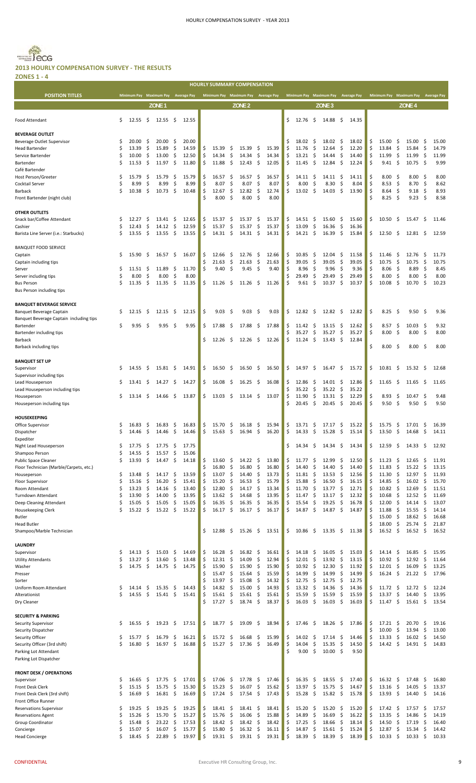#### Becg **Dig 2013 HOURLY COMPENSATION SURVEY ‐ THE RESULTS**

**ZONES 1 ‐ 4**

|                                                                     |         |                 |              |                                     |                                 |                |          |                     |          | <b>HOURLY SUMMARY COMPENSATION</b>  |           |                |          |                     |                    |                                     |           |                |          |                                     |                    |                         |          |                |
|---------------------------------------------------------------------|---------|-----------------|--------------|-------------------------------------|---------------------------------|----------------|----------|---------------------|----------|-------------------------------------|-----------|----------------|----------|---------------------|--------------------|-------------------------------------|-----------|----------------|----------|-------------------------------------|--------------------|-------------------------|----------|----------------|
| <b>POSITION TITLES</b>                                              |         |                 |              | Minimum Pay Maximum Pay Average Pay |                                 |                |          |                     |          | Minimum Pay Maximum Pay Average Pay |           |                |          |                     |                    | Minimum Pay Maximum Pay Average Pay |           |                |          | Minimum Pay Maximum Pay Average Pay |                    |                         |          |                |
|                                                                     |         |                 |              | ZONE <sub>1</sub>                   |                                 |                |          |                     |          | ZONE <sub>2</sub>                   |           |                |          |                     |                    | ZONE <sub>3</sub>                   |           |                |          |                                     |                    | ZONE <sub>4</sub>       |          |                |
| Food Attendant                                                      | \$      | 12.55           | -\$          | 12.55                               | - \$                            | 12.55          |          |                     |          |                                     |           |                | Ś.       | 12.76               | \$                 | $14.88 \quad$ \$                    |           | 14.35          |          |                                     |                    |                         |          |                |
| <b>BEVERAGE OUTLET</b>                                              |         |                 |              |                                     |                                 |                |          |                     |          |                                     |           |                |          |                     |                    |                                     |           |                |          |                                     |                    |                         |          |                |
| Beverage Outlet Supervisor                                          | Ś       | 20.00           | \$.          | 20.00                               | \$.                             | 20.00          |          |                     |          |                                     |           |                | \$       | 18.02               | -S                 | 18.02                               | - Ş       | 18.02          | \$       | 15.00                               | \$                 | 15.00                   | \$       | 15.00          |
| <b>Head Bartender</b>                                               | Ś       | 13.39           | \$.          | 15.89                               | \$                              | 14.59          | \$       | 15.39               | \$       | 15.39                               | -\$       | 15.39          | Ś        | 11.76               | \$                 | 12.64                               | \$        | 12.20          | \$       | 13.84                               | \$                 | 15.84                   | \$       | 14.79          |
| Service Bartender                                                   | Ś       | 10.00           | \$           | 13.00                               | \$                              | 12.50          | \$,      | 14.34               | \$       | 14.34                               | \$        | 14.34          | \$       | 13.21               | \$                 | 14.44                               | \$,       | 14.40          | \$       | 11.99                               | -\$                | 11.99                   | - \$     | 11.99          |
| Bartender                                                           | Ś       | 11.53           | \$.          | 11.97                               | $\frac{1}{2}$                   | 11.80          | \$       | 11.88               | -\$      | 12.43                               | - \$      | 12.05          | \$       | 11.45               | \$                 | 12.84                               | -\$       | 12.24          | \$       | 9.41                                | - \$               | 10.75                   | - \$     | 9.99           |
| Café Bartender                                                      |         |                 |              |                                     |                                 |                |          |                     |          |                                     |           |                |          |                     |                    |                                     |           |                |          |                                     |                    |                         |          |                |
| Host Person/Greeter                                                 | Ś       | 15.79           | \$.          | 15.79                               | \$                              | 15.79          | \$       | 16.57               | \$       | 16.57                               | -\$       | 16.57          | \$       | 14.11               | -\$                | 14.11                               | \$        | 14.11          | \$       | 8.00                                | -\$                | 8.00                    | \$,      | 8.00           |
| Cocktail Server                                                     | Ś<br>Ś  | 8.99<br>10.38   | \$           | 8.99<br>10.73                       | \$                              | 8.99           | \$       | 8.07                | \$       | 8.07<br>12.82                       | \$        | 8.07<br>12.74  | Ś<br>\$  | 8.00                | \$<br>\$           | 8.30<br>14.03                       | \$<br>\$  | 8.04<br>13.90  | \$<br>Ś  | 8.53                                | - \$<br>-\$        | $8.70\frac{2}{3}$       |          | 8.62           |
| <b>Barback</b><br>Front Bartender (night club)                      |         |                 | \$           |                                     | - \$                            | 10.48          | \$<br>Ś  | 12.67<br>8.00       | \$<br>\$ | 8.00                                | \$<br>-\$ | 8.00           |          | 13.02               |                    |                                     |           |                | Ś        | 8.64<br>8.25                        | -\$                | 9.18<br>$9.23 \quad$ \$ | -\$      | 8.93<br>8.58   |
|                                                                     |         |                 |              |                                     |                                 |                |          |                     |          |                                     |           |                |          |                     |                    |                                     |           |                |          |                                     |                    |                         |          |                |
| <b>OTHER OUTLETS</b>                                                |         |                 |              |                                     |                                 |                |          |                     |          |                                     |           |                |          |                     |                    |                                     |           |                |          |                                     |                    |                         |          |                |
| Snack bar/Coffee Attendant                                          | \$      | 12.27           | \$.          | 13.41                               | -\$                             | 12.65          | \$       | 15.37               | \$       | 15.37                               | \$.       | 15.37          | \$       | 14.51               | -\$                | 15.60                               | -\$       | 15.60          | \$       | 10.50                               | -\$                | 15.47                   | -\$      | 11.46          |
| Cashier                                                             | Ś       | 12.43           | \$           | 14.12                               | \$                              | 12.59          | \$       | 15.37               | \$       | 15.37                               | \$        | 15.37          | \$       | 13.09               | \$                 | 16.36                               | -\$       | 16.36          |          |                                     |                    |                         |          |                |
| Barista Line Server (i.e.: Starbucks)                               | Ś       | 13.55           | \$           | 13.55                               | \$                              | 13.55          | \$       | $14.31 \; \text{S}$ |          | 14.31                               | - \$      | 14.31          | \$       | 14.21               | - \$               | 16.39                               | - \$      | 15.84          | \$       | 12.50                               | -\$                | 12.81                   | -\$      | 12.59          |
| <b>BANQUET FOOD SERVICE</b>                                         |         |                 |              |                                     |                                 |                |          |                     |          |                                     |           |                |          |                     |                    |                                     |           |                |          |                                     |                    |                         |          |                |
| Captain                                                             | \$      | 15.90           | -\$          | 16.57                               | - \$                            | 16.07          | \$,      | 12.66               | -\$      | 12.76                               | -\$       | 12.66          | \$       | 10.85               | -\$                | 12.04                               | -\$       | 11.58          | \$       | 11.46                               | -\$                | 12.76                   | \$       | 11.73          |
| Captain including tips                                              |         |                 |              |                                     |                                 |                | Ŝ        | 21.63               | \$       | 21.63                               | \$        | 21.63          | \$       | 39.05               | \$                 | 39.05                               | \$        | 39.05          | \$       | 10.75                               | \$                 | 10.75                   | -\$      | 10.75          |
| Server                                                              | Ś       | 11.51           | \$           | 11.89                               | \$                              | 11.70          | \$       | 9.40                | \$       | 9.45                                | \$        | 9.40           | Ś        | 8.96                | \$                 | 9.96                                | -\$       | 9.36           | \$       | 8.06                                | -\$                | 8.89                    | -\$      | 8.45           |
| Server including tips                                               | Ś       | 8.00            | \$           | 8.00                                | \$                              | 8.00           |          |                     |          |                                     |           |                |          | 29.49               | Ŝ.                 | 29.49                               | \$        | 29.49          |          | 8.00                                | \$                 | 8.00                    | \$       | 8.00           |
| <b>Bus Person</b>                                                   | Ś       | 11.35           | \$           | 11.35                               | - \$                            | 11.35          | \$       | $11.26 \pm 5$       |          | 11.26                               | - \$      | 11.26          | Ś        | 9.61                | -\$                | 10.37                               | -\$       | 10.37          | \$       | 10.08                               | -\$                | 10.70                   | -\$      | 10.23          |
| Bus Person including tips                                           |         |                 |              |                                     |                                 |                |          |                     |          |                                     |           |                |          |                     |                    |                                     |           |                |          |                                     |                    |                         |          |                |
|                                                                     |         |                 |              |                                     |                                 |                |          |                     |          |                                     |           |                |          |                     |                    |                                     |           |                |          |                                     |                    |                         |          |                |
| <b>BANQUET BEVERAGE SERVICE</b>                                     | S       | 12.15           | -S           | 12.15                               | - \$                            |                | Ŝ        | 9.03                | \$       | 9.03                                | -\$       | 9.03           | \$       | 12.82               | - Ś                | $12.82 \quad$ \$                    |           | 12.82          | \$       | 8.25                                | - S                | $9.50\quad$             |          | 9.36           |
| Banquet Beverage Captain<br>Banquet Beverage Captain including tips |         |                 |              |                                     |                                 | 12.15          |          |                     |          |                                     |           |                |          |                     |                    |                                     |           |                |          |                                     |                    |                         |          |                |
| Bartender                                                           | Ś       | 9.95            | -\$          | 9.95                                | - \$                            | 9.95           | \$       | 17.88               | -\$      | 17.88                               | -\$       | 17.88          | \$       | 11.42               | -\$                | 13.15                               | Ş         | 12.62          | \$       | 8.57                                | -\$                | $10.03 \quad $$         |          | 9.32           |
| Bartender including tips                                            |         |                 |              |                                     |                                 |                |          |                     |          |                                     |           |                | Ś        | 35.27               | \$                 | 35.27                               | \$        | 35.27          | \$       | 8.00                                | - \$               | $8.00\frac{2}{3}$       |          | 8.00           |
| <b>Barback</b>                                                      |         |                 |              |                                     |                                 |                |          | 12.26               | -S       | $12.26 \quad $$                     |           | 12.26          | \$       | 11.24               | \$                 | $13.43 \quad$ \$                    |           | 12.84          |          |                                     |                    |                         |          |                |
| Barback including tips                                              |         |                 |              |                                     |                                 |                |          |                     |          |                                     |           |                |          |                     |                    |                                     |           |                | Ś        | 8.00                                | - \$               | $8.00\frac{5}{7}$       |          | 8.00           |
|                                                                     |         |                 |              |                                     |                                 |                |          |                     |          |                                     |           |                |          |                     |                    |                                     |           |                |          |                                     |                    |                         |          |                |
| <b>BANQUET SET UP</b>                                               |         |                 |              |                                     |                                 |                |          |                     |          |                                     |           |                |          |                     |                    |                                     |           |                |          |                                     |                    |                         |          |                |
| Supervisor                                                          | \$      | 14.55           | -\$          | 15.81                               | \$.                             | 14.91          | \$       | $16.50 \quad $$     |          | 16.50                               | - \$      | 16.50          | \$       | 14.97               | S.                 | $16.47 \pm 5$                       |           | 15.72          | \$       | 10.81                               | -\$                | 15.32                   | -\$      | 12.68          |
| Supervisor including tips<br>Lead Houseperson                       | \$      | 13.41           | \$           | 14.27                               | \$                              | 14.27          | \$       | 16.08               | \$       | 16.25                               | -\$       | 16.08          | \$       | 12.86               | \$                 | 14.01                               | \$,       | 12.86          | \$       | 11.65                               | -\$                | 11.65                   | \$       | 11.65          |
| Lead Houseperson including tips                                     |         |                 |              |                                     |                                 |                |          |                     |          |                                     |           |                | \$       | 35.22               | \$                 | 35.22                               | \$        | 35.22          |          |                                     |                    |                         |          |                |
| Houseperson                                                         | Ś       | 13.14           | S.           | 14.66                               | \$                              | 13.87          | Ś        | 13.03               | \$       | 13.14                               | - \$      | 13.07          | \$       | 11.90               | \$                 | 13.31                               | \$        | 12.29          | \$       | 8.93                                | \$                 | 10.47                   | -\$      | 9.48           |
| Houseperson including tips                                          |         |                 |              |                                     |                                 |                |          |                     |          |                                     |           |                | \$       | 20.45               | $\ddot{\varsigma}$ | 20.45                               | -\$       | 20.45          | \$       | 9.50                                | -\$                | 9.50%                   |          | 9.50           |
|                                                                     |         |                 |              |                                     |                                 |                |          |                     |          |                                     |           |                |          |                     |                    |                                     |           |                |          |                                     |                    |                         |          |                |
| <b>HOUSEKEEPING</b>                                                 |         |                 |              |                                     |                                 |                |          |                     |          |                                     |           |                |          |                     |                    |                                     |           |                |          |                                     |                    |                         |          |                |
| Office Supervisor                                                   | \$      | $16.83 \quad $$ |              | 16.83                               | - \$                            | 16.83          | \$       | 15.70 \$            |          | $16.18 \div$                        |           | 15.94          | \$       | $13.71 \; \text{S}$ |                    | 17.17 \$                            |           | 15.22          | \$       | 15.75                               | - \$               | $17.01 \quad$ \$        |          | 16.39          |
| Dispatcher                                                          | S       | 14.46           | \$           | 14.46                               | \$                              | 14.46          | \$       | 15.63               | \$       | 16.94                               | \$.       | 16.20          | \$       | 14.33               | \$                 | 15.28                               | \$        | 15.14          | S        | 13.50                               | -\$                | 14.68                   | \$       | 14.11          |
| Expediter                                                           | \$      | 17.75           | \$           | 17.75                               | \$                              |                |          |                     |          |                                     |           |                | \$       | 14.34               | S.                 | 14.34                               | -\$       | 14.34          | \$       | 12.59                               | -\$                |                         | \$       | 12.92          |
| Night Lead Houseperson<br>Shampoo Person                            | Ś       | 14.55           | \$           | 15.57                               | \$                              | 17.75<br>15.06 |          |                     |          |                                     |           |                |          |                     |                    |                                     |           |                |          |                                     |                    | 14.33                   |          |                |
| <b>Public Space Cleaner</b>                                         | Ś       | 13.93           | \$           | 14.47                               | \$                              | 14.18          | \$       | 13.60               | \$       | 14.22                               | \$        | 13.80          | \$       | 11.77               | \$                 | 12.99                               | \$        | 12.50          | \$       | 11.23                               | \$                 | 12.65                   | \$       | 11.91          |
| Floor Technician (Marble/Carpets, etc.)                             |         |                 |              |                                     |                                 |                | Ś        | 16.80               | \$       | 16.80                               | \$        | 16.80          | \$       | 14.40               | \$                 | 14.40                               | \$        | 14.40          | \$       | 11.83                               | \$                 | 15.22                   | \$       | 13.15          |
| Houseperson                                                         | \$      | 13.48           | \$           | 14.17                               | \$                              | 13.59          | \$       | 13.07               | \$       | 14.40                               | \$        | 13.73          | \$       | 11.81               | S.                 | 13.53                               | -\$       | 12.56          | \$       | 11.30                               | \$                 | 12.97                   | \$       | 11.93          |
| Floor Supervisor                                                    | Ś       | 15.16           | \$           | 16.20                               | \$                              | 15.41          | \$       | 15.20               | \$       | 16.53                               | \$        | 15.79          | \$       | 15.88               | \$                 | 16.50                               | \$        | 16.15          | Ś        | 14.85                               | \$                 | 16.02                   | -\$      | 15.70          |
| Room Attendant                                                      | Ś       | 13.23           | \$           | 14.16                               | \$                              | 13.40          | \$       | 12.80               | \$       | 14.17                               | \$        | 13.34          | \$       | 11.70               | \$                 | 13.77                               | -\$       | 12.71          | \$       | 10.82                               | \$                 | 12.69                   | -\$      | 11.51          |
| <b>Turndown Attendant</b>                                           | Ś       | 13.90           | \$           | 14.00                               | \$                              | 13.95          | \$       | 13.62               | \$       | 14.68                               | \$        | 13.95          | \$       | 11.47               | \$                 | 13.17                               | \$        | 12.32          | \$       | 10.68                               | -\$                | $12.52 \quad S$         |          | 11.69          |
| Deep Cleaning Attendant                                             | Ś<br>Ś  | 15.05<br>15.22  | \$<br>\$     | 15.05<br>15.22                      | \$<br>-\$                       | 15.05<br>15.22 | \$<br>\$ | 16.35<br>16.17      | \$<br>\$ | 16.35<br>16.17                      | \$<br>\$  | 16.35<br>16.17 | \$<br>\$ | 15.54<br>14.87      | \$<br>\$           | 19.25<br>14.87                      | \$<br>-\$ | 16.78<br>14.87 | \$<br>Ś  | 12.00<br>11.88                      | -\$<br>-\$         | 14.14<br>15.55          | \$<br>\$ | 13.07<br>14.14 |
| Housekeeping Clerk<br><b>Butler</b>                                 |         |                 |              |                                     |                                 |                |          |                     |          |                                     |           |                |          |                     |                    |                                     |           |                | Ś        | 15.00                               | \$                 | 18.62                   | \$       | 16.68          |
| <b>Head Butler</b>                                                  |         |                 |              |                                     |                                 |                |          |                     |          |                                     |           |                |          |                     |                    |                                     |           |                | Ś        | 18.00                               | \$                 | 25.74                   | -\$      | 21.87          |
| Shampoo/Marble Technician                                           |         |                 |              |                                     |                                 |                |          | 12.88               | S.       | 15.26                               | -\$       | 13.51          | \$       | 10.86               | S.                 | $13.35 \quad$ \$                    |           | 11.38          | Ś        | 16.52                               | \$                 | 16.52                   | \$       | 16.52          |
|                                                                     |         |                 |              |                                     |                                 |                |          |                     |          |                                     |           |                |          |                     |                    |                                     |           |                |          |                                     |                    |                         |          |                |
| LAUNDRY                                                             |         |                 |              |                                     |                                 |                |          |                     |          |                                     |           |                |          |                     |                    |                                     |           |                |          |                                     |                    |                         |          |                |
| Supervisor                                                          | Ś       | 14.13           | \$.          | 15.03                               | \$                              | 14.69          | \$       | 16.28               | \$       | 16.82                               | \$        | 16.61          | \$       | 14.18               | \$                 | 16.05                               | \$        | 15.03          | \$       | 14.14                               | \$                 | 16.85                   | \$       | 15.95          |
| <b>Utility Attendants</b>                                           | Ś       | 13.27           | \$           | 13.60                               | \$                              | 13.48          | \$       | 12.31               | \$       | 14.09                               | \$        | 12.94          | \$       | 12.01               | \$                 | 13.92                               | \$        | 13.15          | \$       | 10.92                               | \$                 | 12.92                   | \$       | 11.64          |
| Washer<br>Presser                                                   | Ś       | 14.75           | \$           | 14.75                               | \$                              | 14.75          | \$<br>Ś  | 15.90<br>15.47      | \$<br>\$ | 15.90<br>15.64                      | \$<br>\$  | 15.90<br>15.59 | \$<br>\$ | 10.92<br>14.99      | \$<br>\$           | 12.30<br>14.99                      | \$<br>\$  | 11.92<br>14.99 | \$<br>\$ | 12.01<br>16.24                      | \$<br>\$           | 16.09<br>21.22          | \$<br>\$ | 13.25<br>17.96 |
| Sorter                                                              |         |                 |              |                                     |                                 |                | \$       | 13.97               | \$       | 15.08                               | \$        | 14.32          | \$       | 12.75               | \$                 | 12.75                               | \$        | 12.75          |          |                                     |                    |                         |          |                |
| Uniform Room Attendant                                              | Ś       | 14.14           | \$           | 15.35                               | \$                              | 14.43          | \$       | 14.82               | \$       | 15.00                               | \$        | 14.93          | \$       | 13.32               | $\zeta$            | 14.36                               | \$        | 14.36          | \$       | 11.72                               | \$                 | 12.72                   | \$       | 12.24          |
| Alterationist                                                       | Ś       | 14.55           | $\mathsf{S}$ | 15.41                               | $\ddot{\mathsf{s}}$             | 15.41          | \$       | 15.61               | \$       | 15.61                               | \$        | 15.61          | \$       | 15.59               | \$                 | 15.59                               | \$        | 15.59          | \$       | 13.37                               | \$                 | 14.40                   | \$       | 13.95          |
| Dry Cleaner                                                         |         |                 |              |                                     |                                 |                | Ś        | 17.27               | \$       | 18.74                               | \$        | 18.37          | \$       | 16.03               | $\zeta$            | 16.03                               | \$        | 16.03          | \$       | 11.47                               | $\ddot{\varsigma}$ | 15.61                   | \$       | 13.54          |
|                                                                     |         |                 |              |                                     |                                 |                |          |                     |          |                                     |           |                |          |                     |                    |                                     |           |                |          |                                     |                    |                         |          |                |
| <b>SECURITY &amp; PARKING</b>                                       |         |                 |              |                                     |                                 |                |          |                     |          |                                     |           |                |          |                     |                    |                                     |           |                |          |                                     |                    |                         |          |                |
| Security Supervisor                                                 | \$      | 16.55           | \$           | 19.23                               | \$                              | 17.51          | \$       | 18.77               | \$       | 19.09                               | \$        | 18.94          | \$       | 17.46               | -\$                | 18.26                               | - \$      | 17.86          | \$<br>Ś  | 17.21                               | \$                 | 20.70                   | \$       | 19.16          |
| Security Dispatcher<br>Security Officer                             | \$      | 15.77           | \$           | 16.79                               | \$                              | 16.21          | Ś        | 15.72               | \$       | 16.68                               | \$        | 15.99          | \$       | 14.02               | \$                 | 17.14                               | \$        | 14.46          | \$       | 10.00<br>13.33                      | \$<br>\$           | 13.94<br>16.02          | \$<br>\$ | 13.00<br>14.50 |
| Security Officer (3rd shift)                                        | Ś       | 16.80           | \$           | 16.97                               | \$                              | 16.88          | \$       | 15.27               | \$       | 17.36                               | \$        | 16.49          | \$       | 14.04               | \$                 | 15.35                               | \$        | 14.50          | \$       | 14.42                               | \$                 | 14.91                   | \$       | 14.83          |
| Parking Lot Attendant                                               |         |                 |              |                                     |                                 |                |          |                     |          |                                     |           |                | Ś        | 9.00                | \$                 | $10.00 \quad$ \$                    |           | 9.50           |          |                                     |                    |                         |          |                |
| Parking Lot Dispatcher                                              |         |                 |              |                                     |                                 |                |          |                     |          |                                     |           |                |          |                     |                    |                                     |           |                |          |                                     |                    |                         |          |                |
|                                                                     |         |                 |              |                                     |                                 |                |          |                     |          |                                     |           |                |          |                     |                    |                                     |           |                |          |                                     |                    |                         |          |                |
| <b>FRONT DESK / OPERATIONS</b>                                      |         |                 |              |                                     |                                 |                |          |                     |          |                                     |           |                |          |                     |                    |                                     |           |                |          |                                     |                    |                         |          |                |
| Supervisor                                                          | \$      | 16.65           | \$           | 17.75                               | \$                              | 17.01          | \$       | 17.06               | \$       | 17.78                               | \$        | 17.46          | \$       | 16.35               | \$                 | 18.55                               | -\$       | 17.40          | \$       | 16.32                               | -\$                | 17.48                   | \$       | 16.80          |
| Front Desk Clerk                                                    | \$<br>Ś | 15.15           | \$<br>\$     | 15.75                               | \$<br>$\boldsymbol{\mathsf{S}}$ | 15.30          | \$       | 15.23               | \$       | 16.07                               | \$<br>-\$ | 15.62          | \$<br>\$ | 13.97               | \$<br>\$           | 15.75<br>$15.82 \quad$ \$           | \$        | 14.67          | \$       | 13.16                               | \$                 | 14.05                   | \$       | 13.37          |
| Front Desk Clerk (3rd shift)<br>Front Office Runner                 |         | 16.69           |              | 16.81                               |                                 | 16.69          | \$       | 17.24               | \$       | 17.54                               |           | 17.43          |          | 15.28               |                    |                                     |           | 15.78          | \$       | 13.93                               | $\mathsf{S}$       | 14.40                   | \$       | 14.16          |
| <b>Reservations Supervisor</b>                                      | Ś       | 19.25           | \$           | 19.25                               | \$                              | 19.25          | \$       | 18.41               | \$       | 18.41                               | \$        | 18.41          | \$       | 15.20               | \$                 | 15.20                               | \$        | 15.20          | \$       | 17.42                               | -\$                | 17.57                   | \$       | 17.57          |
| <b>Reservations Agent</b>                                           | Ś       | 15.26           | \$           | 15.70                               | \$                              | 15.27          | \$       | 15.76               | \$       | 16.06                               | \$        | 15.88          | \$       | 14.89               | \$                 | 16.69                               | \$        | 16.22          | \$       | 13.35                               | \$                 | 14.86                   | \$       | 14.19          |
| Group Coordinator                                                   | Ś       | 15.48           | \$           | 23.22                               | \$                              | 17.53          | \$       | 18.42               | \$       | 18.42                               | \$        | 18.42          | \$       | 17.25               | \$                 | 18.66                               | \$        | 18.14          | Ś        | 14.50                               | \$                 | 17.19                   | \$       | 16.40          |
| Concierge                                                           | Ś       | 15.07           | \$           | 16.07                               | \$                              | 15.77          | \$       | 15.80               | \$       | 16.32                               | \$        | 16.11          | \$       | 14.87               | \$                 | 15.61                               | \$        | 15.24          | \$       | 12.87                               | \$                 | 15.34                   | \$       | 14.42          |
| <b>Head Concierge</b>                                               | Ś       | 18.45           | \$           | 22.89                               | \$                              | 19.97          | \$       | 19.31               | \$       | 19.31                               | \$        | 19.31          | \$       | 18.39               | \$                 | 18.39                               | \$        | 18.39          | \$       | 10.33                               | \$                 | 10.33                   | \$       | 10.33          |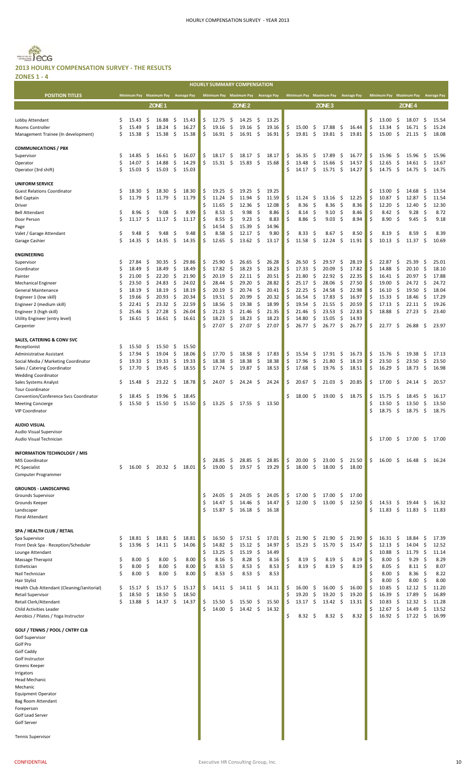# Becc

#### **2013 HOURLY COMPENSATION SURVEY ‐ THE RESULTS**

| <b>ZONES 1 - 4</b>                                  |          |                 |           |                                     |            |                |          |                                     |           |                   |           |                |          |                                     |           |                   |          |                |          |                                     |                     |                           |          |                |
|-----------------------------------------------------|----------|-----------------|-----------|-------------------------------------|------------|----------------|----------|-------------------------------------|-----------|-------------------|-----------|----------------|----------|-------------------------------------|-----------|-------------------|----------|----------------|----------|-------------------------------------|---------------------|---------------------------|----------|----------------|
|                                                     |          |                 |           |                                     |            |                |          | <b>HOURLY SUMMARY COMPENSATION</b>  |           |                   |           |                |          |                                     |           |                   |          |                |          |                                     |                     |                           |          |                |
| <b>POSITION TITLES</b>                              |          |                 |           | Minimum Pay Maximum Pay Average Pay |            |                |          | Minimum Pay Maximum Pay Average Pay |           |                   |           |                |          | Minimum Pay Maximum Pay Average Pay |           |                   |          |                |          | Minimum Pay Maximum Pay Average Pay |                     |                           |          |                |
|                                                     |          |                 |           | ZONE <sub>1</sub>                   |            |                |          |                                     |           | ZONE <sub>2</sub> |           |                |          |                                     |           | ZONE <sub>3</sub> |          |                |          |                                     |                     | ZONE <sub>4</sub>         |          |                |
|                                                     |          |                 |           |                                     |            |                |          |                                     |           |                   |           |                |          |                                     |           |                   |          |                |          |                                     |                     |                           |          |                |
| Lobby Attendant                                     | \$       | 15.43           | \$.       | 16.88                               | \$         | 15.43          | \$       | 12.75                               | \$        | 14.25             | -\$       | 13.25          |          |                                     |           |                   |          |                | Ś        | 13.00                               | \$                  | 18.07                     | \$.      | 15.54          |
| Rooms Controller                                    | Ś        | 15.49           | \$        | 18.24                               | \$         | 16.27          | \$       | 19.16                               | \$        | 19.16             | \$        | 19.16          | \$       | 15.00                               | \$        | 17.88             | \$       | 16.44          | Ś<br>Ś   | 13.34                               | \$                  | 16.71                     | \$       | 15.24          |
| Management Trainee (In development)                 | Ś        | 15.38           | \$.       | 15.38                               | -\$        | 15.38          | \$       | 16.91                               | -\$       | $16.91 \quad$ \$  |           | 16.91          | \$       | 19.81                               | - \$      | 19.81             | \$       | 19.81          |          | 15.00                               | \$                  | 21.15                     | - \$     | 18.08          |
| <b>COMMUNICATIONS / PBX</b>                         |          |                 |           |                                     |            |                |          |                                     |           |                   |           |                |          |                                     |           |                   |          |                |          |                                     |                     |                           |          |                |
| Supervisor                                          | \$       | 14.85           | \$        | 16.61                               | \$         | 16.07          | \$       | 18.17                               | \$        | 18.17             | \$        | 18.17          | \$       | 16.35                               | -\$       | 17.89             | \$       | 16.77          | \$       | 15.96                               | \$                  | 15.96                     | -\$      | 15.96          |
| Operator                                            | Ś        | 14.07           | \$        | 14.88                               | \$         | 14.29          | \$       | 15.31                               | -\$       | 15.83             | -\$       | 15.68          | \$       | 13.48                               | \$        | 15.66             | \$       | 14.57          | \$       | 12.65                               | \$                  | 14.61                     | - \$     | 13.67          |
| Operator (3rd shift)                                | Ś        | 15.03           | \$        | 15.03                               | \$         | 15.03          |          |                                     |           |                   |           |                | Ś        | 14.17                               | \$        | 15.71             | \$       | 14.27          | Ś        | 14.75                               | \$                  | 14.75                     | -\$      | 14.75          |
|                                                     |          |                 |           |                                     |            |                |          |                                     |           |                   |           |                |          |                                     |           |                   |          |                |          |                                     |                     |                           |          |                |
| <b>UNIFORM SERVICE</b>                              |          |                 |           |                                     |            |                |          |                                     |           |                   |           |                |          |                                     |           |                   |          |                |          |                                     |                     |                           |          |                |
| <b>Guest Relations Coordinator</b>                  | \$       | 18.30           | \$        | 18.30                               | \$         | 18.30          | \$       | 19.25                               | \$        | 19.25             | \$        | 19.25          |          |                                     |           |                   |          |                | \$       | 13.00                               | \$                  | 14.68                     | \$       | 13.54          |
| <b>Bell Captain</b>                                 | \$       | 11.79           | \$        | 11.79                               | \$         | 11.79          | \$       | 11.24                               | \$        | 11.94             | \$        | 11.59          | \$       | 11.24                               | \$        | 13.16             | \$       | 12.25          | Ś        | 10.87                               | \$                  | 12.87                     | \$       | 11.54          |
| Driver                                              | \$       |                 |           | 9.08                                |            | 8.99           | \$<br>\$ | 11.65<br>8.53                       | \$<br>\$  | 12.36<br>9.98     | \$<br>\$  | 12.08<br>8.86  | \$<br>\$ | 8.36<br>$8.14\frac{1}{5}$           | \$        | 8.36<br>9.10      | \$<br>\$ | 8.36           | \$<br>\$ | 12.20                               | \$<br>$\zeta$       | 12.40<br>9.28             | \$<br>\$ | 12.30<br>8.72  |
| <b>Bell Attendant</b><br>Door Person                | Ś        | 8.96<br>11.17   | \$,<br>\$ | 11.17                               | \$<br>- \$ | 11.17          | \$       | 8.55                                | \$        | 9.23              | \$        | 8.83           | \$       | $8.86\frac{2}{3}$                   |           | 9.03              | \$       | 8.46<br>8.94   | \$       | 8.42<br>8.90                        | \$                  | 9.45                      | - \$     | 9.18           |
| Page                                                |          |                 |           |                                     |            |                | \$       | 14.54                               | \$        | 15.39             | \$        | 14.96          |          |                                     |           |                   |          |                |          |                                     |                     |                           |          |                |
| Valet / Garage Attendant                            | \$       | 9.48            | \$,       | 9.48                                | \$         | 9.48           | \$       | 8.58                                | \$        | 12.17             | -\$       | 9.80           | \$       | 8.33                                | \$        | 8.67              | -\$      | 8.50           | Ś        | 8.19                                | \$,                 | 8.59                      | \$       | 8.39           |
| Garage Cashier                                      | \$       | 14.35           | \$        | 14.35                               | \$         | 14.35          | \$       | 12.65                               | \$        | 13.62             | -\$       | 13.17          | \$       | 11.58                               | \$        | 12.24             | \$       | 11.91          | \$       | 10.13                               | \$                  | 11.37                     | - \$     | 10.69          |
|                                                     |          |                 |           |                                     |            |                |          |                                     |           |                   |           |                |          |                                     |           |                   |          |                |          |                                     |                     |                           |          |                |
| <b>ENGINEERING</b>                                  |          |                 |           |                                     |            |                |          |                                     |           |                   |           |                |          |                                     |           |                   |          |                |          |                                     |                     |                           |          |                |
| Supervisor                                          | \$       | 27.84           | \$        | 30.35                               | \$         | 29.86          | \$       | 25.90                               | \$        | 26.65             | \$        | 26.28          | \$       | 26.50                               | \$        | 29.57             | \$       | 28.19          | Ś        | 22.87                               | \$                  | 25.39                     | \$       | 25.01          |
| Coordinator                                         | \$       | 18.49           | \$        | 18.49                               | \$         | 18.49          | \$       | 17.82                               | \$        | 18.23             | \$        | 18.23          | \$       | 17.33                               | \$        | 20.09             | \$       | 17.82          | Ś        | 14.88                               | \$                  | 20.10                     | \$       | 18.10          |
| Painter                                             | \$       | 21.00           | \$        | 22.20                               | \$         | 21.90          | \$       | 20.19                               | \$        | 22.11             | -\$       | 20.51          | \$       | 21.80                               | \$        | 22.92             | \$       | 22.35          | \$       | 16.41                               | -\$                 | $20.97$ \$                |          | 17.88          |
| <b>Mechanical Engineer</b>                          | \$<br>\$ | 23.50<br>18.19  | \$<br>\$  | 24.83<br>18.19                      | \$<br>\$   | 24.02<br>18.19 | \$<br>\$ | 28.44<br>20.19                      | \$<br>-\$ | 29.20<br>20.74    | \$<br>\$. | 28.82<br>20.41 | \$<br>\$ | 25.17<br>22.25                      | \$<br>Ŝ.  | 28.06<br>24.58    | \$<br>\$ | 27.50<br>22.98 | Ś<br>\$  | 19.00<br>16.10                      | -\$<br>-\$          | 24.72<br>19.50            | \$<br>\$ | 24.72<br>18.04 |
| General Maintenance<br>Engineer 1 (low skill)       | \$       | 19.66           | \$        | 20.93                               | \$         | 20.34          | \$       | 19.51                               | -\$       | 20.99             | \$        | 20.32          | \$       | 16.54                               | \$.       | 17.83             | Ŝ.       | 16.97          | Ś        | 15.33                               | \$                  | 18.46                     | - \$     | 17.29          |
| Engineer 2 (medium skill)                           | \$       | 22.41           | \$        | 23.32                               | -\$        | 22.59          | \$       | 18.56                               | -\$       | 19.38             | \$        | 18.99          | \$       | 19.54                               | \$        | 21.55             | \$       | 20.59          | Ś        | 17.13                               | \$                  | 22.11                     | \$       | 19.26          |
| Engineer 3 (high skill)                             | \$       | 25.46           | \$        | 27.28                               | \$         | 26.04          | \$       | 21.23                               | -\$       | 21.46             | -\$       | 21.35          | \$       | 21.46                               | \$        | 23.53             | \$       | 22.83          | \$       | 18.88                               | -\$                 | 27.23                     | - \$     | 23.40          |
| Utility Engineer (entry level)                      | Ś        | 16.61           | \$.       | 16.61                               | -\$        | 16.61          | \$       | 18.23                               | \$        | 18.23             | \$        | 18.23          | \$       | 14.80                               | \$        | 15.05             | \$       | 14.93          |          |                                     |                     |                           |          |                |
| Carpenter                                           |          |                 |           |                                     |            |                | \$       | 27.07                               | \$.       | 27.07             | \$.       | 27.07          | \$       | 26.77                               | \$        | 26.77             | \$.      | 26.77          | Ś        | 22.77                               | \$                  | 26.88                     | -\$      | 23.97          |
|                                                     |          |                 |           |                                     |            |                |          |                                     |           |                   |           |                |          |                                     |           |                   |          |                |          |                                     |                     |                           |          |                |
| SALES, CATERING & CONV SVC                          |          |                 |           |                                     |            |                |          |                                     |           |                   |           |                |          |                                     |           |                   |          |                |          |                                     |                     |                           |          |                |
| Receptionist                                        | \$       | 15.50           | \$        | 15.50                               | \$         | 15.50          |          |                                     |           |                   |           |                |          |                                     |           |                   |          |                |          |                                     |                     |                           |          |                |
| Administrative Assistant                            | \$       | 17.94           | \$.       | 19.04                               | \$         | 18.06          | \$       | 17.70                               | \$        | 18.58             | \$        | 17.83          | \$       | 15.54                               | \$        | 17.91             | \$       | 16.73          | \$       | 15.76                               | \$                  | 19.38                     | \$       | 17.13          |
| Social Media / Marketing Coordinator                | Ś        | 19.33           | \$        | 19.33                               | \$         | 19.33          | \$       | 18.38                               | \$        | 18.38             | \$        | 18.38          | \$       | 17.96                               | \$        | 21.80             | \$       | 18.19          | \$       | 23.50                               | \$                  | 23.50                     | \$       | 23.50          |
| Sales / Catering Coordinator                        | Ś        | 17.70           | \$        | 19.45                               | - \$       | 18.55          | \$       | 17.74                               | \$        | 19.87             | Ŝ.        | 18.53          | \$       | 17.68                               | -\$       | 19.76             | \$       | 18.51          | \$       | 16.29                               | \$                  | $18.73 \quad $$           |          | 16.98          |
| <b>Wedding Coordinator</b><br>Sales Systems Analyst | \$       | 15.48           | \$,       | 23.22                               | \$         | 18.78          | \$.      | 24.07                               | \$        | 24.24             | \$        | 24.24          | \$       | 20.67                               | \$        | 21.03             | \$       | 20.85          | \$       | 17.00                               | \$                  | 24.14                     | -\$      | 20.57          |
| <b>Tour Coordinator</b>                             |          |                 |           |                                     |            |                |          |                                     |           |                   |           |                |          |                                     |           |                   |          |                |          |                                     |                     |                           |          |                |
| Convention/Conference Svcs Coordinator              | \$       | 18.45           | \$.       | 19.96                               | \$         | 18.45          |          |                                     |           |                   |           |                | \$       | 18.00                               | \$        | 19.00             | \$.      | 18.75          | \$       | 15.75                               | \$                  | 18.45                     | \$,      | 16.17          |
| <b>Meeting Concierge</b>                            | Ś        | 15.50           | \$        | 15.50                               | \$         | 15.50          | \$       | 13.25                               | \$        | 17.55             | -\$       | 13.50          |          |                                     |           |                   |          |                | Ś        | 13.50                               | \$                  | 13.50                     | \$       | 13.50          |
| <b>VIP Coordinator</b>                              |          |                 |           |                                     |            |                |          |                                     |           |                   |           |                |          |                                     |           |                   |          |                | Ś        | 18.75                               | -\$                 | 18.75                     | - \$     | 18.75          |
|                                                     |          |                 |           |                                     |            |                |          |                                     |           |                   |           |                |          |                                     |           |                   |          |                |          |                                     |                     |                           |          |                |
| <b>AUDIO VISUAL</b>                                 |          |                 |           |                                     |            |                |          |                                     |           |                   |           |                |          |                                     |           |                   |          |                |          |                                     |                     |                           |          |                |
| Audio Visual Supervisor                             |          |                 |           |                                     |            |                |          |                                     |           |                   |           |                |          |                                     |           |                   |          |                |          |                                     |                     |                           |          |                |
| Audio Visual Technician                             |          |                 |           |                                     |            |                |          |                                     |           |                   |           |                |          |                                     |           |                   |          |                | \$       | 17.00 \$                            |                     | 17.00 \$                  |          | 17.00          |
| <b>INFORMATION TECHNOLOGY / MIS</b>                 |          |                 |           |                                     |            |                |          |                                     |           |                   |           |                |          |                                     |           |                   |          |                |          |                                     |                     |                           |          |                |
| <b>MIS Coordinator</b>                              |          |                 |           |                                     |            |                | \$       | 28.85                               | -\$       | 28.85             | \$        | 28.85          | \$       | 20.00                               | -\$       | 23.00             | -\$      | 21.50          | \$       | 16.00                               | - \$                | $16.48 \quad$ \$          |          | 16.24          |
| PC Specialist                                       | \$       | $16.00 \quad $$ |           | $20.32 \quad$ \$                    |            | 18.01          | \$       | 19.00                               | \$        | $19.57$ \$        |           | 19.29          | \$       | 18.00                               | - \$      | 18.00             | \$       | 18.00          |          |                                     |                     |                           |          |                |
| Computer Programmer                                 |          |                 |           |                                     |            |                |          |                                     |           |                   |           |                |          |                                     |           |                   |          |                |          |                                     |                     |                           |          |                |
|                                                     |          |                 |           |                                     |            |                |          |                                     |           |                   |           |                |          |                                     |           |                   |          |                |          |                                     |                     |                           |          |                |
| <b>GROUNDS - LANDSCAPING</b>                        |          |                 |           |                                     |            |                |          |                                     |           |                   |           |                |          |                                     |           |                   |          |                |          |                                     |                     |                           |          |                |
| Grounds Supervisor                                  |          |                 |           |                                     |            |                | \$       | 24.05                               | -\$       | 24.05             | \$        | 24.05          | \$       | 17.00                               | -\$       | 17.00             | -\$      | 17.00          |          |                                     |                     |                           |          |                |
| Grounds Keeper                                      |          |                 |           |                                     |            |                | \$       | 14.47                               | \$        | 14.46             | \$        | 14.47          | \$       | 12.00%                              |           | 13.00             | \$       | 12.50          | \$       | 14.53                               | -\$                 | 19.44                     | \$.      | 16.32          |
| Landscaper                                          |          |                 |           |                                     |            |                | \$       | 15.87                               | \$        | 16.18             | -\$       | 16.18          |          |                                     |           |                   |          |                | Ś        | 11.83                               | $\ddot{\mathsf{s}}$ | $11.83 \quad $$           |          | 11.83          |
| Floral Attendant                                    |          |                 |           |                                     |            |                |          |                                     |           |                   |           |                |          |                                     |           |                   |          |                |          |                                     |                     |                           |          |                |
| SPA / HEALTH CLUB / RETAIL                          |          |                 |           |                                     |            |                |          |                                     |           |                   |           |                |          |                                     |           |                   |          |                |          |                                     |                     |                           |          |                |
| Spa Supervisor                                      | \$       | 18.81           | \$        | 18.81                               | \$         | 18.81          | \$       | 16.50                               | \$        | 17.51             | \$        | 17.01          | \$       | 21.90                               | \$        | 21.90             | \$       | 21.90          | \$       | 16.31                               | \$                  | 18.84                     | \$       | 17.39          |
| Front Desk Spa - Reception/Scheduler                | \$       | 13.96           | \$        | $14.11 \pm 5$                       |            | 14.06          | \$       | 14.82                               | \$        | 15.12             | \$        | 14.97          | \$       | 15.23                               | - \$      | 15.70             | \$       | 15.47          | \$       | 12.13                               | \$                  | 14.04                     | \$       | 12.52          |
| Lounge Attendant                                    |          |                 |           |                                     |            |                | \$       | 13.25                               | \$        | 15.19             | \$        | 14.49          |          |                                     |           |                   |          |                | Ś        | 10.88                               | \$                  | 11.79                     | \$       | 11.14          |
| Massage Therapist                                   | \$       | 8.00            | \$        | 8.00                                | - \$       | 8.00           | \$       | 8.16                                | -\$       | 8.28              | -\$       | 8.16           | \$       | $8.19$ \$                           |           | 8.19              | -\$      | 8.19           | \$       | 8.00                                | \$                  | 9.29                      | - \$     | 8.29           |
| Esthetician                                         | \$       | 8.00            | \$        | 8.00                                | - \$       | 8.00           | \$       | 8.53                                | -\$       | 8.53              | \$        | 8.53           | \$       | $8.19$ \$                           |           | 8.19              | \$       | 8.19           | \$       | 8.05                                | \$                  | $8.11\frac{1}{2}$         |          | 8.07           |
| Nail Technician                                     | \$       | 8.00            | \$        | 8.00                                | - \$       | 8.00           | \$       | 8.53                                | -\$       | 8.53              | \$        | 8.53           |          |                                     |           |                   |          |                | Ś        | 8.00                                | \$                  | $8.36\frac{2}{3}$         |          | 8.22           |
| Hair Stylist                                        |          |                 |           |                                     |            |                |          |                                     |           |                   |           |                |          |                                     |           |                   |          |                |          | 8.00                                | \$                  | 8.00                      | \$       | 8.00           |
| Health Club Attendant (Cleaning/Janitorial)         | \$<br>\$ | 15.17           | \$.       | 15.17                               | \$.<br>\$  | 15.17          | \$       | 14.11 \$                            |           | $14.11 \pm 5$     |           | 14.11          | \$<br>\$ | 16.00<br>19.20                      | -\$<br>\$ | 16.00             | \$<br>\$ | 16.00<br>19.20 | \$<br>Ś. | 10.85<br>16.39                      | \$<br>\$            | $12.12 \quad$ \$          |          | 11.20<br>16.89 |
| Retail Supervisor<br>Retail Clerk/Attendant         | \$       | 18.50<br>13.88  | \$<br>\$  | 18.50<br>$14.37 \pm 5$              |            | 18.50<br>14.37 | \$       | 15.50                               | -\$       | 15.50             | \$        | 15.50          | \$       | $13.17 \pm$                         |           | 19.20<br>13.42    | -\$      | 13.31          | \$       | 10.83                               | \$                  | 17.89<br>$12.32 \quad$ \$ | \$       | 11.28          |
| Child Activities Leader                             |          |                 |           |                                     |            |                | \$       | 14.00                               | \$        | 14.42 \$          |           | 14.32          |          |                                     |           |                   |          |                |          | 12.67                               | \$                  | 14.49                     | \$       | 13.52          |
| Aerobics / Pilates / Yoga Instructor                |          |                 |           |                                     |            |                |          |                                     |           |                   |           |                | Ś        | $8.32 \quad$ \$                     |           | $8.32 \quad$ \$   |          | 8.32           | Ś        | 16.92                               | - \$                | $17.22 \quad$ \$          |          | 16.99          |
|                                                     |          |                 |           |                                     |            |                |          |                                     |           |                   |           |                |          |                                     |           |                   |          |                |          |                                     |                     |                           |          |                |
| GOLF / TENNIS / POOL / CNTRY CLB                    |          |                 |           |                                     |            |                |          |                                     |           |                   |           |                |          |                                     |           |                   |          |                |          |                                     |                     |                           |          |                |
| Golf Supervisor                                     |          |                 |           |                                     |            |                |          |                                     |           |                   |           |                |          |                                     |           |                   |          |                |          |                                     |                     |                           |          |                |
| Golf Pro                                            |          |                 |           |                                     |            |                |          |                                     |           |                   |           |                |          |                                     |           |                   |          |                |          |                                     |                     |                           |          |                |
| Golf Caddy                                          |          |                 |           |                                     |            |                |          |                                     |           |                   |           |                |          |                                     |           |                   |          |                |          |                                     |                     |                           |          |                |
| Golf Instructor                                     |          |                 |           |                                     |            |                |          |                                     |           |                   |           |                |          |                                     |           |                   |          |                |          |                                     |                     |                           |          |                |
| Greens Keeper                                       |          |                 |           |                                     |            |                |          |                                     |           |                   |           |                |          |                                     |           |                   |          |                |          |                                     |                     |                           |          |                |
| Irrigators                                          |          |                 |           |                                     |            |                |          |                                     |           |                   |           |                |          |                                     |           |                   |          |                |          |                                     |                     |                           |          |                |
| Head Mechanic                                       |          |                 |           |                                     |            |                |          |                                     |           |                   |           |                |          |                                     |           |                   |          |                |          |                                     |                     |                           |          |                |
| Mechanic                                            |          |                 |           |                                     |            |                |          |                                     |           |                   |           |                |          |                                     |           |                   |          |                |          |                                     |                     |                           |          |                |
| <b>Equipment Operator</b><br>Bag Room Attendant     |          |                 |           |                                     |            |                |          |                                     |           |                   |           |                |          |                                     |           |                   |          |                |          |                                     |                     |                           |          |                |
| Foreperson                                          |          |                 |           |                                     |            |                |          |                                     |           |                   |           |                |          |                                     |           |                   |          |                |          |                                     |                     |                           |          |                |
| Golf Lead Server                                    |          |                 |           |                                     |            |                |          |                                     |           |                   |           |                |          |                                     |           |                   |          |                |          |                                     |                     |                           |          |                |
| Golf Server                                         |          |                 |           |                                     |            |                |          |                                     |           |                   |           |                |          |                                     |           |                   |          |                |          |                                     |                     |                           |          |                |
|                                                     |          |                 |           |                                     |            |                |          |                                     |           |                   |           |                |          |                                     |           |                   |          |                |          |                                     |                     |                           |          |                |

Tennis Supervisor **Supervisor (Supervisor Supervisor Supervisor Supervisor Supervisor Supervisor Supervisor Supervisor**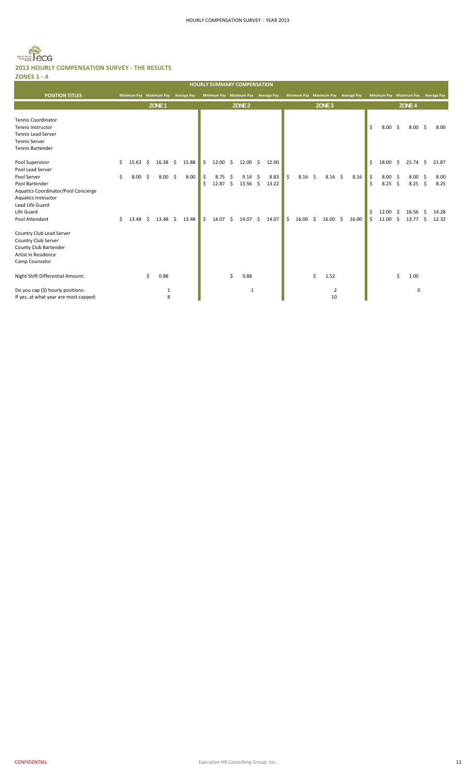#### Becg  $\bar{m}$ **2013 HOURLY COMPENSATION SURVEY ‐ THE RESULTS ZONES 1 ‐ 4**

|                                                                                                                                |                       |                   |                     |       |         |               |           |                              |               |               |                 |     |                   |       |          |                        |      |                     | <b>HOURLY SUMMARY COMPENSATION</b><br><b>POSITION TITLES</b><br>Minimum Pay Maximum Pay Average Pay<br>Minimum Pay Maximum Pay<br>Minimum Pay Maximum Pay<br><b>Average Pay</b><br><b>Average Pay</b><br>Minimum Pay Maximum Pay<br><b>Average Pay</b> |                |  |  |  |  |  |  |  |  |  |  |  |  |
|--------------------------------------------------------------------------------------------------------------------------------|-----------------------|-------------------|---------------------|-------|---------|---------------|-----------|------------------------------|---------------|---------------|-----------------|-----|-------------------|-------|----------|------------------------|------|---------------------|--------------------------------------------------------------------------------------------------------------------------------------------------------------------------------------------------------------------------------------------------------|----------------|--|--|--|--|--|--|--|--|--|--|--|--|
|                                                                                                                                |                       |                   |                     |       |         |               |           |                              |               |               |                 |     |                   |       |          |                        |      |                     |                                                                                                                                                                                                                                                        |                |  |  |  |  |  |  |  |  |  |  |  |  |
|                                                                                                                                |                       | ZONE <sub>1</sub> |                     |       |         |               |           | ZONE <sub>2</sub>            |               |               |                 |     | ZONE <sub>3</sub> |       |          |                        |      | ZONE <sub>4</sub>   |                                                                                                                                                                                                                                                        |                |  |  |  |  |  |  |  |  |  |  |  |  |
| <b>Tennis Coordinator</b><br>Tennis Instructor<br><b>Tennis Lead Server</b><br><b>Tennis Server</b><br><b>Tennis Bartender</b> |                       |                   |                     |       |         |               |           |                              |               |               |                 |     |                   |       | \$       | $8.00\quad$ \$         |      | $8.00\frac{2}{3}$   |                                                                                                                                                                                                                                                        | 8.00           |  |  |  |  |  |  |  |  |  |  |  |  |
| Pool Supervisor<br>Pool Lead Server                                                                                            | \$<br>$15.63 \quad $$ | $16.38 \quad $$   |                     | 15.88 | \$      | 12.00         | \$        | $12.00 \quad $$              | 12.00         |               |                 |     |                   |       | \$       | $18.00 \quad $$        |      | 25.74               | - \$                                                                                                                                                                                                                                                   | 21.87          |  |  |  |  |  |  |  |  |  |  |  |  |
| Pool Server<br>Pool Bartender<br>Aquatics Coordinator/Pool Concierge<br>Aquatics Instructor                                    | \$<br>8.00%           | 8.00              | $\ddot{\mathsf{s}}$ | 8.00  | \$<br>Ś | 8.75<br>12.87 | \$.<br>\$ | $9.14 \quad $$<br>$13.56$ \$ | 8.83<br>13.22 | \$            | 8.16            | -\$ | $8.16$ \$         | 8.16  | \$<br>Ŝ  | 8.00%<br>$8.25$ \$     |      | 8.00<br>$8.25$ \$   | - \$                                                                                                                                                                                                                                                   | 8.00<br>8.25   |  |  |  |  |  |  |  |  |  |  |  |  |
| Lead Life Guard<br>Life Guard<br>Pool Attendant                                                                                | \$<br>$13.48 \quad $$ | $13.48 \quad $$   |                     | 13.48 | \$      | 14.07         | Ŝ.        | $14.07 \pm 5$                | 14.07         | $\mathsf{\$}$ | $16.00 \quad $$ |     | $16.00 \quad $$   | 16.00 | \$<br>\$ | 12.00<br>$11.00 \pm 5$ | - \$ | 16.56<br>$13.77$ \$ | -S                                                                                                                                                                                                                                                     | 14.28<br>12.32 |  |  |  |  |  |  |  |  |  |  |  |  |
| Country Club Lead Server<br>Country Club Server<br>County Club Bartender<br>Artist in Residence<br>Camp Counselor              |                       |                   |                     |       |         |               |           |                              |               |               |                 |     |                   |       |          |                        |      |                     |                                                                                                                                                                                                                                                        |                |  |  |  |  |  |  |  |  |  |  |  |  |
| Night Shift Differential Amount:                                                                                               |                       | \$<br>0.88        |                     |       |         |               | \$        | 0.88                         |               |               |                 | \$  | 1.52              |       |          |                        | Ś.   | 1.00                |                                                                                                                                                                                                                                                        |                |  |  |  |  |  |  |  |  |  |  |  |  |
| Do you cap (\$) hourly positions:<br>If yes, at what year are most capped:                                                     |                       | $\mathbf{1}$<br>8 |                     |       |         |               |           | $\mathbf{1}$                 |               |               |                 |     | 2<br>10           |       |          |                        |      | $\mathbf 0$         |                                                                                                                                                                                                                                                        |                |  |  |  |  |  |  |  |  |  |  |  |  |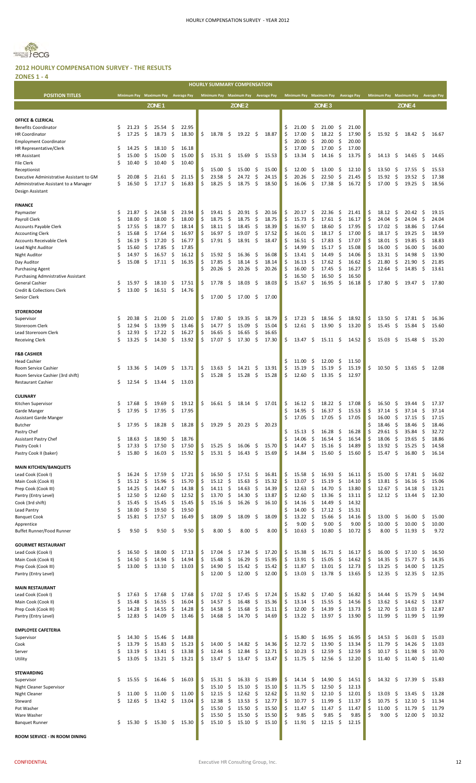

#### **2012 HOURLY COMPENSATION SURVEY ‐ THE RESULTS ZONES 1 ‐ 4**

|                                                                                   |          |                |          |                                     |           |                |          |                |          | <b>HOURLY SUMMARY COMPENSATION</b>  |            |                |          |                                     |                           |                   |           |                |          |                                     |            |                           |            |                |
|-----------------------------------------------------------------------------------|----------|----------------|----------|-------------------------------------|-----------|----------------|----------|----------------|----------|-------------------------------------|------------|----------------|----------|-------------------------------------|---------------------------|-------------------|-----------|----------------|----------|-------------------------------------|------------|---------------------------|------------|----------------|
| <b>POSITION TITLES</b>                                                            |          |                |          | Minimum Pay Maximum Pay Average Pay |           |                |          |                |          | Minimum Pay Maximum Pay Average Pay |            |                |          | Minimum Pay Maximum Pay Average Pay |                           |                   |           |                |          | Minimum Pay Maximum Pay Average Pay |            |                           |            |                |
|                                                                                   |          |                |          | ZONE <sub>1</sub>                   |           |                |          |                |          | ZONE <sub>2</sub>                   |            |                |          |                                     |                           | ZONE <sub>3</sub> |           |                |          |                                     |            | ZONE <sub>4</sub>         |            |                |
|                                                                                   |          |                |          |                                     |           |                |          |                |          |                                     |            |                |          |                                     |                           |                   |           |                |          |                                     |            |                           |            |                |
| OFFICE & CLERICAL                                                                 |          |                |          |                                     |           |                |          |                |          |                                     |            |                |          |                                     |                           |                   |           |                |          |                                     |            |                           |            |                |
| <b>Benefits Coordinator</b>                                                       | \$       | 21.23          | \$       | 25.54                               | \$        | 22.95          |          |                |          |                                     |            |                | \$.      | 21.00                               | \$,                       | 21.00             | -\$       | 21.00          |          |                                     |            |                           |            |                |
| <b>HR Coordinator</b>                                                             | Ś        | 17.25          | \$       | 18.73                               | \$        | 18.30          | \$       | 18.78          | -\$      | $19.22 \quad$ \$                    |            | 18.87          | \$       | 17.00                               | \$                        | 18.22             | -\$       | 17.90          | \$       | 15.92                               | \$         | 18.42                     | - \$       | 16.67          |
| Employment Coordinator                                                            |          |                |          |                                     |           |                |          |                |          |                                     |            |                | Ś.       | 20.00                               | \$                        | 20.00             | \$.       | 20.00          |          |                                     |            |                           |            |                |
| HR Representative/Clerk                                                           | S        | 14.25          | Ş        | 18.10                               | \$.       | 16.18          |          |                |          |                                     |            |                |          | 17.00                               | \$                        | 17.00             | -\$       | 17.00          |          |                                     |            |                           |            |                |
| <b>HR Assistant</b>                                                               | Ś        | 15.00          | \$       | 15.00                               | \$        | 15.00          | \$       | 15.31 \$       |          | $15.69 \quad$ \$                    |            | 15.53          | \$       | 13.34                               | \$                        | 14.16             | -\$       | 13.75          | \$       | 14.13                               | - \$       | 14.65 \$                  |            | 14.65          |
| <b>File Clerk</b>                                                                 | Ś        | 10.40          | \$       | 10.40                               | \$.       | 10.40          |          |                |          |                                     |            |                |          |                                     |                           |                   |           |                |          |                                     |            |                           |            |                |
| Receptionist                                                                      |          |                |          |                                     |           |                |          | 15.00          | \$       | 15.00                               | \$         | 15.00          | \$       | 12.00                               | \$,                       | 13.00             | Ş         | 12.10          | \$       | 13.50                               | Ş          | 17.55                     | -\$        | 15.53          |
| Executive Administrative Assistant to GM<br>Administrative Assistant to a Manager | \$<br>\$ | 20.08<br>16.50 | Ş<br>\$  | 21.61<br>17.17                      | -\$<br>\$ | 21.15<br>16.83 | \$<br>\$ | 23.58<br>18.25 | \$<br>\$ | 24.72<br>18.75                      | \$<br>\$   | 24.15<br>18.50 | \$<br>\$ | 20.26<br>16.06                      | \$<br>\$                  | 22.50<br>17.38    | \$<br>\$  | 21.45<br>16.72 | \$<br>\$ | 15.92<br>17.00                      | \$<br>\$   | 19.52<br>19.25            | \$<br>-\$  | 17.38<br>18.56 |
| Design Assistant                                                                  |          |                |          |                                     |           |                |          |                |          |                                     |            |                |          |                                     |                           |                   |           |                |          |                                     |            |                           |            |                |
|                                                                                   |          |                |          |                                     |           |                |          |                |          |                                     |            |                |          |                                     |                           |                   |           |                |          |                                     |            |                           |            |                |
| <b>FINANCE</b>                                                                    |          |                |          |                                     |           |                |          |                |          |                                     |            |                |          |                                     |                           |                   |           |                |          |                                     |            |                           |            |                |
| Paymaster                                                                         | Ś        | 21.87          | S        | 24.58                               | \$.       | 23.94          | \$       | 19.41          | \$.      | $20.91$ \$                          |            | 20.16          | \$       | 20.17                               | S                         | 22.36             | Ş         | 21.41          | \$       | 18.12                               | - Ş        | $20.42 \quad$ \$          |            | 19.15          |
| Payroll Clerk                                                                     | Ś        | 18.00          | \$       | 18.00                               | \$        | 18.00          | \$       | 18.75          | \$       | 18.75                               | -\$        | 18.75          | \$       | 15.73                               | \$                        | 17.61             | -\$       | 16.17          | \$       | 24.04                               | -\$        | 24.04                     | -\$        | 24.04          |
| <b>Accounts Payable Clerk</b>                                                     | Ś        | 17.55          | -\$      | 18.77                               | \$,       | 18.14          | \$       | 18.11          | -\$      | 18.45                               | -\$        | 18.39          | \$       | 16.97                               | \$                        | 18.60             | \$.       | 17.95          |          | 17.02                               | - \$       | 18.86                     | - \$       | 17.64          |
| <b>Accounting Clerk</b>                                                           | Ś        | 15.68          | \$       | 17.64                               | \$,       | 16.97          | \$       | 16.97          | \$       | 19.07                               | -\$        | 17.52          | Ŝ        | 16.01                               | - \$                      | 18.17             | -\$       | 17.00          |          | 18.17                               | - \$       | 19.25                     | - \$       | 18.59          |
| Accounts Receivable Clerk                                                         | Ś        | 16.19          | \$       | 17.20                               | \$        | 16.77          | \$       | 17.91          | - \$     | $18.91 \quad $$                     |            | 18.47          | \$       | 16.51                               | -\$                       | 17.83             | \$.       | 17.07          |          | 18.01                               | - \$       | 19.85                     | - \$       | 18.83          |
| Lead Night Auditor                                                                | Ś        | 15.60          | \$,      | 17.85                               | \$.       | 17.85          |          |                |          |                                     |            |                |          | 14.99                               | -\$                       | 15.17             | -\$       | 15.08          |          | 16.00                               | - \$       | $16.00 \div$              |            | 16.00          |
| Night Auditor                                                                     | Ś        | 14.97          | \$,      | 16.57                               | \$        | 16.12          | Ş.       | 15.92          | - \$     | $16.36 \quad$ \$                    |            | 16.08          | S        | 13.41                               | - \$                      | 14.49             | -\$       | 14.06          | S        | 13.31                               | - \$       | 14.98                     | - \$       | 13.90          |
| Day Auditor                                                                       | Ś        | 15.08          | \$       | 17.11                               | S.        | 16.35          |          | 17.85          | \$       | 18.14                               | \$         | 18.14          | \$       | 16.13                               | \$                        | 17.62             | -\$       | 16.62          | Ś        | 21.80                               | -\$        | 21.90                     | \$         | 21.85          |
| <b>Purchasing Agent</b>                                                           |          |                |          |                                     |           |                |          | 20.26          | \$       | 20.26                               | -\$        | 20.26          | \$       | 16.00                               | -\$                       | 17.45             | -\$       | 16.27          | \$       | 12.64                               | -\$        | 14.85                     | -\$        | 13.61          |
| Purchasing Admnistrative Assistant                                                |          |                |          |                                     |           |                |          |                |          |                                     |            |                |          | 16.50                               | \$                        | 16.50             | \$        | 16.50          |          |                                     |            |                           |            |                |
| General Cashier                                                                   | \$       | 15.97          | \$       | 18.10                               | \$        | 17.51          | \$       | 17.78          | -\$      | 18.03                               | -\$        | 18.03          | \$       | 15.67                               | \$                        | 16.95             | -\$       | 16.18          | \$       | 17.80                               | -S         | 19.47                     | -\$        | 17.80          |
| Credit & Collections Clerk                                                        | \$       | 13.00          | \$       | $16.51 \; \text{S}$                 |           | 14.76          |          |                |          |                                     |            |                |          |                                     |                           |                   |           |                |          |                                     |            |                           |            |                |
| Senior Clerk                                                                      |          |                |          |                                     |           |                | \$       | 17.00          | \$       | 17.00                               | -\$        | 17.00          |          |                                     |                           |                   |           |                |          |                                     |            |                           |            |                |
|                                                                                   |          |                |          |                                     |           |                |          |                |          |                                     |            |                |          |                                     |                           |                   |           |                |          |                                     |            |                           |            |                |
| <b>STOREROOM</b>                                                                  |          |                |          |                                     |           |                |          |                |          |                                     |            |                |          |                                     |                           |                   |           |                |          |                                     |            |                           |            |                |
| Supervisor                                                                        | \$<br>\$ | 20.38<br>12.94 | Ş<br>\$  | 21.00<br>13.99                      | \$,       | 21.00<br>13.46 | \$<br>\$ | 17.80<br>14.77 | \$<br>\$ | 19.35<br>15.09                      | -\$<br>-\$ | 18.79<br>15.04 | \$<br>\$ | 17.23<br>12.61                      | \$<br>$\ddot{\mathsf{s}}$ | 18.56<br>13.90    | \$<br>-\$ | 18.92<br>13.20 | \$<br>\$ | 13.50<br>15.45                      | \$<br>- \$ | 17.81<br>$15.84 \quad$ \$ | Ş          | 16.36          |
| Storeroom Clerk<br>Lead Storeroom Clerk                                           | Ś        | 12.93          | \$       | 17.22                               | \$<br>\$, | 16.27          | \$       | 16.65          | \$       | 16.65                               | \$         | 16.65          |          |                                     |                           |                   |           |                |          |                                     |            |                           |            | 15.60          |
| Receiving Clerk                                                                   | Ś        | 13.25          | \$       | 14.30                               | -\$       | 13.92          | \$       | 17.07          | \$       | $17.30 \pm$                         |            | 17.30          | \$       | 13.47 \$                            |                           | $15.11 \quad$ \$  |           | 14.52          | \$       | 15.03                               | - \$       | 15.48                     | - \$       | 15.20          |
|                                                                                   |          |                |          |                                     |           |                |          |                |          |                                     |            |                |          |                                     |                           |                   |           |                |          |                                     |            |                           |            |                |
| F&B CASHIER                                                                       |          |                |          |                                     |           |                |          |                |          |                                     |            |                |          |                                     |                           |                   |           |                |          |                                     |            |                           |            |                |
| Head Cashier                                                                      |          |                |          |                                     |           |                |          |                |          |                                     |            |                | \$       | 11.00                               | S                         | 12.00             | S         | 11.50          |          |                                     |            |                           |            |                |
| Room Service Cashier                                                              | \$       | 13.36          | \$       | 14.09                               | - \$      | 13.71          | \$       | 13.63          | \$       | 14.21                               | \$.        | 13.91          | \$       | 15.19                               | \$                        | 15.19             | \$        | 15.19          | \$       | 10.50                               | -\$        | 13.65                     | - \$       | 12.08          |
| Room Service Cashier (3rd shift)                                                  |          |                |          |                                     |           |                |          | 15.28          | -\$      | 15.28                               | -\$        | 15.28          | \$       | 12.60                               | -\$                       | 13.35             | -\$       | 12.97          |          |                                     |            |                           |            |                |
| <b>Restaurant Cashier</b>                                                         | \$       | 12.54          | \$       | 13.44                               | \$.       | 13.03          |          |                |          |                                     |            |                |          |                                     |                           |                   |           |                |          |                                     |            |                           |            |                |
|                                                                                   |          |                |          |                                     |           |                |          |                |          |                                     |            |                |          |                                     |                           |                   |           |                |          |                                     |            |                           |            |                |
| <b>CULINARY</b>                                                                   |          |                |          |                                     |           |                |          |                |          |                                     |            |                |          |                                     |                           |                   |           |                |          |                                     |            |                           |            |                |
| Kitchen Supervisor                                                                |          | 17.68          | Ş        | 19.69                               | \$.       | 19.12          | \$       | 16.61 \$       |          | $18.14 \quad$ \$                    |            | 17.01          | \$       | 16.12                               | -\$                       | 18.22             | Ş         | 17.08          | \$       | 16.50                               | -S         | 19.44                     | Ş          | 17.37          |
| Garde Manger                                                                      | \$       | 17.95          | - \$     | $17.95 \quad$ \$                    |           | 17.95          |          |                |          |                                     |            |                |          | 14.95                               | -\$                       | 16.37             | \$.       | 15.53          | \$       | 37.14                               | -\$        | 37.14                     | \$.        | 37.14          |
| Assistant Garde Manger                                                            |          |                |          |                                     |           |                |          |                |          |                                     |            |                |          | 17.05                               | - \$                      | 17.05             | -\$       | 17.05          | S        | 16.00                               | -S         | 17.15                     | -\$        | 17.15          |
| Butcher                                                                           | \$       | 17.95          | - S      | $18.28\frac{5}{7}$                  |           | 18.28          | \$       | 19.29          | - \$     | $20.23 \quad$ \$                    |            | 20.23          |          |                                     |                           |                   |           |                |          | 18.46                               | - \$       | 18.46                     | - \$       | 18.46          |
| Pastry Chef                                                                       |          |                |          |                                     |           |                |          |                |          |                                     |            |                |          | 15.13                               | - \$                      | $16.28 \quad$ \$  |           | 16.28          |          | 29.                                 | \$         | 35.84                     | \$         | 32.72          |
| Assistant Pastry Chef                                                             | S        | 18.63          | \$,      | 18.90                               | \$        | 18.76          |          |                |          |                                     |            |                | \$       | 14.06                               | \$                        | 16.54             | \$        | 16.54          | \$       | 18.06                               | \$         | 19.65                     | \$         | 18.86          |
| Pastry Cook I                                                                     | \$       | 17.33          | \$       | 17.50                               | \$        | 17.50          | \$       | 15.25          | \$       | 16.06                               | -\$        | 15.70          | \$       | 14.47                               | \$                        | 15.16             | \$        | 14.89          | \$       | 13.92                               | -\$        | 15.25                     | -\$        | 14.58          |
| Pastry Cook II (baker)                                                            | Ś        | 15.80          | \$       | 16.03                               | \$.       | 15.92          | \$       | 15.31          | -\$      | 16.43                               | -\$        | 15.69          | \$       | 14.84                               | \$                        | 15.60             | \$.       | 15.60          | \$       | 15.47                               | \$         | 16.80                     | \$         | 16.14          |
|                                                                                   |          |                |          |                                     |           |                |          |                |          |                                     |            |                |          |                                     |                           |                   |           |                |          |                                     |            |                           |            |                |
| <b>MAIN KITCHEN/BANQUETS</b>                                                      |          |                |          |                                     |           |                |          |                |          |                                     |            |                |          |                                     |                           |                   |           |                |          |                                     |            |                           |            |                |
| Lead Cook (Cook I)                                                                | \$<br>Ś  | 16.24<br>15.12 | \$<br>\$ | 17.59<br>15.96                      | \$<br>\$  | 17.21<br>15.70 | \$<br>\$ | 16.50<br>15.12 | \$<br>\$ | 17.51<br>15.63                      | -\$<br>\$  | 16.81<br>15.32 | \$<br>\$ | 15.58<br>13.07                      | \$<br>\$                  | 16.93<br>15.19    | \$<br>\$  | 16.11<br>14.10 | \$<br>\$ | 15.00<br>13.81                      | \$<br>\$   | 17.81                     | -\$<br>\$  | 16.02<br>15.06 |
| Main Cook (Cook II)<br>Prep Cook (Cook III)                                       | Ś        | 14.25          | \$       | 14.47                               | \$        | 14.38          | \$       | 14.11          | \$       | 14.63                               | \$         | 14.39          | \$       | 12.63                               | \$                        | 14.70             | \$        | 13.80          | \$       | 12.67                               | \$         | 16.16<br>14.18            | -\$        | 13.21          |
| Pantry (Entry Level)                                                              | \$       | 12.50          | \$       | 12.60                               | \$        | 12.52          | \$       | 13.70          | \$       | 14.30                               | \$         | 13.87          | \$       | 12.60                               | \$                        | 13.36             | \$        | 13.11          | \$       | 12.12                               | - \$       | 13.44                     | -\$        | 12.30          |
| Cook (3rd shift)                                                                  | \$       | 15.45          | \$       | 15.45                               | -\$       | 15.45          | \$       | 15.16          | \$       | 16.26                               | - \$       | 16.10          | \$       | 14.16                               | \$                        | 14.49             | \$        | 14.32          |          |                                     |            |                           |            |                |
| Lead Pantry                                                                       | \$       | 18.00          | \$       | 19.50                               | \$        | 19.50          |          |                |          |                                     |            |                | Ś        | 14.00                               | \$                        | 17.12             | \$        | 15.31          |          |                                     |            |                           |            |                |
| <b>Banquet Cook</b>                                                               | \$       | 15.81          | \$       | 17.57                               | \$        | 16.49          | \$       | 18.09          | \$       | 18.09                               | \$         | 18.09          | \$       | 13.22                               | - \$                      | 15.66             | -\$       | 14.16          | \$       | 13.00                               | \$,        | 16.00                     | -\$        | 15.00          |
| Apprentice                                                                        |          |                |          |                                     |           |                |          |                |          |                                     |            |                | Ś        | 9.00                                | \$                        | 9.00              | \$        | 9.00           | \$       | 10.00                               | \$         | 10.00                     | -\$        | 10.00          |
| Buffet Runner/Food Runner                                                         | \$       | 9.50           | \$,      | 9.50                                | \$,       | 9.50           | \$       | 8.00           | \$       | $8.00\frac{2}{3}$                   |            | 8.00           | \$       | 10.63                               | - \$                      | 10.80             | \$        | 10.72          | \$       | 8.00                                | \$         | $11.93 \quad $$           |            | 9.72           |
|                                                                                   |          |                |          |                                     |           |                |          |                |          |                                     |            |                |          |                                     |                           |                   |           |                |          |                                     |            |                           |            |                |
| <b>GOURMET RESTAURANT</b>                                                         |          |                |          |                                     |           |                |          |                |          |                                     |            |                |          |                                     |                           |                   |           |                |          |                                     |            |                           |            |                |
| Lead Cook (Cook I)                                                                | \$       | 16.50          | S        | 18.00                               | \$.       | 17.13          | \$       | 17.04          | \$       | 17.34                               | \$         | 17.20          | \$       | 15.38                               | \$,                       | 16.71             | -\$       | 16.17          | \$       | 16.00                               | -\$        | 17.10                     | -\$        | 16.50          |
| Main Cook (Cook II)                                                               | Ś        | 14.50          | \$       | 14.94                               | \$        | 14.94          | \$       | 15.48          | \$       | 16.29                               | \$         | 15.95          | \$       | 13.91                               | \$                        | 15.05             | \$        | 14.62          | \$       | 14.35                               | \$         | 15.77                     | -\$        | 14.35          |
| Prep Cook (Cook III)                                                              | Ś        | 13.00          | -\$      | $13.10 \pm 5$                       |           | 13.03          | \$       | 14.90          | \$       | 15.42                               | -\$        | 15.42          | \$       | 11.87                               | \$                        | 13.01             | -\$       | 12.73          | \$       | 13.25                               | -\$        | 14.00                     | \$         | 13.25          |
| Pantry (Entry Level)                                                              |          |                |          |                                     |           |                | Ś.       | 12.00          | -\$      | 12.00                               | - \$       | 12.00          | \$       | 13.03                               | - \$                      | 13.78             | - \$      | 13.65          | \$       | 12.35                               | - \$       | 12.35                     | - \$       | 12.35          |
|                                                                                   |          |                |          |                                     |           |                |          |                |          |                                     |            |                |          |                                     |                           |                   |           |                |          |                                     |            |                           |            |                |
| <b>MAIN RESTAURANT</b>                                                            |          |                |          |                                     |           |                |          |                |          |                                     |            |                |          |                                     |                           |                   |           |                |          |                                     |            |                           |            |                |
| Lead Cook (Cook I)                                                                | \$       | 17.63          | \$,      | 17.68                               | \$        | 17.68          | \$       | 17.02          | \$       | 17.45                               | -\$        | 17.24          | \$       | 15.82                               | - \$                      | 17.40             | \$        | 16.82          | \$       | 14.44                               | -\$        | 15.79                     | -\$        | 14.94          |
| Main Cook (Cook II)                                                               | \$       | 15.48          | \$       | 16.55                               | \$        | 16.04          | \$       | 14.57          | \$       | 16.48                               | \$         | 15.36          | \$       | 13.14                               | -\$                       | 15.55             | \$        | 14.56          | \$       | 13.62                               | -\$        | 14.62                     | -\$        | 13.87          |
| Prep Cook (Cook III)<br>Pantry (Entry Level)                                      | \$<br>Ś  | 14.28<br>12.83 | \$<br>\$ | 14.55<br>14.09                      | \$<br>\$  | 14.28<br>13.46 | \$<br>\$ | 14.58<br>14.68 | \$<br>\$ | 15.68<br>14.70                      | \$<br>-\$  | 15.11<br>14.69 | \$<br>\$ | 12.00<br>13.22                      | \$<br>- \$                | 14.39<br>13.97    | \$<br>-\$ | 13.73<br>13.90 | \$<br>\$ | 12.70<br>11.99                      | S.<br>- \$ | 13.03<br>11.99            | -\$<br>-\$ | 12.87<br>11.99 |
|                                                                                   |          |                |          |                                     |           |                |          |                |          |                                     |            |                |          |                                     |                           |                   |           |                |          |                                     |            |                           |            |                |
| <b>EMPLOYEE CAFETERIA</b>                                                         |          |                |          |                                     |           |                |          |                |          |                                     |            |                |          |                                     |                           |                   |           |                |          |                                     |            |                           |            |                |
| Supervisor                                                                        | \$       | 14.30          | \$       | 15.46                               | \$        | 14.88          |          |                |          |                                     |            |                | \$       | 15.80                               | \$                        | 16.95             | \$        | 16.95          | \$       | 14.53                               | -\$        | 16.03                     | -\$        | 15.03          |
| Cook                                                                              | Ś        | 13.79          | \$       | 15.83                               | \$        | 15.23          | \$       | 14.00          | \$       | $14.82 \quad$ \$                    |            | 14.36          | \$       | 12.72                               | \$                        | 13.90             | \$        | 13.34          | \$       | 11.79                               | \$         | 14.26                     | -\$        | 13.03          |
| Server                                                                            | \$       | 13.19          | \$       | 13.41                               | \$        | 13.38          | \$       | 12.44          | \$       | 12.84                               | \$         | 12.71          | \$       | 10.23                               | \$                        | 12.59             | \$        | 12.59          | \$       | 10.17                               | \$         | 11.98                     | -\$        | 10.70          |
| Utility                                                                           | Ś        | 13.05          | \$       | 13.21                               | \$        | 13.21          | \$       | 13.47          | \$       | 13.47                               | \$         | 13.47          | \$       | 11.75                               | \$                        | 12.56             | \$.       | 12.20          | \$       | 11.40                               | \$         | 11.40                     | -\$        | 11.40          |
|                                                                                   |          |                |          |                                     |           |                |          |                |          |                                     |            |                |          |                                     |                           |                   |           |                |          |                                     |            |                           |            |                |
| <b>STEWARDING</b>                                                                 |          |                |          |                                     |           |                |          |                |          |                                     |            |                |          |                                     |                           |                   |           |                |          |                                     |            |                           |            |                |
| Supervisor                                                                        | \$       | 15.55          | \$       | $16.46 \div$                        |           | 16.03          | \$       | 15.31          | \$       | 16.33                               | -\$        | 15.89          | \$       | 14.14                               | \$                        | 14.90             | \$        | 14.51          | \$       | $14.32 \quad$ \$                    |            | 17.39                     | -\$        | 15.83          |
| Night Cleaner Supervisor                                                          |          |                |          |                                     |           |                | \$       | 15.10          | \$       | 15.10                               | \$         | 15.10          | \$       | 11.75                               | \$                        | 12.50             | \$        | 12.13          |          |                                     |            |                           |            |                |
| Night Cleaner                                                                     | \$       | 11.00          | \$,      | 11.00                               | -\$       | 11.00          | \$       | 12.15          | \$       | 12.62                               | -\$        | 12.62          | \$       | 11.92                               | -\$                       | 12.10             | -\$       | 12.01          | \$       | 13.03                               | \$,        | 13.45                     | \$.        | 13.28          |
| Steward                                                                           | \$       | 12.65          | \$       | $13.42 \quad$ \$                    |           | 13.04          | \$       | 12.38          | \$       | 13.53                               | \$         | 12.77          | \$       | 10.77                               | \$                        | 11.99             | \$        | 11.37          | \$       | 10.75                               | \$         | 12.10                     | -\$        | 11.34          |
| Pot Washer                                                                        |          |                |          |                                     |           |                | \$       | 15.50          | \$       | 15.50                               | \$         | 15.50          | \$       | 11.47                               | \$                        | 11.47             | -\$       | 11.47          | \$       | 11.00                               | \$         | 11.79                     | \$         | 11.79          |
| Ware Washer                                                                       |          |                |          |                                     |           |                | Ś        | 15.50          | \$       | 15.50                               | \$         | 15.50          | \$       | 9.85                                | \$                        | 9.85              | \$        | 9.85           | \$       | 9.00                                | \$         | 12.00                     | \$         | 10.32          |
| Banquet Runner                                                                    | \$       | 15.30          | \$       | 15.30                               | - \$      | 15.30          | \$       | 15.10          | \$       | $15.10 \pm 5$                       |            | 15.10          | \$       | 11.91                               | - \$                      | 12.15             | - \$      | 12.15          |          |                                     |            |                           |            |                |
|                                                                                   |          |                |          |                                     |           |                |          |                |          |                                     |            |                |          |                                     |                           |                   |           |                |          |                                     |            |                           |            |                |
| ROOM SERVICE - IN ROOM DINING                                                     |          |                |          |                                     |           |                |          |                |          |                                     |            |                |          |                                     |                           |                   |           |                |          |                                     |            |                           |            |                |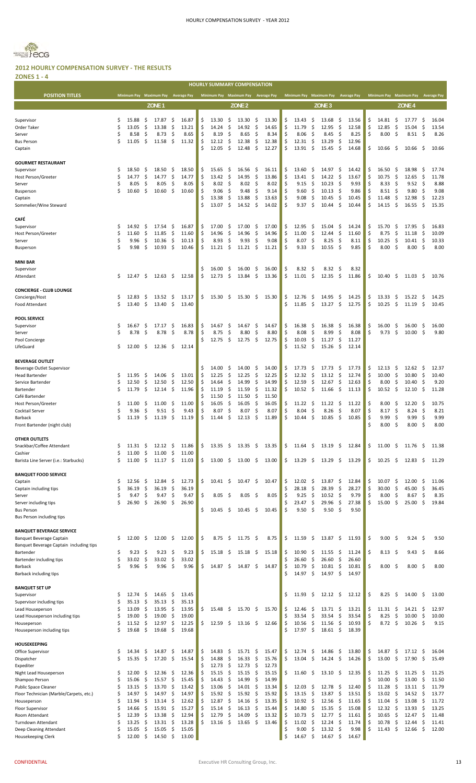

**ZONES 1 ‐ 4**

|                                                                        |          |                                     |          |                   |          |                |          |                          |          | <b>HOURLY SUMMARY COMPENSATION</b>  |            |                |          |                                     |           |                    |             |                |          |                         |          |                                    |            |                    |
|------------------------------------------------------------------------|----------|-------------------------------------|----------|-------------------|----------|----------------|----------|--------------------------|----------|-------------------------------------|------------|----------------|----------|-------------------------------------|-----------|--------------------|-------------|----------------|----------|-------------------------|----------|------------------------------------|------------|--------------------|
| <b>POSITION TITLES</b>                                                 |          | Minimum Pay Maximum Pay Average Pay |          |                   |          |                |          |                          |          | Minimum Pay Maximum Pay Average Pay |            |                |          | Minimum Pay Maximum Pay Average Pay |           |                    |             |                |          | Minimum Pay Maximum Pay |          |                                    |            | <b>Average Pay</b> |
|                                                                        |          |                                     |          | ZONE <sub>1</sub> |          |                |          |                          |          | ZONE <sub>2</sub>                   |            |                |          |                                     |           | ZONE <sub>3</sub>  |             |                |          |                         |          | ZONE <sub>4</sub>                  |            |                    |
|                                                                        |          |                                     |          |                   |          |                |          |                          |          |                                     |            |                |          |                                     |           |                    |             |                |          |                         |          |                                    |            |                    |
| Supervisor<br>Order Taker                                              | \$<br>\$ | 15.88<br>13.05                      | \$<br>\$ | 17.87<br>13.38    | \$<br>\$ | 16.87<br>13.21 | \$<br>\$ | 13.30<br>14.24           | \$<br>\$ | 13.30<br>14.92                      | \$<br>\$   | 13.30<br>14.65 | \$<br>\$ | 13.43<br>11.79                      | \$<br>\$  | 13.68<br>12.95     | \$.<br>\$   | 13.56<br>12.58 | \$<br>\$ | 14.81<br>12.85          | \$<br>\$ | 17.77<br>15.04                     | \$<br>\$   | 16.04<br>13.54     |
| Server                                                                 | \$       | 8.58                                | \$       | 8.73              | \$       | 8.65           | \$       | 8.19                     | \$       | 8.65                                | \$         | 8.34           | \$       | 8.06                                | \$        | 8.45               | \$          | 8.25           | \$       | 8.00                    | \$       | 8.51                               | -\$        | 8.26               |
| <b>Bus Person</b>                                                      | Ś        | 11.05                               | \$       | 11.58             | \$       | 11.32          | \$       | 12.12                    | \$       | 12.38                               | \$         | 12.38          | \$       | 12.31                               | \$        | 13.29              | \$          | 12.96          |          |                         |          |                                    |            |                    |
| Captain                                                                |          |                                     |          |                   |          |                | Ś        | 12.05                    | \$       | 12.48                               | -\$        | 12.27          | \$       | 13.91                               | \$        | 15.45              | - \$        | 14.68          | \$       | 10.66                   | \$       | 10.66                              | - \$       | 10.66              |
|                                                                        |          |                                     |          |                   |          |                |          |                          |          |                                     |            |                |          |                                     |           |                    |             |                |          |                         |          |                                    |            |                    |
| <b>GOURMET RESTAURANT</b><br>Supervisor                                | \$       | 18.50                               | \$,      | 18.50             | \$       | 18.50          | \$       | 15.65                    | \$       | 16.56                               | \$         | 16.11          | \$       | 13.60                               | \$,       | 14.97              | \$          | 14.42          | \$       | 16.50                   | \$       | 18.98                              | \$,        | 17.74              |
| Host Person/Greeter                                                    | \$       | 14.77                               | \$       | 14.77             | \$       | 14.77          | \$       | 13.42                    | \$       | 14.95                               | \$         | 13.86          | \$       | 13.41                               | \$        | 14.22              | \$          | 13.67          | \$       | 10.75                   | \$       | 12.65                              | \$         | 11.78              |
| Server                                                                 | \$       | 8.05                                | \$       | 8.05              | \$       | 8.05           | \$       | 8.02                     | \$       | 8.02                                | \$         | 8.02           | \$       | 9.15                                | \$        | 10.23              | \$,         | 9.93           | Ś        | 8.33                    | \$       | 9.52                               | \$         | 8.88               |
| <b>Busperson</b>                                                       | Ś        | 10.60                               | \$       | 10.60             | \$       | 10.60          | \$       | 9.06                     | \$       | 9.48                                | S          | 9.14           | \$       | 9.60                                | \$        | 10.13              | \$,         | 9.86           | Ś        | 8.51                    | \$       | 9.80                               | \$         | 9.08               |
| Captain                                                                |          |                                     |          |                   |          |                | \$<br>Ś  | 13.38                    | \$<br>\$ | 13.88                               | \$<br>-\$  | 13.63          | \$<br>\$ | 9.08                                | \$<br>\$  | 10.45              | \$.         | 10.45          | Ś<br>Ś   | 11.48                   | \$<br>\$ | 12.98                              | \$,        | 12.23<br>15.35     |
| Sommelier/Wine Steward                                                 |          |                                     |          |                   |          |                |          | 13.07                    |          | 14.52                               |            | 14.02          |          | 9.37                                |           | 10.44              | \$.         | 10.44          |          | 14.15                   |          | 16.55                              | -\$        |                    |
| CAFÉ                                                                   |          |                                     |          |                   |          |                |          |                          |          |                                     |            |                |          |                                     |           |                    |             |                |          |                         |          |                                    |            |                    |
| Supervisor                                                             | \$       | 14.92                               | \$       | 17.54             | S        | 16.87          | \$       | 17.00                    | \$       | 17.00                               | S          | 17.00          | \$       | 12.95                               | \$        | 15.04              | \$          | 14.24          | \$       | 15.70                   | S        | 17.95                              | -\$        | 16.83              |
| <b>Host Person/Greeter</b>                                             | \$       | 11.60                               | \$       | 11.85             | \$       | 11.60          | \$       | 14.96                    | \$       | 14.96                               | \$         | 14.96          | \$       | 11.00                               | \$        | 12.44              | \$          | 11.60          | \$       | 8.75                    | \$       | 11.18                              | - \$       | 10.09              |
| Server                                                                 | \$<br>Ś  | 9.96<br>9.98                        | \$<br>\$ | 10.36<br>10.93    | \$<br>\$ | 10.13<br>10.46 | \$<br>Ś  | 8.93<br>$11.21 \quad$ \$ | \$       | 9.93<br>$11.21 \quad $$             | \$         | 9.08<br>11.21  | \$<br>\$ | 8.07<br>9.33                        | \$<br>\$. | 8.25<br>10.55      | \$.<br>- \$ | 8.11<br>9.85   | \$<br>Ś  | 10.25<br>8.00           | \$<br>S. | $10.41 \pm 5$<br>$8.00\frac{2}{3}$ |            | 10.33<br>8.00      |
| Busperson                                                              |          |                                     |          |                   |          |                |          |                          |          |                                     |            |                |          |                                     |           |                    |             |                |          |                         |          |                                    |            |                    |
| <b>MINI BAR</b>                                                        |          |                                     |          |                   |          |                |          |                          |          |                                     |            |                |          |                                     |           |                    |             |                |          |                         |          |                                    |            |                    |
| Supervisor                                                             |          |                                     |          |                   |          |                | \$       | 16.00                    | \$       | 16.00                               | \$         | 16.00          | \$       | 8.32                                | -\$       | 8.32               | - \$        | 8.32           |          |                         |          |                                    |            |                    |
| Attendant                                                              | \$       | 12.47                               | \$       | 12.63             | \$       | 12.58          | \$       | 12.73                    | \$       | 13.84                               | \$         | 13.36          | \$       | 11.01                               | \$        | 12.35              | - \$        | 11.86          | \$       | 10.40                   | S.       | 11.03                              | - \$       | 10.76              |
|                                                                        |          |                                     |          |                   |          |                |          |                          |          |                                     |            |                |          |                                     |           |                    |             |                |          |                         |          |                                    |            |                    |
| <b>CONCIERGE - CLUB LOUNGE</b><br>Concierge/Host                       | \$       | 12.83                               | \$       | 13.52             | \$       | 13.17          | \$       | 15.30                    | \$       | 15.30                               | \$         | 15.30          | \$       | 12.76                               | \$        | 14.95              | \$          | 14.25          | \$       | 13.33                   | \$       | 15.22                              | -\$        | 14.25              |
| Food Attendant                                                         | \$       | 13.40                               | \$       | 13.40             | \$       | 13.40          |          |                          |          |                                     |            |                | \$       | 11.85                               | \$        | 13.27              | \$          | 12.75          | \$       | 10.25                   | \$       | 11.19                              | \$         | 10.45              |
|                                                                        |          |                                     |          |                   |          |                |          |                          |          |                                     |            |                |          |                                     |           |                    |             |                |          |                         |          |                                    |            |                    |
| <b>POOL SERVICE</b>                                                    |          |                                     |          |                   |          |                |          |                          |          |                                     |            |                |          |                                     |           |                    |             |                |          |                         |          |                                    |            |                    |
| Supervisor                                                             | \$       | 16.67                               | \$.      | 17.17             | \$       | 16.83          | \$       | 14.67                    | \$       | 14.67                               | \$         | 14.67          | \$       | 16.38                               | \$        | 16.38              | \$.         | 16.38          | \$       | 16.00                   | \$       | 16.00                              | \$         | 16.00              |
| Server                                                                 | Ś        | 8.78                                | \$       | 8.78              | \$       | 8.78           | \$<br>\$ | 8.75<br>12.75            | \$<br>\$ | 8.80<br>12.75                       | \$<br>- \$ | 8.80<br>12.75  | \$<br>\$ | 8.08<br>10.03                       | \$<br>\$  | 8.99<br>11.27      | \$<br>-\$   | 8.08<br>11.27  | \$       | 9.73                    | \$       | 10.00                              | \$         | 9.80               |
| Pool Concierge<br>LifeGuard                                            | \$       | 12.00                               | \$.      | 12.36             | \$.      | 12.14          |          |                          |          |                                     |            |                | \$       | 11.52                               | \$        | 15.26              | -\$         | 12.14          |          |                         |          |                                    |            |                    |
|                                                                        |          |                                     |          |                   |          |                |          |                          |          |                                     |            |                |          |                                     |           |                    |             |                |          |                         |          |                                    |            |                    |
| <b>BEVERAGE OUTLET</b>                                                 |          |                                     |          |                   |          |                |          |                          |          |                                     |            |                |          |                                     |           |                    |             |                |          |                         |          |                                    |            |                    |
| Beverage Outlet Supervisor                                             |          |                                     |          |                   |          |                | \$       | 14.00                    | \$       | 14.00                               | \$         | 14.00          | \$       | 17.73                               | \$        | 17.73              | \$.         | 17.73          | \$       | 12.13                   | \$       | 12.62                              | \$         | 12.37              |
| <b>Head Bartender</b>                                                  | \$<br>\$ | 11.95                               | \$,      | 14.06             | \$       | 13.01          | \$       | 12.25                    | \$       | 12.25                               | \$         | 12.25          | \$<br>\$ | 12.32                               | \$.<br>\$ | 13.12              | \$          | 12.74          | \$<br>\$ | 10.00                   | \$<br>\$ | 10.80                              | \$         | 10.40              |
| Service Bartender<br>Bartender                                         | Ś        | 12.50<br>11.79                      | \$<br>\$ | 12.50<br>12.14    | \$<br>\$ | 12.50<br>11.96 | \$<br>\$ | 14.64<br>11.19           | \$<br>\$ | 14.99<br>11.59                      | \$<br>\$   | 14.99<br>11.32 | \$       | 12.59<br>10.52                      | -\$       | 12.67<br>11.66     | \$<br>\$,   | 12.63<br>11.13 | \$       | 8.00<br>10.52           | \$       | 10.40<br>12.10                     | -\$<br>-\$ | 9.20<br>11.28      |
| Café Bartender                                                         |          |                                     |          |                   |          |                | Ś        | 11.50                    | \$       | 11.50                               | S          | 11.50          |          |                                     |           |                    |             |                |          |                         |          |                                    |            |                    |
| Host Person/Greeter                                                    | \$       | 11.00                               | Ş        | 11.00             | S.       | 11.00          | \$       | 16.05                    | \$       | 16.05                               | S          | 16.05          | \$       | 11.22                               | -\$       | 11.22              | - Ş         | 11.22          | \$       | 8.00                    | S        | 12.20                              | \$,        | 10.75              |
| Cocktail Server                                                        | Ś        | 9.36                                | \$       | 9.51              | \$       | 9.43           | \$       | 8.07                     | \$       | 8.07                                | \$         | 8.07           | \$       | 8.04                                | \$        | 8.26               | \$,         | 8.07           | \$       | 8.17                    | \$       | 8.24                               | \$         | 8.21               |
| <b>Barback</b>                                                         | Ś        | 11.19                               | \$.      | 11.19             | \$       | 11.19          | Ś        | 11.44                    | \$       | 12.13                               | Ś          | 11.89          | \$       | 10.44                               | \$        | 10.85              | \$          | 10.85          | \$       | 9.99                    | \$       | 9.99                               | \$         | 9.99               |
| Front Bartender (night club)                                           |          |                                     |          |                   |          |                |          |                          |          |                                     |            |                |          |                                     |           |                    |             |                | Ś        | 8.00                    | \$       | $8.00\frac{5}{7}$                  |            | 8.00               |
| <b>OTHER OUTLETS</b>                                                   |          |                                     |          |                   |          |                |          |                          |          |                                     |            |                |          |                                     |           |                    |             |                |          |                         |          |                                    |            |                    |
| Snackbar/Coffee Attendant                                              | \$       | 11.31                               | \$.      | 12.12             | \$       | 11.86          | \$       | 13.35                    | \$       | 13.35                               | \$         | 13.35          | \$       | 11.64                               | \$        | 13.19              | \$          | 12.84          | \$       | 11.00                   | \$       | 11.76                              | -\$        | 11.38              |
| Cashier                                                                | \$       | 11.00                               | \$       | 11.00             | \$       | 11.00          |          |                          |          |                                     |            |                |          |                                     |           |                    |             |                |          |                         |          |                                    |            |                    |
| Barista Line Server (i.e.: Starbucks)                                  | \$       | 11.00                               | \$       | 11.17             | \$       | 11.03          | \$       | 13.00                    | \$       | 13.00                               | \$         | 13.00          | \$       | 13.29                               | \$        | 13.29              | \$          | 13.29          | \$       | 10.25                   | \$       | 12.83                              | -\$        | 11.29              |
| <b>BANQUET FOOD SERVICE</b>                                            |          |                                     |          |                   |          |                |          |                          |          |                                     |            |                |          |                                     |           |                    |             |                |          |                         |          |                                    |            |                    |
| Captain                                                                | \$       | 12.56                               | \$       | 12.84             | \$       | 12.73          | \$       | 10.41                    | \$       | 10.47                               | \$         | 10.47          | \$       | 12.02                               | \$        | 13.87              | \$          | 12.84          | \$       | 10.07                   | \$       | 12.00                              | \$         | 11.06              |
| Captain including tips                                                 | \$       | 36.19                               | \$       | 36.19             | \$       | 36.19          |          |                          |          |                                     |            |                | \$       | 28.18                               | \$        | 28.39              | \$          | 28.27          | \$       | 30.00                   | \$       | 45.00                              | \$         | 36.45              |
| Server                                                                 | \$       | 9.47                                | \$       | 9.47              | \$       | 9.47           | \$       | 8.05                     | \$       | $8.05\frac{2}{3}$                   |            | 8.05           | \$       | 9.25                                | \$        | 10.52              | \$          | 9.79           | \$       | 8.00                    | \$       | 8.67                               | \$         | 8.35               |
| Server including tips                                                  | Ś        | 26.90                               | \$       | 26.90             | \$       | 26.90          |          |                          |          |                                     |            |                | \$       | 23.47                               | \$        | 29.96              | -\$         | 27.38          | \$       | 15.00                   | \$       | 25.00                              | \$         | 19.84              |
| <b>Bus Person</b><br>Bus Person including tips                         |          |                                     |          |                   |          |                | \$.      | 10.45                    | \$       | 10.45                               | -\$        | 10.45          | \$       | 9.50                                | \$        | 9.50               | \$          | 9.50           |          |                         |          |                                    |            |                    |
|                                                                        |          |                                     |          |                   |          |                |          |                          |          |                                     |            |                |          |                                     |           |                    |             |                |          |                         |          |                                    |            |                    |
| <b>BANQUET BEVERAGE SERVICE</b>                                        |          |                                     |          |                   |          |                |          |                          |          |                                     |            |                |          |                                     |           |                    |             |                |          |                         |          |                                    |            |                    |
| Banquet Beverage Captain                                               | \$       | 12.00                               | \$       | 12.00             | \$       | 12.00          | \$       | 8.75                     | \$       | 11.75                               | - \$       | 8.75           | \$       | 11.59                               | \$        | 13.87              | \$          | 11.93          | \$       | 9.00                    | Ś        | 9.24                               | -\$        | 9.50               |
| Banquet Beverage Captain including tips                                |          |                                     |          |                   |          |                |          |                          |          |                                     |            |                |          |                                     |           |                    |             |                |          |                         |          |                                    |            |                    |
| Bartender<br>Bartender including tips                                  | \$<br>Ś  | 9.23<br>33.02                       | \$<br>\$ | 9.23<br>33.02     | \$<br>\$ | 9.23<br>33.02  | \$       | 15.18                    | \$       | 15.18                               | -\$        | 15.18          | \$<br>\$ | 10.90<br>26.60                      | \$<br>\$  | 11.55<br>26.60     | \$,<br>\$   | 11.24<br>26.60 | \$       | 8.13                    | \$       | 9.43                               | -\$        | 8.66               |
| <b>Barback</b>                                                         | Ś        | 9.96                                | -\$      | 9.96              | \$       | 9.96           | \$.      | 14.87                    | \$.      | 14.87                               | -\$        | 14.87          | \$       | 10.79                               | \$.       | 10.81              | -\$         | 10.81          | \$       | 8.00                    | \$       | 8.00%                              |            | 8.00               |
| Barback including tips                                                 |          |                                     |          |                   |          |                |          |                          |          |                                     |            |                | \$       | 14.97                               | \$        | 14.97 <sub>5</sub> |             | 14.97          |          |                         |          |                                    |            |                    |
|                                                                        |          |                                     |          |                   |          |                |          |                          |          |                                     |            |                |          |                                     |           |                    |             |                |          |                         |          |                                    |            |                    |
| <b>BANQUET SET UP</b>                                                  |          |                                     |          |                   |          |                |          |                          |          |                                     |            |                |          |                                     |           |                    |             |                |          |                         |          |                                    |            |                    |
| Supervisor<br>Supervisor including tips                                | \$<br>Ś  | 12.74<br>35.13                      | \$<br>\$ | 14.65<br>35.13    | \$<br>\$ | 13.45<br>35.13 |          |                          |          |                                     |            |                | \$       | 11.93                               | \$        | $12.12 \quad$ \$   |             | 12.12          | \$       | 8.25                    | \$       | 14.00                              | -\$        | 13.00              |
| Lead Houseperson                                                       | \$       | 13.09                               | \$       | 13.95             | \$       | 13.95          | \$       | 15.48                    | -\$      | 15.70                               | - \$       | 15.70          | \$       | 12.46                               | \$        | 13.71              | \$          | 13.21          | \$       | 11.31                   | \$       | $14.21 \quad$ \$                   |            | 12.97              |
| Lead Houseperson including tips                                        | Ś        | 19.00                               | \$       | 19.00             | \$       | 19.00          |          |                          |          |                                     |            |                | \$       | 33.54                               | \$        | 33.54              | \$          | 33.54          | \$       | 8.25                    | \$       | 10.00                              | \$         | 10.00              |
| Houseperson                                                            | \$       | 11.52                               | \$       | 12.97             | \$       | 12.25          | \$       | 12.59 \$                 |          | $13.16 \pm 5$                       |            | 12.66          | \$       | 10.56                               | \$        | 11.56              | \$          | 10.93          | \$       | 8.72                    | - \$     | $10.26$ \$                         |            | 9.15               |
| Houseperson including tips                                             | Ś        | 19.68                               | \$       | 19.68             | \$       | 19.68          |          |                          |          |                                     |            |                | \$       | 17.97                               | \$        | 18.61              | \$.         | 18.39          |          |                         |          |                                    |            |                    |
| <b>HOUSEKEEPING</b>                                                    |          |                                     |          |                   |          |                |          |                          |          |                                     |            |                |          |                                     |           |                    |             |                |          |                         |          |                                    |            |                    |
| Office Supervisor                                                      | \$       | 14.34                               | \$       | 14.87             | \$       | 14.87          | \$       | 14.83                    | \$       | 15.71                               | \$         | 15.47          | \$       | 12.74                               | \$        | 14.86              | \$          | 13.80          | \$       | 14.87                   | \$       | 17.12                              | \$         | 16.04              |
| Dispatcher                                                             | \$       | 15.35                               | \$       | 17.20             | \$       | 15.54          | \$       | 14.88                    | \$       | 16.33                               | \$         | 15.76          | \$       | 13.04                               | \$        | 14.24              | \$          | 14.26          | \$       | 13.00                   | \$       | 17.90                              | \$         | 15.49              |
| Expediter                                                              |          |                                     |          |                   |          |                | \$       | 12.73                    | \$       | 12.73                               | \$         | 12.73          |          |                                     |           |                    |             |                |          |                         |          |                                    |            |                    |
| Night Lead Houseperson                                                 | \$       | 12.00                               | \$,      | 12.36             | \$       | 12.36          | \$       | 15.15                    | \$       | 15.15                               | \$         | 15.15          | \$       | 11.60                               | \$        | $13.10 \pm 5$      |             | 12.35          | \$       | 11.25                   | \$       | 11.25                              | -\$        | 11.25              |
| Shampoo Person                                                         | \$<br>\$ | 15.06                               | \$       | 15.57             | \$       | 15.45          | \$<br>\$ | 14.43                    | \$       | 14.99                               | \$<br>\$   | 14.99          |          |                                     |           |                    |             |                | \$<br>\$ | 10.00                   | \$       | 13.00                              | \$         | 11.50              |
| <b>Public Space Cleaner</b><br>Floor Technician (Marble/Carpets, etc.) | \$       | 13.15<br>14.97                      | \$<br>\$ | 13.70<br>14.97    | \$<br>\$ | 13.42<br>14.97 | \$       | 13.06<br>15.92           | \$<br>\$ | 14.01<br>15.92                      | - \$       | 13.34<br>15.92 | \$<br>\$ | 12.03<br>13.15                      | \$<br>\$  | 12.78<br>13.87     | \$.<br>\$   | 12.40<br>13.51 | \$       | 11.28<br>13.02          | \$<br>\$ | $13.11 \pm$<br>$14.52 \div$        |            | 11.79<br>13.77     |
| Houseperson                                                            | Ś        | 11.94                               | \$       | 13.14             | \$       | 12.62          | \$       | 12.87                    | \$       | 14.16                               | \$         | 13.35          | \$       | 10.92                               | \$        | 12.56              | \$          | 11.65          | \$       | 11.04                   | \$       | 13.08                              | \$         | 11.72              |
| Floor Supervisor                                                       | Ś        | 14.66                               | \$       | 15.91             | \$       | 15.27          | \$       | 15.14                    | \$       | 16.13                               | \$         | 15.44          | \$       | 14.80                               | \$        | 15.35              | -\$         | 15.08          | \$       | 12.32                   | \$       | 13.93                              | -\$        | 13.25              |
| Room Attendant                                                         | Ś        | 12.39                               | \$       | 13.38             | \$       | 12.94          | \$       | 12.79                    | \$       | 14.09                               | \$         | 13.32          | \$       | 10.73                               | \$        | 12.77              | \$          | 11.61          | \$       | 10.65                   | \$       | 12.47                              | -\$        | 11.48              |
| Turndown Attendant                                                     | Ś        | 13.25                               | \$.      | 13.31             | \$       | 13.28          | \$       | $13.16 \quad$ \$         |          | 13.65                               | - \$       | 13.46          | \$       | 11.02                               | \$        | 12.24              | \$          | 11.74          | \$       | 10.78                   | \$       | 12.44                              | \$         | 11.41              |
| Deep Cleaning Attendant<br>Housekeeping Clerk                          | Ś<br>Ś   | 15.05<br>12.00                      | \$<br>\$ | 15.05<br>14.50    | \$<br>\$ | 15.05<br>13.00 |          |                          |          |                                     |            |                | Ś<br>\$  | 9.00<br>14.67                       | \$<br>\$. | 13.32<br>14.67     | \$<br>\$    | 9.98<br>14.67  | \$       | 11.43                   | \$       | 12.66                              | \$         | 12.00              |
|                                                                        |          |                                     |          |                   |          |                |          |                          |          |                                     |            |                |          |                                     |           |                    |             |                |          |                         |          |                                    |            |                    |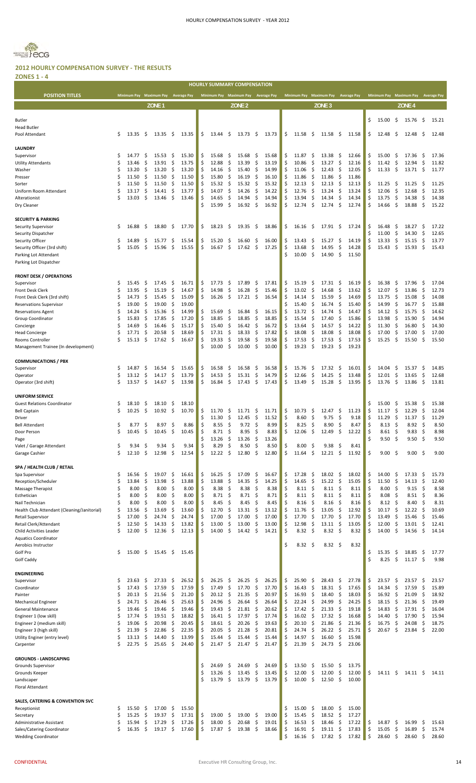

|                                                           |          |                    |               |                    |           |                    |          |                |               | <b>HOURLY SUMMARY COMPENSATION</b> |            |                    |          |                              |                    |                            |                    |          |                    |                     |                    |                     |                    |
|-----------------------------------------------------------|----------|--------------------|---------------|--------------------|-----------|--------------------|----------|----------------|---------------|------------------------------------|------------|--------------------|----------|------------------------------|--------------------|----------------------------|--------------------|----------|--------------------|---------------------|--------------------|---------------------|--------------------|
| <b>POSITION TITLES</b>                                    |          | <b>Minimum Pay</b> |               | <b>Maximum Pay</b> |           | <b>Average Pay</b> |          |                |               | Minimum Pay Maximum Pay            |            | <b>Average Pay</b> |          | <b>Minimum Pay</b>           | <b>Maximum Pay</b> |                            | <b>Average Pay</b> |          | <b>Minimum Pay</b> |                     | <b>Maximum Pay</b> |                     | <b>Average Pay</b> |
|                                                           |          |                    |               | ZONE <sub>1</sub>  |           |                    |          |                |               | ZONE <sub>2</sub>                  |            |                    |          |                              | $ZONE$ 3           |                            |                    |          |                    |                     | ZONE <sub>4</sub>  |                     |                    |
|                                                           |          |                    |               |                    |           |                    |          |                |               |                                    |            |                    |          |                              |                    |                            |                    |          | 15.00              |                     |                    |                     |                    |
| <b>Butler</b><br><b>Head Butler</b>                       |          |                    |               |                    |           |                    |          |                |               |                                    |            |                    |          |                              |                    |                            |                    | \$       |                    | \$                  | 15.76              | \$.                 | 15.21              |
| Pool Attendant                                            | \$       | 13.35              | \$            | 13.35              | \$        | 13.35              | \$       | 13.44          | \$            | 13.73                              | -\$        | 13.73              | \$.      | 11.58<br>\$.                 | 11.58              | -\$                        | 11.58              | \$       | 12.48              | Ŝ.                  | 12.48              | \$.                 | 12.48              |
|                                                           |          |                    |               |                    |           |                    |          |                |               |                                    |            |                    |          |                              |                    |                            |                    |          |                    |                     |                    |                     |                    |
| <b>LAUNDRY</b>                                            | Ś        |                    |               |                    |           |                    |          |                |               |                                    |            |                    |          |                              |                    |                            |                    |          |                    |                     |                    |                     |                    |
| Supervisor<br><b>Utility Attendants</b>                   | Ś        | 14.77<br>13.46     | Ş<br>\$       | 15.53<br>13.91     | \$<br>\$  | 15.30<br>13.75     | \$<br>\$ | 15.68<br>12.88 | \$<br>\$      | 15.68<br>13.39                     | -\$<br>\$  | 15.68<br>13.19     | \$<br>\$ | 11.87<br>\$,<br>10.86<br>\$  | 13.38<br>13.27     | \$<br>\$                   | 12.66<br>12.16     | \$<br>\$ | 15.00<br>11.42     | -\$<br>\$           | 17.36<br>12.94     | \$<br>\$            | 17.36<br>11.82     |
| Washer                                                    | Ś        | 13.20              | \$            | 13.20              | \$        | 13.20              | \$       | 14.16          | \$            | 15.40                              | \$         | 14.99              | \$       | -\$<br>11.06                 | 12.43              | \$                         | 12.05              | \$       | 11.33              | \$                  | 13.71              | - \$                | 11.77              |
| Presser                                                   | Ś        | 11.50              | \$            | 11.50              | \$        | 11.50              | \$       | 15.80          | \$            | 16.19                              | \$         | 16.10              | Ś.       | \$<br>11.86                  | 11.86              | -\$                        | 11.86              |          |                    |                     |                    |                     |                    |
| Sorter                                                    | Ś        | 11.50              | \$            | 11.50              | \$        | 11.50              | \$       | 15.32          | \$            | 15.32                              | Ŝ.         | 15.32              | \$       | \$<br>12.13                  | 12.13              | \$                         | 12.13              | \$       | 11.25              | Ş                   | 11.25              | -S                  | 11.25              |
| Uniform Room Attendant                                    | Ś        | 13.17              | \$            | 14.41              | \$        | 13.77              | \$       | 14.07          | \$            | 14.26                              | \$         | 14.22              | Ś        | \$<br>12.76                  | 13.24              | -\$                        | 13.24              | \$       | 12.06              | \$                  | 12.68              | \$                  | 12.35              |
| Alterationist<br>Dry Cleaner                              | Ś        | 13.03              | \$            | 13.46              | \$        | 13.46              | \$<br>Ś  | 14.65<br>15.99 | \$<br>\$      | 14.94<br>16.92                     | \$<br>- \$ | 14.94<br>16.92     | \$<br>Ś. | 13.94<br>\$<br>12.74<br>\$.  | 14.34<br>12.74     | \$<br>\$.                  | 14.34<br>12.74     | S<br>Ŝ   | 13.75<br>14.66     | \$<br>-\$           | 14.38<br>18.88     | \$<br>\$.           | 14.38<br>15.22     |
|                                                           |          |                    |               |                    |           |                    |          |                |               |                                    |            |                    |          |                              |                    |                            |                    |          |                    |                     |                    |                     |                    |
| <b>SECURITY &amp; PARKING</b>                             |          |                    |               |                    |           |                    |          |                |               |                                    |            |                    |          |                              |                    |                            |                    |          |                    |                     |                    |                     |                    |
| <b>Security Supervisor</b>                                | \$       | 16.88              | -\$           | 18.80              | \$        | 17.70              | \$       | 18.23          | \$            | 19.35                              | -\$        | 18.86              | \$       | 16.16<br>-\$                 | 17.91              | -\$                        | 17.24              | \$       | 16.48              | -\$                 | 18.27              | \$                  | 17.22              |
| Security Dispatcher                                       |          | 14.89              |               | 15.77              | \$        | 15.54              |          | 15.20          | \$            | 16.60                              |            | 16.00              |          | 13.43                        | 15.27              | \$                         |                    | Ś<br>Ś   | 11.00<br>13.33     | \$<br>\$            | 14.30<br>15.15     | \$<br>\$            | 12.65              |
| Security Officer<br>Security Officer (3rd shift)          | \$<br>\$ | 15.05              | \$<br>\$      | 15.96              | \$        | 15.55              | \$<br>\$ | 16.67          | \$            | 17.62                              | \$<br>\$   | 17.25              | \$<br>\$ | \$,<br>13.68<br>\$           | 14.95              | \$                         | 14.19<br>14.28     | Ś        | 15.43              | \$                  | 15.93              | \$                  | 13.77<br>15.43     |
| Parking Lot Attendant                                     |          |                    |               |                    |           |                    |          |                |               |                                    |            |                    | Ś.       | \$<br>10.00                  | 14.90              | \$                         | 11.50              |          |                    |                     |                    |                     |                    |
| Parking Lot Dispatcher                                    |          |                    |               |                    |           |                    |          |                |               |                                    |            |                    |          |                              |                    |                            |                    |          |                    |                     |                    |                     |                    |
|                                                           |          |                    |               |                    |           |                    |          |                |               |                                    |            |                    |          |                              |                    |                            |                    |          |                    |                     |                    |                     |                    |
| <b>FRONT DESK / OPERATIONS</b><br>Supervisor              | \$       | 15.45              | \$            | 17.45              | \$        | 16.71              | \$       | 17.73          | \$            | 17.89                              | \$,        | 17.81              | \$.      | 15.19<br>\$                  | 17.31              | -\$                        | 16.19              | \$       | 16.38              | -\$                 | 17.96              | \$                  | 17.04              |
| Front Desk Clerk                                          | Ś        | 13.95              | \$            | 15.19              | \$        | 14.67              | \$       | 14.98          | \$            | 16.28                              | \$         | 15.46              | \$       | \$<br>13.02                  | 14.68              | \$                         | 13.62              | Ś        | 12.07              | \$                  | 13.86              | \$                  | 12.73              |
| Front Desk Clerk (3rd shift)                              | Ś        | 14.73              | \$            | 15.45              | \$        | 15.09              | \$       | 16.26          | -\$           | $17.21 \quad$ \$                   |            | 16.54              | Ś        | \$<br>14.14                  | 15.59              | \$                         | 14.69              | Ś        | 13.75              | \$                  | 15.08              | \$                  | 14.08              |
| <b>Reservations Supervisor</b>                            | Ś        | 19.00              | \$            | 19.00              | \$        | 19.00              |          |                |               |                                    |            |                    | Ś        | 15.40<br>\$                  | 16.74              | \$.                        | 15.40              | Ś        | 14.99              | \$                  | 16.77              | \$                  | 15.88              |
| <b>Reservations Agent</b>                                 | Ś        | 14.24              | \$,           | 15.36              | \$        | 14.99              | \$       | 15.69          | \$,           | 16.84                              | -\$        | 16.15              | \$       | \$<br>13.72                  | 14.74              | -\$                        | 14.47              | Ś        | 14.12              | \$                  | 15.75              | \$                  | 14.62              |
| Group Coordinator                                         | Ś<br>Ś   | 15.83<br>14.69     | \$<br>\$      | 17.85<br>16.46     | \$<br>\$  | 17.20<br>15.17     | \$<br>\$ | 18.85<br>15.40 | \$<br>\$      | 18.85<br>16.42                     | \$<br>\$   | 18.85<br>16.72     | \$<br>\$ | \$.<br>15.54<br>\$<br>13.64  | 17.40<br>14.57     | \$.<br>-\$                 | 15.86<br>14.22     | Ś        | 13.98<br>11.30     | \$<br>\$            | 15.90<br>16.80     | \$<br>\$            | 14.94<br>14.30     |
| Concierge<br><b>Head Concierge</b>                        | Ś        | 17.71              | \$            | 20.58              | \$        | 18.69              | \$       | 17.31          | \$            | 18.33                              | \$         | 17.82              | \$       | 18.08<br>\$                  | 18.08              | \$.                        | 18.08              |          | 17.00              | \$                  | 17.00              | \$                  | 17.00              |
| Rooms Controller                                          | Ś        | 15.13              | \$            | 17.62              | \$        | 16.67              | \$       | 19.33          | \$            | 19.58                              | \$,        | 19.58              | \$       | \$<br>17.53                  | 17.53              | \$                         | 17.53              | \$       | 15.25              | -\$                 | 15.50              | \$.                 | 15.50              |
| Management Trainee (In development)                       |          |                    |               |                    |           |                    | Ś        | 10.00          | -\$           | 10.00                              | -\$        | 10.00              | \$       | 19.23<br>-\$                 | 19.23              | -\$                        | 19.23              |          |                    |                     |                    |                     |                    |
|                                                           |          |                    |               |                    |           |                    |          |                |               |                                    |            |                    |          |                              |                    |                            |                    |          |                    |                     |                    |                     |                    |
| <b>COMMUNICATIONS / PBX</b><br>Supervisor                 | \$       | 14.87              | \$            | 16.54              | \$        | 15.65              | \$       | 16.58          | \$            | 16.58                              | -\$        | 16.58              | \$       | 15.76<br>-\$                 | 17.32              | -\$                        | 16.01              | \$       | 14.04              | -\$                 | 15.37              | \$.                 | 14.85              |
| Operator                                                  | \$       | 13.12              | $\frac{1}{2}$ | 14.17              | \$        | 13.79              | \$       | 14.53          | \$            | 15.31                              | \$         | 14.79              | \$       | \$<br>12.66                  | 14.25              | \$                         | 13.48              | \$       | 12.01              | \$                  | 13.65              | \$                  | 12.68              |
| Operator (3rd shift)                                      | Ś        | 13.57              | -\$           | 14.67              | \$        | 13.98              | \$       | 16.84          | \$            | 17.43                              | - \$       | 17.43              | \$       | 13.49<br>\$                  | 15.28              | -\$                        | 13.95              | \$       | 13.76              | -\$                 | 13.86              | $\ddot{\mathsf{s}}$ | 13.81              |
|                                                           |          |                    |               |                    |           |                    |          |                |               |                                    |            |                    |          |                              |                    |                            |                    |          |                    |                     |                    |                     |                    |
| <b>UNIFORM SERVICE</b>                                    |          |                    |               |                    |           |                    |          |                |               |                                    |            |                    |          |                              |                    |                            |                    |          |                    |                     |                    |                     |                    |
| <b>Guest Relations Coordinator</b><br><b>Bell Captain</b> | S<br>\$  | 18.10<br>10.25     | -\$<br>\$     | 18.10<br>10.92     | -\$<br>\$ | 18.10<br>10.70     | \$       | 11.70          | \$            | 11.71                              | \$,        | 11.71              | \$       | 10.73<br>\$,                 | 12.47              | -\$                        | 11.23              | S<br>Ś   | 15.00<br>11.17     | -\$<br>\$           | 15.38<br>12.29     | -\$<br>\$           | 15.38<br>12.04     |
| Driver                                                    |          |                    |               |                    |           |                    | \$       | 11.30          | \$            | 12.45                              | \$         | 11.52              | \$       | 8.60<br>\$.                  | 9.75               | \$                         | 9.18               | \$       | 11.29              | \$                  | 11.37              | \$                  | 11.29              |
| <b>Bell Attendant</b>                                     | \$       | 8.77               | -\$           | 8.97               | \$        | 8.86               | \$       | 8.55           | \$            | $9.72 \quad $$                     |            | 8.99               | \$       | 8.25<br>\$                   | 8.90               | \$,                        | 8.47               | Ś        | 8.13               | \$                  | 8.92               | \$                  | 8.50               |
| Door Person                                               | Ş        | 10.45              | Ş             | 10.45              | Ş         | 10.45              |          | 8.71           | Ş             | 8.95                               | Ş          | 8.83               | Ş        | 12.06<br>Ş                   | 12.49              | Ş                          | 12.22              |          | 8.61               | Ş                   | 9.83               | Ş                   | 8.98               |
| Page                                                      |          |                    |               |                    |           |                    | \$       | 13.26          | \$            | 13.26                              | \$         | 13.26              |          |                              |                    |                            |                    | Ś        | 9.50               | \$                  | 9.50               | \$                  | 9.50               |
| Valet / Garage Attendant<br>Garage Cashier                | \$<br>\$ | 9.34<br>12.10      | \$<br>\$      | 9.34<br>12.98      | \$<br>\$  | 9.34<br>12.54      | \$<br>\$ | 8.29<br>12.22  | \$<br>$\zeta$ | 8.50<br>12.80                      | \$<br>\$   | 8.50<br>12.80      | \$<br>\$ | 8.00<br>-\$<br>\$<br>11.64   | 9.38<br>12.21      | \$<br>\$                   | 8.41<br>11.92      | \$       | 9.00               | -\$                 | 9.00               | \$                  | 9.00               |
|                                                           |          |                    |               |                    |           |                    |          |                |               |                                    |            |                    |          |                              |                    |                            |                    |          |                    |                     |                    |                     |                    |
| SPA / HEALTH CLUB / RETAIL                                |          |                    |               |                    |           |                    |          |                |               |                                    |            |                    |          |                              |                    |                            |                    |          |                    |                     |                    |                     |                    |
| Spa Supervisor                                            | \$       | 16.56              | \$            | 19.07              | \$        | 16.61              | \$       | 16.25          | \$            | 17.09                              | \$         | 16.67              | \$       | 17.28<br>\$                  | 18.02              | \$                         | 18.02              | \$       | 14.00              | \$                  | 17.33              | \$                  | 15.73              |
| Reception/Scheduler                                       | Ś        | 13.84              | \$            | 13.98              | \$        | 13.88              | \$       | 13.88          | \$            | 14.35                              | \$         | 14.25              | \$       | \$<br>14.65                  | 15.22              | \$                         | 15.05              | \$<br>Ś  | 11.50              | \$                  | 14.13              | \$                  | 12.40              |
| Massage Therapist<br>Esthetician                          | \$<br>Ś  | 8.00<br>8.00       | \$<br>\$      | 8.00<br>8.00       | \$<br>\$  | 8.00<br>8.00       | \$<br>\$ | 8.38<br>8.71   | \$<br>\$      | 8.38<br>8.71                       | \$<br>\$   | 8.38<br>8.71       | \$<br>\$ | 8.11<br>-\$<br>-\$<br>8.11   | 8.11<br>8.11       | -\$<br>-\$                 | 8.11<br>8.11       | Ś        | 8.00<br>8.08       | \$<br>\$            | 9.15<br>8.51       | \$<br>\$            | 8.58<br>8.36       |
| Nail Technician                                           | Ś        | 8.00               | \$            | 8.00               | \$        | 8.00               | \$       | 8.45           | \$            | 8.45                               | \$         | 8.45               | \$       | 8.16<br>-\$                  | 8.16               | -\$                        | 8.16               | Ś        | 8.12               | \$                  | 8.40               | Ŝ.                  | 8.31               |
| Health Club Attendant (Cleaning/Janitorial)               | \$       | 13.56              | \$            | 13.69              | \$        | 13.60              | \$       | 12.70          | \$            | 13.31                              | \$         | 13.12              | \$       | 11.76<br>\$                  | 13.05              | \$                         | 12.92              | Ś        | 10.17              | \$                  | 12.22              | \$                  | 10.69              |
| Retail Supervisor                                         | Ś        | 17.00              | \$            | 24.74              | \$        | 24.74              | \$       | 17.00          | \$            | 17.00                              | \$         | 17.00              | \$       | 17.70<br>\$                  | 17.70              | \$                         | 17.70              | Ś        | 13.49              | \$                  | 15.46              | \$                  | 15.46              |
| Retail Clerk/Attendant                                    | \$<br>Ś  | 12.50<br>12.00     | \$<br>\$.     | 14.33<br>12.36     | \$<br>\$. | 13.82<br>12.13     | \$<br>\$ | 13.00<br>14.00 | \$<br>\$      | 13.00<br>14.42                     | \$<br>- \$ | 13.00<br>14.21     | \$<br>Ś  | \$<br>12.98<br>8.32<br>- \$  | 13.11<br>8.32      | \$<br>- \$                 | 13.05<br>8.32      | \$       | 12.00<br>14.00     | \$<br>-\$           | 13.01              | \$<br>-\$           | 12.41<br>14.14     |
| Child Activities Leader<br><b>Aquatics Coordinator</b>    |          |                    |               |                    |           |                    |          |                |               |                                    |            |                    |          |                              |                    |                            |                    |          |                    |                     | 14.56              |                     |                    |
| Aerobics Instructor                                       |          |                    |               |                    |           |                    |          |                |               |                                    |            |                    | Ś.       | -\$<br>8.32                  | 8.32               | -\$                        | 8.32               |          |                    |                     |                    |                     |                    |
| Golf Pro                                                  | \$       | 15.00              | \$            | 15.45              | -\$       | 15.45              |          |                |               |                                    |            |                    |          |                              |                    |                            |                    | \$       | 15.35              | \$                  | 18.85              | \$                  | 17.77              |
| Golf Caddy                                                |          |                    |               |                    |           |                    |          |                |               |                                    |            |                    |          |                              |                    |                            |                    | Ś.       | 8.25               | $\ddot{\mathsf{S}}$ | $11.17$ \$         |                     | 9.98               |
| <b>ENGINEERING</b>                                        |          |                    |               |                    |           |                    |          |                |               |                                    |            |                    |          |                              |                    |                            |                    |          |                    |                     |                    |                     |                    |
| Supervisor                                                | \$       | 23.63              | \$            | 27.33              | \$        | 26.52              | \$       | 26.25          | \$            | 26.25                              | -\$        | 26.25              | \$       | 25.90<br>-\$                 | 28.43              | \$                         | 27.78              | \$       | 23.57              | \$                  | 23.57              | \$.                 | 23.57              |
| Coordinator                                               | \$       | 17.43              | \$            | 17.59              | \$        | 17.59              | \$       | 17.49          | \$            | 17.70                              | \$         | 17.70              | \$       | \$<br>16.43                  | 18.31              | \$                         | 17.65              | Ś        | 14.34              | \$                  | 17.59              | \$                  | 15.89              |
| Painter                                                   | Ś        | 20.13              | \$            | 21.56              | \$        | 21.20              | \$       | 20.12          | \$            | 21.35                              | \$         | 20.97              | \$       | \$<br>16.93                  | 18.40              | \$                         | 18.03              | Ś        | 16.92              | \$                  | 21.09              | \$                  | 18.92              |
| <b>Mechanical Engineer</b>                                | Ś        | 24.71              | \$            | 26.46              | \$<br>\$  | 25.63              | \$       | 24.96          | \$<br>\$      | 26.64                              | \$         | 26.64              | \$       | \$<br>22.24                  | 24.99              | \$                         | 24.25<br>19.18     | Ś<br>Ś   | 18.15              | \$                  | 21.36              | \$                  | 19.49              |
| General Maintenance<br>Engineer 1 (low skill)             | \$<br>\$ | 19.46<br>17.74     | \$<br>\$      | 19.46<br>19.51     | \$        | 19.46<br>18.82     | \$<br>\$ | 19.43<br>16.41 | \$            | 21.81<br>17.97                     | \$<br>\$   | 20.62<br>17.74     | \$<br>\$ | \$<br>17.42<br>16.02<br>\$   | 21.33<br>17.32     | \$<br>\$                   | 16.68              | Ś        | 14.83<br>14.40     | \$<br>\$            | 17.91<br>17.90     | \$<br>\$            | 16.04<br>15.94     |
| Engineer 2 (medium skill)                                 | Ś        | 19.06              | \$            | 20.98              | \$        | 20.45              | \$       | 18.61          | \$            | 20.26                              | \$         | 19.63              | \$       | \$<br>20.10                  | 21.86              | \$                         | 21.36              | \$       | 16.75              | \$                  | 24.08              | \$                  | 18.75              |
| Engineer 3 (high skill)                                   | \$       | 21.39              | \$            | 22.86              | \$        | 22.35              | \$       | 20.05          | \$            | 21.28                              | \$         | 20.81              | \$       | \$<br>24.74                  | 26.22              | \$                         | 25.71              | Ś        | 20.67              | \$                  | 23.84              | \$                  | 22.00              |
| Utility Enginer (entry level)                             | \$       | 13.13              | \$            | 14.40              | \$        | 13.99              | \$       | 15.44          | \$            | 15.44                              | \$         | 15.44              | \$       | \$<br>14.97                  | 16.60              | \$                         | 15.98              |          |                    |                     |                    |                     |                    |
| Carpenter                                                 | Ś        | 22.75              | \$            | 25.65              | \$        | 24.40              | Ś        | 21.47          | \$            | 21.47                              | \$         | 21.47              | \$       | \$<br>21.39                  | 24.73              | \$                         | 23.06              |          |                    |                     |                    |                     |                    |
| <b>GROUNDS - LANDSCAPING</b>                              |          |                    |               |                    |           |                    |          |                |               |                                    |            |                    |          |                              |                    |                            |                    |          |                    |                     |                    |                     |                    |
| Grounds Supervisor                                        |          |                    |               |                    |           |                    | \$       | 24.69          | \$            | 24.69                              | \$         | 24.69              | \$       | 13.50<br>\$                  | 15.50              | \$                         | 13.75              |          |                    |                     |                    |                     |                    |
| Grounds Keeper                                            |          |                    |               |                    |           |                    | \$       | 13.26          | \$            | 13.45                              | \$         | 13.45              | \$       | 12.00<br>\$                  | 12.00              | \$                         | 12.00              | \$       | 14.11              | \$                  | $14.11 \pm 5$      |                     | 14.11              |
| Landscaper                                                |          |                    |               |                    |           |                    | Ś        | 13.79          | \$            | 13.79                              | -\$        | 13.79              | \$       | 10.00<br>-\$                 | 12.50              | \$                         | 10.00              |          |                    |                     |                    |                     |                    |
| Floral Attendant                                          |          |                    |               |                    |           |                    |          |                |               |                                    |            |                    |          |                              |                    |                            |                    |          |                    |                     |                    |                     |                    |
| SALES, CATERING & CONVENTION SVC                          |          |                    |               |                    |           |                    |          |                |               |                                    |            |                    |          |                              |                    |                            |                    |          |                    |                     |                    |                     |                    |
| Receptionist                                              | \$       | 15.50              | \$,           | 17.00              | \$        | 15.50              |          |                |               |                                    |            |                    | \$       | 15.00<br>\$                  | 18.00              | \$                         | 15.00              |          |                    |                     |                    |                     |                    |
| Secretary                                                 | \$       | 15.25              | \$            | 19.37              | \$        | 17.31              | \$       | 19.00          | \$            | 19.00                              | -\$        | 19.00              | \$       | \$<br>15.45                  | 18.52              | \$                         | 17.27              |          |                    |                     |                    |                     |                    |
| Administrative Assistant                                  | \$       | 15.94              | \$            | 17.29              | \$        | 17.26              | \$       | 18.00          | \$            | 20.68                              | -\$        | 19.01              | \$       | 16.53<br>-\$                 | 18.46              | \$                         | 17.22              | \$       | 14.87              | -\$                 | 16.99              | \$,                 | 15.63              |
| Sales/Catering Coordinator<br><b>Wedding Coordinator</b>  | Ś        | 16.35              | \$            | 19.17              | \$        | 17.60              | \$       | 17.87          | \$            | 19.38                              | -\$        | 18.66              | \$<br>\$ | 16.91<br>- \$<br>16.16<br>\$ | 19.11<br>17.82     | -\$<br>$\ddot{\mathsf{S}}$ | 17.83<br>17.82     | \$<br>\$ | 15.05<br>28.60     | \$<br>\$            | 16.89<br>28.60     | \$<br>\$            | 15.74<br>28.60     |
|                                                           |          |                    |               |                    |           |                    |          |                |               |                                    |            |                    |          |                              |                    |                            |                    |          |                    |                     |                    |                     |                    |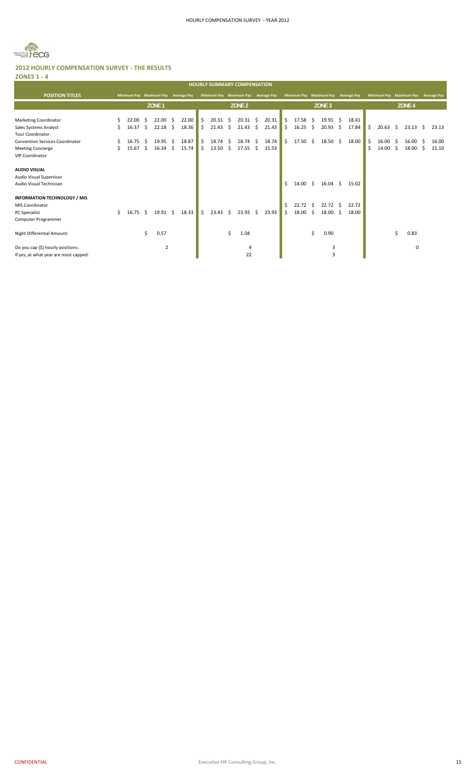

|                                                  |    |       |     |                         |     |                    | <b>HOURLY SUMMARY COMPENSATION</b> |     |                   |    |                    |    |                         |    |                   |    |                    |    |                    |      |                    |    |                    |
|--------------------------------------------------|----|-------|-----|-------------------------|-----|--------------------|------------------------------------|-----|-------------------|----|--------------------|----|-------------------------|----|-------------------|----|--------------------|----|--------------------|------|--------------------|----|--------------------|
| <b>POSITION TITLES</b>                           |    |       |     | Minimum Pay Maximum Pay |     | <b>Average Pay</b> | Minimum Pay Maximum Pay            |     |                   |    | <b>Average Pay</b> |    | Minimum Pay Maximum Pay |    |                   |    | <b>Average Pay</b> |    | <b>Minimum Pav</b> |      | <b>Maximum Pay</b> |    | <b>Average Pay</b> |
|                                                  |    |       |     | ZONE <sub>1</sub>       |     |                    |                                    |     | ZONE <sub>2</sub> |    |                    |    |                         |    | ZONE <sub>3</sub> |    |                    |    |                    |      | ZONE <sub>4</sub>  |    |                    |
|                                                  |    |       |     |                         |     |                    |                                    |     |                   |    |                    |    |                         |    |                   |    |                    |    |                    |      |                    |    |                    |
| <b>Marketing Coordinator</b>                     |    | 22.00 | -S  | 22.00                   | -\$ | 22.00              | \$<br>$20.31 \quad $$              |     | $20.31 \quad $$   |    | 20.31              | Ŝ. | 17.58                   | -Ŝ | $19.91 \quad $$   |    | 18.41              |    |                    |      |                    |    |                    |
| Sales Systems Analyst<br><b>Tour Coordinator</b> | Ś. | 16.37 | - S | 22.18                   | S.  | 18.36              | \$<br>21.43                        | \$  | 21.43             | Ŝ. | 21.43              | -S | 16.25                   | -Ŝ | 20.93             | S  | 17.84              | Ŝ. | 20.63              | - \$ | 23.13              | -S | 23.13              |
| <b>Convention Services Coordinator</b>           |    | 16.75 | -S  | 19.95                   | -\$ | 18.87              | \$<br>18.74                        | -S  | 18.74             | -Ŝ | 18.74              | Ŝ. | 17.50                   | Ŝ. | $18.50 \div$      |    | 18.00              | \$ | 16.00              | - S  | 16.00              | -S | 16.00              |
| <b>Meeting Concierge</b>                         | Ś. | 15.67 | S   | 16.34                   | S.  | 15.74              | \$<br>13.50                        | -\$ | 17.55             | Ŝ. | 15.53              |    |                         |    |                   |    |                    | Ś  | 14.00              | -Ŝ   | 18.00              | S. | 15.10              |
| <b>VIP Coordinator</b>                           |    |       |     |                         |     |                    |                                    |     |                   |    |                    |    |                         |    |                   |    |                    |    |                    |      |                    |    |                    |
| <b>AUDIO VISUAL</b>                              |    |       |     |                         |     |                    |                                    |     |                   |    |                    |    |                         |    |                   |    |                    |    |                    |      |                    |    |                    |
| Audio Visual Supervisor                          |    |       |     |                         |     |                    |                                    |     |                   |    |                    |    |                         |    |                   |    |                    |    |                    |      |                    |    |                    |
| Audio Visual Technician                          |    |       |     |                         |     |                    |                                    |     |                   |    |                    | Ś. | 14.00                   | Ŝ. | 16.04             | Ŝ. | 15.02              |    |                    |      |                    |    |                    |
| <b>INFORMATION TECHNOLOGY / MIS</b>              |    |       |     |                         |     |                    |                                    |     |                   |    |                    |    |                         |    |                   |    |                    |    |                    |      |                    |    |                    |
| <b>MIS Coordinator</b>                           |    |       |     |                         |     |                    |                                    |     |                   |    |                    | Ś. | 22.72                   | S. | 22.72             | -Ŝ | 22.72              |    |                    |      |                    |    |                    |
| <b>PC</b> Specialist                             | Ś. | 16.75 | Ŝ.  | $19.91 \quad $$         |     | 18.33              | \$<br>23.43                        | Ŝ.  | 23.93             | Ŝ. | 23.93              | Ś. | 18.00                   | Ŝ. | 18.00             | Ŝ  | 18.00              |    |                    |      |                    |    |                    |
| Computer Programmer                              |    |       |     |                         |     |                    |                                    |     |                   |    |                    |    |                         |    |                   |    |                    |    |                    |      |                    |    |                    |
| Night Differential Amount:                       |    |       | \$  | 0.57                    |     |                    |                                    | \$  | 1.04              |    |                    |    |                         | \$ | 0.90              |    |                    |    |                    | Ś.   | 0.83               |    |                    |
| Do you cap (\$) hourly positions:                |    |       |     | 2                       |     |                    |                                    |     | 4                 |    |                    |    |                         |    | 3                 |    |                    |    |                    |      | 0                  |    |                    |
| If yes, at what year are most capped:            |    |       |     |                         |     |                    |                                    |     | 22                |    |                    |    |                         |    | 3                 |    |                    |    |                    |      |                    |    |                    |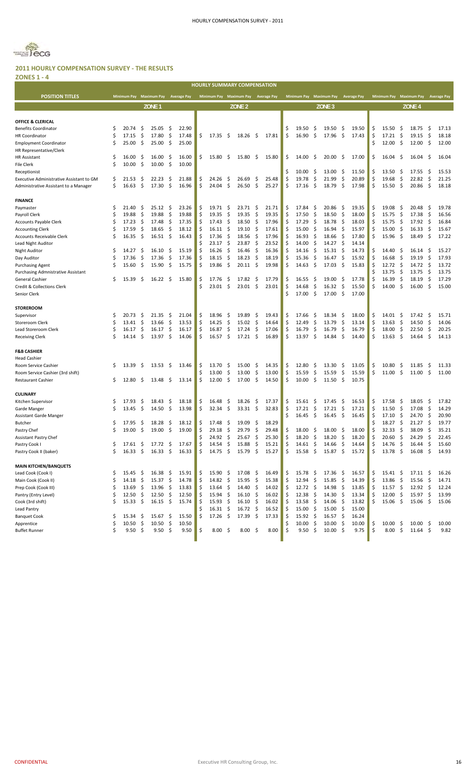

#### **2011 HOURLY COMPENSATION SURVEY ‐ THE RESULTS ZONES 1 ‐ 4**

|                                          |          |                                     |          |                                 |      |       |          | HOURLY SUMMARY COMPENSATION            |                           |                    |            |                |          |                         |          |                        |            |                    |          |                         |             |                           |              |                    |
|------------------------------------------|----------|-------------------------------------|----------|---------------------------------|------|-------|----------|----------------------------------------|---------------------------|--------------------|------------|----------------|----------|-------------------------|----------|------------------------|------------|--------------------|----------|-------------------------|-------------|---------------------------|--------------|--------------------|
| <b>POSITION TITLES</b>                   |          | Minimum Pay Maximum Pay Average Pay |          |                                 |      |       |          | Minimum Pay Maximum Pay Average Pay    |                           |                    |            |                |          | Minimum Pay Maximum Pay |          |                        |            | <b>Average Pay</b> |          | Minimum Pay Maximum Pay |             |                           |              | <b>Average Pay</b> |
|                                          |          |                                     |          | ZONE <sub>1</sub>               |      |       |          |                                        |                           | ZONE <sub>2</sub>  |            |                |          |                         |          | ZONE <sub>3</sub>      |            |                    |          |                         |             | ZONE <sub>4</sub>         |              |                    |
|                                          |          |                                     |          |                                 |      |       |          |                                        |                           |                    |            |                |          |                         |          |                        |            |                    |          |                         |             |                           |              |                    |
| OFFICE & CLERICAL                        |          |                                     |          |                                 |      |       |          |                                        |                           |                    |            |                |          |                         |          |                        |            |                    |          |                         |             |                           |              |                    |
| Benefits Coordinator                     | \$       | 20.74                               | \$,      | 25.05                           | -S   | 22.90 |          |                                        |                           |                    |            |                |          | 19.50                   | -\$      | 19.50                  | -\$        | 19.50              | \$,      | 15.50                   | -\$         | 18.75                     | -\$          | 17.13              |
| <b>HR Coordinator</b>                    | Ś        | 17.15                               | \$       | 17.80                           | \$   | 17.48 | Ś.       | 17.35                                  | -S                        | 18.26              | -\$        | 17.81          | \$       | 16.90                   | \$       | 17.96                  | \$         | 17.43              | \$       | 17.21                   | \$          | 19.15                     | \$           | 18.18              |
| <b>Employment Coordinator</b>            |          | 25.00                               | \$       | 25.00                           | \$   | 25.00 |          |                                        |                           |                    |            |                |          |                         |          |                        |            |                    | Ś        | 12.00                   | \$          | 12.00                     | \$           | 12.00              |
| HR Representative/Clerk                  |          |                                     |          |                                 |      |       |          |                                        |                           |                    |            |                |          |                         |          |                        |            |                    |          |                         |             |                           |              |                    |
| <b>HR Assistant</b>                      | \$       | 16.00                               | S        | 16.00                           | -S   | 16.00 | Ś        | 15.80                                  | -\$                       | $15.80\frac{ }{ }$ |            | 15.80          | \$.      | 14.00                   | -\$      | 20.00                  | -\$        | 17.00              | \$       | 16.04                   | -S          | 16.04                     | -\$          | 16.04              |
| <b>File Clerk</b>                        | Ś        | 10.00                               | \$       | 10.00                           | \$   | 10.00 |          |                                        |                           |                    |            |                |          |                         |          |                        |            |                    |          |                         |             |                           |              |                    |
| Receptionist                             |          |                                     |          |                                 |      |       |          |                                        |                           |                    |            |                | \$       | 10.00                   | \$       | 13.00                  | -\$        | 11.50              | \$,      | 13.50                   | -\$         | 17.55                     | -\$          | 15.53              |
| Executive Administrative Assistant to GM | \$       | 21.53                               | S        | 22.23                           | \$,  | 21.88 | \$       | 24.26                                  | \$,                       | 26.69              | \$         | 25.48          | S        | 19.78                   | \$       | 21.99                  | \$         | 20.89              | \$       | 19.68                   | \$          | 22.82                     | \$           | 21.25              |
| Administrative Assistant to a Manager    | \$       | 16.63                               | \$       | 17.30                           | -\$  | 16.96 | \$       | 24.04                                  | \$                        | 26.50              | \$         | 25.27          | \$       | 17.16                   | -\$      | 18.79                  | -\$        | 17.98              | \$       | 15.50                   | -\$         | 20.86                     | \$           | 18.18              |
| <b>FINANCE</b>                           |          |                                     |          |                                 |      |       |          |                                        |                           |                    |            |                |          |                         |          |                        |            |                    |          |                         |             |                           |              |                    |
| Paymaster                                | \$       | 21.40                               | S        | 25.12                           | -\$  | 23.26 |          | 19.71                                  | S                         | 23.71              | \$         | 21.71          | \$       | 17.84                   | \$       | 20.86                  | -\$        | 19.35              | \$       | 19.08                   | -\$         | 20.48                     | -\$          | 19.78              |
| Payroll Clerk                            | Ś        | 19.88                               | \$       | 19.88                           | \$   | 19.88 | Ś        | 19.35                                  | $\zeta$                   | 19.35              | \$         | 19.35          | \$       | 17.50                   | \$       | 18.50                  | \$         | 18.00              | \$       | 15.75                   | \$          | 17.38                     | -\$          | 16.56              |
| Accounts Payable Clerk                   | Ś        | 17.23                               | \$       | 17.48                           | Ŝ.   | 17.35 | Ś        | 17.43                                  | \$                        | 18.50              | Ś          | 17.96          | S        | 17.29                   | \$       | 18.78                  | -\$        | 18.03              | \$       | 15.75                   | \$          | 17.92                     | -\$          | 16.84              |
| <b>Accounting Clerk</b>                  |          | 17.59                               | Ś        | 18.65                           | \$   | 18.12 | Ś        | 16.11                                  | \$                        | 19.10              | \$         | 17.61          | \$       | 15.00                   | Ŝ.       | 16.94                  | \$         | 15.97              | Ś        | 15.00                   | \$.         | 16.33                     | -\$          | 15.67              |
| Accounts Receivable Clerk                | Ś        | 16.35                               | \$       | 16.51                           | -\$  | 16.43 | Ś        | 17.36                                  | -\$                       | 18.56              | \$         | 17.96          |          | 16.93                   | \$       | 18.66                  | \$         | 17.80              | Ś        | 15.96                   | \$          | 18.49                     | -\$          | 17.22              |
| Lead Night Auditor                       |          |                                     |          |                                 |      |       |          | 23.17                                  | -\$                       | 23.87              | \$.        | 23.52          | \$       | 14.00                   | Ŝ.       | 14.27                  | -\$        | 14.14              |          |                         |             |                           |              |                    |
| <b>Night Auditor</b>                     | \$       | 14.27                               | Ş        | 16.10                           | -\$  | 15.19 | S        | 16.26                                  | \$                        | 16.46              | \$         | 16.36          |          | 14.16                   | \$       | 15.31                  | -\$        | 14.73              | Ş        | 14.40                   | Ş           | 16.14                     | -\$          | 15.27              |
| Day Auditor                              | Ś        | 17.36                               | \$       | 17.36                           | \$   | 17.36 | Ś        | 18.15                                  | $\zeta$                   | 18.23              | \$         | 18.19          | \$.      | 15.36                   | \$       | 16.47                  | -\$        | 15.92              | \$       | 16.68                   | \$          | 19.19                     | $\mathsf{S}$ | 17.93              |
| <b>Purchasing Agent</b>                  | Ś        | 15.60                               | \$       | 15.90                           | -\$  | 15.75 | \$       | 19.86                                  | -\$                       | 20.11              | -\$        | 19.98          | \$.      | 14.63                   | Ŝ.       | 17.03                  | -\$        | 15.83              | S        | 12.72                   | -\$         | $14.72 \div$              |              | 13.72              |
| Purchasing Admnistrative Assistant       |          |                                     |          |                                 |      |       |          |                                        |                           |                    |            |                |          |                         |          |                        |            |                    |          | 13.75                   | \$          | 13.75                     | \$           | 13.75              |
| General Cashier                          | \$       | 15.39                               | \$       | 16.22                           | -\$  | 15.80 | Ś        | 17.76                                  | \$,                       | 17.82              | \$         | 17.79          | \$.      | 16.55                   | \$       | 19.00                  | \$         | 17.78              | \$,      | 16.39                   | \$          | 18.19                     | \$           | 17.29              |
| <b>Credit &amp; Collections Clerk</b>    |          |                                     |          |                                 |      |       | Ś        | 23.01                                  | \$                        | 23.01              | \$         | 23.01          | \$       | 14.68                   | \$       | 16.32                  | \$         | 15.50              | Ś        | 14.00                   | \$          | 16.00                     | \$           | 15.00              |
| Senior Clerk                             |          |                                     |          |                                 |      |       |          |                                        |                           |                    |            |                |          | 17.00                   | \$       | 17.00                  | -\$        | 17.00              |          |                         |             |                           |              |                    |
| <b>STOREROOM</b>                         |          |                                     |          |                                 |      |       |          |                                        |                           |                    |            |                |          |                         |          |                        |            |                    |          |                         |             |                           |              |                    |
| Supervisor                               | Ś        | 20.73                               | S        | 21.35                           | -\$  | 21.04 | S        | 18.96                                  | \$.                       | 19.89              | \$.        | 19.43          | \$.      | 17.66                   | \$,      | 18.34                  | -\$        | 18.00              | \$,      | 14.01                   | -\$         | 17.42                     | -\$          | 15.71              |
| Storeroom Clerk                          | Ś        | 13.41                               | \$       | 13.66                           | -\$  | 13.53 | \$       | 14.25                                  | \$                        | 15.02              | \$         | 14.64          | \$       | 12.49                   | \$       | 13.79                  | \$         | 13.14              | \$       | 13.63                   | \$          | 14.50                     | -\$          | 14.06              |
| Lead Storeroom Clerk                     | \$       | 16.17                               | \$       | 16.17                           | -\$  | 16.17 | Ś        | 16.87                                  | \$                        | 17.24              | \$         | 17.06          | \$       | 16.79                   | Ŝ.       | 16.79                  | -\$        | 16.79              | Ś        | 18.00                   | \$          | 22.50                     | -\$          | 20.25              |
| <b>Receiving Clerk</b>                   | Ś        | 14.14                               | \$       | 13.97                           | -\$  | 14.06 | Ś        | 16.57                                  | -\$                       | 17.21              | -\$        | 16.89          | S        | 13.97                   | Ŝ.       | 14.84                  | -\$        | 14.40              | Ś        | 13.63                   | -\$         | 14.64                     | - \$         | 14.13              |
| <b>F&amp;B CASHIER</b>                   |          |                                     |          |                                 |      |       |          |                                        |                           |                    |            |                |          |                         |          |                        |            |                    |          |                         |             |                           |              |                    |
| <b>Head Cashier</b>                      |          |                                     |          |                                 |      |       |          |                                        |                           |                    |            |                |          |                         |          |                        |            |                    |          |                         |             |                           |              |                    |
| Room Service Cashier                     | \$       | 13.39                               | \$       | 13.53                           | \$   | 13.46 | Ś        | 13.70                                  | \$.                       | 15.00              | \$         | 14.35          | \$       | 12.80                   | \$       | 13.30                  | \$.        | 13.05              | \$,      | 10.80                   | \$.         | 11.85                     | \$,          | 11.33              |
| Room Service Cashier (3rd shift)         |          |                                     |          |                                 |      |       | Ś        | 13.00                                  | \$                        | 13.00              | \$         | 13.00          | \$       | 15.59                   | \$       | 15.59                  | \$         | 15.59              | \$       | 11.00                   | S.          | 11.00                     | \$           | 11.00              |
| <b>Restaurant Cashier</b>                | \$       | 12.80                               | \$       | 13.48                           | \$   | 13.14 | \$       | 12.00                                  | \$                        | 17.00              | \$         | 14.50          | Ś.       | 10.00                   | \$       | 11.50                  | \$         | 10.75              |          |                         |             |                           |              |                    |
| <b>CULINARY</b>                          |          |                                     |          |                                 |      |       |          |                                        |                           |                    |            |                |          |                         |          |                        |            |                    |          |                         |             |                           |              |                    |
| Kitchen Supervisor                       | S        | 17.93                               | \$.      | 18.43                           | \$,  | 18.18 | \$.      | 16.48                                  | -\$                       | 18.26              | \$         | 17.37          | \$       | 15.61                   | \$       | 17.45                  | -\$        | 16.53              | \$,      | 17.58                   | -\$         | 18.05                     | -\$          | 17.82              |
| Garde Manger                             | Ś        | 13.45                               | \$       | 14.50                           | \$   | 13.98 | \$       | 32.34                                  | \$                        | 33.31              | \$         | 32.83          | \$       | 17.21                   | \$       | 17.21                  | \$         | 17.21              | \$       | 11.50                   | \$          | 17.08                     | -\$          | 14.29              |
| <b>Assistant Garde Manger</b>            |          |                                     |          |                                 |      |       |          |                                        |                           |                    |            |                | Ś.       | 16.45                   | -\$      | 16.45                  | -\$        | 16.45              |          | 17.10                   | \$.         | 24.70                     | -\$          | 20.90              |
| Butcher                                  | S        | 17.95                               | S        | 18.28                           | -\$  | 18.12 | S        | 17.48                                  | -\$                       | 19.09              | \$         | 18.29          |          |                         |          |                        |            |                    | \$       | 18.27                   | \$          | $21.27 \pm$               |              | 19.77              |
| Pastry Chef                              |          | 19.00                               | \$       | 19.00                           | \$   | 19.00 | Ś        | 29.18                                  | \$                        | 29.79              | \$         | 29.48          | \$       | 18.00                   | \$       | 18.00                  | -\$        | 18.00              | \$       | 32.33                   | \$          | 38.09                     | -\$          | 35.21              |
| <b>Assistant Pastry Chef</b>             |          |                                     |          |                                 |      |       | \$       | 24.92                                  | \$                        | 25.67              | \$         | 25.30          | \$       | 18.20                   | \$       | 18.20                  | \$         | 18.20              | \$       | 20.60                   | \$          | 24.29                     | - \$         | 22.45              |
| Pastry Cook I                            | \$       | $17.61 \; \text{S}$<br>16.33        | - \$     | $17.72 \div$<br>$16.33 \quad $$ |      | 17.67 | \$<br>\$ | 14.54<br>14.75                         | \$<br>$\ddot{\mathsf{S}}$ | 15.88<br>15.79     | \$<br>- \$ | 15.21<br>15.27 | \$<br>\$ | 14.61<br>$15.58 \div$   | \$       | 14.66<br>$15.87 \; \S$ | \$         | 14.64<br>15.72     | \$<br>\$ | 14.76<br>13.78          | \$<br>-\$   | 16.44                     | \$           | 15.60              |
| Pastry Cook II (baker)                   | \$       |                                     |          |                                 |      | 16.33 |          |                                        |                           |                    |            |                |          |                         |          |                        |            |                    |          |                         |             | 16.08                     | - \$         | 14.93              |
| MAIN KITCHEN/BANQUETS                    |          |                                     |          |                                 |      |       |          |                                        |                           |                    |            |                |          |                         |          |                        |            |                    |          |                         |             |                           |              |                    |
| Lead Cook (Cook I)                       | \$       | 15.45                               | -\$      | 16.38                           | - \$ | 15.91 | \$       | 15.90                                  | \$                        | 17.08              | -\$        | 16.49          | \$       | 15.78                   | \$       | 17.36                  | -\$        | 16.57              | \$       | $15.41 \text{ }$        |             | $17.11 \; \text{S}$       |              | 16.26              |
| Main Cook (Cook II)                      | \$       | 14.18                               | -\$      | $15.37 \pm 5$                   |      | 14.78 | \$       | $14.82 \quad$ \$                       |                           | 15.95              | \$         | 15.38          | \$       | 12.94                   | \$       | $15.85\frac{2}{3}$     |            | 14.39              | \$       | $13.86\frac{1}{2}$      |             | $15.56\frac{1}{2}$        |              | 14.71              |
| Prep Cook (Cook III)                     | \$<br>\$ | 13.69                               | \$       | 13.96                           | \$   | 13.83 | \$<br>\$ | $13.64 \quad $$                        |                           | 14.40              | \$         | 14.02          | \$       | 12.72                   | \$       | 14.98                  | \$         | 13.85              | \$<br>\$ | $11.57$ \$              |             | 12.92<br>$15.97 \text{ }$ | - \$         | 12.24              |
| Pantry (Entry Level)                     | \$       | 12.50<br>15.33                      | \$<br>\$ | 12.50%<br>16.15                 | \$   | 12.50 | Ś        | $15.94 \text{ }$ \$<br>$15.93 \quad $$ |                           | 16.10<br>16.10     | \$<br>\$   | 16.02<br>16.02 | \$<br>\$ | 12.38<br>13.58          | \$<br>\$ | 14.30<br>14.06         | -\$<br>-\$ | 13.34<br>13.82     | \$       | 12.00<br>15.06          | -\$<br>- \$ | 15.06                     |              | 13.99              |
| Cook (3rd shift)                         |          |                                     |          |                                 |      | 15.74 |          | $16.31 \quad $$                        |                           | 16.72              | -\$        | 16.52          | \$       | 15.00                   | \$       | 15.00                  | -\$        | 15.00              |          |                         |             |                           | - \$         | 15.06              |
| Lead Pantry<br><b>Banquet Cook</b>       | \$       | 15.34                               | - \$     | $15.67 \pm$                     |      | 15.50 | \$       | 17.26                                  | -\$                       | 17.39              | -\$        | 17.33          | \$       | 15.92                   | -\$      | 16.57                  | - \$       | 16.24              |          |                         |             |                           |              |                    |
| Apprentice                               | \$       | 10.50                               | - \$     | 10.50%                          |      | 10.50 |          |                                        |                           |                    |            |                | \$       | 10.00                   | \$       | $10.00 \div$           |            | 10.00              | \$       | 10.00                   | - \$        | $10.00 \quad $$           |              | 10.00              |
| <b>Buffet Runner</b>                     | \$       | 9.50 \$                             |          | 9.50%                           |      | 9.50  | \$       | $8.00\frac{1}{2}$                      |                           | $8.00\frac{2}{3}$  |            | 8.00           | \$       | 9.50%                   |          | 10.00%                 |            | 9.75               | \$       | $8.00\frac{2}{3}$       |             | $11.64 \quad$ \$          |              | 9.82               |
|                                          |          |                                     |          |                                 |      |       |          |                                        |                           |                    |            |                |          |                         |          |                        |            |                    |          |                         |             |                           |              |                    |
|                                          |          |                                     |          |                                 |      |       |          |                                        |                           |                    |            |                |          |                         |          |                        |            |                    |          |                         |             |                           |              |                    |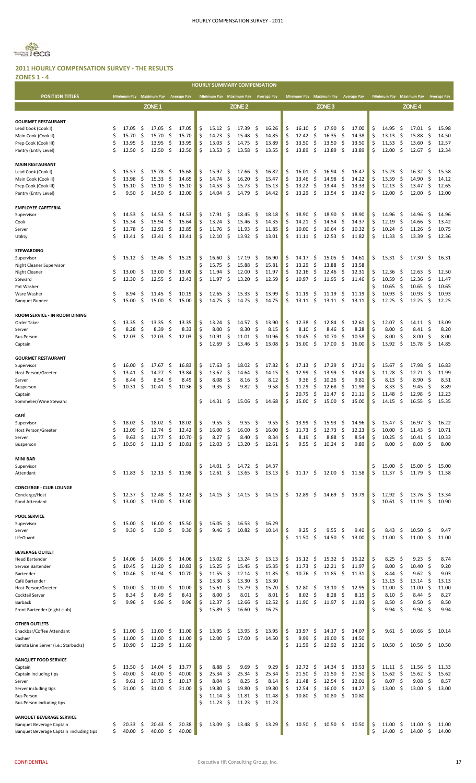POSITION TITLES Minimum Pay Maximum Pay Average Pay Minimum Pay Maximum Pay Average Pay Minimum Pay Maximum Pay Merage Pay Minimum Pay Maximum Pay Aw **HOURLY SUMMARY COMPENSATION**



#### **2011 HOURLY COMPENSATION SURVEY ‐ THE RESULTS ZONES 1 ‐ 4**

|                                                 |          |                |           | ZONE <sub>1</sub> |           |                |          |                |          | ZONE <sub>2</sub> |          |                |          |                             | ZONE <sub>3</sub>   |            |                |          |                       |               | ZONE <sub>4</sub> |            |                |
|-------------------------------------------------|----------|----------------|-----------|-------------------|-----------|----------------|----------|----------------|----------|-------------------|----------|----------------|----------|-----------------------------|---------------------|------------|----------------|----------|-----------------------|---------------|-------------------|------------|----------------|
|                                                 |          |                |           |                   |           |                |          |                |          |                   |          |                |          |                             |                     |            |                |          |                       |               |                   |            |                |
| <b>GOURMET RESTAURANT</b><br>Lead Cook (Cook I) | \$       | 17.05          | \$,       | 17.05             | -\$       | 17.05          | \$       | 15.12          | -\$      | 17.39             | \$       | 16.26          | \$       | 16.10<br>\$.                | 17.90               | -\$        | 17.00          | \$       | 14.95                 | -\$           | 17.01             | -\$        | 15.98          |
| Main Cook (Cook II)                             | Ś        | 15.70          | \$        | 15.70             | \$        | 15.70          | \$       | 14.23          | \$       | 15.48             | \$       | 14.85          | \$       | \$<br>12.42                 | 16.35               | -\$        | 14.38          | \$       | 13.13                 | \$            | 15.88             | \$         | 14.50          |
| Prep Cook (Cook III)                            | \$       | 13.95          | \$        | 13.95             | \$        | 13.95          | \$       | 13.03          | \$       | 14.75             | \$       | 13.89          | \$       | 13.50<br>\$                 | 13.50               | -\$        | 13.50          | \$       | 11.53                 | -\$           | 13.60             | \$         | 12.57          |
| Pantry (Entry Level)                            | \$       | 12.50          | \$        | 12.50             | \$        | 12.50          | Ś        | 13.53          | \$       | 13.58             | \$       | 13.55          | Ś        | 13.89<br>\$                 | 13.89               | \$.        | 13.89          | \$       | 12.00                 | -\$           | 12.67             | \$         | 12.34          |
| <b>MAIN RESTAURANT</b>                          |          |                |           |                   |           |                |          |                |          |                   |          |                |          |                             |                     |            |                |          |                       |               |                   |            |                |
| Lead Cook (Cook I)                              | \$       | 15.57          | \$,       | 15.78             | \$        | 15.68          | \$       | 15.97          | \$       | 17.66             | \$       | 16.82          | \$       | \$<br>16.01                 | 16.94               | \$         | 16.47          | \$       | 15.23                 | \$            | 16.32             | \$         | 15.58          |
| Main Cook (Cook II)                             | \$       | 13.98          | \$        | 15.33             | \$        | 14.65          | \$       | 14.74          | \$       | 16.20             | \$       | 15.47          | Ś        | \$<br>13.46                 | 14.98               | \$         | 14.22          | \$       | 13.59                 | \$            | 14.90             | \$         | 14.12          |
| Prep Cook (Cook III)                            | \$       | 15.10          | \$        | 15.10             | \$        | 15.10          | \$       | 14.53          | \$       | 15.73             | \$       | 15.13          | \$       | \$<br>13.22                 | 13.44               | \$         | 13.33          | \$       | 12.13                 | \$            | 13.47             | \$         | 12.65          |
| Pantry (Entry Level)                            | Ś        | 9.50           | \$        | 14.50             | \$        | 12.00          | \$       | 14.04          | \$       | 14.79             | \$       | 14.42          | Ś        | \$<br>13.29                 | 13.54               | \$         | 13.42          | \$       | 12.00                 | \$            | 12.00             | \$         | 12.00          |
| <b>EMPLOYEE CAFETERIA</b>                       |          |                |           |                   |           |                |          |                |          |                   |          |                |          |                             |                     |            |                |          |                       |               |                   |            |                |
| Supervisor                                      | Ś        | 14.53          | \$,       | 14.53             | -\$       | 14.53          | \$       | 17.91          | \$       | 18.45             | \$       | 18.18          | \$       | 18.90<br>\$                 | 18.90               | -\$        | 18.90          | \$       | 14.96                 | -\$           | 14.96             | \$         | 14.96          |
| Cook                                            | Ś        | 15.34          | \$        | 15.94             | \$        | 15.64          | \$       | 13.24          | \$       | 15.46             | \$       | 14.35          | \$       | \$<br>14.21                 | 14.54               | \$         | 14.37          | \$       | 12.19                 | \$            | 14.66             | \$         | 13.42          |
| Server                                          | Ś        | 12.78          | \$        | 12.92             | \$        | 12.85          | \$       | 11.76          | \$       | 11.93             | \$       | 11.85          | \$       | 10.00<br>\$                 | 10.64               | \$         | 10.32          | \$       | 10.24                 | \$            | 11.26             | \$         | 10.75          |
| Utility                                         | Ś        | 13.41          | -\$       | 13.41             | -\$       | 13.41          | \$       | 12.10          | -\$      | 13.92             | -\$      | 13.01          | \$       | $11.11 \pm$                 | 12.53               | -\$        | 11.82          | \$       | 11.33                 | -\$           | 13.39             | \$         | 12.36          |
| <b>STEWARDING</b>                               |          |                |           |                   |           |                |          |                |          |                   |          |                |          |                             |                     |            |                |          |                       |               |                   |            |                |
| Supervisor                                      | \$       | 15.12          | \$        | 15.46             | \$        | 15.29          | \$       | 16.60          | \$       | 17.19             | \$       | 16.90          | \$       | 14.17<br>\$                 | 15.05               | -\$        | 14.61          | \$       | 15.31                 | \$            | 17.30             | -\$        | 16.31          |
| Night Cleaner Supervisor                        |          |                |           |                   |           |                | \$       | 15.75          | \$       | 15.88             | \$       | 15.81          | \$       | \$<br>13.29                 | 13.88               | \$         | 13.58          |          |                       |               |                   |            |                |
| <b>Night Cleaner</b>                            | \$       | 13.00          | -\$       | 13.00             | \$        | 13.00          | \$       | 11.94          | \$       | 12.00             | \$       | 11.97          | Ś        | \$<br>12.16                 | 12.46               | \$         | 12.31          | \$       | 12.36                 | \$            | 12.63             | -\$        | 12.50          |
| Steward<br>Pot Washer                           | Ś        | 12.30          | -\$       | 12.55             | \$        | 12.43          | Ś        | 11.97          | \$       | 13.20             | \$       | 12.59          | \$       | 10.97<br>- \$               | 11.95               | - \$       | 11.46          | \$<br>Ś  | 10.59<br>10.65        | $\zeta$<br>\$ | 12.36<br>10.65    | \$<br>\$   | 11.47<br>10.65 |
| Ware Washer                                     | \$       | 8.94           | \$.       | 11.45             | \$.       | 10.19          | \$       | 12.65          | \$       | 15.33             | \$       | 13.99          | \$       | 11.19<br>\$                 | 11.19               | -\$        | 11.19          | \$       | 10.93                 | \$            | 10.93             | \$         | 10.93          |
| <b>Banquet Runner</b>                           | \$       | 15.00          | \$        | 15.00             | \$        | 15.00          | \$       | 14.75          | \$       | 14.75             | \$       | 14.75          | \$       | \$<br>13.11                 | 13.11               | \$         | 13.11          | \$       | 12.25                 | -\$           | 12.25             | -\$        | 12.25          |
|                                                 |          |                |           |                   |           |                |          |                |          |                   |          |                |          |                             |                     |            |                |          |                       |               |                   |            |                |
| ROOM SERVICE - IN ROOM DINING<br>Order Taker    | \$       | 13.35          | -\$       | 13.35             | -\$       | 13.35          | \$       | 13.24          | \$       | 14.57             | \$       | 13.90          | \$       | 12.38<br>\$,                | 12.84               | -\$        | 12.61          | \$       | 12.07                 | -\$           | 14.11             | \$         | 13.09          |
| Server                                          | \$       | 8.28           | \$        | 8.39              | \$        | 8.33           | \$       | 8.00           | \$       | 8.30              | \$       | 8.15           | \$       | 8.10<br>\$                  | 8.46                | Ŝ.         | 8.28           | \$       | 8.00                  | \$            | 8.41              | \$         | 8.20           |
| <b>Bus Person</b>                               | \$       | 12.03          | \$        | 12.03             | \$        | 12.03          | \$       | 10.91          | \$       | 11.01             | \$       | 10.96          | Ś        | 10.45<br>\$                 | 10.70               | \$         | 10.58          | \$       | 8.00                  | \$            | 8.00              | \$         | 8.00           |
| Captain                                         |          |                |           |                   |           |                | Ś        | 12.69          | \$       | 13.46             | \$       | 13.08          | \$       | \$<br>15.00                 | 17.00               | -\$        | 16.00          | \$       | 13.92                 | -\$           | 15.78             | \$         | 14.85          |
|                                                 |          |                |           |                   |           |                |          |                |          |                   |          |                |          |                             |                     |            |                |          |                       |               |                   |            |                |
| <b>GOURMET RESTAURANT</b><br>Supervisor         | \$       | 16.00          | Ş         | 17.67             | \$.       | 16.83          | \$       | 17.63          | -\$      | 18.02             | \$       | 17.82          | \$       | 17.13<br>\$,                | 17.29               | -\$        | 17.21          | \$       | 15.67                 | -\$           | 17.98             | -\$        | 16.83          |
| Host Person/Greeter                             | Ś        | 13.41          | \$        | 14.27             | \$        | 13.84          | \$       | 13.67          | \$       | 14.64             | \$       | 14.15          | \$       | \$<br>12.99                 | 13.99               | \$         | 13.49          | \$       | 11.28                 | \$            | 12.71             | \$         | 11.99          |
| Server                                          | Ś        | 8.44           | \$        | 8.54              | \$        | 8.49           | \$       | 8.08           | \$       | 8.16              | \$       | 8.12           | Ś        | 9.36<br>\$                  | 10.26               | .S         | 9.81           | \$       | 8.13                  | \$            | 8.90              | \$         | 8.51           |
| Busperson                                       | Ś        | 10.31          | Ŝ.        | 10.41             | -\$       | 10.36          | Ś        | 9.35           | -\$      | 9.82              | -\$      | 9.58           |          | 11.29<br>\$                 | 12.68               | \$         | 11.98          | \$       | 8.33                  | -\$           | 9.45              | \$         | 8.89           |
| Captain                                         |          |                |           |                   |           |                | Ś        |                |          |                   |          |                | Ś        | \$<br>20.75                 | 21.47               | \$         | 21.11          | \$<br>\$ | 11.48                 | -\$           | 12.98             | \$         | 12.23          |
| Sommelier/Wine Steward                          |          |                |           |                   |           |                |          | 14.31          | \$       | 15.06             | \$       | 14.68          |          | -\$<br>15.00                | 15.00               | -\$        | 15.00          |          | 14.15                 | \$            | 16.55             | \$         | 15.35          |
| CAFÉ                                            |          |                |           |                   |           |                |          |                |          |                   |          |                |          |                             |                     |            |                |          |                       |               |                   |            |                |
| Supervisor                                      | \$       | 18.02          | \$,       | 18.02             | -\$       | 18.02          | \$       | 9.55           | \$       | 9.55              | \$       | 9.55           | \$       | 13.99<br>\$                 | 15.93               | -\$        | 14.96          | \$       | 15.47                 | -\$           | 16.97             | \$         | 16.22          |
| Host Person/Greeter                             | Ś        | 12.09          | \$        | 12.74             | \$        | 12.42          | \$       | 16.00          | \$       | 16.00             | \$       | 16.00          | \$       | \$<br>11.73                 | 12.73               | \$         | 12.23          | \$       | 10.00                 | \$            | 11.43             | \$         | 10.71          |
| Server                                          | \$<br>\$ | 9.63<br>10.50  | \$<br>\$  | 11.77<br>11.13    | \$<br>\$  | 10.70<br>10.81 | \$<br>\$ | 8.27<br>12.03  | \$<br>\$ | 8.40<br>13.20     | \$<br>\$ | 8.34<br>12.61  | \$<br>\$ | 8.19<br>\$<br>\$<br>9.55    | 8.88<br>10.24       | \$<br>\$   | 8.54<br>9.89   | \$<br>\$ | 10.25<br>8.00         | \$<br>\$      | 10.41<br>8.00     | \$<br>\$   | 10.33<br>8.00  |
| Busperson                                       |          |                |           |                   |           |                |          |                |          |                   |          |                |          |                             |                     |            |                |          |                       |               |                   |            |                |
| <b>MINI BAR</b>                                 |          |                |           |                   |           |                |          |                |          |                   |          |                |          |                             |                     |            |                |          |                       |               |                   |            |                |
| Supervisor                                      |          |                |           |                   |           |                | \$       | 14.01          | \$       | 14.72             | \$       | 14.37          |          |                             |                     |            |                | \$       | 15.00                 | \$            | 15.00             | \$         | 15.00          |
| Attendant                                       | \$       | 11.83          | -\$       | 12.13             | - \$      | 11.98          | \$       | 12.61          | \$       | 13.65             | \$       | 13.13          | \$       | $11.17 \pm$                 | 12.00               | - \$       | 11.58          | \$       | 11.37                 | \$            | 11.79             | \$         | 11.58          |
| <b>CONCIERGE - CLUB LOUNGE</b>                  |          |                |           |                   |           |                |          |                |          |                   |          |                |          |                             |                     |            |                |          |                       |               |                   |            |                |
| Concierge/Host                                  | \$       | 12.37          | -\$       | 12.48             | -\$       | 12.43          | \$       | 14.15          | -\$      | $14.15 \quad$ \$  |          | 14.15          | \$       | 12.89<br>- \$               | 14.69 <sup>5</sup>  |            | 13.79          | \$       | 12.92                 | -\$           | 13.76             | -\$        | 13.34          |
| Food Attendant                                  | \$       | 13.00          | -\$       | 13.00             | -\$       | 13.00          |          |                |          |                   |          |                |          |                             |                     |            |                | Ś        | $10.61 \; \simeq$     |               | 11.19             | \$         | 10.90          |
|                                                 |          |                |           |                   |           |                |          |                |          |                   |          |                |          |                             |                     |            |                |          |                       |               |                   |            |                |
| <b>POOL SERVICE</b><br>Supervisor               | \$       | 15.00          | -\$       | 16.00             | \$        | 15.50          | \$       | 16.05          | \$       | 16.53             | \$       | 16.29          |          |                             |                     |            |                |          |                       |               |                   |            |                |
| Server                                          | \$       | 9.30           | - \$      | 9.30              | \$        | 9.30           | \$       | 9.46           | $\zeta$  | $10.82 \quad$ \$  |          | 10.14          | \$       | 9.25<br>\$                  | 9.55                | -\$        | 9.40           | \$       | 8.43                  | \$            | 10.50             | -\$        | 9.47           |
| LifeGuard                                       |          |                |           |                   |           |                |          |                |          |                   |          |                | \$       | \$<br>11.50                 | 14.50               | \$         | 13.00          | \$       | 11.00                 | \$            | 11.00             | \$         | 11.00          |
|                                                 |          |                |           |                   |           |                |          |                |          |                   |          |                |          |                             |                     |            |                |          |                       |               |                   |            |                |
| <b>BEVERAGE OUTLET</b><br><b>Head Bartender</b> | \$       | 14.06          | -\$       | 14.06             | \$        | 14.06          | \$       | 13.02          | \$       | 13.24             | \$       | 13.13          | \$       | -\$<br>15.12                | 15.32               | - \$       | 15.22          | \$       | 8.25                  | -\$           | 9.23              | -\$        | 8.74           |
| Service Bartender                               | \$       | 10.45          | \$        | 11.20             | \$        | 10.83          | \$       | 15.25          | \$       | 15.45             | \$       | 15.35          | \$       | \$<br>11.73                 | 12.21               | - \$       | 11.97          | \$       | 8.00                  | -\$           | 10.40             | \$         | 9.20           |
| Bartender                                       | Ś        | 10.46          | - \$      | 10.94             | -\$       | 10.70          | Ś        | 11.55          | \$       | 12.14             | \$       | 11.85          | \$       | -\$<br>10.76                | 11.85               | - \$       | 11.31          | Ś        | 8.44                  | -\$           | 9.62              | -\$        | 9.03           |
| Café Bartender                                  |          |                |           |                   |           |                | \$       | 13.30          | \$       | 13.30             | \$       | 13.30          |          |                             |                     |            |                | \$       | 13.13                 | - \$          | 13.14             | -\$        | 13.13          |
| Host Person/Greeter                             | \$<br>Ś  | 10.00<br>8.34  | -\$<br>\$ | 10.00<br>8.49     | -\$<br>\$ | 10.00<br>8.41  | \$<br>\$ | 15.61<br>8.00  | \$<br>\$ | 15.79<br>8.01     | \$<br>\$ | 15.70<br>8.01  | \$<br>\$ | 12.80<br>-\$<br>\$<br>8.02  | $13.10 \pm$<br>8.28 | \$         | 12.95<br>8.15  | \$<br>\$ | 11.00<br>8.10         | \$<br>- \$    | 11.00<br>8.44     | -\$<br>-\$ | 11.00<br>8.27  |
| Cocktail Server<br>Barback                      | Ś        | 9.96           | -\$       | 9.96              | \$        | 9.96           | \$       | 12.37          | \$       | 12.66             | \$       | 12.52          | \$       | 11.90<br>\$                 | 11.97               | \$.        | 11.93          | \$       | $8.50\frac{2}{3}$     |               | 8.50              | \$         | 8.50           |
| Front Bartender (night club)                    |          |                |           |                   |           |                | Ś        | 15.89          | \$       | 16.60             | \$       | 16.25          |          |                             |                     |            |                | Ś        | 9.94                  | -\$           | 9.94              | \$         | 9.94           |
|                                                 |          |                |           |                   |           |                |          |                |          |                   |          |                |          |                             |                     |            |                |          |                       |               |                   |            |                |
| <b>OTHER OUTLETS</b>                            |          |                |           |                   |           |                |          |                |          |                   |          |                |          |                             |                     |            |                |          |                       |               |                   |            |                |
| Snackbar/Coffee Attendant<br>Cashier            | \$<br>Ś  | 11.00<br>11.00 | \$,<br>\$ | 11.00<br>11.00    | \$<br>\$  | 11.00<br>11.00 | \$<br>Ś  | 13.95<br>12.00 | \$<br>\$ | 13.95<br>17.00    | \$<br>\$ | 13.95<br>14.50 | \$<br>\$ | 13.97<br>\$<br>\$<br>9.99   | 14.17<br>19.00      | -\$<br>-\$ | 14.07<br>14.50 | \$       | 9.61                  | \$.           | 10.66             | \$.        | 10.14          |
| Barista Line Server (i.e.: Starbucks)           | \$       | 10.90          | \$        | 12.29             | \$        | 11.60          |          |                |          |                   |          |                | \$       | 11.59<br>-\$                | $12.92 \quad$ \$    |            | 12.26          | \$       | 10.50                 | \$            | 10.50             | \$.        | 10.50          |
|                                                 |          |                |           |                   |           |                |          |                |          |                   |          |                |          |                             |                     |            |                |          |                       |               |                   |            |                |
| <b>BANQUET FOOD SERVICE</b>                     |          |                |           |                   |           |                |          |                |          |                   |          |                |          |                             |                     |            |                |          |                       |               |                   |            |                |
| Captain<br>Captain including tips               | \$<br>\$ | 13.50<br>40.00 | \$,<br>\$ | 14.04<br>40.00    | -\$<br>\$ | 13.77<br>40.00 | \$<br>\$ | 8.88<br>25.34  | \$<br>\$ | 9.69<br>25.34     | \$<br>\$ | 9.29<br>25.34  | \$<br>\$ | 12.72<br>\$,<br>\$<br>21.50 | 14.34<br>21.50      | \$,<br>\$  | 13.53<br>21.50 | \$<br>\$ | 11.11<br>$15.62 \div$ | -\$           | 11.56<br>15.62    | \$<br>-\$  | 11.33<br>15.62 |
| Server                                          | Ś        | 9.61           | \$.       | 10.73             | -\$       | 10.17          | \$       | 8.04           | -\$      | 8.25              | \$       | 8.14           | \$       | 11.48<br>\$                 | 12.54               | - \$       | 12.01          | \$       | 8.07                  | -\$           | 9.08              | \$         | 8.57           |
| Server including tips                           | Ś        | 31.00          | Ŝ.        | 31.00             | \$        | 31.00          | \$       | 19.80          | \$       | 19.80             | \$       | 19.80          | \$       | 12.54<br>\$                 | 16.00               | \$         | 14.27          | \$       | 13.00                 | -\$           | 13.00             | \$         | 13.00          |
| <b>Bus Person</b>                               |          |                |           |                   |           |                | Ś        | 11.14          | \$       | 11.81             | \$       | 11.48          | Ś.       | 10.80<br>\$                 | 10.80               | \$.        | 10.80          |          |                       |               |                   |            |                |
| Bus Person including tips                       |          |                |           |                   |           |                | Ś        | 11.23          | \$       | 11.23             | \$       | 11.23          |          |                             |                     |            |                |          |                       |               |                   |            |                |
| <b>BANQUET BEVERAGE SERVICE</b>                 |          |                |           |                   |           |                |          |                |          |                   |          |                |          |                             |                     |            |                |          |                       |               |                   |            |                |
| Banquet Beverage Captain                        | S        | 20.33          | Ş         | 20.43             | \$,       | 20.38          | \$       | 13.09          | \$       | 13.48             | -\$      | 13.29          | \$       | 10.50<br>S                  | 10.50               | -\$        | 10.50          | \$       | 11.00                 | \$.           | 11.00             | \$.        | 11.00          |
| Banquet Beverage Captain including tips         | \$       | 40.00          | -\$       | 40.00             | \$        | 40.00          |          |                |          |                   |          |                |          |                             |                     |            |                | \$       | 14.00                 | \$            | 14.00             | \$         | 14.00          |
|                                                 |          |                |           |                   |           |                |          |                |          |                   |          |                |          |                             |                     |            |                |          |                       |               |                   |            |                |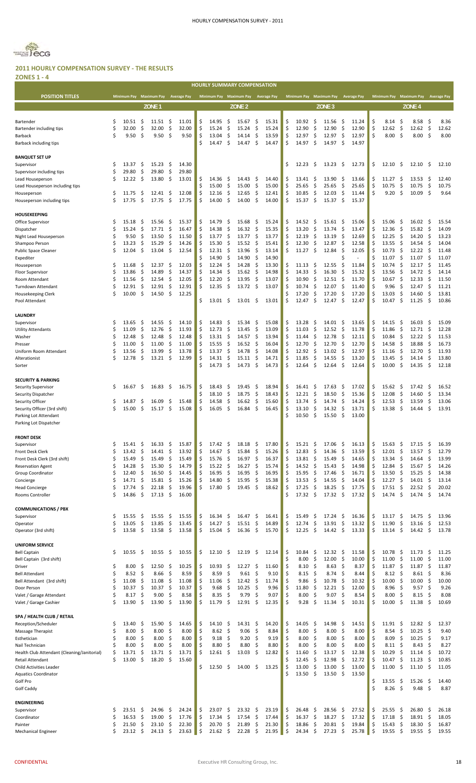

**ZONES 1 ‐ 4** n a

| LUNEJ 1                                                |          |                         |          |                   |                            |         | <b>HOURLY SUMMARY COMPENSATION</b>  |          |                   |          |                |          |                             |                   |                     |                    |          |                           |            |                         |              |                    |
|--------------------------------------------------------|----------|-------------------------|----------|-------------------|----------------------------|---------|-------------------------------------|----------|-------------------|----------|----------------|----------|-----------------------------|-------------------|---------------------|--------------------|----------|---------------------------|------------|-------------------------|--------------|--------------------|
| <b>POSITION TITLES</b>                                 |          | Minimum Pay Maximum Pay |          |                   | <b>Average Pay</b>         |         | Minimum Pay Maximum Pay Average Pay |          |                   |          |                |          | Minimum Pay Maximum Pay     |                   |                     | <b>Average Pay</b> |          | Minimum Pay Maximum Pay   |            |                         |              | <b>Average Pay</b> |
|                                                        |          |                         |          |                   |                            |         |                                     |          |                   |          |                |          |                             |                   |                     |                    |          |                           |            |                         |              |                    |
|                                                        |          |                         |          | ZONE <sub>1</sub> |                            |         |                                     |          | ZONE <sub>2</sub> |          |                |          |                             | ZONE <sub>3</sub> |                     |                    |          |                           |            | ZONE <sub>4</sub>       |              |                    |
| Bartender                                              | \$       | 10.51                   | \$       | 11.51             | Ŝ.<br>11.01                | Ś       | 14.95                               | Ś        | 15.67             | \$       | 15.31          | \$       | 10.92<br>\$                 | 11.56             | S                   | 11.24              | Ś        | 8.14                      | -\$        | 8.58                    | -\$          | 8.36               |
| Bartender including tips                               | Ś        | 32.00                   | \$       | 32.00             | \$<br>32.00                | \$      | 15.24                               | \$       | 15.24             | \$       | 15.24          | \$       | \$<br>12.90                 | 12.90             | -\$                 | 12.90              | \$       | 12.62                     | - \$       | 12.62                   | - \$         | 12.62              |
| Barback                                                | Ś.       | 9.50                    | Ŝ.       | 9.50              | \$<br>9.50                 | Ś       | 13.04                               | \$       | 14.14             | \$       | 13.59          | \$       | \$<br>12.97                 | 12.97             | \$                  | 12.97              | Ś        | 8.00                      | -\$        | 8.00                    | \$           | 8.00               |
| Barback including tips                                 |          |                         |          |                   |                            | Ś       | 14.47                               | \$       | 14.47             | \$       | 14.47          | Ś        | 14.97<br>-\$                | 14.97             | -\$                 | 14.97              |          |                           |            |                         |              |                    |
|                                                        |          |                         |          |                   |                            |         |                                     |          |                   |          |                |          |                             |                   |                     |                    |          |                           |            |                         |              |                    |
| <b>BANQUET SET UP</b>                                  |          |                         |          |                   |                            |         |                                     |          |                   |          |                |          |                             |                   |                     |                    |          |                           |            |                         |              |                    |
| Supervisor                                             | \$       | 13.37                   | \$       | 15.23             | \$<br>14.30                |         |                                     |          |                   |          |                | \$       | \$<br>12.23                 | 13.23             | -\$                 | 12.73              | \$       | 12.10                     | -\$        | 12.10                   | \$           | 12.10              |
| Supervisor including tips                              | \$       | 29.80                   | \$       | 29.80             | -\$<br>29.80               |         |                                     |          |                   |          |                |          |                             |                   |                     |                    |          |                           |            |                         |              |                    |
| Lead Houseperson                                       | \$       | 12.22                   | \$       | 13.80             | \$<br>13.01                | S<br>Ś  | 14.36<br>15.00                      | .S<br>\$ | 14.43<br>15.00    | \$<br>\$ | 14.40<br>15.00 | \$<br>\$ | 13.41<br>\$,<br>\$<br>25.65 | 13.90<br>25.65    | S<br>\$             | 13.66<br>25.65     | \$<br>Ś  | 11.27<br>10.75            | \$<br>\$   | 13.53                   | -\$<br>\$    | 12.40<br>10.75     |
| Lead Houseperson including tips<br>Houseperson         | \$       | 11.75                   | \$,      | 12.41             | \$<br>12.08                | Ś       | 12.16                               | \$       | 12.65             | \$       | 12.41          | Ś        | \$<br>10.85                 | 12.03             | \$                  | 11.44              | \$       | 9.20                      | \$         | 10.75<br>10.09          | \$           | 9.64               |
| Houseperson including tips                             | Ś        | 17.75                   | \$       | 17.75             | -\$<br>17.75               | Ś       | 14.00                               | \$       | 14.00             | \$       | 14.00          | \$       | 15.37<br>- \$               | 15.37             | - \$                | 15.37              |          |                           |            |                         |              |                    |
|                                                        |          |                         |          |                   |                            |         |                                     |          |                   |          |                |          |                             |                   |                     |                    |          |                           |            |                         |              |                    |
| <b>HOUSEKEEPING</b>                                    |          |                         |          |                   |                            |         |                                     |          |                   |          |                |          |                             |                   |                     |                    |          |                           |            |                         |              |                    |
| Office Supervisor                                      | \$,      | 15.18                   | S        | 15.56             | -\$<br>15.37               | S       | 14.79                               | .S       | 15.68             | \$.      | 15.24          | \$       | \$.<br>14.52                | $15.61 \quad$ \$  |                     | 15.06              | \$       | 15.06                     | \$.        | 16.02                   | -\$          | 15.54              |
| Dispatcher                                             | \$       | 15.24                   | \$       | 17.71             | \$<br>16.47                | Ś       | 14.38                               | \$       | 16.32             | \$       | 15.35          | Ś        | \$<br>13.20                 | 13.74             | \$                  | 13.47              | Ś        | 12.36                     | -\$        | 15.82                   | - \$         | 14.09              |
| Night Lead Houseperson                                 | \$       | 9.50                    | \$       | 13.50             | -\$<br>11.50               | \$      | 13.77                               | \$       | 13.77             | \$       | 13.77          | \$       | 12.19<br>\$.                | 13.19             | -\$                 | 12.69              | \$       | 12.25                     | -\$        | 14.20                   | -\$          | 13.23              |
| Shampoo Person                                         | \$       | 13.23                   | \$       | 15.29             | -\$<br>14.26               | Ś       | 15.30                               | \$       | 15.52             | \$       | 15.41          | Ś        | \$<br>12.30                 | 12.87             | \$                  | 12.58              | Ś        | 13.55                     | -\$        | 14.54                   | -\$          | 14.04              |
| <b>Public Space Cleaner</b>                            | Ś        | 12.04                   | \$       | 13.04             | \$<br>12.54                | Ś<br>Ś  | 12.31                               | \$<br>\$ | 13.96             | \$<br>\$ | 13.14          | \$       | - \$<br>11.27               | 12.84             | S.                  | 12.05              | \$<br>Ś  | 10.73                     | \$         | 12.22                   | -\$          | 11.48              |
| Expediter<br>Houseperson                               | S        | 11.68                   | \$       | 12.37             | \$<br>12.03                | \$      | 14.90<br>12.24                      | \$       | 14.90<br>14.28    | \$       | 14.90<br>13.30 | \$       | 11.13<br>\$                 | 12.55             | \$                  | 11.84              | Ś        | 11.07<br>10.74            | \$<br>-\$  | 11.07<br>12.17          | \$<br>\$     | 11.07<br>11.45     |
| Floor Supervisor                                       | \$       | 13.86                   | \$       | 14.89             | \$<br>14.37                | Ś       | 14.34                               | \$       | 15.62             | \$       | 14.98          | \$       | \$<br>14.33                 | 16.30             | \$                  | 15.32              | \$       | 13.56                     | -\$        | 14.72                   | \$           | 14.14              |
| Room Attendant                                         | Ś        | 11.56                   | \$       | 12.54             | -\$<br>12.05               | Ś       | 12.20                               | \$       | 13.95             | \$       | 13.07          | Ś        | 10.90<br>\$                 | 12.51             | -S                  | 11.70              | Ś        | 10.67                     | -\$        | 12.33                   | -\$          | 11.50              |
| Turndown Attendant                                     | Ś        | 12.91                   | \$       | 12.91             | \$<br>12.91                | Ś       | 12.35                               | \$       | 13.72             | \$       | 13.07          |          | \$<br>10.74                 | 12.07             | \$                  | 11.40              | Ś        | 9.96                      | -\$        | 12.47                   | -\$          | 11.21              |
| Housekeeping Clerk                                     | Ś        | 10.00                   | \$       | 14.50             | \$<br>12.25                |         |                                     |          |                   |          |                |          | 17.20<br>\$                 | 17.20             | \$                  | 17.20              | Ś        | 13.03                     | \$         | 14.60                   | \$           | 13.81              |
| Pool Attendant                                         |          |                         |          |                   |                            | Ś       | 13.01                               | .S       | 13.01             | \$       | 13.01          | \$       | \$<br>12.47                 | 12.47             | \$                  | 12.47              | Ś        | 10.47                     | -\$        | 11.25                   | \$           | 10.86              |
|                                                        |          |                         |          |                   |                            |         |                                     |          |                   |          |                |          |                             |                   |                     |                    |          |                           |            |                         |              |                    |
| <b>LAUNDRY</b>                                         |          |                         |          |                   |                            |         |                                     |          |                   |          |                |          |                             |                   |                     |                    |          |                           |            |                         |              |                    |
| Supervisor                                             | Ŝ        | 13.65                   | S        | 14.55             | \$<br>14.10                | Ś       | 14.83                               | S        | 15.34             | \$       | 15.08          | \$       | 13.28<br>\$                 | 14.01             | -\$                 | 13.65              | \$       | 14.15                     | -\$        | 16.03                   | -\$          | 15.09              |
| <b>Utility Attendants</b>                              | \$       | 11.09                   | \$       | 12.76             | -\$<br>11.93               | \$      | 12.73                               | \$       | 13.45             | \$       | 13.09          | Ś        | \$<br>11.03                 | 12.52             | - \$                | 11.78              | \$       | 11.86                     | -\$        | 12.71                   | \$           | 12.28              |
| Washer                                                 | \$       | 12.48                   | \$       | 12.48             | -\$<br>12.48               | Ś       | 13.31                               | \$       | 14.57             | \$       | 13.94          | Ś        | \$<br>11.44                 | 12.78             | -\$                 | 12.11              | Ś        | 10.84                     | -\$        | 12.22                   | \$           | 11.53              |
| Presser                                                | Ś        | 11.00                   | \$       | 11.00             | \$<br>11.00                | \$<br>Ś | 15.55                               | \$       | 16.52             | \$       | 16.04          | \$       | \$<br>12.70                 | 12.70             | -\$                 | 12.70              | Ś        | 14.58                     | -\$        | 18.88                   | -\$          | 16.73              |
| Uniform Room Attendant<br>Alterationist                | \$       | 13.56<br>12.78          | \$<br>\$ | 13.99<br>13.21    | \$<br>13.78<br>\$<br>12.99 | \$      | 13.37<br>14.31                      | \$<br>\$ | 14.78<br>15.11    | \$<br>\$ | 14.08<br>14.71 | Ś<br>\$  | \$<br>12.92<br>\$<br>11.85  | 13.02<br>14.55    | S.<br>-\$           | 12.97<br>13.20     | \$<br>Ś  | 11.16<br>13.45            | -\$<br>-\$ | 12.70<br>14.14          | \$<br>\$     | 11.93<br>13.80     |
| Sorter                                                 |          |                         |          |                   |                            | Ś       | 14.73                               | \$       | 14.73             | \$       | 14.73          | Ś        | \$<br>12.64                 | 12.64             | \$                  | 12.64              | Ś        | 10.00                     | \$         | 14.35                   | \$           | 12.18              |
|                                                        |          |                         |          |                   |                            |         |                                     |          |                   |          |                |          |                             |                   |                     |                    |          |                           |            |                         |              |                    |
| <b>SECURITY &amp; PARKING</b>                          |          |                         |          |                   |                            |         |                                     |          |                   |          |                |          |                             |                   |                     |                    |          |                           |            |                         |              |                    |
| Security Supervisor                                    | Ş        | 16.67                   | \$       | 16.83             | -\$<br>16.75               | Ś       | 18.43                               | S.       | 19.45             | \$       | 18.94          | \$       | \$<br>16.41                 | 17.63             | \$,                 | 17.02              | \$       | 15.62                     | \$.        | 17.42                   | -\$          | 16.52              |
| Security Dispatcher                                    |          |                         |          |                   |                            | Ś       | 18.10                               | \$       | 18.75             | \$       | 18.43          | \$       | -\$<br>12.21                | 18.50             | -\$                 | 15.36              | \$       | 12.08                     | - \$       | 14.60                   | -\$          | 13.34              |
| Security Officer                                       |          | 14.87                   | S        | 16.09             | \$.<br>15.48               | Ś       | 14.58                               | S.       | 16.62             | \$       | 15.60          | \$       | -\$<br>13.74                | 14.74             | S                   | 14.24              | Ś        | 12.53                     | - \$       | 13.59                   | -\$          | 13.06              |
| Security Officer (3rd shift)                           | Ś.       | 15.00                   | \$       | 15.17             | \$<br>15.08                | \$      | 16.05                               | \$       | 16.84             | \$       | 16.45          | Ś        | 13.10<br>\$.                | 14.32             | \$                  | 13.71              | \$       | 13.38                     | - \$       | 14.44                   | -\$          | 13.91              |
| Parking Lot Attendant                                  |          |                         |          |                   |                            |         |                                     |          |                   |          |                |          | 10.50<br>\$.                | 15.50             | \$                  | 13.00              |          |                           |            |                         |              |                    |
| Parking Lot Dispatcher                                 |          |                         |          |                   |                            |         |                                     |          |                   |          |                |          |                             |                   |                     |                    |          |                           |            |                         |              |                    |
| <b>FRONT DESK</b>                                      |          |                         |          |                   |                            |         |                                     |          |                   |          |                |          |                             |                   |                     |                    |          |                           |            |                         |              |                    |
| Supervisor                                             | \$       | 15.41                   | \$       | 16.33             | \$<br>15.87                | \$      | 17.42                               | \$       | 18.18             | \$       | 17.80          | \$       | 15.21<br>\$                 | 17.06             | \$                  | 16.13              | \$       | 15.63                     | \$         | 17.15                   | \$           | 16.39              |
| Front Desk Clerk                                       | Ś        | 13.42                   | \$       | 14.41             | \$<br>13.92                | \$      | 14.67                               | \$       | 15.84             | \$       | 15.26          | \$       | \$<br>12.83                 | 14.36             | -\$                 | 13.59              | \$       | 12.01                     | \$         | 13.57                   | \$           | 12.79              |
| Front Desk Clerk (3rd shift)                           | Ś        | 15.49                   | \$       | 15.49             | \$<br>15.49                | Ś       | 15.76                               | \$       | 16.97             | \$       | 16.37          | Ś        | \$<br>13.81                 | 15.49             | - \$                | 14.65              | \$       | $13.34 \pm 5$             |            | 14.64                   | \$           | 13.99              |
| <b>Reservation Agent</b>                               | Ś        | 14.28                   | \$       | 15.30             | \$<br>14.79                | Ś       | 15.22                               | \$       | 16.27             | \$       | 15.74          | \$       | \$<br>14.52                 | 15.43             | -\$                 | 14.98              | Ś        | 12.84                     | -\$        | 15.67                   | -\$          | 14.26              |
| Group Coordinator                                      | Ś        | 12.40                   | \$       | 16.50             | \$<br>14.45                | Ś       | 16.95                               | \$       | 16.95             | \$       | 16.95          | \$       | \$<br>15.95                 | 17.46             | \$                  | 16.71              | Ś        | 13.50                     | -\$        | 15.25                   | -\$          | 14.38              |
| Concierge                                              | Ś        | 14.71                   | \$       | 15.81             | \$<br>15.26                | Ś       | 14.80                               | \$       | 15.95             | \$       | 15.38          | \$       | \$<br>13.53                 | 14.55             | -\$                 | 14.04              | Ś        | 12.27                     | -\$        | 14.01                   | - \$         | 13.14              |
| <b>Head Concierge</b>                                  | \$       | 17.74                   | \$       | 22.18             | \$<br>19.96                | \$      | 17.80                               | \$       | 19.45             | \$       | 18.62          | \$       | -\$<br>17.25                | 18.25             | -\$                 | 17.75              | \$       | $17.51 \; \S$             |            | 22.52                   | - \$         | 20.02              |
| Rooms Controller                                       | Ś        | 14.86                   | \$       | 17.13             | \$<br>16.00                |         |                                     |          |                   |          |                | Ś        | - \$<br>17.32               | $17.32 \quad$ \$  |                     | 17.32              | \$       | 14.74                     | -\$        | 14.74                   | $\mathsf{S}$ | 14.74              |
|                                                        |          |                         |          |                   |                            |         |                                     |          |                   |          |                |          |                             |                   |                     |                    |          |                           |            |                         |              |                    |
| <b>COMMUNICATIONS / PBX</b><br>Supervisor              | \$       | 15.55                   | \$       | 15.55             | \$<br>15.55                | \$      | 16.34                               | \$       | 16.47             | \$       | 16.41          | \$       | 15.49<br>\$                 | $17.24 \quad$ \$  |                     | 16.36              | \$       | 13.17                     | -\$        | 14.75                   | \$           | 13.96              |
| Operator                                               | \$       | 13.05                   | \$       | 13.85             | \$<br>13.45                | \$      | 14.27                               | \$       | 15.51             | \$       | 14.89          | \$       | \$<br>12.74                 | 13.91             | \$                  | 13.32              | \$       | 11.90                     | \$         | 13.16                   | \$           | 12.53              |
| Operator (3rd shift)                                   | Ś        | 13.58                   | $\zeta$  | 13.58             | \$<br>13.58                | \$      | 15.04                               | \$       | 16.36             | -\$      | 15.70          | \$       | -\$<br>12.25                | $14.42 \div$      |                     | 13.33              | \$       | $13.14 \quad$ \$          |            | 14.42                   | -\$          | 13.78              |
|                                                        |          |                         |          |                   |                            |         |                                     |          |                   |          |                |          |                             |                   |                     |                    |          |                           |            |                         |              |                    |
| <b>UNIFORM SERVICE</b>                                 |          |                         |          |                   |                            |         |                                     |          |                   |          |                |          |                             |                   |                     |                    |          |                           |            |                         |              |                    |
| <b>Bell Captain</b>                                    | \$       | 10.55                   | \$       | 10.55             | \$<br>10.55                | \$      | 12.10                               | \$       | 12.19             | \$       | 12.14          | \$       | 10.84<br>\$                 | 12.32             | - \$                | 11.58              | \$       | 10.78                     | \$         | 11.73                   | \$,          | 11.25              |
| Bell Captain (3rd shift)                               |          |                         |          |                   |                            |         |                                     |          |                   |          |                | Ś        | \$<br>8.00                  | 12.00             | \$                  | 10.00              | Ś        | 11.00                     | -\$        | 11.00                   | $\zeta$      | 11.00              |
| Driver                                                 | \$       | 8.00                    | S        | 12.50             | \$<br>10.25                | Ś       | 10.93                               | \$       | 12.27             | \$       | 11.60          | \$       | \$<br>8.10                  | 8.63              | \$                  | 8.37               | \$       | 11.87                     | -\$        | 11.87                   | -\$          | 11.87              |
| <b>Bell Attendant</b>                                  | \$       | 8.52                    | \$       | 8.66              | \$<br>8.59                 | Ś       | 8.59                                | \$       | 9.61              | \$       | 9.10           | \$       | \$<br>8.15                  | 8.74              | -\$                 | 8.44               | \$       | $8.12 \quad$              |            | 8.61                    | - \$         | 8.36               |
| Bell Attendant (3rd shift)                             | \$       | 11.08                   | \$       | 11.08             | \$<br>11.08                | \$<br>Ś | 11.06                               | -\$      | 12.42             | \$       | 11.74          | \$       | \$<br>9.86                  | 10.78             | - \$                | 10.32              | \$<br>\$ | $10.00\frac{1}{5}$        |            | 10.00                   | - \$         | 10.00              |
| Door Person<br>Valet / Garage Attendant                | \$<br>\$ | 10.37<br>8.17           | \$<br>\$ | 10.37<br>9.00     | \$<br>10.37<br>\$<br>8.58  | \$      | 9.68<br>8.35                        | \$<br>\$ | 10.25<br>9.79     | \$<br>\$ | 9.96<br>9.07   | \$<br>\$ | \$<br>11.80<br>\$<br>8.00   | 12.21<br>9.07     | \$<br>\$            | 12.00<br>8.54      | \$       | $8.96\frac{1}{2}$<br>8.00 | -\$        | $9.57 \quad$ \$<br>8.15 | -\$          | 9.26<br>8.08       |
| Valet / Garage Cashier                                 | \$       | 13.90                   | \$       | 13.90             | \$<br>13.90                | \$      | 11.79                               | \$       | 12.91             | \$       | 12.35          | Ś        | \$<br>9.28                  | 11.34             | S.                  | 10.31              | \$       | 10.00                     | \$         | 11.38                   | \$           | 10.69              |
|                                                        |          |                         |          |                   |                            |         |                                     |          |                   |          |                |          |                             |                   |                     |                    |          |                           |            |                         |              |                    |
| SPA / HEALTH CLUB / RETAIL                             |          |                         |          |                   |                            |         |                                     |          |                   |          |                |          |                             |                   |                     |                    |          |                           |            |                         |              |                    |
| Reception/Scheduler                                    | \$       | 13.40                   | \$       | 15.90             | \$<br>14.65                | \$      | 14.10                               | \$       | 14.31             | \$       | 14.20          | \$       | 14.05<br>\$                 | 14.98             | \$                  | 14.51              | \$       | 11.91                     | \$         | 12.82                   | \$           | 12.37              |
| Massage Therapist                                      | \$       | 8.00                    | \$       | 8.00              | \$<br>8.00                 | \$      | 8.62                                | \$       | 9.06              | \$       | 8.84           | \$       | \$<br>8.00                  | 8.00              | $\ddot{\mathsf{S}}$ | 8.00               | \$       | 8.54                      | \$         | 10.25                   | \$           | 9.40               |
| Esthetician                                            | \$       | 8.00                    | \$       | $8.00\frac{2}{3}$ | 8.00                       | Ś       | 9.18                                | - \$     | 9.20              | \$       | 9.19           | \$       | \$<br>8.00                  | 8.00              | - \$                | 8.00               | \$       | 8.09                      | -\$        | 10.25                   | - \$         | 9.17               |
| Nail Technician                                        | \$       | 8.00                    | \$       | 8.00              | \$<br>8.00                 | Ś       | 8.80                                | \$       | 8.80              | \$       | 8.80           | Ś        | \$<br>8.00                  | 8.00              | \$                  | 8.00               | Ś        | $8.11 \pm$                |            | 8.43                    | -\$          | 8.27               |
| Health Club Attendant (Cleaning/Janitorial)            | \$       | 13.71                   | \$       | 13.71             | \$<br>13.71                | Ś       | 12.61                               | \$       | 13.03             | \$       | 12.82          | \$       | 11.60<br>\$                 | 13.17             | \$                  | 12.38              | Ś        | 10.29                     | -\$        | 11.14                   | - \$         | 10.72              |
| Retail Attendant                                       | Ś        | 13.00                   | \$       | 18.20             | -\$<br>15.60               |         |                                     |          |                   |          |                |          | \$<br>12.45                 | 12.98             | S.                  | 12.72              | \$       | 10.47                     | \$         | 11.23                   | -\$          | 10.85              |
| Child Activities Leader<br><b>Aquatics Coordinator</b> |          |                         |          |                   |                            | Ś       | 12.50                               | S        | 14.00             | - \$     | 13.25          | \$       | \$<br>13.00<br>13.50<br>\$. | 13.00<br>13.50    | \$<br>-\$           | 13.00<br>13.50     | \$       | $11.00 \; \; \text{S}$    |            | 11.10                   | -\$          | 11.05              |
| Golf Pro                                               |          |                         |          |                   |                            |         |                                     |          |                   |          |                |          |                             |                   |                     |                    | Ś        | 13.55                     | - \$       | 15.26                   | -\$          | 14.40              |
| Golf Caddy                                             |          |                         |          |                   |                            |         |                                     |          |                   |          |                |          |                             |                   |                     |                    | Ś        | 8.26                      | - \$       | 9.48                    | \$           | 8.87               |
|                                                        |          |                         |          |                   |                            |         |                                     |          |                   |          |                |          |                             |                   |                     |                    |          |                           |            |                         |              |                    |
| <b>ENGINEERING</b>                                     |          |                         |          |                   |                            |         |                                     |          |                   |          |                |          |                             |                   |                     |                    |          |                           |            |                         |              |                    |
| Supervisor                                             | S        | 23.51                   | \$       | 24.96             | \$<br>24.24                | \$      | 23.07                               | \$.      | 23.32             | \$       | 23.19          | \$       | 26.48<br>\$                 | 28.56             | \$.                 | 27.52              | \$       | 25.55                     | -\$        | 26.80                   | \$,          | 26.18              |
| Coordinator                                            | Ś        | 16.53                   | \$       | 19.00             | \$<br>17.76                | \$      | 17.34                               | \$       | 17.54             | \$       | 17.44          | \$       | \$<br>16.37                 | 18.27             | - \$                | 17.32              | \$       | 17.18                     | -\$        | 18.91                   | -\$          | 18.05              |
| Painter                                                | \$       | 21.50                   | \$       | 23.10             | \$<br>22.30                | Ś       | 20.70                               | \$       | 21.89             | \$       | 21.30          | Ś        | \$<br>18.86                 | 20.81             | \$                  | 19.84              | \$       | 15.43                     | \$.        | 18.30                   | \$           | 16.87              |
| Mechanical Engineer                                    | Ś        | 23.12                   | \$       | 24.13             | \$<br>23.63                | \$      | 21.62                               | \$       | 22.28             | \$       | 21.95          | \$       | 24.34<br>- \$               | 27.23             | -\$                 | 25.78              | \$       | 19.55                     | -\$        | 19.55                   | \$           | 19.55              |
|                                                        |          |                         |          |                   |                            |         |                                     |          |                   |          |                |          |                             |                   |                     |                    |          |                           |            |                         |              |                    |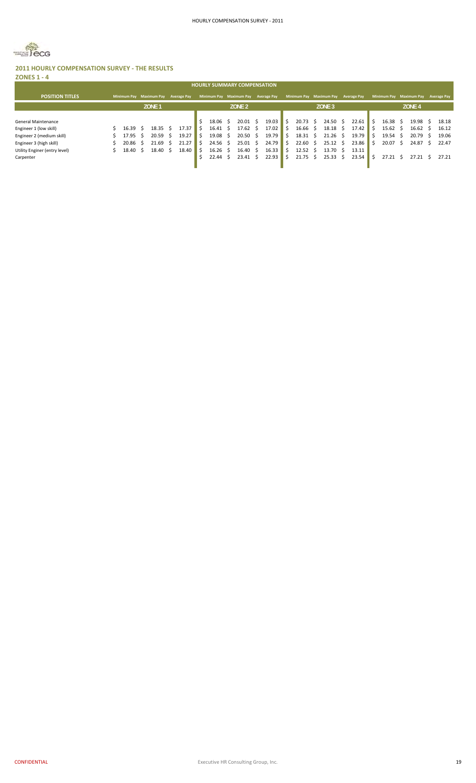

#### **2011 HOURLY COMPENSATION SURVEY ‐ THE RESULTS ZONES 1 ‐ 4**

| <b>HOURLY SUMMARY COMPENSATION</b> |  |                    |    |                    |                    |       |  |       |    |                         |   |                    |   |                         |                   |                    |                         |                   |     |                    |
|------------------------------------|--|--------------------|----|--------------------|--------------------|-------|--|-------|----|-------------------------|---|--------------------|---|-------------------------|-------------------|--------------------|-------------------------|-------------------|-----|--------------------|
| <b>POSITION TITLES</b>             |  | <b>Minimum Pav</b> |    | <b>Maximum Pay</b> | <b>Average Pay</b> |       |  |       |    | Minimum Pay Maximum Pay |   | <b>Average Pay</b> |   | Minimum Pay Maximum Pay |                   | <b>Average Pay</b> | Minimum Pay Maximum Pay |                   |     | <b>Average Pay</b> |
|                                    |  |                    |    | ZONE <sub>1</sub>  |                    |       |  |       |    | ZONE <sub>2</sub>       |   |                    |   |                         | ZONE <sub>3</sub> |                    |                         | ZONE <sub>4</sub> |     |                    |
|                                    |  |                    |    |                    |                    |       |  |       |    |                         |   |                    |   |                         |                   |                    |                         |                   |     |                    |
| General Maintenance                |  |                    |    |                    |                    |       |  | 18.06 |    | 20.01                   |   | 19.03              |   | 20.73                   | 24.50             | 22.61              | 16.38                   | 19.98             |     | 18.18              |
| Engineer 1 (low skill)             |  | 16.39              | -S | 18.35              |                    | 17.37 |  | 16.41 | S  | 17.62                   |   | 17.02              | 5 | 16.66 <sup>5</sup>      | $18.18 \quad $$   | 17.42              | $15.62 \quad$ \$        | 16.62             |     | 16.12              |
| Engineer 2 (medium skill)          |  | 17.95 \$           |    | 20.59              |                    | 19.27 |  | 19.08 | -S | $20.50 \quad $$         |   | 19.79              | S | 18.31                   | 21.26             | 19.79              | $19.54 \quad $$         | 20.79             | - S | 19.06              |
| Engineer 3 (high skill)            |  | $20.86 \quad $$    |    | 21.69              |                    | 21.27 |  | 24.56 | S  | $25.01 \quad$ \$        |   | 24.79              | S | 22.60<br>- S            | 25.12             | 23.86              | $20.07 \quad$ \$        | 24.87             |     | 22.47              |
| Utility Enginer (entry level)      |  | 18.40 \$           |    | 18.40              |                    | 18.40 |  | 16.26 |    | 16.40                   | S | 16.33              | S | 12.52                   | 13.70             | 13.11              |                         |                   |     |                    |
| Carpenter                          |  |                    |    |                    |                    |       |  | 22.44 |    | $23.41 \quad $5$        |   | 22.93              |   | 21.75                   | 25.33             | 23.54              | 27.21                   |                   |     | 27.21              |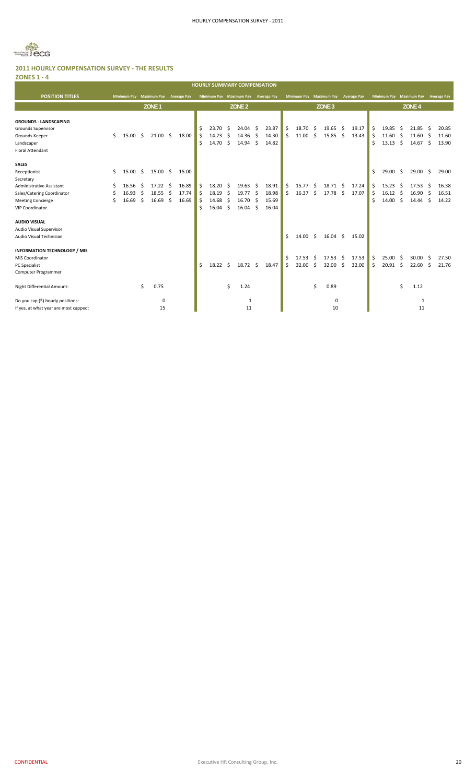

**ZONES 1 ‐ 4**

| ------                                                                                                                                                                      |         |                                  |                        |                                                    |          |                                  |                  |                                  |                      | <b>HOURLY SUMMARY COMPENSATION</b>           |                 |                                  |               |                         |                |                                   |           |                         |                    |                                                          |              |                                       |                  |                                  |
|-----------------------------------------------------------------------------------------------------------------------------------------------------------------------------|---------|----------------------------------|------------------------|----------------------------------------------------|----------|----------------------------------|------------------|----------------------------------|----------------------|----------------------------------------------|-----------------|----------------------------------|---------------|-------------------------|----------------|-----------------------------------|-----------|-------------------------|--------------------|----------------------------------------------------------|--------------|---------------------------------------|------------------|----------------------------------|
| <b>POSITION TITLES</b>                                                                                                                                                      |         |                                  |                        | Minimum Pay Maximum Pay                            |          | <b>Average Pay</b>               |                  |                                  |                      | Minimum Pay Maximum Pay                      |                 | <b>Average Pay</b>               |               | <b>Minimum Pay</b>      |                | <b>Maximum Pay</b>                |           | <b>Average Pay</b>      |                    | <b>Minimum Pay</b>                                       |              | <b>Maximum Pay</b>                    |                  | <b>Average Pay</b>               |
|                                                                                                                                                                             |         |                                  |                        | ZONE <sub>1</sub>                                  |          |                                  |                  |                                  |                      | ZONE <sub>2</sub>                            |                 |                                  |               |                         |                | ZONE <sub>3</sub>                 |           |                         |                    |                                                          |              | ZONE <sub>4</sub>                     |                  |                                  |
| <b>GROUNDS - LANDSCAPING</b><br>Grounds Supervisor<br>Grounds Keeper<br>Landscaper<br><b>Floral Attendant</b>                                                               | \$      | 15.00                            | Ŝ.                     | $21.00 \pm 5$                                      |          | 18.00                            | Ś<br>Ś<br>Ś      | 23.70<br>14.23<br>14.70          | Ŝ<br>Ŝ<br>\$         | 24.04<br>14.36<br>14.94                      | - Ś<br>Ŝ.<br>\$ | 23.87<br>14.30<br>14.82          | \$<br>Ś.      | 18.70<br>11.00          | \$.<br>Ś.      | $19.65$ \$<br>$15.85\frac{1}{2}$  |           | 19.17<br>13.43          | \$<br>Ś.<br>Ś      | 19.85<br>$11.60 \div$<br>13.13                           | - \$<br>- \$ | 21.85<br>11.60<br>14.67               | -\$<br>-\$<br>\$ | 20.85<br>11.60<br>13.90          |
| <b>SALES</b><br>Receptionist<br>Secretary<br>Administrative Assistant<br>Sales/Catering Coordinator<br><b>Meeting Concierge</b><br><b>VIP Coordinator</b>                   | Ŝ.<br>S | 15.00<br>16.56<br>16.93<br>16.69 | -\$<br>Ŝ.<br>-\$<br>Ŝ. | $15.00 \div$<br>$17.22 \quad$ \$<br>18.55<br>16.69 | \$<br>Ŝ. | 15.00<br>16.89<br>17.74<br>16.69 | Ś<br>Ś<br>Ŝ<br>Ś | 18.20<br>18.19<br>14.68<br>16.04 | -Ś<br>\$<br>Ŝ.<br>Ŝ. | 19.63<br>$19.77$ \$<br>16.70<br>$16.04 \div$ | \$<br>Ŝ.        | 18.91<br>18.98<br>15.69<br>16.04 | \$<br>Ś       | 15.77<br>16.37          | -\$<br>S.      | 18.71 \$<br>17.78 \$              |           | 17.24<br>17.07          | Ś.<br>\$<br>Ś<br>Ś | 29.00<br>15.23<br>$16.12 \quad$ \$<br>14.00 <sup>5</sup> | - \$<br>- Ś  | $29.00$ \$<br>17.53<br>16.90<br>14.44 | Ŝ.<br>-\$<br>Ŝ.  | 29.00<br>16.38<br>16.51<br>14.22 |
| <b>AUDIO VISUAL</b><br>Audio Visual Supervisor<br>Audio Visual Technician<br><b>INFORMATION TECHNOLOGY / MIS</b><br>MIS Coordinator<br>PC Specialist<br>Computer Programmer |         |                                  |                        |                                                    |          |                                  | Ś                | 18.22                            | Ś                    | $18.72 \quad $$                              |                 | 18.47                            | \$<br>\$<br>Ś | 14.00<br>17.53<br>32.00 | \$<br>- Ś<br>Ś | $16.04 \quad $$<br>17.53<br>32.00 | - Ś<br>Ŝ. | 15.02<br>17.53<br>32.00 | \$<br>Ś            | 25.00<br>$20.91$ \$                                      | - \$         | $30.00$ \$<br>22.60                   | Ŝ.               | 27.50<br>21.76                   |
| Night Differential Amount:                                                                                                                                                  |         |                                  | \$                     | 0.75                                               |          |                                  |                  |                                  | \$                   | 1.24                                         |                 |                                  |               |                         | \$             | 0.89                              |           |                         |                    |                                                          | Ś            | 1.12                                  |                  |                                  |
| Do you cap (\$) hourly positions:<br>If yes, at what year are most capped:                                                                                                  |         |                                  |                        | $\mathbf{0}$<br>15                                 |          |                                  |                  |                                  |                      | 1<br>11                                      |                 |                                  |               |                         |                | 0<br>10                           |           |                         |                    |                                                          |              | 1<br>11                               |                  |                                  |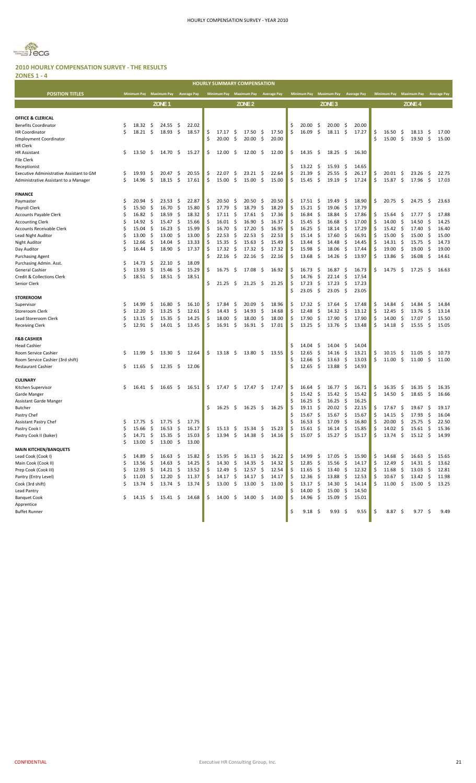

| <b>ZONES 1 - 4</b>                                            |    |                     |     |                    |      |                    |          |                    |      |                                     |      |                    |    |                    |                    |                    |          |                    |         |                    |          |                                        |            |                    |
|---------------------------------------------------------------|----|---------------------|-----|--------------------|------|--------------------|----------|--------------------|------|-------------------------------------|------|--------------------|----|--------------------|--------------------|--------------------|----------|--------------------|---------|--------------------|----------|----------------------------------------|------------|--------------------|
|                                                               |    |                     |     |                    |      |                    |          |                    |      | <b>HOURLY SUMMARY COMPENSATION</b>  |      |                    |    |                    |                    |                    |          |                    |         |                    |          |                                        |            |                    |
| <b>POSITION TITLES</b>                                        |    | <b>Minimum Pay</b>  |     | <b>Maximum Pay</b> |      | <b>Average Pay</b> |          |                    |      | Minimum Pay Maximum Pay             |      | <b>Average Pay</b> |    | <b>Minimum Pay</b> |                    | <b>Maximum Pay</b> |          | <b>Average Pay</b> |         | <b>Minimum Pay</b> |          | <b>Maximum Pay</b>                     |            | <b>Average Pay</b> |
|                                                               |    |                     |     | ZONE <sub>1</sub>  |      |                    |          |                    |      | ZONE <sub>2</sub>                   |      |                    |    |                    |                    | ZONE <sub>3</sub>  |          |                    |         |                    |          | ZONE <sub>4</sub>                      |            |                    |
|                                                               |    |                     |     |                    |      |                    |          |                    |      |                                     |      |                    |    |                    |                    |                    |          |                    |         |                    |          |                                        |            |                    |
| OFFICE & CLERICAL                                             |    |                     |     |                    |      |                    |          |                    |      |                                     |      |                    |    |                    |                    |                    |          |                    |         |                    |          |                                        |            |                    |
| <b>Benefits Coordinator</b>                                   | \$ | 18.32               | \$  | 24.55              | -\$  | 22.02              |          |                    |      |                                     |      |                    | Ś  | 20.00              | \$                 | 20.00              | \$       | 20.00              |         |                    |          |                                        |            |                    |
| <b>HR Coordinator</b>                                         | Ŝ  | 18.21               | \$  | 18.93              | \$   | 18.57              | \$       | 17.17              | -\$  | 17.50                               | -\$  | 17.50              | \$ | 16.09              | \$                 | $18.11 \pm$        |          | 17.27              | \$      | 16.50              | \$       | 18.13                                  | \$.        | 17.00              |
| <b>Employment Coordinator</b>                                 |    |                     |     |                    |      |                    | Ś        | 20.00              | \$   | 20.00                               | -\$  | 20.00              |    |                    |                    |                    |          |                    | Ś       | 15.00              | S.       | 19.50%                                 |            | 15.00              |
| <b>HR Clerk</b>                                               |    |                     |     |                    |      |                    |          |                    |      |                                     |      |                    |    |                    |                    |                    |          |                    |         |                    |          |                                        |            |                    |
| <b>HR Assistant</b>                                           | \$ | $13.50\quad$ \$     |     | 14.70              | - \$ | 15.27              | \$       | 12.00              | -\$  | $12.00 \pm$                         |      | 12.00              | \$ | 14.35              | - \$               | 18.25              | - \$     | 16.30              |         |                    |          |                                        |            |                    |
| <b>File Clerk</b>                                             |    |                     |     |                    |      |                    |          |                    |      |                                     |      |                    |    |                    |                    |                    |          |                    |         |                    |          |                                        |            |                    |
| Receptionist<br>Executive Administrative Assistant to GM      | \$ | 19.93               | S   | 20.47              | \$.  | 20.55              | \$       | 22.07              | S.   | 23.21                               | - Ş  | 22.64              | \$ | 13.22<br>21.39     | \$<br>\$           | 15.93<br>25.55     | \$<br>\$ | 14.65<br>26.17     | \$      | 20.01              | \$       | 23.26                                  | Ş          | 22.75              |
| Administrative Assistant to a Manager                         | \$ | 14.96               | -\$ | 18.15              | \$   | 17.61              | \$       | 15.00              | \$   | 15.00                               | -\$  | 15.00              | Ś  | 15.45              | -\$                | 19.19              | - \$     | 17.24              | Ś       | 15.87              | \$       | $17.96 \pm 5$                          |            | 17.03              |
|                                                               |    |                     |     |                    |      |                    |          |                    |      |                                     |      |                    |    |                    |                    |                    |          |                    |         |                    |          |                                        |            |                    |
| <b>FINANCE</b>                                                |    |                     |     |                    |      |                    |          |                    |      |                                     |      |                    |    |                    |                    |                    |          |                    |         |                    |          |                                        |            |                    |
| Paymaster                                                     | Ŝ  | 20.94               | S   | 23.53              | \$.  | 22.87              | \$       | 20.50              | S.   | 20.50                               | -\$  | 20.50              | \$ | 17.51              | -\$                | 19.49              | -\$      | 18.90              | \$      | 20.75              | \$       | $24.75 \quad$ \$                       |            | 23.63              |
| Payroll Clerk                                                 | Ŝ  | 15.50               | \$  | 16.70              | \$   | 15.80              | Ś        | 17.79              | \$   | 18.79                               | \$   | 18.29              | \$ | 15.21              | \$                 | 19.06              | -\$      | 17.79              |         |                    |          |                                        |            |                    |
| Accounts Payable Clerk                                        | \$ | 16.82               | \$  | 18.59              | \$   | 18.32              | Ś        | 17.11              | \$   | 17.61                               | -\$  | 17.36              | Ś  | 16.84              | \$                 | 18.84              | \$       | 17.86              | \$      | 15.64              | Ş        | 17.77                                  | \$.        | 17.88              |
| <b>Accounting Clerk</b>                                       | \$ | 14.92               | \$  | 15.47              | \$   | 15.66              | Ś        | 16.01              | \$   | 16.90                               | -\$  | 16.37              | Ś  | 15.45              | \$.                | 16.68              | \$       | 17.00              | \$      | 14.00              | -\$      | 14.50                                  | \$         | 14.25              |
| <b>Accounts Receivable Clerk</b>                              | \$ | 15.04               | \$  | 16.23              | \$   | 15.99              | Ś        | 16.70              | \$   | 17.20                               | S.   | 16.95              | Ś  | 16.25              | \$                 | 18.14              | \$       | 17.29              | Ś       | 15.42              | S.       | 17.40                                  | \$         | 16.40              |
| Lead Night Auditor                                            | \$ | 13.00               | \$  | 13.00              | \$   | 13.00              | Ś        | 22.53              | \$   | 22.53                               | -\$  | 22.53              | \$ | 15.14              | \$                 | 17.60              | \$       | 16.91              | \$      | 15.00              | -\$      | 15.00                                  | \$         | 15.00              |
| <b>Night Auditor</b>                                          | \$ | 12.66               | \$  | 14.04              | \$   | 13.33              | \$       | 15.35              | \$   | 15.63                               | S.   | 15.49              | Ś  | 13.44              | \$                 | 14.48              | \$       | 14.45              | \$      | 14.31              | \$       | 15.75                                  | \$         | 14.73              |
| Day Auditor                                                   | Ś  | 16.44               | \$  | 18.90              | \$   | 17.37              | Ś        | 17.32              | \$   | 17.32                               | - \$ | 17.32              | \$ | 15.98              | \$                 | 18.06              | \$       | 17.44              | \$      | 19.00              | \$       | 19.00                                  | \$         | 19.00              |
| <b>Purchasing Agent</b>                                       |    |                     |     |                    |      |                    | Ś.       | 22.16              | \$   | 22.16                               | -\$  | 22.16              | Ś  | 13.68              | \$                 | 14.26              | \$       | 13.97              | \$      | 13.86              | \$       | 16.08                                  | \$         | 14.61              |
| Purchasing Admin. Asst.                                       | \$ | 14.73               | \$. | 22.10              | -\$  | 18.09              |          |                    |      |                                     |      |                    |    |                    |                    |                    |          |                    |         |                    |          |                                        |            |                    |
| General Cashier                                               | Ś  | 13.93               | \$  | 15.46              | \$   | 15.29              | \$       | 16.75              | \$   | 17.08                               | -\$  | 16.92              | \$ | 16.73              | \$.                | 16.87              | \$       | 16.73              | \$      | 14.75              | S.       | 17.25                                  | Ŝ.         | 16.63              |
| Credit & Collections Clerk                                    | Ś  | 18.51               | \$  | 18.51              | \$   | 18.51              |          |                    |      |                                     |      |                    | Ś  | 14.76              | -\$                | 22.14              | \$       | 17.54              |         |                    |          |                                        |            |                    |
| Senior Clerk                                                  |    |                     |     |                    |      |                    | \$       | 21.25              | \$   | $21.25$ \$                          |      | 21.25              | Ś  | 17.23<br>23.05     | \$<br>-\$          | 17.23<br>23.05     | \$<br>\$ | 17.23<br>23.05     |         |                    |          |                                        |            |                    |
| <b>STOREROOM</b>                                              |    |                     |     |                    |      |                    |          |                    |      |                                     |      |                    |    |                    |                    |                    |          |                    |         |                    |          |                                        |            |                    |
| Supervisor                                                    | Ŝ  | 14.99               | \$  | 16.80              | -\$  | 16.10              | \$       | 17.84              | -\$  | 20.09                               | -\$  | 18.96              | \$ | 17.32              | \$.                | 17.64              | -\$      | 17.48              | S       | 14.84              | S.       | 14.84                                  | \$.        | 14.84              |
| Storeroom Clerk                                               | Ŝ  | 12.20               | \$  | 13.25              | \$   | 12.61              | \$       | 14.43              | \$   | 14.93                               | -\$  | 14.68              | \$ | 12.48              | \$                 | 14.32              | \$       | 13.12              | \$      | 12.45              | \$       | 13.76                                  | \$         | 13.14              |
| Lead Storeroom Clerk                                          | \$ | 13.15               | \$  | 15.35              | \$   | 14.25              | \$       | 18.00              | \$   | 18.00                               | -\$  | 18.00              | Ś  | 17.90              | \$                 | 17.90              | \$       | 17.90              | \$      | 14.00              | -\$      | 17.07                                  | \$         | 15.50              |
| <b>Receiving Clerk</b>                                        | Ŝ  | 12.91               | \$. | 14.01              | - \$ | 13.45              | Ś.       | 16.91              | -\$  | $16.91 \quad$ \$                    |      | 17.01              | \$ | 13.25              | $\ddot{\varsigma}$ | 13.76              | - \$     | 13.48              | \$      | 14.18              | - \$     | 15.55                                  | Ŝ.         | 15.05              |
|                                                               |    |                     |     |                    |      |                    |          |                    |      |                                     |      |                    |    |                    |                    |                    |          |                    |         |                    |          |                                        |            |                    |
| <b>F&amp;B CASHIER</b>                                        |    |                     |     |                    |      |                    |          |                    |      |                                     |      |                    |    |                    |                    |                    |          |                    |         |                    |          |                                        |            |                    |
| Head Cashier                                                  |    |                     |     |                    |      |                    |          |                    |      |                                     |      |                    |    | 14.04              | \$.                | 14.04              | \$       | 14.04              |         |                    |          |                                        |            |                    |
| Room Service Cashier                                          | S  | 11.99               | \$. | 13.30              | - \$ | 12.64              | \$       | 13.18              | -\$  | $13.80 \quad $$                     |      | 13.55              |    | 12.65<br>12.66     | \$<br>\$.          | 14.16<br>13.63     | \$<br>\$ | 13.21<br>13.03     | Ś<br>\$ | 10.15<br>11.00     | Ş<br>-\$ | 11.05                                  | \$.<br>-\$ | 10.73<br>11.00     |
| Room Service Cashier (3rd shift)<br><b>Restaurant Cashier</b> | \$ | 11.65               | -\$ | 12.35              | - \$ | 12.06              |          |                    |      |                                     |      |                    | Ś  | 12.65              | \$                 | 13.88              | \$       | 14.93              |         |                    |          | 11.00                                  |            |                    |
|                                                               |    |                     |     |                    |      |                    |          |                    |      |                                     |      |                    |    |                    |                    |                    |          |                    |         |                    |          |                                        |            |                    |
| <b>CULINARY</b>                                               |    |                     |     |                    |      |                    |          |                    |      |                                     |      |                    |    |                    |                    |                    |          |                    |         |                    |          |                                        |            |                    |
| Kitchen Supervisor                                            | S  | 16.41               | S   | 16.65              | -\$  | 16.51              | \$       | $17.47 \pm 5$      |      | 17.47 \$                            |      | 17.47              | \$ | 16.64              | \$.                | 16.77              | \$.      | 16.71              | S       | 16.35              | \$       | 16.35                                  | \$.        | 16.35              |
| Garde Manger                                                  |    |                     |     |                    |      |                    |          |                    |      |                                     |      |                    | Ś  | 15.42              | \$                 | 15.42              | \$       | 15.42              | \$      | 14.50              | \$       | $18.65 \quad$ \$                       |            | 16.66              |
| <b>Assistant Garde Manger</b>                                 |    |                     |     |                    |      |                    |          |                    |      |                                     |      |                    | Ś  | 16.25              | \$                 | 16.25              | \$       | 16.25              |         |                    |          |                                        |            |                    |
| <b>Butcher</b>                                                |    |                     |     |                    |      |                    | \$       | 16.25              | -\$  | $16.25\frac{1}{2}$                  |      | 16.25              | \$ | 19.11              | \$                 | 20.02              | \$       | 22.15              | \$      | 17.67              | -Ş       | 19.67                                  | -\$        | 19.17              |
| Pastry Chef                                                   |    |                     |     |                    |      |                    |          |                    |      |                                     |      |                    | \$ | 15.67              | $\ddot{\varsigma}$ | 15.67              | \$       | 15.67              | \$      | 14.15              | -\$      | $17.93 \quad $$                        |            | 16.04              |
| Assistant Pastry Chef                                         | Ş  | 17.75               | Ş   | 17.75              | Ş    | 17.75              |          |                    |      |                                     |      |                    |    | 16.53              | Ş.                 | 17.09              | Ş        | 16.80              | ÷,      | 20.00              | Ş        | 25.75                                  | Ş          | 22.50              |
| Pastry Cook I                                                 | \$ | 15.66               | \$  | 16.53              | \$   | 16.17              | \$       | 15.13              | - \$ | $15.34 \quad$ \$                    |      | 15.23              | \$ | 15.61              | \$                 | 16.14              | \$       | 15.85              | \$      | 14.02              | \$       | 15.61                                  | \$         | 15.36              |
| Pastry Cook II (baker)                                        | \$ | $14.71 \; \text{S}$ |     | 15.35              | -\$  | 15.03              | \$       | $13.94 \div$       |      | $14.38 \; \simeq$                   |      | 14.16              | \$ | $15.07 \pm 5$      |                    | $15.27$ \$         |          | 15.17              | \$      | 13.74              | \$       | $15.12 \div$                           |            | 14.99              |
| <b>MAIN KITCHEN/BANQUETS</b>                                  | \$ | 13.00%              |     | $13.00\frac{1}{5}$ |      | 13.00              |          |                    |      |                                     |      |                    |    |                    |                    |                    |          |                    |         |                    |          |                                        |            |                    |
| Lead Cook (Cook I)                                            | \$ | $14.89\frac{ }{ }$  |     | $16.63 \div$       |      | 15.82              |          | $15.95\frac{2}{3}$ |      |                                     |      | 16.22              | \$ | $14.99$ \$         |                    | $17.05 \; \S$      |          | 15.90              | \$      | $14.68 \div$       |          |                                        |            | 15.65              |
| Main Cook (Cook II)                                           | \$ | $13.56\frac{1}{2}$  |     | $14.63 \div$       |      | 14.25              | \$<br>\$ | 14.30              | -\$  | $16.13 \quad $$<br>$14.35 \quad$ \$ |      | 14.32              | \$ | 12.85              | - \$               | 15.56              | -\$      | 14.17              | \$      | 12.49              | - \$     | $16.63 \quad $$<br>$14.31 \; \text{S}$ |            | 13.62              |
| Prep Cook (Cook III)                                          | \$ | $12.93 \quad $$     |     | $14.21 \div$       |      | 13.52              | \$       | $12.49 \quad $$    |      | 12.57                               | -\$  | 12.54              | Ś  | $11.65 \quad$ \$   |                    | 13.40              | - \$     | 12.32              | Ś       | 11.68              | - \$     | $13.03 \quad $$                        |            | 12.81              |
| Pantry (Entry Level)                                          | \$ | $11.03 \quad $$     |     | 12.20              | - \$ | 11.37              | \$       | $14.17 \pm$        |      | $14.17 \pm$                         |      | 14.17              | S  | $12.36 \pm 5$      |                    | $13.88\frac{1}{2}$ |          | 12.53              | \$.     | $10.67 \div$       |          | $13.42 \quad$ \$                       |            | 11.98              |
| Cook (3rd shift)                                              | Ś  | $13.74 \div$        |     | $13.74 \div$       |      | 13.74              | \$       | $13.00 \div$       |      | $13.00 \pm$                         |      | 13.00              |    | $13.17 \pm 5$      |                    | $14.30 \pm 5$      |          | 14.14              | Ś       | $11.00 \div$       |          | $15.00 \div$                           |            | 13.25              |
| Lead Pantry                                                   |    |                     |     |                    |      |                    |          |                    |      |                                     |      |                    |    | 14.00              | - \$               | $15.00\frac{1}{2}$ |          | 14.50              |         |                    |          |                                        |            |                    |
| <b>Banquet Cook</b>                                           | \$ | $14.15 \pm 5$       |     | $15.41 \pm 5$      |      | 14.68              | \$       | $14.00 \div$       |      | $14.00 \pm$                         |      | 14.00              | \$ | $14.96 \pm 5$      |                    | $15.09 \quad$ \$   |          | 15.01              |         |                    |          |                                        |            |                    |
| Apprentice                                                    |    |                     |     |                    |      |                    |          |                    |      |                                     |      |                    |    |                    |                    |                    |          |                    |         |                    |          |                                        |            |                    |
| <b>Buffet Runner</b>                                          |    |                     |     |                    |      |                    |          |                    |      |                                     |      |                    | \$ | $9.18 \; \; \; \$$ |                    | $9.93 \quad $$     |          | 9.55               | \$      | $8.87\frac{ }{ }$  |          | 9.77S                                  |            | 9.49               |
|                                                               |    |                     |     |                    |      |                    |          |                    |      |                                     |      |                    |    |                    |                    |                    |          |                    |         |                    |          |                                        |            |                    |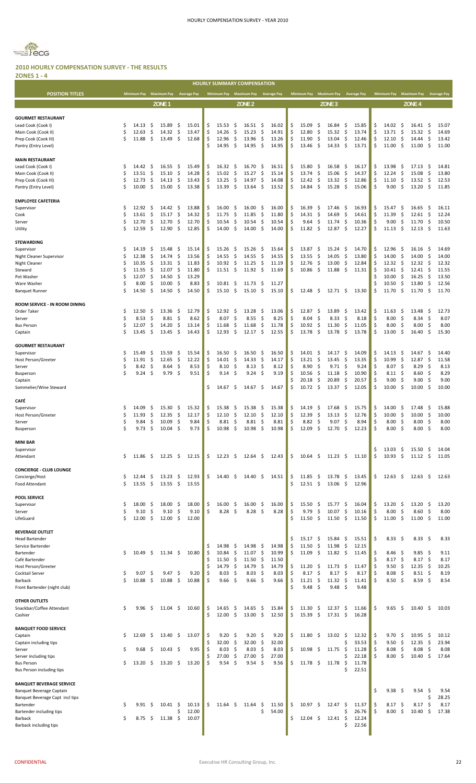

#### **2010 HOURLY COMPENSATION SURVEY ‐ THE RESULTS ZONES 1 ‐ 4**

|                                                 |           |                         |           |                   |           |                    |          | <b>HOURLY SUMMARY COMPENSATION</b> |            |                   |           |                    |          |                     |                     |                    |                     |                    |          |                    |            |                           |                     |                    |
|-------------------------------------------------|-----------|-------------------------|-----------|-------------------|-----------|--------------------|----------|------------------------------------|------------|-------------------|-----------|--------------------|----------|---------------------|---------------------|--------------------|---------------------|--------------------|----------|--------------------|------------|---------------------------|---------------------|--------------------|
| <b>POSITION TITLES</b>                          |           | Minimum Pay Maximum Pay |           |                   |           | <b>Average Pay</b> |          | Minimum Pay Maximum Pay            |            |                   |           | <b>Average Pay</b> |          | <b>Minimum Pay</b>  |                     | <b>Maximum Pay</b> |                     | <b>Average Pay</b> |          | <b>Minimum Pay</b> |            | <b>Maximum Pay</b>        |                     | <b>Average Pay</b> |
|                                                 |           |                         |           | ZONE <sub>1</sub> |           |                    |          |                                    |            | ZONE <sub>2</sub> |           |                    |          |                     |                     | ZONE <sub>3</sub>  |                     |                    |          |                    |            | ZONE <sub>4</sub>         |                     |                    |
|                                                 |           |                         |           |                   |           |                    |          |                                    |            |                   |           |                    |          |                     |                     |                    |                     |                    |          |                    |            |                           |                     |                    |
| <b>GOURMET RESTAURANT</b><br>Lead Cook (Cook I) | \$.       | 14.13                   | \$.       | 15.89             | -\$       | 15.01              | \$       | 15.53                              | \$         | 16.51             | -\$       | 16.02              | \$       | 15.09               | \$                  | 16.84              | -\$                 | 15.85              | \$       | 14.02              | \$.        | 16.41                     | -\$                 | 15.07              |
| Main Cook (Cook II)                             | \$        | 12.63                   | \$        | 14.32             | \$        | 13.47              | \$       | 14.26                              | \$         | 15.23             | \$        | 14.91              | \$       | 12.80               | \$                  | 15.32              | \$                  | 13.74              | Ś        | 13.71              | \$         | 15.32                     | \$                  | 14.69              |
| Prep Cook (Cook III)                            | Ś         | 11.88                   | -\$       | 13.49             | - \$      | 12.68              | \$       | 12.96                              | \$         | 13.96             | \$        | 13.26              | \$       | 11.90               | \$                  | 13.04              | \$                  | 12.46              | \$       | 12.10              | \$         | 14.44                     | \$.                 | 13.42              |
| Pantry (Entry Level)                            |           |                         |           |                   |           |                    | \$       | 14.95                              | \$         | 14.95             | S.        | 14.95              | Ś        | 13.46               | S                   | 14.33              | \$                  | 13.71              | Ś        | 11.00              | \$         | 11.00                     | -\$                 | 11.00              |
|                                                 |           |                         |           |                   |           |                    |          |                                    |            |                   |           |                    |          |                     |                     |                    |                     |                    |          |                    |            |                           |                     |                    |
| <b>MAIN RESTAURANT</b>                          |           |                         |           |                   |           |                    |          |                                    |            |                   |           |                    |          |                     |                     |                    |                     |                    |          |                    |            |                           |                     |                    |
| Lead Cook (Cook I)                              | \$<br>Ś   | 14.42                   | \$<br>\$  | 16.55             | \$.<br>\$ | 15.49              | \$<br>\$ | 16.32<br>15.02                     | \$.        | 16.70             | \$<br>\$  | 16.51<br>15.14     | \$       | 15.80<br>13.74      | \$.<br>\$           | 16.58              | \$<br>\$            | 16.17              | \$<br>\$ | 13.98              | \$<br>\$   | 17.13                     | \$                  | 14.81              |
| Main Cook (Cook II)<br>Prep Cook (Cook III)     | \$        | 13.51<br>12.73          | \$        | 15.10<br>14.13    | \$        | 14.28<br>13.43     | \$       | 13.25                              | \$<br>\$   | 15.27<br>14.97    | \$        | 14.08              | \$<br>\$ | 12.42               | -\$                 | 15.06<br>13.32     | \$                  | 14.37<br>12.86     | \$       | 12.24<br>11.10     | \$         | 15.08<br>13.52            | \$<br>$\frac{1}{2}$ | 13.80<br>12.53     |
| Pantry (Entry Level)                            | Ś         | 10.00                   | \$        | 15.00             | \$        | 13.38              | \$       | 13.39                              | \$         | 13.64             | \$        | 13.52              | Ś        | 14.84               | -\$                 | 15.28              | \$                  | 15.06              | \$       | 9.00               | S.         | 13.20                     | \$                  | 11.85              |
|                                                 |           |                         |           |                   |           |                    |          |                                    |            |                   |           |                    |          |                     |                     |                    |                     |                    |          |                    |            |                           |                     |                    |
| <b>EMPLOYEE CAFETERIA</b>                       |           |                         |           |                   |           |                    |          |                                    |            |                   |           |                    |          |                     |                     |                    |                     |                    |          |                    |            |                           |                     |                    |
| Supervisor                                      | Ŝ<br>Ś    | 12.92                   | -\$       | 14.42             | -\$       | 13.88              | \$       | 16.00                              | \$         | 16.00             | \$        | 16.00              | \$       | 16.39               | S                   | 17.46              | -\$                 | 16.93              | \$       | 15.47              | \$         | 16.65                     | -\$                 | 16.11              |
| Cook<br>Server                                  | \$        | 13.61<br>12.70          | \$<br>-\$ | 15.17<br>12.70    | \$<br>\$  | 14.32<br>12.70     | \$<br>\$ | 11.75<br>10.54                     | \$<br>-\$  | 11.85<br>10.54    | \$<br>\$  | 11.80<br>10.54     | \$<br>\$ | 14.31<br>9.64       | \$<br>\$            | 14.69<br>11.74     | \$<br>\$            | 14.61<br>10.36     | \$<br>\$ | 11.39<br>9.00      | \$<br>\$   | 12.61<br>11.70            | \$<br>- \$          | 12.24<br>10.50     |
| Utility                                         | Ŝ         | 12.59                   | \$.       | 12.90             | Ŝ.        | 12.85              | \$       | 14.00                              | \$         | 14.00             | \$        | 14.00              | Ś        | 11.82               | \$                  | 12.87              | \$                  | 12.27              | Ś        | 11.13              | \$.        | 12.13                     | \$                  | 11.63              |
|                                                 |           |                         |           |                   |           |                    |          |                                    |            |                   |           |                    |          |                     |                     |                    |                     |                    |          |                    |            |                           |                     |                    |
| <b>STEWARDING</b>                               |           |                         |           |                   |           |                    |          |                                    |            |                   |           |                    |          |                     |                     |                    |                     |                    |          |                    |            |                           |                     |                    |
| Supervisor                                      | \$        | 14.19                   | \$        | 15.48             | -\$       | 15.14              | \$       | 15.26                              | \$         | 15.26             | -\$       | 15.64              | \$       | 13.87               | \$                  | 15.24              | -\$                 | 14.70              | \$       | 12.96              | -\$        | 16.16                     | -\$                 | 14.69              |
| Night Cleaner Supervisor                        | Ś<br>Ś    | 12.38<br>10.35          | \$<br>\$  | 14.74<br>13.31    | \$<br>-\$ | 13.56<br>11.83     | \$<br>\$ | 14.55<br>10.92                     | -\$<br>\$  | 14.55<br>11.25    | \$<br>\$  | 14.55<br>11.19     | Ś<br>\$  | 13.55<br>12.76      | \$<br>\$.           | 14.05<br>13.00     | $\mathsf{\$}$<br>\$ | 13.80<br>12.84     | Ś<br>Ś   | 14.00<br>12.32     | -\$<br>-\$ | 14.00<br>12.32            | \$<br>-\$           | 14.00<br>12.32     |
| <b>Night Cleaner</b><br>Steward                 | Ś         | 11.55                   | \$        | 12.07             | -\$       | 11.80              | \$       | 11.51                              | - \$       | $11.92 \quad$ \$  |           | 11.69              | Ś        | 10.86               | - \$                | 11.88              | \$                  | 11.31              | Ś        | 10.41              | -\$        | 12.41                     | -\$                 | 11.55              |
| Pot Washer                                      | Ś         | 12.07                   | \$        | 14.50             | \$        | 13.29              |          |                                    |            |                   |           |                    |          |                     |                     |                    |                     |                    |          | 10.00              | \$         | 16.25                     | -\$                 | 13.50              |
| Ware Washer                                     | Ś         | 8.00                    | \$        | 10.00             | \$        | 8.83               | \$       | 10.81                              | \$         | 11.73             | -\$       | 11.27              |          |                     |                     |                    |                     |                    |          | 10.50              | \$         | 13.80                     | \$                  | 12.56              |
| Banquet Runner                                  | Ś         | 14.50                   | \$.       | 14.50             | \$        | 14.50              | \$       | 15.10                              | \$         | 15.10             | S.        | 15.10              | \$       | 12.48               | \$.                 | 12.71              | -\$                 | 13.30              | Ś        | 11.70              | \$         | 11.70                     | \$                  | 11.70              |
|                                                 |           |                         |           |                   |           |                    |          |                                    |            |                   |           |                    |          |                     |                     |                    |                     |                    |          |                    |            |                           |                     |                    |
| ROOM SERVICE - IN ROOM DINING                   | \$        | 12.50                   | \$        | 13.36             | -\$       | 12.79              |          | 12.92                              | \$         | 13.28             | -\$       | 13.06              | \$       | 12.87               | \$                  | 13.89              | -\$                 | 13.42              | \$       | 11.63              | \$         | 13.48                     | \$.                 | 12.73              |
| Order Taker<br>Server                           | \$        | 8.53                    | \$        | 8.81              | \$        | 8.62               | \$<br>\$ | 8.07                               | \$         | 8.55              | \$        | 8.25               | \$       | 8.04                | \$                  | 8.33               | \$                  | 8.18               | \$       | 8.00               | \$         | 8.34                      | \$                  | 8.07               |
| <b>Bus Person</b>                               | \$        | 12.07                   | \$        | 14.20             | \$        | 13.14              | \$       | 11.68                              | \$         | 11.68             | \$        | 11.78              | \$       | 10.92               | \$                  | 11.30              | \$                  | 11.05              | \$       | 8.00               | \$         | 8.00                      | -\$                 | 8.00               |
| Captain                                         | Ŝ         | 13.45                   | \$        | 13.45             | \$        | 14.43              | \$       | 12.93                              | \$         | 12.17             | -\$       | 12.55              | \$       | 13.78               | \$                  | 13.78              | \$                  | 13.78              | \$       | 13.00              | \$         | 16.40                     | \$                  | 15.30              |
|                                                 |           |                         |           |                   |           |                    |          |                                    |            |                   |           |                    |          |                     |                     |                    |                     |                    |          |                    |            |                           |                     |                    |
| <b>GOURMET RESTAURANT</b>                       |           |                         |           |                   |           |                    |          |                                    |            |                   |           |                    |          |                     |                     |                    |                     |                    |          |                    |            |                           |                     |                    |
| Supervisor                                      | \$,<br>Ś  | 15.49                   | \$<br>\$  | 15.59             | -\$<br>\$ | 15.54              | \$<br>\$ | 16.50                              | \$<br>\$   | 16.50             | \$<br>\$  | 16.50              | \$<br>Ś  | 14.01               | \$.<br>\$           | 14.17              | -\$<br>\$           | 14.09              | \$<br>\$ | 14.13<br>10.99     | \$<br>\$   | 14.67                     | \$                  | 14.40              |
| Host Person/Greeter<br>Server                   | \$        | 11.91<br>8.42           | \$        | 12.65<br>8.64     | \$        | 12.22<br>8.53      | \$       | 14.01<br>8.10                      | \$         | 14.33<br>8.13     | \$        | 14.17<br>8.12      | \$       | 13.21<br>8.90       | \$                  | 13.45<br>9.71      | \$                  | 13.35<br>9.24      | \$       | 8.07               | \$         | 12.87<br>8.29             | \$<br>\$            | 11.58<br>8.13      |
| Busperson                                       | Ś         | 9.24                    | \$        | 9.79              | -\$       | 9.51               | Ś        | 9.14                               | -\$        | 9.24              | S.        | 9.19               | Ś        | 10.56               | \$                  | 11.18              | \$                  | 10.90              | \$       | 8.11               | \$         | 8.60                      | -\$                 | 8.29               |
| Captain                                         |           |                         |           |                   |           |                    |          |                                    |            |                   |           |                    | Ś        | 20.18               | \$                  | 20.89              | \$                  | 20.57              | \$       | 9.00               | \$.        | 9.00                      | \$                  | 9.00               |
| Sommelier/Wine Steward                          |           |                         |           |                   |           |                    | \$       | 14.67                              | -\$        | 14.67             | -\$       | 14.67              | Ś        | 10.72               | -\$                 | 13.37              | \$                  | 12.05              | Ś        | 10.00              | \$.        | 10.00                     | -\$                 | 10.00              |
|                                                 |           |                         |           |                   |           |                    |          |                                    |            |                   |           |                    |          |                     |                     |                    |                     |                    |          |                    |            |                           |                     |                    |
| CAFÉ                                            |           |                         |           |                   |           |                    |          |                                    |            |                   |           |                    |          |                     |                     |                    |                     |                    |          |                    |            |                           |                     |                    |
| Supervisor<br>Host Person/Greeter               | S<br>Ŝ    | 14.09<br>11.93          | S<br>\$.  | 15.30<br>12.35    | -\$<br>\$ | 15.32<br>12.17     | \$<br>\$ | 15.38<br>12.10                     | -\$<br>\$  | 15.38<br>12.10    | -\$<br>\$ | 15.38<br>12.10     | Ş<br>\$  | 14.19<br>12.39      | - Ş<br>\$.          | 17.68<br>13.13     | -\$<br>\$           | 15.75<br>12.76     | \$<br>\$ | 14.00<br>10.00     | Ş<br>\$    | 17.48<br>10.00            | - \$<br>-\$         | 15.88<br>10.00     |
| Server                                          | \$        | 9.84                    | \$        | 10.09             | \$        | 9.84               | \$       | 8.81                               | -\$        | 8.81              | \$        | 8.81               | \$       | 8.82                | - \$                | 9.07               | \$                  | 8.94               | \$       | 8.00               | -\$        | 8.00                      | - \$                | 8.00               |
| Busperson                                       | \$        | 9.73                    | \$        | 10.04             | \$        | 9.73               | \$       | 10.98                              | - \$       | $10.98 \; \simeq$ |           | 10.98              | \$       | $12.09$ \$          |                     | 12.70              | \$                  | 12.23              | \$       | 8.00%              |            | 8.00                      | -\$                 | 8.00               |
|                                                 |           |                         |           |                   |           |                    |          |                                    |            |                   |           |                    |          |                     |                     |                    |                     |                    |          |                    |            |                           |                     |                    |
| <b>MINI BAR</b>                                 |           |                         |           |                   |           |                    |          |                                    |            |                   |           |                    |          |                     |                     |                    |                     |                    |          |                    |            |                           |                     |                    |
| Supervisor                                      |           |                         |           |                   |           |                    |          |                                    |            |                   |           |                    |          |                     |                     |                    |                     |                    | Ś        | 13.03              | -\$        | 15.50                     | - \$                | 14.04              |
| Attendant                                       | \$        | $11.86 \pm 5$           |           | 12.25 \$          |           | 12.15              | \$       | 12.23                              | - \$       | $12.64 \div$      |           | 12.43              | \$       | $10.64 \div$        |                     | $11.23 \div$       |                     | 11.10              | \$       | $10.93 \quad $$    |            | $11.12 \div$              |                     | 11.05              |
| <b>CONCIERGE - CLUB LOUNGE</b>                  |           |                         |           |                   |           |                    |          |                                    |            |                   |           |                    |          |                     |                     |                    |                     |                    |          |                    |            |                           |                     |                    |
| Concierge/Host                                  | S         | 12.44                   | \$        | 13.23             | -\$       | 12.93              | \$       | 14.40                              | \$.        | 14.40             | \$        | 14.51              | \$       | 11.85               | \$.                 | 13.78              | -\$                 | 13.45              | Ś        | 12.63              | \$         | 12.63                     | -\$                 | 12.63              |
| Food Attendant                                  | Ŝ         | $13.55$ \$              |           | $13.55$ \$        |           | 13.55              |          |                                    |            |                   |           |                    | \$       | $12.51 \; \text{S}$ |                     | 13.06              | -\$                 | 12.96              |          |                    |            |                           |                     |                    |
|                                                 |           |                         |           |                   |           |                    |          |                                    |            |                   |           |                    |          |                     |                     |                    |                     |                    |          |                    |            |                           |                     |                    |
| <b>POOL SERVICE</b>                             |           |                         |           |                   |           |                    |          |                                    |            |                   |           |                    |          |                     |                     |                    |                     |                    |          |                    |            |                           |                     |                    |
| Supervisor                                      | \$,<br>\$ | 18.00<br>9.10           | \$<br>\$  | 18.00<br>9.10     | -\$<br>\$ | 18.00<br>9.10      | \$<br>\$ | 16.00<br>8.28                      | \$<br>-\$  | 16.00<br>8.28     | -\$<br>S. | 16.00<br>8.28      | \$<br>\$ | 15.50<br>9.79       | \$<br>\$            | 15.77<br>10.07     | \$<br>\$            | 16.04<br>10.16     | \$<br>\$ | 13.20<br>8.00      | \$<br>\$   | 13.20                     | -\$<br>\$           | 13.20<br>8.00      |
| Server<br>LifeGuard                             | Ś         | 12.00                   | \$        | 12.00             | \$        | 12.00              |          |                                    |            |                   |           |                    | Ś        | 11.50               | $\ddot{\mathsf{s}}$ | 11.50              | \$                  | 11.50              | \$       | 11.00              | \$         | 8.60<br>$11.00 \div$      |                     | 11.00              |
|                                                 |           |                         |           |                   |           |                    |          |                                    |            |                   |           |                    |          |                     |                     |                    |                     |                    |          |                    |            |                           |                     |                    |
| <b>BEVERAGE OUTLET</b>                          |           |                         |           |                   |           |                    |          |                                    |            |                   |           |                    |          |                     |                     |                    |                     |                    |          |                    |            |                           |                     |                    |
| Head Bartender                                  |           |                         |           |                   |           |                    |          |                                    |            |                   |           |                    | \$       | 15.17               | \$.                 | 15.84              | -\$                 | 15.51              | \$       | 8.33               | -\$        | $8.33 \quad $$            |                     | 8.33               |
| Service Bartender                               |           |                         |           |                   |           |                    | \$       | 14.98                              | \$         | 14.98             | -\$       | 14.98              | \$       | 11.50               | \$                  | 11.98              | \$                  | 12.15              |          |                    |            |                           |                     |                    |
| Bartender<br>Café Bartender                     | \$        | 10.49                   | \$        | $11.34 \pm 5$     |           | 10.80              | \$<br>\$ | 10.84<br>11.50                     | -\$<br>-\$ | 11.07<br>11.50    | \$<br>\$  | 10.99<br>11.50     | \$       | 11.09               | - \$                | 11.82              | -\$                 | 11.45              | \$       | 8.46<br>8.17       | -\$<br>\$  | 9.85<br>$8.17\frac{ }{ }$ | - \$                | 9.11<br>8.17       |
| Host Person/Greeter                             |           |                         |           |                   |           |                    | \$       | 14.79                              | -\$        | 14.79             | \$        | 14.79              | \$       | 11.20               | \$.                 | 11.73              | -\$                 | 11.47              | \$       | 9.50               | \$         | 12.35                     | - \$                | 10.25              |
| Cocktail Server                                 | \$        | 9.07                    | \$        | 9.47              | -\$       | 9.20               | \$       | 8.03                               | -\$        | 8.03              | \$        | 8.03               | \$       | 8.17                | \$                  | 8.17               | \$                  | 8.17               | \$       | 8.08               | \$         | 8.51                      | \$                  | 8.19               |
| Barback                                         | \$        | 10.88                   | -\$       | 10.88             | -\$       | 10.88              | \$       | 9.66                               | -\$        | 9.66              | -\$       | 9.66               | \$       | $11.21 \quad$ \$    |                     | $11.32 \quad$ \$   |                     | 11.41              | \$       | 8.50               | -\$        | $8.59\frac{2}{3}$         |                     | 8.54               |
| Front Bartender (night club)                    |           |                         |           |                   |           |                    |          |                                    |            |                   |           |                    | Ś        | 9.48 <sup>5</sup>   |                     | 9.48               | -\$                 | 9.48               |          |                    |            |                           |                     |                    |
|                                                 |           |                         |           |                   |           |                    |          |                                    |            |                   |           |                    |          |                     |                     |                    |                     |                    |          |                    |            |                           |                     |                    |
| OTHER OUTLETS                                   | \$.       | 9.96                    | -\$       | $11.04 \pm 5$     |           |                    | \$       | 14.65                              | -\$        |                   | -\$       | 15.84              | \$       | 11.30               | \$                  | 12.37              | -\$                 |                    | Ś        | 9.65               | -\$        | $10.40 \pm 5$             |                     | 10.03              |
| Snackbar/Coffee Attendant<br>Cashier            |           |                         |           |                   |           | 10.60              | \$       | 12.00                              | - \$       | 14.65<br>13.00    | \$        | 12.50              | \$       | $15.39 \div$        |                     | 17.31              | - \$                | 11.66<br>16.28     |          |                    |            |                           |                     |                    |
|                                                 |           |                         |           |                   |           |                    |          |                                    |            |                   |           |                    |          |                     |                     |                    |                     |                    |          |                    |            |                           |                     |                    |
| <b>BANQUET FOOD SERVICE</b>                     |           |                         |           |                   |           |                    |          |                                    |            |                   |           |                    |          |                     |                     |                    |                     |                    |          |                    |            |                           |                     |                    |
| Captain                                         | \$        | 12.69                   | -\$       | 13.40             | -\$       | 13.07              | \$       | 9.20                               | -\$        | 9.20              | -\$       | 9.20               | \$       | 11.80               | \$                  | 13.02              | -\$                 | 12.32              | S        | 9.70               | \$         | 10.95                     | -\$                 | 10.12              |
| Captain including tips                          |           |                         |           |                   |           |                    | Ś        | 32.00                              | -\$        | 32.00             | \$        | 32.00              |          |                     |                     |                    | Ś                   | 33.53              | \$       | 9.50               | \$         | 12.35                     | -\$                 | 23.94              |
| Server                                          | \$        | 9.68                    | -\$       | $10.43 \quad$ \$  |           | 9.95               | \$       | 8.03                               | -\$        | 8.03              | \$        | 8.03               | \$       | 10.98               | \$                  | 11.75              | \$                  | 11.28              | \$       | 8.08               | \$         | 8.08                      | \$.                 | 8.08               |
| Server including tips                           |           |                         |           |                   |           |                    | \$<br>\$ | 27.00<br>9.54                      | -\$<br>-\$ | 27.00             | \$<br>S.  | 27.00              |          |                     |                     |                    | Ś<br>\$             | 22.18              | \$       | 8.00               | \$         | $10.40 \pm 5$             |                     | 17.64              |
| <b>Bus Person</b><br>Bus Person including tips  | \$        | 13.20                   | -\$       | $13.20 \pm 5$     |           | 13.20              |          |                                    |            | 9.54              |           | 9.56               | \$       | $11.78 \pm 5$       |                     | 11.78              | \$                  | 11.78<br>22.51     |          |                    |            |                           |                     |                    |
|                                                 |           |                         |           |                   |           |                    |          |                                    |            |                   |           |                    |          |                     |                     |                    |                     |                    |          |                    |            |                           |                     |                    |
| <b>BANQUET BEVERAGE SERVICE</b>                 |           |                         |           |                   |           |                    |          |                                    |            |                   |           |                    |          |                     |                     |                    |                     |                    |          |                    |            |                           |                     |                    |
| <b>Banquet Beverage Captain</b>                 |           |                         |           |                   |           |                    |          |                                    |            |                   |           |                    |          |                     |                     |                    |                     |                    | Ś        | 9.38               | \$         | 9.54                      | \$                  | 9.54               |
| Banquet Beverage Capt incl tips                 |           |                         |           |                   |           |                    |          |                                    |            |                   |           |                    |          |                     |                     |                    |                     |                    |          |                    |            |                           | Ś                   | 28.25              |
| Bartender                                       | \$        | $9.91 \quad $5$         |           | $10.41 \pm 5$     |           | 10.13              | \$       | 11.64                              | -\$        | 11.64             | \$        | 11.50              | \$       | 10.97               | -\$                 | 12.47              | -\$                 | 11.37              | \$       | 8.17               | \$         | 8.17                      | \$                  | 8.17               |
| Bartender including tips<br>Barback             | \$.       | 8.75                    | -\$       | 11.38             | \$<br>-\$ | 12.00<br>10.07     |          |                                    |            |                   | \$        | 54.00              | \$       | $12.04 \div$        |                     | 12.41              | \$<br>\$            | 26.76<br>12.24     | \$       | 8.00               | -\$        | 10.40                     | -\$                 | 17.38              |
| Barback including tips                          |           |                         |           |                   |           |                    |          |                                    |            |                   |           |                    |          |                     |                     |                    | \$                  | 22.56              |          |                    |            |                           |                     |                    |
|                                                 |           |                         |           |                   |           |                    |          |                                    |            |                   |           |                    |          |                     |                     |                    |                     |                    |          |                    |            |                           |                     |                    |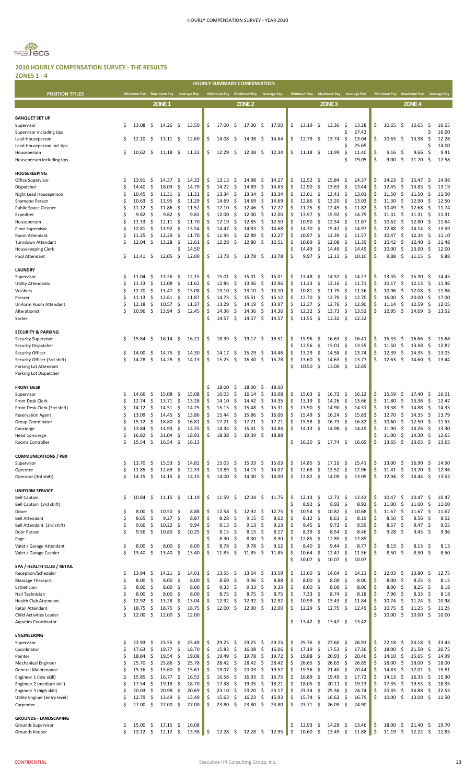

#### **2010 HOURLY COMPENSATION SURVEY ‐ THE RESULTS ZONES 1 ‐ 4**

|                                                     |          |                  |           |                   |           |                    |          |                |            | <b>HOURLY SUMMARY COMPENSATION</b>  |          |                |          |                             |                             |                                |                    |          |                    |                      |                      |            |                    |
|-----------------------------------------------------|----------|------------------|-----------|-------------------|-----------|--------------------|----------|----------------|------------|-------------------------------------|----------|----------------|----------|-----------------------------|-----------------------------|--------------------------------|--------------------|----------|--------------------|----------------------|----------------------|------------|--------------------|
| <b>POSITION TITLES</b>                              |          | Minimum Pay      |           | Maximum Pay       |           | <b>Average Pay</b> |          |                |            | Minimum Pay Maximum Pay Average Pay |          |                |          | <b>Minimum Pay</b>          | <b>Maximum Pay</b>          |                                | <b>Average Pay</b> |          | <b>Minimum Pay</b> |                      | <b>Maximum Pay</b>   |            | <b>Average Pay</b> |
|                                                     |          |                  |           | ZONE <sub>1</sub> |           |                    |          |                |            | ZONE <sub>2</sub>                   |          |                |          |                             | ZONE <sub>3</sub>           |                                |                    |          |                    |                      | ZONE <sub>4</sub>    |            |                    |
|                                                     |          |                  |           |                   |           |                    |          |                |            |                                     |          |                |          |                             |                             |                                |                    |          |                    |                      |                      |            |                    |
| <b>BANQUET SET UP</b><br>Supervisor                 | \$       | 13.08            | \$.       | 14.26             | -S        | 13.50              | \$       | 17.00          | \$         | 17.00                               | -\$      | 17.00          | \$       | -\$<br>13.19                | 13.36                       | -S                             | 13.28              | \$       | 10.65              | -\$                  | 10.65                | \$.        | 10.65              |
| Supervisor including tips                           |          |                  |           |                   |           |                    |          |                |            |                                     |          |                |          |                             |                             |                                | 27.42              |          |                    |                      |                      | \$         | 16.00              |
| Lead Houseperson<br>Lead Houseperson incl tips      | Ŝ        | 12.10            | Ŝ         | 13.11             | -\$       | 12.60              | \$       | 14.08          | \$         | 14.08                               | \$       | 14.64          | \$       | \$<br>12.79                 | 13.74                       | \$                             | 13.04<br>25.65     | \$       | 10.63              | \$                   | 13.38                | \$<br>Ś    | 12.28<br>14.00     |
| Houseperson                                         | \$       | 10.62            | \$.       | 11.18             | -\$       | 11.22              | \$       | 12.29          | \$         | 12.38                               | -S       | 12.34          | \$       | - \$<br>11.18               | 11.99                       | \$                             | 11.40              | \$       | 9.16               | S.                   | 9.66                 | \$,        | 9.41               |
| Houseperson including tips                          |          |                  |           |                   |           |                    |          |                |            |                                     |          |                |          |                             |                             | Ś                              | 19.05              | \$       | 9.00               | S.                   | 11.70                | \$         | 12.58              |
| <b>HOUSEKEEPING</b>                                 |          |                  |           |                   |           |                    |          |                |            |                                     |          |                |          |                             |                             |                                |                    |          |                    |                      |                      |            |                    |
| Office Supervisor                                   | \$       | 13.91            | \$.       | 14.37             | -\$       | 14.33              | \$       | 13.13          | -\$        | 14.98                               | -\$      | 14.17          | \$       | 12.52<br>-\$                | 15.84                       | -\$                            | 14.37              | \$       | 14.23              | \$                   | 15.47                | -\$        | 14.98              |
| Dispatcher<br>Night Lead Houseperson                | \$<br>Ŝ  | 14.40<br>10.45   | Ŝ<br>\$   | 18.03<br>11.31    | \$<br>\$  | 14.79<br>11.31     | \$<br>\$ | 14.22<br>13.34 | -\$<br>\$  | 14.89<br>13.34                      | \$<br>-S | 14.63<br>13.34 | \$<br>Ś  | 12.90<br>13.01<br>-\$       | -S<br>13.63<br>13.41        | -S<br>-\$                      | 13.44<br>13.01     | \$<br>Ś  | 12.45<br>11.50     | S.<br>-\$            | 13.83<br>11.50       | \$.<br>\$, | 13.19<br>11.50     |
| Shampoo Person                                      | \$       | 10.63            | Ŝ         | 11.95             | \$        | 11.29              | \$       | 14.69          | \$         | 14.69                               | \$       | 14.69          | Ś        | 12.86                       | -S<br>13.20                 | -S                             | 13.03              | Ś        | 11.30              | S.                   | 12.90                | S.         | 12.50              |
| <b>Public Space Cleaner</b>                         | Ś        | 11.12            | \$        | 11.86             | \$        | 11.52              | Ś        | 12.10          | \$         | 12.46                               | -S       | 12.27          |          | 11.25                       | -S<br>12.45                 | -\$                            | 11.82              | Ś        | 10.49              | -\$                  | 12.68                | \$         | 11.74              |
| Expediter<br>Houseperson                            | Ś<br>\$  | 9.82<br>11.33    | Ŝ<br>\$   | 9.82<br>12.11     | \$<br>\$  | 9.82<br>11.70      | \$<br>Ś  | 12.00<br>12.19 | \$<br>-\$  | 12.00<br>12.85                      | \$<br>\$ | 12.00<br>12.50 | Ś<br>Ś   | 13.97<br>10.90              | -\$<br>15.92<br>-S<br>12.34 | -S<br>-S                       | 14.79<br>11.67     | Ś<br>Ś   | 11.31<br>10.62     | -\$<br>-\$           | 11.31<br>12.80       | \$.<br>S.  | 11.31<br>11.64     |
| Floor Supervisor                                    | \$       | 12.81            | Ŝ         | 13.92             | \$        | 13.54              | \$       | 14.47          | \$         | 14.83                               | \$       | 14.68          | Ś        | 14.30                       | S<br>15.47                  | \$                             | 14.97              | Ś        | 12.88              | S.                   | 14.14                | \$         | 13.59              |
| Room Attendant                                      | \$       | 11.25            | \$        | 12.29             | \$        | 11.70              | \$       | 11.94          | \$         | 12.89                               | \$       | 12.27          | \$       | 10.97                       | -\$<br>12.39                | -\$                            | 11.57              | Ś        | 10.47              | -\$                  | 12.34                | \$.        | 11.10              |
| Turndown Attendant<br>Housekeeping Clerk            | S        | 12.04            | S         | 13.28             | \$        | 12.61<br>14.50     | \$       | 12.28          | \$         | 12.80                               | \$       | 12.51          | \$<br>\$ | 10.89<br>14.49              | S<br>12.08<br>\$<br>14.49   | -S<br>\$                       | 11.39<br>14.49     | Ś<br>\$  | 10.42<br>10.00     | \$<br>\$             | 12.40<br>13.00       | \$.<br>\$  | 11.48<br>12.00     |
| Pool Attendant                                      | Ŝ        | 11.41            | S         | 12.05             | \$        | 12.00              | \$       | 13.78          | \$.        | 13.78                               | -S       | 13.78          | \$       | 9.97                        | \$<br>12.13                 | -S                             | 10.10              | \$       | 9.88               | \$                   | 11.15                | \$         | 9.88               |
| LAUNDRY                                             |          |                  |           |                   |           |                    |          |                |            |                                     |          |                |          |                             |                             |                                |                    |          |                    |                      |                      |            |                    |
| Supervisor                                          | \$       | 11.04            | \$.       | 13.26             | \$.       | 12.15              | \$       | 15.01          | \$.        | 15.01                               | -\$      | 15.01          | \$       | 13.48                       | \$<br>14.32                 | -\$                            | 14.27              | \$       | 13.35              | \$                   | 15.30                | \$.        | 14.45              |
| <b>Utility Attendants</b>                           | \$       | 11.13            | \$        | 12.08             | \$        | 11.62              | \$       | 12.84          | \$         | 13.06                               | \$       | 12.96          | \$       | 11.23                       | \$<br>12.16                 | \$                             | 11.71              | \$       | 10.17              | \$                   | 12.13                | \$         | 11.36              |
| Washers<br>Presser                                  | \$<br>Ś  | 12.70<br>11.13   | \$.<br>Ś  | 13.47<br>12.61    | \$<br>\$  | 13.08<br>11.87     | \$<br>\$ | 13.10<br>14.73 | \$<br>\$   | 13.10<br>15.51                      | \$<br>\$ | 13.10<br>15.12 | \$<br>\$ | 10.81<br>12.70              | \$<br>11.75<br>\$<br>12.70  | -\$<br>-\$                     | 11.36<br>12.70     | \$<br>\$ | 10.96<br>16.00     | -\$<br>\$            | 12.08<br>20.00       | \$<br>\$   | 11.86<br>17.00     |
| Uniform Room Attendant                              | \$       | 12.18            | \$.       | 10.57             | \$        | 11.37              | \$       | 13.29          | \$         | 14.19                               | \$       | 13.97          | \$       | 12.37                       | \$<br>12.76                 | -S                             | 12.90              | \$       | 11.14              | \$                   | 12.59                | \$         | 12.05              |
| Alterationist                                       | Ś        | 10.96            | \$        | 13.94             | \$        | 12.45              | \$       | 14.36          | \$         | 14.36                               | \$       | 14.36          | Ś        | 12.32                       | \$<br>13.73                 | \$                             | 13.52              | Ś.       | 12.95              | \$                   | 14.69                | \$         | 13.52              |
| Sorter                                              |          |                  |           |                   |           |                    | Ś.       | 14.57          | \$         | 14.57                               | S.       | 14.57          | \$       | 11.55<br>-\$                | 12.32                       | -\$                            | 12.32              |          |                    |                      |                      |            |                    |
| <b>SECURITY &amp; PARKING</b>                       |          |                  |           |                   |           |                    |          |                |            |                                     |          |                |          |                             |                             |                                |                    |          |                    |                      |                      |            |                    |
| <b>Security Supervisor</b>                          | \$       | 15.84            | \$.       | 16.14             | - \$      | 16.21              | \$       | 18.39          | -\$        | $19.17 \pm$                         |          | 18.51          | \$       | 15.96                       | -\$<br>16.63                | -\$                            | 16.41              | \$       | 15.33              | \$                   | 16.66                | \$.        | 15.68              |
| Security Dispatcher<br>Security Officer             | \$       | 14.00            | S         | 14.75             | \$.       | 14.30              | \$       | 14.17          | Ş          | 15.29                               | \$       | 14.46          | \$<br>\$ | 12.56<br>13.29              | S<br>15.01<br>S<br>14.58    | \$<br>-\$                      | 13.55<br>13.74     | \$<br>\$ | 11.50<br>12.39     | -\$<br>-\$           | 13.08<br>14.35       | \$<br>-\$  | 12.82<br>13.05     |
| Security Officer (3rd shift)                        | \$       | 14.28            | \$        | 14.28             | \$        | 14.13              | \$       | 15.25          | -\$        | 16.30                               | S.       | 15.78          | \$       | 13.60                       | S<br>14.63                  | -\$                            | 13.77              | \$       | 12.63              | S.                   | 14.60                | \$.        | 13.44              |
| Parking Lot Attendant                               |          |                  |           |                   |           |                    |          |                |            |                                     |          |                | Ś        | 10.50<br>-\$                | 13.00                       | -\$                            | 12.65              |          |                    |                      |                      |            |                    |
| Parking Lot Dispatcher                              |          |                  |           |                   |           |                    |          |                |            |                                     |          |                |          |                             |                             |                                |                    |          |                    |                      |                      |            |                    |
| <b>FRONT DESK</b>                                   |          |                  |           |                   |           |                    | \$       | 18.00          | S          | 18.00                               | \$       | 18.00          |          |                             |                             |                                |                    |          |                    |                      |                      |            |                    |
| Supervisor<br>Front Desk Clerk                      | S<br>Ś   | 14.66<br>12.74   | \$<br>Ŝ   | 15.08<br>13.71    | \$.<br>\$ | 15.08<br>13.28     | \$<br>\$ | 16.03<br>14.10 | \$<br>\$   | 16.14<br>14.42                      | S.<br>\$ | 16.08<br>14.35 | \$<br>Ś  | 15.63<br>13.19              | -Ş<br>16.72<br>-S<br>14.26  | -\$<br>-\$                     | 16.12<br>13.66     | \$<br>Ś  | 15.59<br>11.80     | -\$<br>\$            | 17.40<br>13.36       | \$.<br>\$. | 16.01<br>12.47     |
| Front Desk Clerk (3rd shift)                        | S        | 14.12            | \$        | 14.51             | \$.       | 14.25              | \$       | 15.15          | \$         | 15.48                               | \$       | 15.31          | \$       | 13.90<br>-\$                | 14.90                       | -\$                            | 14.31              | Ś        | 13.38              | \$                   | 14.88                | \$.        | 14.33              |
| <b>Reservation Agent</b>                            | S        | 13.09            | \$        | 14.45             | \$        | 13.86              | \$       | 15.44          | \$         | 15.86                               | \$       | 16.06          | Ś        | 15.49                       | \$,<br>16.24                | \$                             | 15.83              | \$       | 12.70              | \$                   | 14.35                | \$.        | 13.79              |
| <b>Group Coordinator</b><br>Concierge               | Ś        | 15.12<br>13.84   | \$<br>Ś.  | 18.80<br>14.93    | \$<br>-Ś  | 16.81<br>14.25     | \$<br>Ś  | 17.21<br>14.34 | \$<br>Ŝ.   | 17.21<br>15.41                      | \$<br>ς. | 17.21<br>14.84 | \$       | 15.58<br>14.13              | 16.73<br>-\$<br>Ŝ.<br>14.98 | -\$<br>Ś.                      | 16.82<br>14.49     | \$<br>¢  | 10.60<br>11.90     | \$<br>Ś.             | 12.50<br>14.26       | \$.<br>Ŝ.  | 11.55<br>13.30     |
| <b>Head Concierge</b>                               | \$       | 16.82            | \$        | 21.04             | \$        | 18.93              | \$       | 18.38          | \$         | 19.39                               | \$       | 18.88          |          |                             |                             |                                |                    | \$       | 11.00              | \$                   | 14.30                | \$         | 12.65              |
| Rooms Controller                                    | Ś        | 15.54            | \$        | 16.54             | \$        | 16.13              |          |                |            |                                     |          |                | \$       | 16.30                       | -\$<br>17.74                | \$.                            | 16.69              | \$       | 13.65              | \$                   | 13.65                | \$         | 13.65              |
| <b>COMMUNICATIONS / PBX</b>                         |          |                  |           |                   |           |                    |          |                |            |                                     |          |                |          |                             |                             |                                |                    |          |                    |                      |                      |            |                    |
| Supervisor                                          | \$       | 13.70            | \$        | 15.53             | \$        | 14.82              | \$       | 15.03          | \$         | 15.03                               | \$       | 15.03          | \$       | 14.85                       | -\$<br>17.10                | \$                             | 15.41              | \$       | 13.00              | -\$                  | 16.90                | \$         | 14.50              |
| Operator                                            | Ś<br>Ś   | 11.85<br>14.15   | \$<br>\$  | 12.69<br>14.15    | \$<br>\$  | 12.33<br>14.15     | \$<br>\$ | 13.89<br>14.00 | \$<br>\$   | 14.13<br>14.00                      | \$<br>S. | 14.07<br>14.00 | \$<br>\$ | 12.68<br>12.82<br>-\$       | \$<br>13.52<br>14.09        | \$<br>\$                       | 12.96<br>13.09     | \$<br>\$ | 11.41<br>12.94     | \$<br>\$             | 13.20                | \$<br>\$   | 12.36<br>13.53     |
| Operator (3rd shift)                                |          |                  |           |                   |           |                    |          |                |            |                                     |          |                |          |                             |                             |                                |                    |          |                    |                      | 14.44                |            |                    |
| <b>UNIFORM SERVICE</b>                              |          |                  |           |                   |           |                    |          |                |            |                                     |          |                |          |                             |                             |                                |                    |          |                    |                      |                      |            |                    |
| <b>Bell Captain</b><br>Bell Captain (3rd shift)     | Ŝ        | 10.84            | \$.       | $11.15 \pm 5$     |           | 11.19              | \$       | 11.59          | \$         | 12.04                               | -\$      | 11.75          | \$<br>\$ | 12.13<br>-\$<br>8.92<br>-\$ |                             | $12.72 \quad$ \$<br>8.92<br>\$ | 12.42<br>8.92      | \$<br>\$ | 10.47<br>11.00     | \$<br>\$             | 10.47<br>11.00       | \$.<br>\$  | 10.47<br>11.00     |
| Driver                                              | \$       | 8.00             | Ŝ         | 10.50             | \$,       | 8.88               | \$       | 12.58          | \$         | 12.92                               | \$       | 12.75          | \$       | 10.54<br>-\$                |                             | $10.82 \quad$ \$               | 10.68              | \$       | 11.67              | \$                   | 11.67                | \$         | 11.67              |
| <b>Bell Attendant</b>                               | \$       | 8.65             | \$        | 9.27              | \$        | 8.87               | \$       | 8.28           | \$         | 9.15                                | \$       | 8.62           | \$       | 8.12<br>- \$                |                             | 8.63<br>-\$                    | 8.19               | \$       | 8.50               | -\$                  | 8.56                 | -\$        | 8.52               |
| Bell Attendant (3rd shift)<br>Door Person           | \$<br>\$ | 9.66<br>9.56     | \$<br>\$  | 10.22<br>10.80    | \$<br>\$  | 9.94<br>10.25      | \$<br>\$ | 9.13<br>8.15   | -\$<br>-\$ | 9.13<br>8.15                        | \$<br>\$ | 9.13<br>8.17   | \$<br>\$ | 9.45<br>- \$<br>8.39        | -S                          | $9.72 \quad$ \$<br>8.54<br>-S  | 9.59<br>8.46       | \$<br>\$ | 8.67<br>9.28       | $\mathsf{\$}$<br>-\$ | $9.47 \;$ \$<br>9.45 | - \$       | 9.05<br>9.36       |
| Page                                                |          |                  |           |                   |           |                    | Ś        | 8.30           | -\$        | 8.30                                | -S       | 8.30           | \$       | 12.85<br>-\$                | 12.85                       | -\$                            | 12.85              |          |                    |                      |                      |            |                    |
| Valet / Garage Attendant                            | \$<br>Ś  | 8.00<br>13.40    | S         | 8.00<br>13.40     | \$.<br>\$ | 8.00               | \$<br>\$ | 8.78           | -\$<br>-\$ | 9.78<br>11.85                       | \$<br>Ŝ. | 9.12           | Ś        | 8.40                        | -\$                         | \$<br>9.44                     | 8.77               | \$<br>\$ | 8.13<br>8.50       | \$<br>- \$           | 8.13<br>8.50         | - \$       | 8.13<br>8.50       |
| Valet / Garage Cashier                              |          |                  | \$        |                   |           | 13.40              |          | 11.85          |            |                                     |          | 11.85          | Ś        | 10.64<br>10.07<br>\$        | \$<br>12.47<br>10.07        | \$<br>-\$                      | 11.56<br>10.07     |          |                    |                      |                      | - \$       |                    |
| SPA / HEALTH CLUB / RETAIL                          |          |                  |           |                   |           |                    |          |                |            |                                     |          |                |          |                             |                             |                                |                    |          |                    |                      |                      |            |                    |
| Reception/Scheduler<br>Massage Therapist            | \$<br>\$ | 13.94<br>8.00    | \$<br>\$  | 14.21<br>8.00     | \$<br>\$  | 14.01<br>8.00      | \$<br>\$ | 13.55<br>8.69  | \$<br>\$   | 13.64<br>9.06                       | \$<br>\$ | 13.59<br>8.88  | \$<br>\$ | 13.60<br>-\$<br>\$<br>8.00  | 14.64                       | -\$<br>8.00<br>-\$             | 14.21<br>8.00      | \$<br>\$ | 12.03<br>8.00      | -\$<br>\$            | 13.80<br>8.25        | \$,<br>\$  | 12.75<br>8.15      |
| Esthetician                                         | \$       | 8.00             | \$        | 8.00              | \$        | 8.00               | \$       | 9.33           | \$         | 9.33                                | \$       | 9.33           | \$       | 8.00                        | \$                          | 8.00<br>\$                     | 8.00               | Ś        | 8.00               | \$                   | 8.25                 | \$         | 8.18               |
| Nail Technician                                     | \$       | 8.00             | Ŝ         | 8.00              | \$        | 8.00               | \$       | 8.75           | -\$        | 8.75                                | \$       | 8.75           | \$       | 7.33                        | -\$                         | 8.74<br>-\$                    | 8.18               | \$       | 7.96               | \$                   | 8.33                 | \$         | 8.18               |
| Health Club Attendant<br>Retail Attendant           | \$<br>\$ | 12.92<br>18.75   | \$<br>\$  | 13.28<br>18.75    | \$<br>\$  | 13.04<br>18.75     | \$<br>\$ | 12.92<br>12.00 | \$<br>\$   | 12.92<br>12.00                      | \$<br>\$ | 12.92<br>12.00 | \$<br>Ś  | 10.99<br>12.29<br>-\$       | \$<br>13.43<br>12.75        | -\$<br>-\$                     | 11.84<br>12.49     | \$<br>\$ | 10.74<br>10.75     | \$<br>\$             | 11.24<br>11.25       | \$<br>-\$  | 10.98<br>11.25     |
| Child Activities Leader                             | Ś        | 12.00            | \$        | 12.00             | \$        | 12.00              |          |                |            |                                     |          |                |          |                             |                             |                                |                    | \$       | 10.00              | \$                   | 10.00                | Ŝ.         | 10.00              |
| <b>Aquatics Coordinator</b>                         |          |                  |           |                   |           |                    |          |                |            |                                     |          |                | \$       | $13.42 \quad$ \$            |                             | $13.42 \quad$ \$               | 13.42              |          |                    |                      |                      |            |                    |
| <b>ENGINEERING</b>                                  |          |                  |           |                   |           |                    |          |                |            |                                     |          |                |          |                             |                             |                                |                    |          |                    |                      |                      |            |                    |
| Supervisor                                          | \$       | 22.93            | Ŝ         | 23.55             | \$        | 23.49              | \$       | 29.25          | \$         | 29.25                               | \$       | 29.25          | \$       | 25.76                       | \$,<br>27.60                | -S                             | 26.91              | \$       | 22.18              | \$                   | 24.18                | \$.        | 23.43              |
| Coordinator                                         | Ś<br>Ś   | 17.63<br>18.84   | \$<br>\$  | 19.77<br>19.54    | \$<br>\$  | 18.70<br>19.08     | \$<br>\$ | 15.83<br>19.49 | \$<br>-\$  | 16.08<br>19.78                      | S.<br>S. | 16.06<br>19.72 | \$<br>\$ | 17.19<br>19.88              | \$<br>17.53<br>\$<br>20.93  | \$.<br>-\$                     | 17.36<br>20.46     | \$<br>Ś  | 18.00<br>14.10     | \$<br>\$             | 21.50<br>15.65       | \$<br>\$   | 20.75<br>14.99     |
| Painter<br><b>Mechanical Engineer</b>               | Ś        | 25.70            | \$        | 25.86             | \$        | 25.78              | \$       | 28.42          | \$         | 28.42                               | S.       | 28.42          | \$       | \$<br>26.65                 | 26.65                       | -\$                            | 26.65              | \$       | 18.00              | \$                   | 18.00                | -\$        | 18.00              |
| General Maintenance                                 | Ŝ        | 15.16            | \$        | 15.60             | \$        | 15.61              | \$       | 19.07          | \$         | 20.03                               | \$       | 19.57          | \$       | 19.56                       | \$<br>21.40                 | \$                             | 20.44              | \$       | 14.83              | \$                   | 17.01                | \$         | 15.81              |
| Engineer 1 (low skill)<br>Engineer 2 (medium skill) | \$<br>Ŝ  | 15.85<br>17.54   | \$<br>\$. | 16.77<br>19.18    | \$<br>\$  | 16.53<br>18.70     | \$<br>\$ | 16.56<br>17.38 | -\$<br>-\$ | 16.93<br>19.05                      | \$<br>\$ | 16.75<br>18.21 | \$<br>\$ | 16.89<br>-\$<br>18.05<br>\$ | 19.49<br>20.11              | -\$<br>-\$                     | 17.72<br>19.13     | \$<br>Ś  | 14.13<br>17.35     | \$<br>\$             | 16.33<br>19.53       | -\$<br>\$. | 15.30<br>18.35     |
| Engineer 3 (high skill)                             | \$       | 20.03            | \$.       | 20.98             | \$        | 20.69              | \$       | 23.10          | \$         | 23.20                               | \$       | 23.17          | \$       | 23.34<br>-\$                | 25.36                       | -S                             | 24.74              | \$       | 20.35              | \$                   | 24.88                | \$.        | 22.53              |
| Utility Enginer (entry level)                       | Ś        | 12.79            | \$        | 13.49             | \$        | 13.49              | \$       | 15.63          | \$         | 16.23                               | \$       | 15.93          | \$       | 15.74                       | S<br>16.62                  | -\$                            | 16.79              | \$       | 10.00              | -\$                  | 13.00                | - \$       | 11.50              |
| Carpenter                                           | Ś        | 27.00            | \$.       | 27.00             | Ŝ.        | 27.00              | \$       | 23.80          | -\$        | 23.80                               | S.       | 23.80          | \$       | 23.71S                      | 26.09                       | -\$                            | 24.90              |          |                    |                      |                      |            |                    |
| <b>GROUNDS - LANDSCAPING</b>                        |          |                  |           |                   |           |                    |          |                |            |                                     |          |                |          |                             |                             |                                |                    |          |                    |                      |                      |            |                    |
| Grounds Supervisor                                  | S        | 15.00            | \$.       | 17.15             | -\$       | 16.08              |          |                |            |                                     |          |                | \$       | 12.93                       | 14.28<br>S                  | -\$                            | 13.46              | \$       | 18.00              | -\$                  | 21.40                | \$         | 19.70              |
| Grounds Keeper                                      | \$       | $12.12 \quad$ \$ |           | 12.12             | -\$       | 13.38              | \$       | 12.28          | - \$       | $12.28 \; \simeq$                   |          | 12.95          | \$       | 10.60<br>-\$                | 13.49                       | \$.                            | 11.88              | \$       | 11.19              | -\$                  | 12.22                | \$         | 11.85              |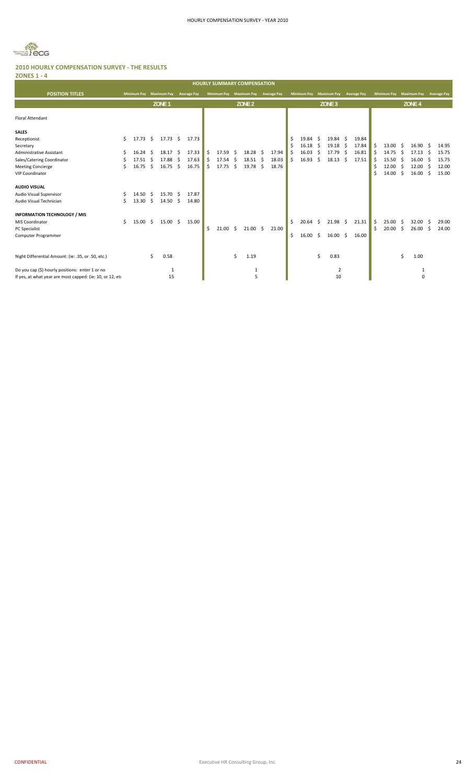

| <b>ZONES 1 - 4</b>                                        |    |                    |     |                     |              |                    |     |             |     |                                    |    |                    |         |                          |    |                    |           |                    |    |                    |     |                    |     |                    |
|-----------------------------------------------------------|----|--------------------|-----|---------------------|--------------|--------------------|-----|-------------|-----|------------------------------------|----|--------------------|---------|--------------------------|----|--------------------|-----------|--------------------|----|--------------------|-----|--------------------|-----|--------------------|
|                                                           |    |                    |     |                     |              |                    |     |             |     | <b>HOURLY SUMMARY COMPENSATION</b> |    |                    |         |                          |    |                    |           |                    |    |                    |     |                    |     |                    |
| <b>POSITION TITLES</b>                                    |    | <b>Minimum Pay</b> |     | <b>Maximum Pay</b>  |              | <b>Average Pay</b> |     | Minimum Pay |     | <b>Maximum Pay</b>                 |    | <b>Average Pay</b> |         | <b>Minimum Pay</b>       |    | <b>Maximum Pay</b> |           | <b>Average Pay</b> |    | <b>Minimum Pay</b> |     | <b>Maximum Pay</b> |     | <b>Average Pay</b> |
|                                                           |    |                    |     | ZONE <sub>1</sub>   |              |                    |     |             |     | ZONE <sub>2</sub>                  |    |                    |         |                          |    | ZONE <sub>3</sub>  |           |                    |    |                    |     | ZONE <sub>4</sub>  |     |                    |
| <b>Floral Attendant</b>                                   |    |                    |     |                     |              |                    |     |             |     |                                    |    |                    |         |                          |    |                    |           |                    |    |                    |     |                    |     |                    |
| <b>SALES</b>                                              |    |                    |     |                     |              |                    |     |             |     |                                    |    |                    |         |                          |    |                    |           |                    |    |                    |     |                    |     |                    |
| Receptionist<br>Secretary                                 | Ŝ. | 17.73              | S.  | $17.73 \; \text{S}$ |              | 17.73              |     |             |     |                                    |    |                    | \$<br>Ś | 19.84<br>$16.18 \quad $$ | -Ŝ | 19.84<br>19.18     | -S<br>-\$ | 19.84<br>17.84     | Ś  | 13.00              | -Ŝ  | 16.90              | .S  | 14.95              |
| <b>Administrative Assistant</b>                           | S  | 16.24              | -\$ | 18.17               | - \$         | 17.33              | \$  | 17.59       | -\$ | 18.28                              | Ŝ. | 17.94              | \$      | 16.03                    | \$ | 17.79              | Ŝ.        | 16.81              | Ŝ. | 14.75              | -\$ | 17.13              | -S  | 15.75              |
| Sales/Catering Coordinator                                |    | 17.51              | - S | 17.88               | Ŝ.           | 17.63              | Ś   | $17.54$ \$  |     | 18.51                              | -S | 18.03              | Ś       | 16.93                    | Ŝ. | 18.13              | Ŝ.        | 17.51              | Ŝ  | 15.50              | -Ś  | 16.00              | -Ś  | 15.75              |
| <b>Meeting Concierge</b>                                  | Ś  | 16.75              | \$  | 16.75               | $\mathsf{S}$ | 16.75              | \$. | 17.75       | \$  | 19.78                              | Ŝ. | 18.76              |         |                          |    |                    |           |                    | \$ | 12.00              | Ŝ.  | 12.00              | -\$ | 12.00              |
| <b>VIP Coordinator</b>                                    |    |                    |     |                     |              |                    |     |             |     |                                    |    |                    |         |                          |    |                    |           |                    | Ś  | 14.00              | \$  | 16.00              | S.  | 15.00              |
| <b>AUDIO VISUAL</b>                                       |    |                    |     |                     |              |                    |     |             |     |                                    |    |                    |         |                          |    |                    |           |                    |    |                    |     |                    |     |                    |
| Audio Visual Supervisor                                   |    | 14.50              | S.  | 15.70 \$            |              | 17.87              |     |             |     |                                    |    |                    |         |                          |    |                    |           |                    |    |                    |     |                    |     |                    |
| Audio Visual Technician                                   |    | 13.30              | \$  | $14.50 \pm 5$       |              | 14.80              |     |             |     |                                    |    |                    |         |                          |    |                    |           |                    |    |                    |     |                    |     |                    |
| <b>INFORMATION TECHNOLOGY / MIS</b>                       |    |                    |     |                     |              |                    |     |             |     |                                    |    |                    |         |                          |    |                    |           |                    |    |                    |     |                    |     |                    |
| <b>MIS Coordinator</b>                                    | Ś. | 15.00              | \$  | $15.00 \pm 5$       |              | 15.00              |     |             |     |                                    |    |                    | \$      | 20.64                    | -Ś | $21.98 \quad $$    |           | 21.31              | Ś. | 25.00              | -S  | 32.00              | Ŝ.  | 29.00              |
| <b>PC</b> Specialist                                      |    |                    |     |                     |              |                    | Ś   | 21.00       | -S  | $21.00 \pm 5$                      |    | 21.00              |         |                          |    |                    |           |                    | Ś  | 20.00              | \$  | 26.00              | S.  | 24.00              |
| Computer Programmer                                       |    |                    |     |                     |              |                    |     |             |     |                                    |    |                    | \$      | $16.00 \quad $$          |    | 16.00              | -\$       | 16.00              |    |                    |     |                    |     |                    |
|                                                           |    |                    |     |                     |              |                    |     |             |     |                                    |    |                    |         |                          |    |                    |           |                    |    |                    |     |                    |     |                    |
| Night Differential Amount: (ie: .35, or .50, etc.)        |    |                    | \$  | 0.58                |              |                    |     |             | Ŝ.  | 1.19                               |    |                    |         |                          | Ś. | 0.83               |           |                    |    |                    | Ś   | 1.00               |     |                    |
| Do you cap (\$) hourly positions: enter 1 or no           |    |                    |     | $\mathbf{1}$        |              |                    |     |             |     | 1                                  |    |                    |         |                          |    | 2                  |           |                    |    |                    |     | 1                  |     |                    |
| If yes, at what year are most capped: (ie: 10, or 12, eto |    |                    |     | 15                  |              |                    |     |             |     | 5                                  |    |                    |         |                          |    | 10                 |           |                    |    |                    |     | $\mathbf 0$        |     |                    |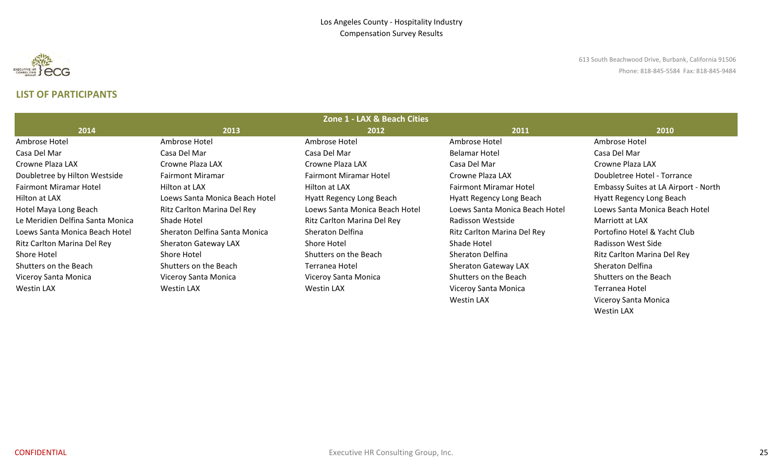

613 South Beachwood Drive, Burbank, California 91506 Phone: 818‐845‐5584 Fax: 818‐845‐9484

# **LIST OF PARTICIPANTS**

|                                  |                                | Zone 1 - LAX & Beach Cities    |                                |                                      |
|----------------------------------|--------------------------------|--------------------------------|--------------------------------|--------------------------------------|
| 2014                             | 2013                           | 2012                           | 2011                           | 2010                                 |
| Ambrose Hotel                    | Ambrose Hotel                  | Ambrose Hotel                  | Ambrose Hotel                  | Ambrose Hotel                        |
| Casa Del Mar                     | Casa Del Mar                   | Casa Del Mar                   | <b>Belamar Hotel</b>           | Casa Del Mar                         |
| Crowne Plaza LAX                 | Crowne Plaza LAX               | Crowne Plaza LAX               | Casa Del Mar                   | Crowne Plaza LAX                     |
| Doubletree by Hilton Westside    | <b>Fairmont Miramar</b>        | <b>Fairmont Miramar Hotel</b>  | Crowne Plaza LAX               | Doubletree Hotel - Torrance          |
| <b>Fairmont Miramar Hotel</b>    | Hilton at LAX                  | Hilton at LAX                  | <b>Fairmont Miramar Hotel</b>  | Embassy Suites at LA Airport - North |
| Hilton at LAX                    | Loews Santa Monica Beach Hotel | Hyatt Regency Long Beach       | Hyatt Regency Long Beach       | Hyatt Regency Long Beach             |
| Hotel Maya Long Beach            | Ritz Carlton Marina Del Rey    | Loews Santa Monica Beach Hotel | Loews Santa Monica Beach Hotel | Loews Santa Monica Beach Hotel       |
| Le Meridien Delfina Santa Monica | Shade Hotel                    | Ritz Carlton Marina Del Rey    | Radisson Westside              | Marriott at LAX                      |
| Loews Santa Monica Beach Hotel   | Sheraton Delfina Santa Monica  | Sheraton Delfina               | Ritz Carlton Marina Del Rey    | Portofino Hotel & Yacht Club         |
| Ritz Carlton Marina Del Rey      | <b>Sheraton Gateway LAX</b>    | Shore Hotel                    | Shade Hotel                    | Radisson West Side                   |
| <b>Shore Hotel</b>               | Shore Hotel                    | Shutters on the Beach          | Sheraton Delfina               | Ritz Carlton Marina Del Rey          |
| Shutters on the Beach            | Shutters on the Beach          | Terranea Hotel                 | <b>Sheraton Gateway LAX</b>    | Sheraton Delfina                     |
| Viceroy Santa Monica             | Viceroy Santa Monica           | Viceroy Santa Monica           | Shutters on the Beach          | <b>Shutters on the Beach</b>         |
| <b>Westin LAX</b>                | Westin LAX                     | Westin LAX                     | Viceroy Santa Monica           | Terranea Hotel                       |
|                                  |                                |                                | Westin LAX                     | Viceroy Santa Monica                 |
|                                  |                                |                                |                                | Westin LAX                           |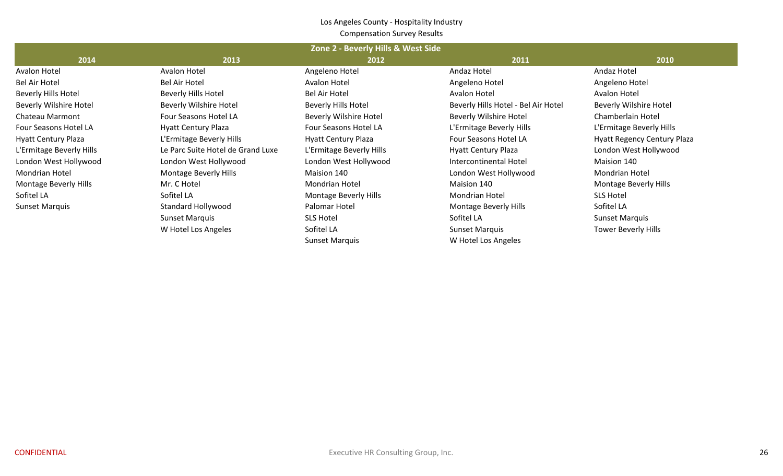#### Los Angeles County ‐ Hospitality Industry Compensation Survey Results

| Zone 2 - Beverly Hills & West Side |                                   |                            |                                     |                                    |  |  |  |  |  |  |  |  |  |
|------------------------------------|-----------------------------------|----------------------------|-------------------------------------|------------------------------------|--|--|--|--|--|--|--|--|--|
| 2014                               | 2013                              | 2012                       | 2011                                | 2010                               |  |  |  |  |  |  |  |  |  |
| Avalon Hotel                       | Avalon Hotel                      | Angeleno Hotel             | Andaz Hotel                         | Andaz Hotel                        |  |  |  |  |  |  |  |  |  |
| <b>Bel Air Hotel</b>               | Bel Air Hotel                     | <b>Avalon Hotel</b>        | Angeleno Hotel                      | Angeleno Hotel                     |  |  |  |  |  |  |  |  |  |
| <b>Beverly Hills Hotel</b>         | <b>Beverly Hills Hotel</b>        | <b>Bel Air Hotel</b>       | Avalon Hotel                        | Avalon Hotel                       |  |  |  |  |  |  |  |  |  |
| <b>Beverly Wilshire Hotel</b>      | <b>Beverly Wilshire Hotel</b>     | Beverly Hills Hotel        | Beverly Hills Hotel - Bel Air Hotel | <b>Beverly Wilshire Hotel</b>      |  |  |  |  |  |  |  |  |  |
| Chateau Marmont                    | Four Seasons Hotel LA             | Beverly Wilshire Hotel     | <b>Beverly Wilshire Hotel</b>       | Chamberlain Hotel                  |  |  |  |  |  |  |  |  |  |
| Four Seasons Hotel LA              | <b>Hyatt Century Plaza</b>        | Four Seasons Hotel LA      | L'Ermitage Beverly Hills            | L'Ermitage Beverly Hills           |  |  |  |  |  |  |  |  |  |
| <b>Hyatt Century Plaza</b>         | L'Ermitage Beverly Hills          | <b>Hyatt Century Plaza</b> | Four Seasons Hotel LA               | <b>Hyatt Regency Century Plaza</b> |  |  |  |  |  |  |  |  |  |
| L'Ermitage Beverly Hills           | Le Parc Suite Hotel de Grand Luxe | L'Ermitage Beverly Hills   | <b>Hyatt Century Plaza</b>          | London West Hollywood              |  |  |  |  |  |  |  |  |  |
| London West Hollywood              | London West Hollywood             | London West Hollywood      | Intercontinental Hotel              | Maision 140                        |  |  |  |  |  |  |  |  |  |
| <b>Mondrian Hotel</b>              | Montage Beverly Hills             | Maision 140                | London West Hollywood               | <b>Mondrian Hotel</b>              |  |  |  |  |  |  |  |  |  |
| Montage Beverly Hills              | Mr. C Hotel                       | <b>Mondrian Hotel</b>      | Maision 140                         | Montage Beverly Hills              |  |  |  |  |  |  |  |  |  |
| Sofitel LA                         | Sofitel LA                        | Montage Beverly Hills      | <b>Mondrian Hotel</b>               | <b>SLS Hotel</b>                   |  |  |  |  |  |  |  |  |  |
| <b>Sunset Marquis</b>              | Standard Hollywood                | Palomar Hotel              | Montage Beverly Hills               | Sofitel LA                         |  |  |  |  |  |  |  |  |  |
|                                    | <b>Sunset Marquis</b>             | <b>SLS Hotel</b>           | Sofitel LA                          | <b>Sunset Marquis</b>              |  |  |  |  |  |  |  |  |  |
|                                    | W Hotel Los Angeles               | Sofitel LA                 | <b>Sunset Marquis</b>               | <b>Tower Beverly Hills</b>         |  |  |  |  |  |  |  |  |  |
|                                    |                                   | <b>Sunset Marquis</b>      | W Hotel Los Angeles                 |                                    |  |  |  |  |  |  |  |  |  |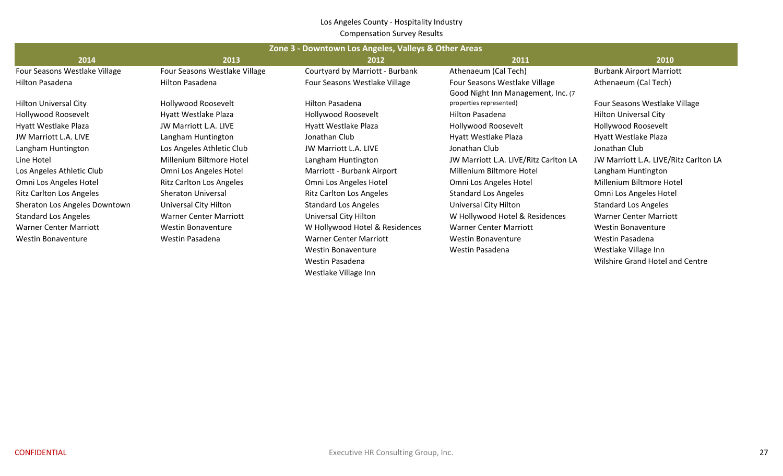#### Los Angeles County ‐ Hospitality Industry Compensation Survey Results

|                                 | Zone 3 - Downtown Los Angeles, Valleys & Other Areas |                                 |                                       |                                       |  |  |  |  |  |  |  |  |  |  |
|---------------------------------|------------------------------------------------------|---------------------------------|---------------------------------------|---------------------------------------|--|--|--|--|--|--|--|--|--|--|
| 2014                            | 2013                                                 | 2012                            | 2011                                  | 2010                                  |  |  |  |  |  |  |  |  |  |  |
| Four Seasons Westlake Village   | Four Seasons Westlake Village                        | Courtyard by Marriott - Burbank | Athenaeum (Cal Tech)                  | <b>Burbank Airport Marriott</b>       |  |  |  |  |  |  |  |  |  |  |
| Hilton Pasadena                 | Hilton Pasadena                                      | Four Seasons Westlake Village   | Four Seasons Westlake Village         | Athenaeum (Cal Tech)                  |  |  |  |  |  |  |  |  |  |  |
|                                 |                                                      |                                 | Good Night Inn Management, Inc. (7)   |                                       |  |  |  |  |  |  |  |  |  |  |
| <b>Hilton Universal City</b>    | Hollywood Roosevelt                                  | <b>Hilton Pasadena</b>          | properties represented)               | Four Seasons Westlake Village         |  |  |  |  |  |  |  |  |  |  |
| Hollywood Roosevelt             | Hyatt Westlake Plaza                                 | Hollywood Roosevelt             | Hilton Pasadena                       | <b>Hilton Universal City</b>          |  |  |  |  |  |  |  |  |  |  |
| Hyatt Westlake Plaza            | JW Marriott L.A. LIVE                                | Hyatt Westlake Plaza            | Hollywood Roosevelt                   | Hollywood Roosevelt                   |  |  |  |  |  |  |  |  |  |  |
| JW Marriott L.A. LIVE           | Langham Huntington                                   | Jonathan Club                   | Hyatt Westlake Plaza                  | Hyatt Westlake Plaza                  |  |  |  |  |  |  |  |  |  |  |
| Langham Huntington              | Los Angeles Athletic Club                            | JW Marriott L.A. LIVE           | Jonathan Club                         | Jonathan Club                         |  |  |  |  |  |  |  |  |  |  |
| Line Hotel                      | Millenium Biltmore Hotel                             | Langham Huntington              | JW Marriott L.A. LIVE/Ritz Carlton LA | JW Marriott L.A. LIVE/Ritz Carlton LA |  |  |  |  |  |  |  |  |  |  |
| Los Angeles Athletic Club       | Omni Los Angeles Hotel                               | Marriott - Burbank Airport      | Millenium Biltmore Hotel              | Langham Huntington                    |  |  |  |  |  |  |  |  |  |  |
| Omni Los Angeles Hotel          | <b>Ritz Carlton Los Angeles</b>                      | Omni Los Angeles Hotel          | Omni Los Angeles Hotel                | Millenium Biltmore Hotel              |  |  |  |  |  |  |  |  |  |  |
| <b>Ritz Carlton Los Angeles</b> | Sheraton Universal                                   | <b>Ritz Carlton Los Angeles</b> | <b>Standard Los Angeles</b>           | Omni Los Angeles Hotel                |  |  |  |  |  |  |  |  |  |  |
| Sheraton Los Angeles Downtown   | Universal City Hilton                                | <b>Standard Los Angeles</b>     | Universal City Hilton                 | <b>Standard Los Angeles</b>           |  |  |  |  |  |  |  |  |  |  |
| <b>Standard Los Angeles</b>     | <b>Warner Center Marriott</b>                        | Universal City Hilton           | W Hollywood Hotel & Residences        | <b>Warner Center Marriott</b>         |  |  |  |  |  |  |  |  |  |  |
| <b>Warner Center Marriott</b>   | <b>Westin Bonaventure</b>                            | W Hollywood Hotel & Residences  | <b>Warner Center Marriott</b>         | <b>Westin Bonaventure</b>             |  |  |  |  |  |  |  |  |  |  |
| <b>Westin Bonaventure</b>       | Westin Pasadena                                      | <b>Warner Center Marriott</b>   | <b>Westin Bonaventure</b>             | Westin Pasadena                       |  |  |  |  |  |  |  |  |  |  |
|                                 |                                                      | Westin Bonaventure              | Westin Pasadena                       | Westlake Village Inn                  |  |  |  |  |  |  |  |  |  |  |
|                                 |                                                      | Westin Pasadena                 |                                       | Wilshire Grand Hotel and Centre       |  |  |  |  |  |  |  |  |  |  |

Westlake Village Inn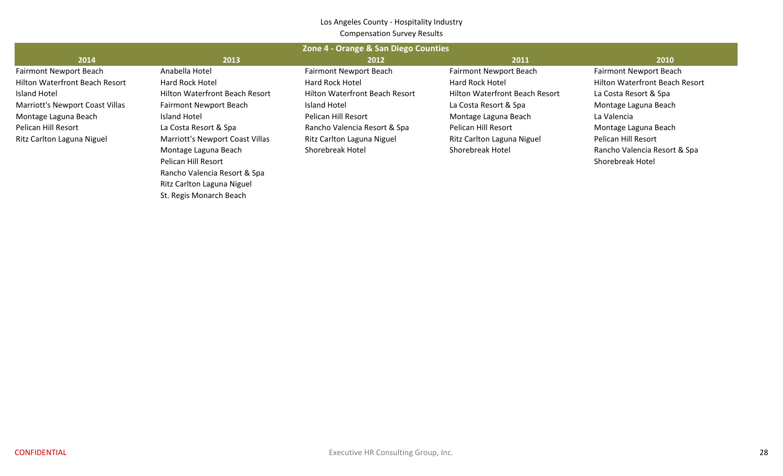#### Los Angeles County ‐ Hospitality Industry Compensation Survey Results

|                                       | Zone 4 - Orange & San Diego Counties  |                                       |                                       |                                       |  |  |  |  |  |  |  |  |  |  |
|---------------------------------------|---------------------------------------|---------------------------------------|---------------------------------------|---------------------------------------|--|--|--|--|--|--|--|--|--|--|
| 2014                                  | 2013                                  | 2012                                  | 2011                                  | 2010                                  |  |  |  |  |  |  |  |  |  |  |
| <b>Fairmont Newport Beach</b>         | Anabella Hotel                        | <b>Fairmont Newport Beach</b>         | <b>Fairmont Newport Beach</b>         | Fairmont Newport Beach                |  |  |  |  |  |  |  |  |  |  |
| <b>Hilton Waterfront Beach Resort</b> | Hard Rock Hotel                       | <b>Hard Rock Hotel</b>                | <b>Hard Rock Hotel</b>                | <b>Hilton Waterfront Beach Resort</b> |  |  |  |  |  |  |  |  |  |  |
| Island Hotel                          | <b>Hilton Waterfront Beach Resort</b> | <b>Hilton Waterfront Beach Resort</b> | <b>Hilton Waterfront Beach Resort</b> | La Costa Resort & Spa                 |  |  |  |  |  |  |  |  |  |  |
| Marriott's Newport Coast Villas       | <b>Fairmont Newport Beach</b>         | Island Hotel                          | La Costa Resort & Spa                 | Montage Laguna Beach                  |  |  |  |  |  |  |  |  |  |  |
| Montage Laguna Beach                  | Island Hotel                          | Pelican Hill Resort                   | Montage Laguna Beach                  | La Valencia                           |  |  |  |  |  |  |  |  |  |  |
| Pelican Hill Resort                   | La Costa Resort & Spa                 | Rancho Valencia Resort & Spa          | Pelican Hill Resort                   | Montage Laguna Beach                  |  |  |  |  |  |  |  |  |  |  |
| Ritz Carlton Laguna Niguel            | Marriott's Newport Coast Villas       | Ritz Carlton Laguna Niguel            | Ritz Carlton Laguna Niguel            | Pelican Hill Resort                   |  |  |  |  |  |  |  |  |  |  |
|                                       | Montage Laguna Beach                  | <b>Shorebreak Hotel</b>               | <b>Shorebreak Hotel</b>               | Rancho Valencia Resort & Spa          |  |  |  |  |  |  |  |  |  |  |
|                                       | Pelican Hill Resort                   |                                       |                                       | Shorebreak Hotel                      |  |  |  |  |  |  |  |  |  |  |
|                                       | Rancho Valencia Resort & Spa          |                                       |                                       |                                       |  |  |  |  |  |  |  |  |  |  |

Ritz Carlton Laguna Niguel St. Regis Monarch Beach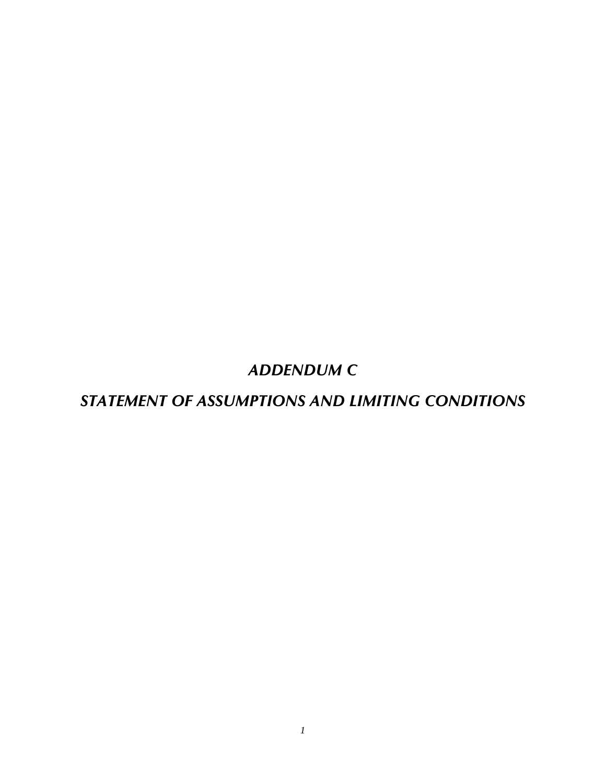*ADDENDUM C* 

*STATEMENT OF ASSUMPTIONS AND LIMITING CONDITIONS*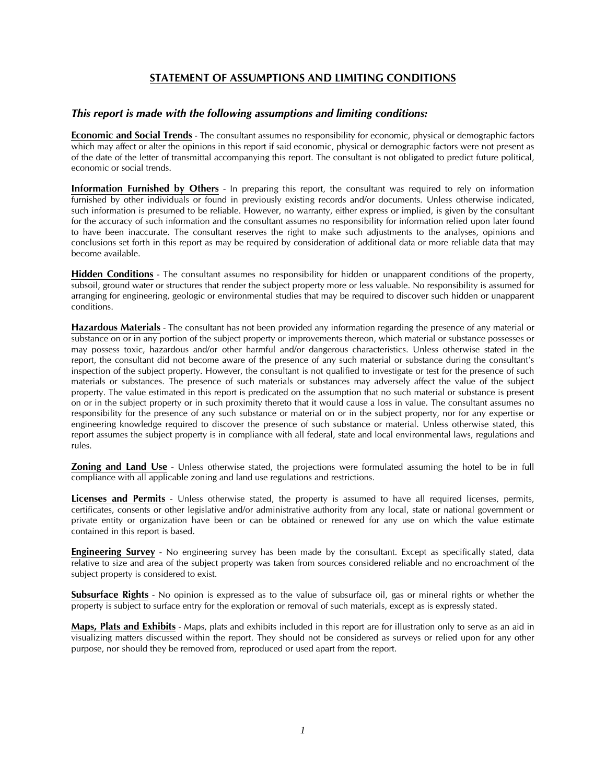## **STATEMENT OF ASSUMPTIONS AND LIMITING CONDITIONS**

#### *This report is made with the following assumptions and limiting conditions:*

**Economic and Social Trends** - The consultant assumes no responsibility for economic, physical or demographic factors which may affect or alter the opinions in this report if said economic, physical or demographic factors were not present as of the date of the letter of transmittal accompanying this report. The consultant is not obligated to predict future political, economic or social trends.

**Information Furnished by Others** - In preparing this report, the consultant was required to rely on information furnished by other individuals or found in previously existing records and/or documents. Unless otherwise indicated, such information is presumed to be reliable. However, no warranty, either express or implied, is given by the consultant for the accuracy of such information and the consultant assumes no responsibility for information relied upon later found to have been inaccurate. The consultant reserves the right to make such adjustments to the analyses, opinions and conclusions set forth in this report as may be required by consideration of additional data or more reliable data that may become available.

**Hidden Conditions** - The consultant assumes no responsibility for hidden or unapparent conditions of the property, subsoil, ground water or structures that render the subject property more or less valuable. No responsibility is assumed for arranging for engineering, geologic or environmental studies that may be required to discover such hidden or unapparent conditions.

**Hazardous Materials** - The consultant has not been provided any information regarding the presence of any material or substance on or in any portion of the subject property or improvements thereon, which material or substance possesses or may possess toxic, hazardous and/or other harmful and/or dangerous characteristics. Unless otherwise stated in the report, the consultant did not become aware of the presence of any such material or substance during the consultant's inspection of the subject property. However, the consultant is not qualified to investigate or test for the presence of such materials or substances. The presence of such materials or substances may adversely affect the value of the subject property. The value estimated in this report is predicated on the assumption that no such material or substance is present on or in the subject property or in such proximity thereto that it would cause a loss in value. The consultant assumes no responsibility for the presence of any such substance or material on or in the subject property, nor for any expertise or engineering knowledge required to discover the presence of such substance or material. Unless otherwise stated, this report assumes the subject property is in compliance with all federal, state and local environmental laws, regulations and rules.

**Zoning and Land Use** - Unless otherwise stated, the projections were formulated assuming the hotel to be in full compliance with all applicable zoning and land use regulations and restrictions.

**Licenses and Permits** - Unless otherwise stated, the property is assumed to have all required licenses, permits, certificates, consents or other legislative and/or administrative authority from any local, state or national government or private entity or organization have been or can be obtained or renewed for any use on which the value estimate contained in this report is based.

**Engineering Survey** - No engineering survey has been made by the consultant. Except as specifically stated, data relative to size and area of the subject property was taken from sources considered reliable and no encroachment of the subject property is considered to exist.

**Subsurface Rights** - No opinion is expressed as to the value of subsurface oil, gas or mineral rights or whether the property is subject to surface entry for the exploration or removal of such materials, except as is expressly stated.

**Maps, Plats and Exhibits** - Maps, plats and exhibits included in this report are for illustration only to serve as an aid in visualizing matters discussed within the report. They should not be considered as surveys or relied upon for any other purpose, nor should they be removed from, reproduced or used apart from the report.